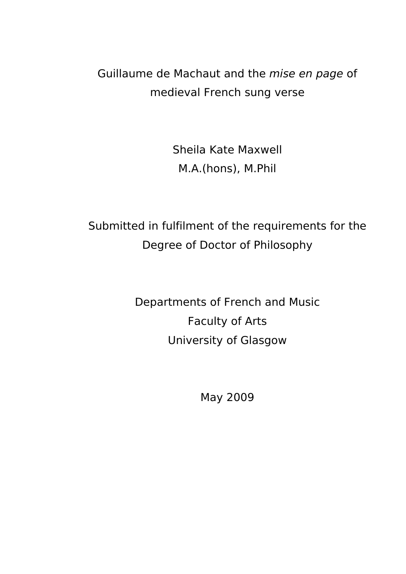## Guillaume de Machaut and the mise en page of medieval French sung verse

Sheila Kate Maxwell M.A.(hons), M.Phil

Submitted in fulfilment of the requirements for the Degree of Doctor of Philosophy

> Departments of French and Music Faculty of Arts University of Glasgow

> > May 2009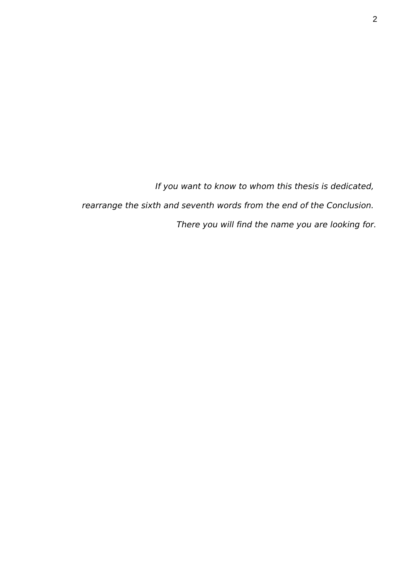If you want to know to whom this thesis is dedicated, rearrange the sixth and seventh words from the end of the Conclusion. There you will find the name you are looking for.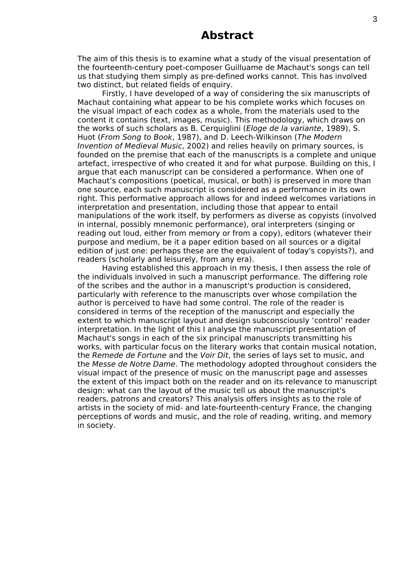### **Abstract**

The aim of this thesis is to examine what a study of the visual presentation of the fourteenth-century poet-composer Guilluame de Machaut's songs can tell us that studying them simply as pre-defined works cannot. This has involved two distinct, but related fields of enquiry.

Firstly, I have developed of a way of considering the six manuscripts of Machaut containing what appear to be his complete works which focuses on the visual impact of each codex as a whole, from the materials used to the content it contains (text, images, music). This methodology, which draws on the works of such scholars as B. Cerquiglini (Eloge de la variante, 1989), S. Huot (From Song to Book, 1987), and D. Leech-Wilkinson (The Modern Invention of Medieval Music, 2002) and relies heavily on primary sources, is founded on the premise that each of the manuscripts is a complete and unique artefact, irrespective of who created it and for what purpose. Building on this, I argue that each manuscript can be considered a performance. When one of Machaut's compositions (poetical, musical, or both) is preserved in more than one source, each such manuscript is considered as a performance in its own right. This performative approach allows for and indeed welcomes variations in interpretation and presentation, including those that appear to entail manipulations of the work itself, by performers as diverse as copyists (involved in internal, possibly mnemonic performance), oral interpreters (singing or reading out loud, either from memory or from a copy), editors (whatever their purpose and medium, be it a paper edition based on all sources or a digital edition of just one: perhaps these are the equivalent of today's copyists?), and readers (scholarly and leisurely, from any era).

Having established this approach in my thesis, I then assess the role of the individuals involved in such a manuscript performance. The differing role of the scribes and the author in a manuscript's production is considered, particularly with reference to the manuscripts over whose compilation the author is perceived to have had some control. The role of the reader is considered in terms of the reception of the manuscript and especially the extent to which manuscript layout and design subconsciously 'control' reader interpretation. In the light of this I analyse the manuscript presentation of Machaut's songs in each of the six principal manuscripts transmitting his works, with particular focus on the literary works that contain musical notation, the Remede de Fortune and the Voir Dit, the series of lays set to music, and the Messe de Notre Dame. The methodology adopted throughout considers the visual impact of the presence of music on the manuscript page and assesses the extent of this impact both on the reader and on its relevance to manuscript design: what can the layout of the music tell us about the manuscript's readers, patrons and creators? This analysis offers insights as to the role of artists in the society of mid- and late-fourteenth-century France, the changing perceptions of words and music, and the role of reading, writing, and memory in society.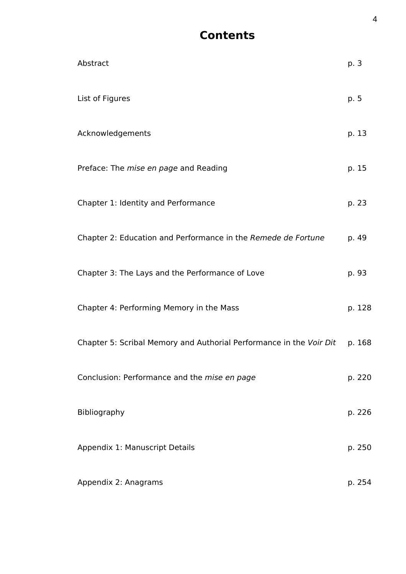### **Contents**

| Abstract                                                            | p. 3   |
|---------------------------------------------------------------------|--------|
| List of Figures                                                     | p. 5   |
| Acknowledgements                                                    | p. 13  |
| Preface: The mise en page and Reading                               | p. 15  |
| Chapter 1: Identity and Performance                                 | p. 23  |
| Chapter 2: Education and Performance in the Remede de Fortune       | p. 49  |
| Chapter 3: The Lays and the Performance of Love                     | p. 93  |
| Chapter 4: Performing Memory in the Mass                            | p. 128 |
| Chapter 5: Scribal Memory and Authorial Performance in the Voir Dit | p. 168 |
| Conclusion: Performance and the mise en page                        | p. 220 |
| Bibliography                                                        | p. 226 |
| Appendix 1: Manuscript Details                                      | p. 250 |
| Appendix 2: Anagrams                                                | p. 254 |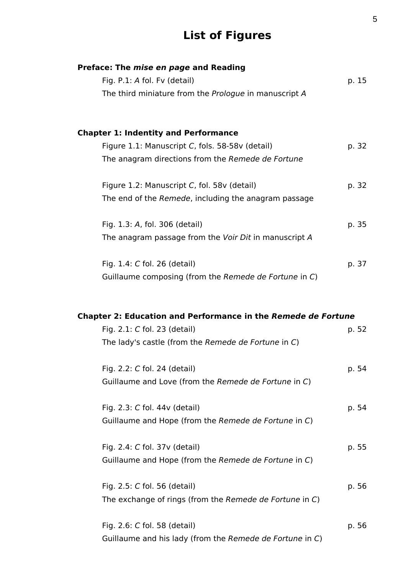# **List of Figures**

| Preface: The mise en page and Reading                                               |       |
|-------------------------------------------------------------------------------------|-------|
| Fig. P.1: A fol. Fv (detail)                                                        | p. 15 |
| The third miniature from the Prologue in manuscript A                               |       |
| <b>Chapter 1: Indentity and Performance</b>                                         |       |
| Figure 1.1: Manuscript C, fols. 58-58v (detail)                                     | p. 32 |
| The anagram directions from the Remede de Fortune                                   |       |
| Figure 1.2: Manuscript C, fol. 58v (detail)                                         | p. 32 |
| The end of the Remede, including the anagram passage                                |       |
| Fig. 1.3: A, fol. 306 (detail)                                                      | p. 35 |
| The anagram passage from the Voir Dit in manuscript A                               |       |
| Fig. 1.4: C fol. 26 (detail)                                                        | p. 37 |
| Guillaume composing (from the Remede de Fortune in C)                               |       |
|                                                                                     |       |
| <b>Chapter 2: Education and Performance in the Remede de Fortune</b>                |       |
| Fig. 2.1: C fol. 23 (detail)<br>The lady's castle (from the Remede de Fortune in C) | p. 52 |
| Fig. 2.2: C fol. 24 (detail)                                                        |       |
| Guillaume and Love (from the Remede de Fortune in C)                                | p. 54 |
|                                                                                     |       |
| Fig. 2.3: C fol. 44v (detail)                                                       | p. 54 |
| Guillaume and Hope (from the Remede de Fortune in C)                                |       |
| Fig. 2.4: C fol. 37v (detail)                                                       | p. 55 |
| Guillaume and Hope (from the Remede de Fortune in C)                                |       |
| Fig. 2.5: C fol. 56 (detail)                                                        | p. 56 |
| The exchange of rings (from the Remede de Fortune in C)                             |       |
| Fig. 2.6: C fol. 58 (detail)                                                        | p. 56 |
| Guillaume and his lady (from the Remede de Fortune in C)                            |       |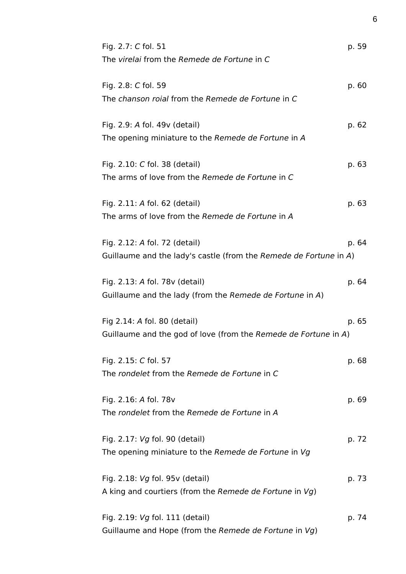| Fig. 2.7: C fol. 51<br>The virelai from the Remede de Fortune in C                                 | p. 59 |
|----------------------------------------------------------------------------------------------------|-------|
| Fig. 2.8: C fol. 59<br>The chanson roial from the Remede de Fortune in C                           | p. 60 |
| Fig. 2.9: A fol. 49v (detail)<br>The opening miniature to the Remede de Fortune in A               | p. 62 |
| Fig. 2.10: C fol. 38 (detail)<br>The arms of love from the Remede de Fortune in C                  | p. 63 |
| Fig. 2.11: A fol. 62 (detail)<br>The arms of love from the Remede de Fortune in A                  | p. 63 |
| Fig. 2.12: A fol. 72 (detail)<br>Guillaume and the lady's castle (from the Remede de Fortune in A) | p. 64 |
| Fig. 2.13: A fol. 78v (detail)<br>Guillaume and the lady (from the Remede de Fortune in A)         | p. 64 |
| Fig 2.14: A fol. 80 (detail)<br>Guillaume and the god of love (from the Remede de Fortune in A)    | p. 65 |
| Fig. 2.15: C fol. 57<br>The rondelet from the Remede de Fortune in C                               | p. 68 |
| Fig. 2.16: A fol. 78v<br>The rondelet from the Remede de Fortune in A                              | p. 69 |
| Fig. 2.17: Vg fol. 90 (detail)<br>The opening miniature to the Remede de Fortune in Vg             | p. 72 |
| Fig. 2.18: Vg fol. 95v (detail)<br>A king and courtiers (from the Remede de Fortune in Vg)         | p. 73 |
| Fig. 2.19: Vg fol. 111 (detail)<br>Guillaume and Hope (from the Remede de Fortune in Vg)           | p. 74 |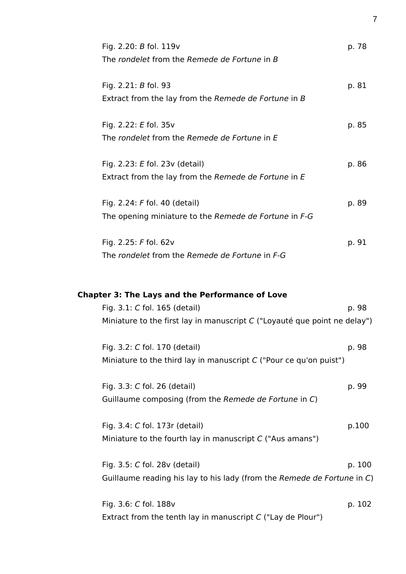| Fig. 2.20: <i>B</i> fol. 119v                                             | p. 78 |
|---------------------------------------------------------------------------|-------|
| The rondelet from the Remede de Fortune in B                              |       |
| Fig. 2.21: B fol. 93                                                      | p. 81 |
| Extract from the lay from the Remede de Fortune in B                      |       |
| Fig. 2.22: E fol. 35v                                                     | p. 85 |
| The rondelet from the Remede de Fortune in E                              |       |
| Fig. 2.23: E fol. 23v (detail)                                            | p. 86 |
| Extract from the lay from the Remede de Fortune in E                      |       |
| Fig. 2.24: F fol. 40 (detail)                                             | p. 89 |
| The opening miniature to the Remede de Fortune in F-G                     |       |
| Fig. 2.25: $F$ fol. 62 $v$                                                | p. 91 |
| The rondelet from the Remede de Fortune in F-G                            |       |
|                                                                           |       |
| <b>Chapter 3: The Lays and the Performance of Love</b>                    |       |
| Fig. 3.1: C fol. 165 (detail)                                             | p. 98 |
| Miniature to the first lay in manuscript C ("Loyauté que point ne delay") |       |

| Fig. 3.2: C fol. 170 (detail)                                        | p. 98 |
|----------------------------------------------------------------------|-------|
| Miniature to the third lay in manuscript $C$ ("Pour ce qu'on puist") |       |

| Fig. 3.3: C fol. 26 (detail)                          | p. 99 |
|-------------------------------------------------------|-------|
| Guillaume composing (from the Remede de Fortune in C) |       |

Fig. 3.4: C fol. 173r (detail) p.100 Miniature to the fourth lay in manuscript  $C$  ("Aus amans")

| Fig. $3.5: C$ fol. 28 $v$ (detail) | p. 100                                                                  |
|------------------------------------|-------------------------------------------------------------------------|
|                                    | Guillaume reading his lay to his lady (from the Remede de Fortune in C) |

Fig. 3.6: C fol. 188v p. 102 Extract from the tenth lay in manuscript C ("Lay de Plour")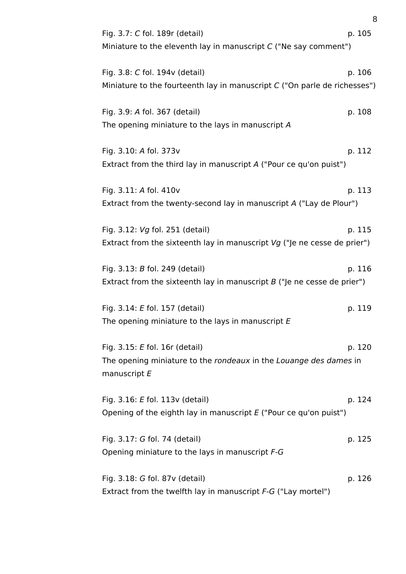| Fig. 3.7: C fol. 189r (detail)<br>Miniature to the eleventh lay in manuscript $C$ ("Ne say comment")                  | p. 105 |
|-----------------------------------------------------------------------------------------------------------------------|--------|
| Fig. 3.8: C fol. 194v (detail)<br>Miniature to the fourteenth lay in manuscript $C$ ("On parle de richesses")         | p. 106 |
| Fig. 3.9: A fol. 367 (detail)<br>The opening miniature to the lays in manuscript A                                    | p. 108 |
| Fig. 3.10: A fol. 373v<br>Extract from the third lay in manuscript A ("Pour ce qu'on puist")                          | p. 112 |
| Fig. 3.11: A fol. 410v<br>Extract from the twenty-second lay in manuscript A ("Lay de Plour")                         | p. 113 |
| Fig. 3.12: Vg fol. 251 (detail)<br>Extract from the sixteenth lay in manuscript $Vg$ ("Je ne cesse de prier")         | p. 115 |
| Fig. 3.13: <i>B</i> fol. 249 (detail)<br>Extract from the sixteenth lay in manuscript $B$ ("Je ne cesse de prier")    | p. 116 |
| Fig. 3.14: E fol. 157 (detail)<br>The opening miniature to the lays in manuscript E                                   | p. 119 |
| Fig. $3.15: E$ fol. 16r (detail)<br>The opening miniature to the rondeaux in the Louange des dames in<br>manuscript E | p. 120 |
| Fig. $3.16$ : E fol. $113v$ (detail)<br>Opening of the eighth lay in manuscript $E$ ("Pour ce qu'on puist")           | p. 124 |
| Fig. 3.17: G fol. 74 (detail)<br>Opening miniature to the lays in manuscript F-G                                      | p. 125 |
| Fig. 3.18: G fol. 87v (detail)<br>Extract from the twelfth lay in manuscript F-G ("Lay mortel")                       | p. 126 |

8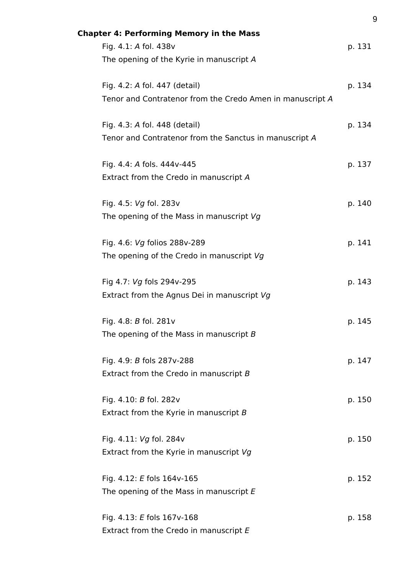| <b>Chapter 4: Performing Memory in the Mass</b>           | 9      |
|-----------------------------------------------------------|--------|
| Fig. 4.1: A fol. 438v                                     | p. 131 |
| The opening of the Kyrie in manuscript A                  |        |
| Fig. 4.2: A fol. 447 (detail)                             | p. 134 |
| Tenor and Contratenor from the Credo Amen in manuscript A |        |
| Fig. 4.3: A fol. 448 (detail)                             | p. 134 |
| Tenor and Contratenor from the Sanctus in manuscript A    |        |
| Fig. 4.4: A fols. 444v-445                                | p. 137 |
| Extract from the Credo in manuscript A                    |        |
| Fig. 4.5: Vg fol. 283v                                    | p. 140 |
| The opening of the Mass in manuscript Vg                  |        |
| Fig. 4.6: Vg folios 288v-289                              | p. 141 |
| The opening of the Credo in manuscript Vg                 |        |
| Fig 4.7: Vg fols 294v-295                                 | p. 143 |
| Extract from the Agnus Dei in manuscript Vg               |        |
| Fig. 4.8: B fol. 281v                                     | p. 145 |
| The opening of the Mass in manuscript B                   |        |
| Fig. 4.9: B fols 287v-288                                 | p. 147 |
| Extract from the Credo in manuscript B                    |        |
| Fig. $4.10: B$ fol. $282v$                                | p. 150 |
| Extract from the Kyrie in manuscript B                    |        |
| Fig. 4.11: Vg fol. 284v                                   | p. 150 |
| Extract from the Kyrie in manuscript Vg                   |        |
| Fig. $4.12: E$ fols $164v-165$                            | p. 152 |
| The opening of the Mass in manuscript E                   |        |
| Fig. 4.13: E fols 167v-168                                | p. 158 |
| Extract from the Credo in manuscript E                    |        |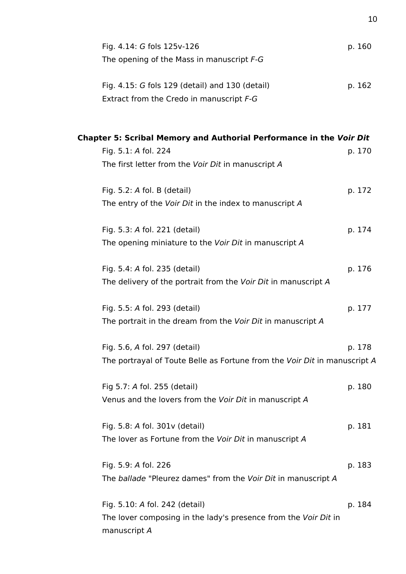| Fig. 4.14: G fols 125v-126                      | p. 160 |
|-------------------------------------------------|--------|
| The opening of the Mass in manuscript F-G       |        |
|                                                 |        |
| Fig. 4.15: G fols 129 (detail) and 130 (detail) | p. 162 |
| Extract from the Credo in manuscript F-G        |        |

| Chapter 5: Scribal Memory and Authorial Performance in the Voir Dit       |        |
|---------------------------------------------------------------------------|--------|
| Fig. 5.1: A fol. 224                                                      | p. 170 |
| The first letter from the Voir Dit in manuscript A                        |        |
| Fig. $5.2:$ A fol. B (detail)                                             | p. 172 |
| The entry of the Voir Dit in the index to manuscript A                    |        |
| Fig. 5.3: A fol. 221 (detail)                                             | p. 174 |
| The opening miniature to the Voir Dit in manuscript A                     |        |
| Fig. 5.4: A fol. 235 (detail)                                             | p. 176 |
| The delivery of the portrait from the Voir Dit in manuscript A            |        |
| Fig. 5.5: A fol. 293 (detail)                                             | p. 177 |
| The portrait in the dream from the Voir Dit in manuscript A               |        |
| Fig. 5.6, A fol. 297 (detail)                                             | p. 178 |
| The portrayal of Toute Belle as Fortune from the Voir Dit in manuscript A |        |
| Fig 5.7: A fol. 255 (detail)                                              | p. 180 |
| Venus and the lovers from the Voir Dit in manuscript A                    |        |
| Fig. 5.8: A fol. 301v (detail)                                            | p. 181 |
| The lover as Fortune from the Voir Dit in manuscript A                    |        |
| Fig. 5.9: A fol. 226                                                      | p. 183 |
| The ballade "Pleurez dames" from the Voir Dit in manuscript A             |        |
| Fig. 5.10: A fol. 242 (detail)                                            | p. 184 |
| The lover composing in the lady's presence from the Voir Dit in           |        |
| manuscript A                                                              |        |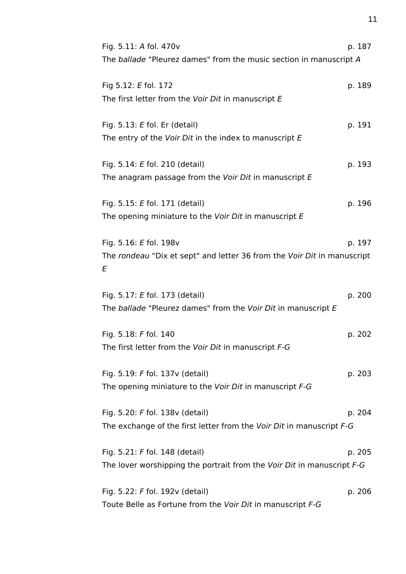| Fig. 5.11: A fol. 470v                                                                                   | p. 187 |
|----------------------------------------------------------------------------------------------------------|--------|
| The ballade "Pleurez dames" from the music section in manuscript A                                       |        |
| Fig 5.12: E fol. 172<br>The first letter from the Voir Dit in manuscript E                               | p. 189 |
| Fig. $5.13$ : E fol. Er (detail)<br>The entry of the Voir Dit in the index to manuscript E               | p. 191 |
| Fig. 5.14: E fol. 210 (detail)<br>The anagram passage from the Voir Dit in manuscript E                  | p. 193 |
| Fig. 5.15: E fol. 171 (detail)<br>The opening miniature to the Voir Dit in manuscript E                  | p. 196 |
| Fig. 5.16: E fol. 198v<br>The rondeau "Dix et sept" and letter 36 from the Voir Dit in manuscript<br>Ε   | p. 197 |
| Fig. 5.17: E fol. 173 (detail)<br>The ballade "Pleurez dames" from the Voir Dit in manuscript E          | p. 200 |
| Fig. 5.18: F fol. 140<br>The first letter from the Voir Dit in manuscript F-G                            | p. 202 |
| Fig. 5.19: F fol. 137v (detail)<br>The opening miniature to the Voir Dit in manuscript F-G               | p. 203 |
| Fig. 5.20: F fol. 138v (detail)<br>The exchange of the first letter from the Voir Dit in manuscript F-G  | p. 204 |
| Fig. 5.21: F fol. 148 (detail)<br>The lover worshipping the portrait from the Voir Dit in manuscript F-G | p. 205 |
| Fig. 5.22: F fol. 192v (detail)<br>Toute Belle as Fortune from the Voir Dit in manuscript F-G            | p. 206 |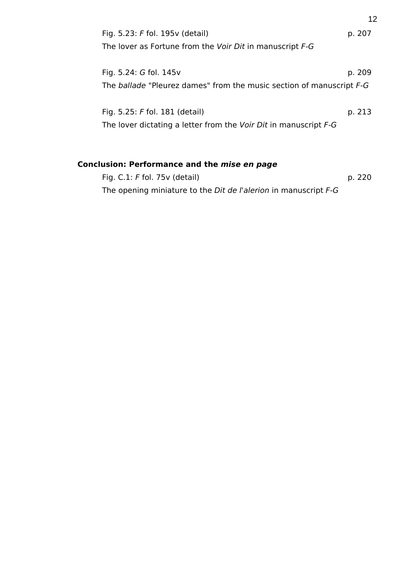| Fig. 5.23: $F$ fol. 195 $v$ (detail)                                 | p. 207 |
|----------------------------------------------------------------------|--------|
| The lover as Fortune from the Voir Dit in manuscript F-G             |        |
| Fig. $5.24:$ G fol. $145v$                                           | p. 209 |
| The ballade "Pleurez dames" from the music section of manuscript F-G |        |
| Fig. $5.25: F$ fol. 181 (detail)                                     | p. 213 |
| The lover dictating a letter from the Voir Dit in manuscript F-G     |        |
|                                                                      |        |

### **Conclusion: Performance and the mise en page**

| Fig. C.1: $F$ fol. 75 $v$ (detail)                              | p. 220 |
|-----------------------------------------------------------------|--------|
| The opening miniature to the Dit de l'alerion in manuscript F-G |        |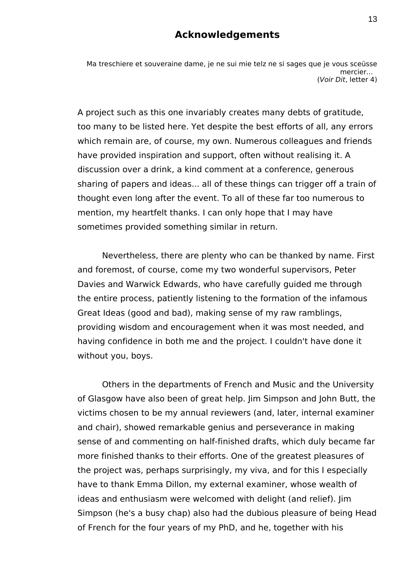#### **Acknowledgements**

Ma treschiere et souveraine dame, je ne sui mie telz ne si sages que je vous sceüsse mercier... (Voir Dit, letter 4)

A project such as this one invariably creates many debts of gratitude, too many to be listed here. Yet despite the best efforts of all, any errors which remain are, of course, my own. Numerous colleagues and friends have provided inspiration and support, often without realising it. A discussion over a drink, a kind comment at a conference, generous sharing of papers and ideas... all of these things can trigger off a train of thought even long after the event. To all of these far too numerous to mention, my heartfelt thanks. I can only hope that I may have sometimes provided something similar in return.

Nevertheless, there are plenty who can be thanked by name. First and foremost, of course, come my two wonderful supervisors, Peter Davies and Warwick Edwards, who have carefully guided me through the entire process, patiently listening to the formation of the infamous Great Ideas (good and bad), making sense of my raw ramblings, providing wisdom and encouragement when it was most needed, and having confidence in both me and the project. I couldn't have done it without you, boys.

Others in the departments of French and Music and the University of Glasgow have also been of great help. Jim Simpson and John Butt, the victims chosen to be my annual reviewers (and, later, internal examiner and chair), showed remarkable genius and perseverance in making sense of and commenting on half-finished drafts, which duly became far more finished thanks to their efforts. One of the greatest pleasures of the project was, perhaps surprisingly, my viva, and for this I especially have to thank Emma Dillon, my external examiner, whose wealth of ideas and enthusiasm were welcomed with delight (and relief). Jim Simpson (he's a busy chap) also had the dubious pleasure of being Head of French for the four years of my PhD, and he, together with his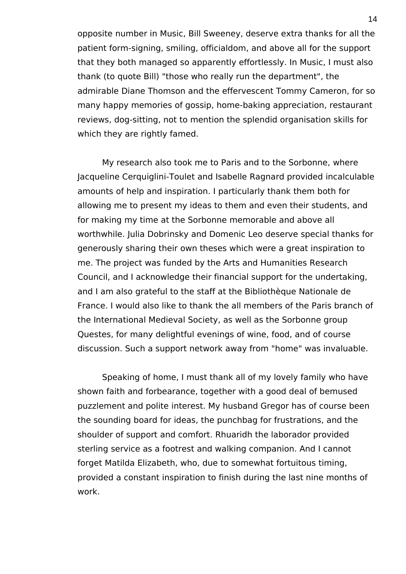opposite number in Music, Bill Sweeney, deserve extra thanks for all the patient form-signing, smiling, officialdom, and above all for the support that they both managed so apparently effortlessly. In Music, I must also thank (to quote Bill) "those who really run the department", the admirable Diane Thomson and the effervescent Tommy Cameron, for so many happy memories of gossip, home-baking appreciation, restaurant reviews, dog-sitting, not to mention the splendid organisation skills for which they are rightly famed.

My research also took me to Paris and to the Sorbonne, where Jacqueline Cerquiglini-Toulet and Isabelle Ragnard provided incalculable amounts of help and inspiration. I particularly thank them both for allowing me to present my ideas to them and even their students, and for making my time at the Sorbonne memorable and above all worthwhile. Julia Dobrinsky and Domenic Leo deserve special thanks for generously sharing their own theses which were a great inspiration to me. The project was funded by the Arts and Humanities Research Council, and I acknowledge their financial support for the undertaking, and I am also grateful to the staff at the Bibliothèque Nationale de France. I would also like to thank the all members of the Paris branch of the International Medieval Society, as well as the Sorbonne group Questes, for many delightful evenings of wine, food, and of course discussion. Such a support network away from "home" was invaluable.

Speaking of home, I must thank all of my lovely family who have shown faith and forbearance, together with a good deal of bemused puzzlement and polite interest. My husband Gregor has of course been the sounding board for ideas, the punchbag for frustrations, and the shoulder of support and comfort. Rhuaridh the laborador provided sterling service as a footrest and walking companion. And I cannot forget Matilda Elizabeth, who, due to somewhat fortuitous timing, provided a constant inspiration to finish during the last nine months of work.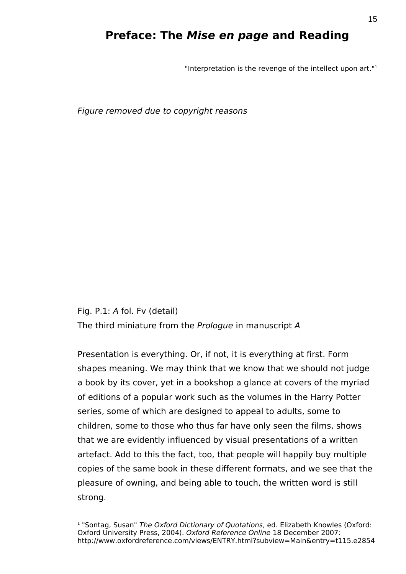## **Preface: The Mise en page and Reading**

"Interpretation is the revenge of the intellect upon art." $1$ 

Figure removed due to copyright reasons

Fig. P.1: A fol. Fv (detail) The third miniature from the Prologue in manuscript A

Presentation is everything. Or, if not, it is everything at first. Form shapes meaning. We may think that we know that we should not judge a book by its cover, yet in a bookshop a glance at covers of the myriad of editions of a popular work such as the volumes in the Harry Potter series, some of which are designed to appeal to adults, some to children, some to those who thus far have only seen the films, shows that we are evidently influenced by visual presentations of a written artefact. Add to this the fact, too, that people will happily buy multiple copies of the same book in these different formats, and we see that the pleasure of owning, and being able to touch, the written word is still strong.

<span id="page-14-0"></span><sup>&</sup>lt;sup>1</sup> "Sontag, Susan" The Oxford Dictionary of Quotations, ed. Elizabeth Knowles (Oxford: Oxford University Press, 2004). Oxford Reference Online 18 December 2007: http://www.oxfordreference.com/views/ENTRY.html?subview=Main&entry=t115.e2854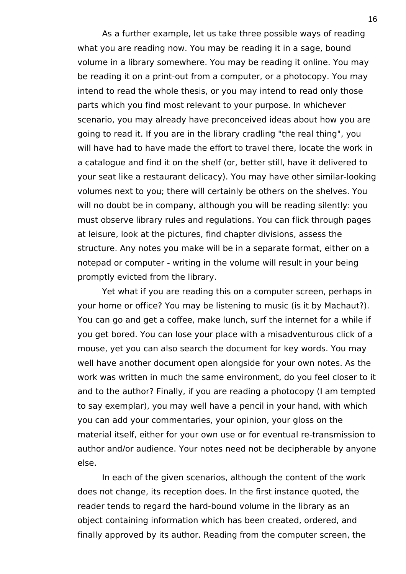As a further example, let us take three possible ways of reading what you are reading now. You may be reading it in a sage, bound volume in a library somewhere. You may be reading it online. You may be reading it on a print-out from a computer, or a photocopy. You may intend to read the whole thesis, or you may intend to read only those parts which you find most relevant to your purpose. In whichever scenario, you may already have preconceived ideas about how you are going to read it. If you are in the library cradling "the real thing", you will have had to have made the effort to travel there, locate the work in a catalogue and find it on the shelf (or, better still, have it delivered to your seat like a restaurant delicacy). You may have other similar-looking volumes next to you; there will certainly be others on the shelves. You will no doubt be in company, although you will be reading silently: you must observe library rules and regulations. You can flick through pages at leisure, look at the pictures, find chapter divisions, assess the structure. Any notes you make will be in a separate format, either on a notepad or computer - writing in the volume will result in your being promptly evicted from the library.

Yet what if you are reading this on a computer screen, perhaps in your home or office? You may be listening to music (is it by Machaut?). You can go and get a coffee, make lunch, surf the internet for a while if you get bored. You can lose your place with a misadventurous click of a mouse, yet you can also search the document for key words. You may well have another document open alongside for your own notes. As the work was written in much the same environment, do you feel closer to it and to the author? Finally, if you are reading a photocopy (I am tempted to say exemplar), you may well have a pencil in your hand, with which you can add your commentaries, your opinion, your gloss on the material itself, either for your own use or for eventual re-transmission to author and/or audience. Your notes need not be decipherable by anyone else.

In each of the given scenarios, although the content of the work does not change, its reception does. In the first instance quoted, the reader tends to regard the hard-bound volume in the library as an object containing information which has been created, ordered, and finally approved by its author. Reading from the computer screen, the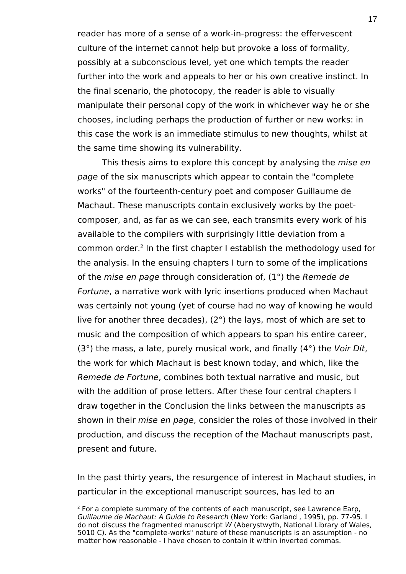reader has more of a sense of a work-in-progress: the effervescent culture of the internet cannot help but provoke a loss of formality, possibly at a subconscious level, yet one which tempts the reader further into the work and appeals to her or his own creative instinct. In the final scenario, the photocopy, the reader is able to visually manipulate their personal copy of the work in whichever way he or she chooses, including perhaps the production of further or new works: in this case the work is an immediate stimulus to new thoughts, whilst at the same time showing its vulnerability.

This thesis aims to explore this concept by analysing the *mise en* page of the six manuscripts which appear to contain the "complete works" of the fourteenth-century poet and composer Guillaume de Machaut. These manuscripts contain exclusively works by the poetcomposer, and, as far as we can see, each transmits every work of his available to the compilers with surprisingly little deviation from a common order.<sup>[2](#page-16-0)</sup> In the first chapter I establish the methodology used for the analysis. In the ensuing chapters I turn to some of the implications of the mise en page through consideration of,  $(1^{\circ})$  the Remede de Fortune, a narrative work with lyric insertions produced when Machaut was certainly not young (yet of course had no way of knowing he would live for another three decades), (2°) the lays, most of which are set to music and the composition of which appears to span his entire career,  $(3^{\circ})$  the mass, a late, purely musical work, and finally  $(4^{\circ})$  the *Voir Dit*, the work for which Machaut is best known today, and which, like the Remede de Fortune, combines both textual narrative and music, but with the addition of prose letters. After these four central chapters I draw together in the Conclusion the links between the manuscripts as shown in their mise en page, consider the roles of those involved in their production, and discuss the reception of the Machaut manuscripts past, present and future.

In the past thirty years, the resurgence of interest in Machaut studies, in particular in the exceptional manuscript sources, has led to an

<span id="page-16-0"></span> $2$  For a complete summary of the contents of each manuscript, see Lawrence Earp, Guillaume de Machaut: A Guide to Research (New York: Garland , 1995), pp. 77-95. I do not discuss the fragmented manuscript W (Aberystwyth, National Library of Wales, 5010 C). As the "complete-works" nature of these manuscripts is an assumption - no matter how reasonable - I have chosen to contain it within inverted commas.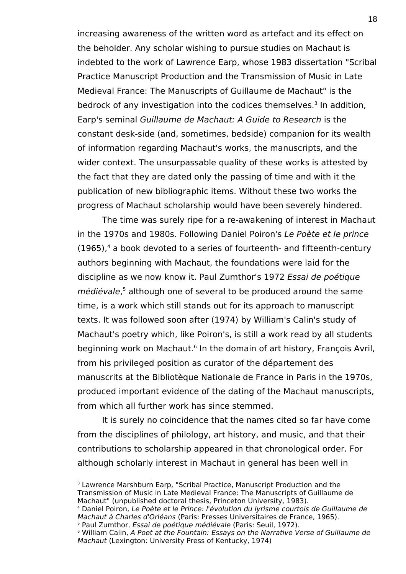increasing awareness of the written word as artefact and its effect on the beholder. Any scholar wishing to pursue studies on Machaut is indebted to the work of Lawrence Earp, whose 1983 dissertation "Scribal Practice Manuscript Production and the Transmission of Music in Late Medieval France: The Manuscripts of Guillaume de Machaut" is the bedrock of any investigation into the codices themselves.<sup>[3](#page-17-0)</sup> In addition, Earp's seminal Guillaume de Machaut: A Guide to Research is the constant desk-side (and, sometimes, bedside) companion for its wealth of information regarding Machaut's works, the manuscripts, and the wider context. The unsurpassable quality of these works is attested by the fact that they are dated only the passing of time and with it the publication of new bibliographic items. Without these two works the progress of Machaut scholarship would have been severely hindered.

The time was surely ripe for a re-awakening of interest in Machaut in the 1970s and 1980s. Following Daniel Poiron's Le Poète et le prince  $(1965)$ ,<sup>[4](#page-17-1)</sup> a book devoted to a series of fourteenth- and fifteenth-century authors beginning with Machaut, the foundations were laid for the discipline as we now know it. Paul Zumthor's 1972 Essai de poétique médiévale,<sup>[5](#page-17-2)</sup> although one of several to be produced around the same time, is a work which still stands out for its approach to manuscript texts. It was followed soon after (1974) by William's Calin's study of Machaut's poetry which, like Poiron's, is still a work read by all students beginning work on Machaut.<sup>[6](#page-17-3)</sup> In the domain of art history, François Avril, from his privileged position as curator of the département des manuscrits at the Bibliotèque Nationale de France in Paris in the 1970s, produced important evidence of the dating of the Machaut manuscripts, from which all further work has since stemmed.

It is surely no coincidence that the names cited so far have come from the disciplines of philology, art history, and music, and that their contributions to scholarship appeared in that chronological order. For although scholarly interest in Machaut in general has been well in

<span id="page-17-0"></span><sup>3</sup> Lawrence Marshburn Earp, "Scribal Practice, Manuscript Production and the Transmission of Music in Late Medieval France: The Manuscripts of Guillaume de Machaut" (unpublished doctoral thesis, Princeton University, 1983).

<span id="page-17-1"></span><sup>4</sup> Daniel Poiron, Le Poète et le Prince: l'évolution du lyrisme courtois de Guillaume de Machaut à Charles d'Orléans (Paris: Presses Universitaires de France, 1965). <sup>5</sup> Paul Zumthor, Essai de poétique médiévale (Paris: Seuil, 1972).

<span id="page-17-3"></span><span id="page-17-2"></span><sup>&</sup>lt;sup>6</sup> William Calin, A Poet at the Fountain: Essays on the Narrative Verse of Guillaume de Machaut (Lexington: University Press of Kentucky, 1974)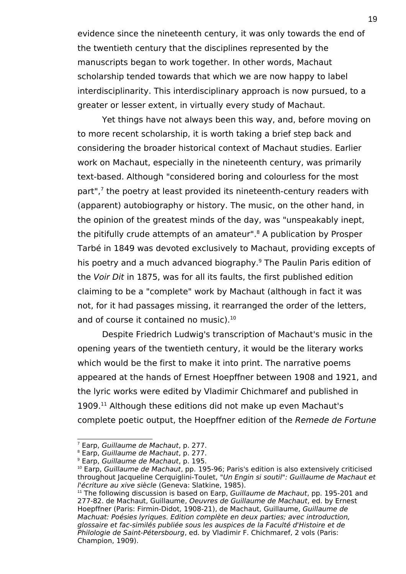evidence since the nineteenth century, it was only towards the end of the twentieth century that the disciplines represented by the manuscripts began to work together. In other words, Machaut scholarship tended towards that which we are now happy to label interdisciplinarity. This interdisciplinary approach is now pursued, to a greater or lesser extent, in virtually every study of Machaut.

Yet things have not always been this way, and, before moving on to more recent scholarship, it is worth taking a brief step back and considering the broader historical context of Machaut studies. Earlier work on Machaut, especially in the nineteenth century, was primarily text-based. Although "considered boring and colourless for the most part",<sup>[7](#page-18-0)</sup> the poetry at least provided its nineteenth-century readers with (apparent) autobiography or history. The music, on the other hand, in the opinion of the greatest minds of the day, was "unspeakably inept, the pitifully crude attempts of an amateur".<sup>[8](#page-18-1)</sup> A publication by Prosper Tarbé in 1849 was devoted exclusively to Machaut, providing excepts of his poetry and a much advanced biography.<sup>[9](#page-18-2)</sup> The Paulin Paris edition of the Voir Dit in 1875, was for all its faults, the first published edition claiming to be a "complete" work by Machaut (although in fact it was not, for it had passages missing, it rearranged the order of the letters, and of course it contained no music).<sup>[10](#page-18-3)</sup>

Despite Friedrich Ludwig's transcription of Machaut's music in the opening years of the twentieth century, it would be the literary works which would be the first to make it into print. The narrative poems appeared at the hands of Ernest Hoepffner between 1908 and 1921, and the lyric works were edited by Vladimir Chichmaref and published in 1909.<sup>[11](#page-18-4)</sup> Although these editions did not make up even Machaut's complete poetic output, the Hoepffner edition of the Remede de Fortune

<span id="page-18-0"></span><sup>&</sup>lt;sup>7</sup> Earp, Guillaume de Machaut, p. 277.

<span id="page-18-1"></span><sup>&</sup>lt;sup>8</sup> Earp, Guillaume de Machaut, p. 277.

<span id="page-18-2"></span><sup>&</sup>lt;sup>9</sup> Earp, Guillaume de Machaut, p. 195.

<span id="page-18-3"></span> $10$  Earp, Guillaume de Machaut, pp. 195-96; Paris's edition is also extensively criticised throughout Jacqueline Cerquiglini-Toulet, "Un Engin si soutil": Guillaume de Machaut et l'écriture au xive siècle (Geneva: Slatkine, 1985).

<span id="page-18-4"></span> $11$  The following discussion is based on Earp, Guillaume de Machaut, pp. 195-201 and 277-82. de Machaut, Guillaume, Oeuvres de Guillaume de Machaut, ed. by Ernest Hoepffner (Paris: Firmin-Didot, 1908-21), de Machaut, Guillaume, Guillaume de Machuat: Poésies lyriques. Edition complète en deux parties; avec introduction, glossaire et fac-similés publiée sous les auspices de la Faculté d'Histoire et de Philologie de Saint-Pétersbourg, ed. by Vladimir F. Chichmaref, 2 vols (Paris: Champion, 1909).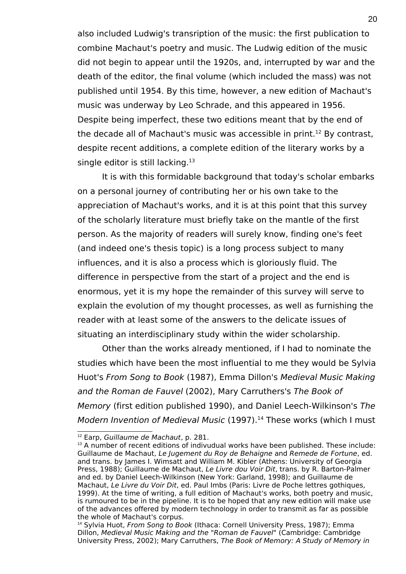also included Ludwig's transription of the music: the first publication to combine Machaut's poetry and music. The Ludwig edition of the music did not begin to appear until the 1920s, and, interrupted by war and the death of the editor, the final volume (which included the mass) was not published until 1954. By this time, however, a new edition of Machaut's music was underway by Leo Schrade, and this appeared in 1956. Despite being imperfect, these two editions meant that by the end of the decade all of Machaut's music was accessible in print.<sup>[12](#page-19-0)</sup> By contrast, despite recent additions, a complete edition of the literary works by a single editor is still lacking. $13$ 

It is with this formidable background that today's scholar embarks on a personal journey of contributing her or his own take to the appreciation of Machaut's works, and it is at this point that this survey of the scholarly literature must briefly take on the mantle of the first person. As the majority of readers will surely know, finding one's feet (and indeed one's thesis topic) is a long process subject to many influences, and it is also a process which is gloriously fluid. The difference in perspective from the start of a project and the end is enormous, yet it is my hope the remainder of this survey will serve to explain the evolution of my thought processes, as well as furnishing the reader with at least some of the answers to the delicate issues of situating an interdisciplinary study within the wider scholarship.

Other than the works already mentioned, if I had to nominate the studies which have been the most influential to me they would be Sylvia Huot's From Song to Book (1987), Emma Dillon's Medieval Music Making and the Roman de Fauvel (2002), Mary Carruthers's The Book of Memory (first edition published 1990), and Daniel Leech-Wilkinson's The Modern Invention of Medieval Music  $(1997).$ <sup>[14](#page-19-2)</sup> These works (which I must

<span id="page-19-0"></span><sup>&</sup>lt;sup>12</sup> Earp, Guillaume de Machaut, p. 281.

<span id="page-19-1"></span> $13$  A number of recent editions of indivudual works have been published. These include: Guillaume de Machaut, Le Jugement du Roy de Behaigne and Remede de Fortune, ed. and trans. by James I. Wimsatt and William M. Kibler (Athens: University of Georgia Press, 1988); Guillaume de Machaut, Le Livre dou Voir Dit, trans. by R. Barton-Palmer and ed. by Daniel Leech-Wilkinson (New York: Garland, 1998); and Guillaume de Machaut, Le Livre du Voir Dit, ed. Paul Imbs (Paris: Livre de Poche lettres gothiques, 1999). At the time of writing, a full edition of Machaut's works, both poetry and music, is rumoured to be in the pipeline. It is to be hoped that any new edition will make use of the advances offered by modern technology in order to transmit as far as possible the whole of Machaut's corpus.

<span id="page-19-2"></span><sup>&</sup>lt;sup>14</sup> Sylvia Huot, From Song to Book (Ithaca: Cornell University Press, 1987); Emma Dillon, Medieval Music Making and the "Roman de Fauvel" (Cambridge: Cambridge University Press, 2002); Mary Carruthers, The Book of Memory: A Study of Memory in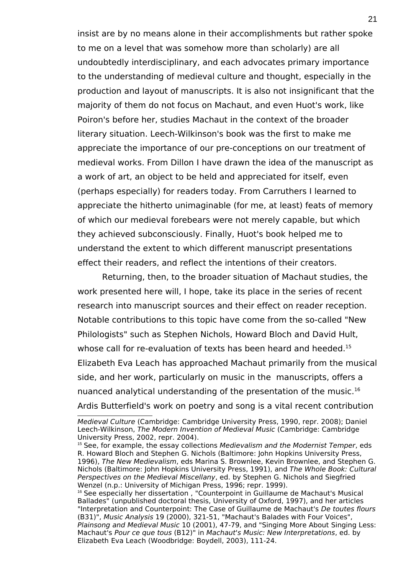insist are by no means alone in their accomplishments but rather spoke to me on a level that was somehow more than scholarly) are all undoubtedly interdisciplinary, and each advocates primary importance to the understanding of medieval culture and thought, especially in the production and layout of manuscripts. It is also not insignificant that the majority of them do not focus on Machaut, and even Huot's work, like Poiron's before her, studies Machaut in the context of the broader literary situation. Leech-Wilkinson's book was the first to make me appreciate the importance of our pre-conceptions on our treatment of medieval works. From Dillon I have drawn the idea of the manuscript as a work of art, an object to be held and appreciated for itself, even (perhaps especially) for readers today. From Carruthers I learned to appreciate the hitherto unimaginable (for me, at least) feats of memory of which our medieval forebears were not merely capable, but which they achieved subconsciously. Finally, Huot's book helped me to understand the extent to which different manuscript presentations effect their readers, and reflect the intentions of their creators.

Returning, then, to the broader situation of Machaut studies, the work presented here will, I hope, take its place in the series of recent research into manuscript sources and their effect on reader reception. Notable contributions to this topic have come from the so-called "New Philologists" such as Stephen Nichols, Howard Bloch and David Hult, whose call for re-evaluation of texts has been heard and heeded.<sup>[15](#page-20-0)</sup> Elizabeth Eva Leach has approached Machaut primarily from the musical side, and her work, particularly on music in the manuscripts, offers a nuanced analytical understanding of the presentation of the music.[16](#page-20-1) Ardis Butterfield's work on poetry and song is a vital recent contribution

Medieval Culture (Cambridge: Cambridge University Press, 1990, repr. 2008); Daniel Leech-Wilkinson, The Modern Invention of Medieval Music (Cambridge: Cambridge University Press, 2002, repr. 2004).

<span id="page-20-0"></span> $15$  See, for example, the essay collections Medievalism and the Modernist Temper, eds R. Howard Bloch and Stephen G. Nichols (Baltimore: John Hopkins University Press, 1996), The New Medievalism, eds Marina S. Brownlee, Kevin Brownlee, and Stephen G. Nichols (Baltimore: John Hopkins University Press, 1991), and The Whole Book: Cultural Perspectives on the Medieval Miscellany, ed. by Stephen G. Nichols and Siegfried Wenzel (n.p.: University of Michigan Press, 1996; repr. 1999).

<span id="page-20-1"></span> $^{16}$  See especially her dissertation, "Counterpoint in Guillaume de Machaut's Musical Ballades" (unpublished doctoral thesis, University of Oxford, 1997), and her articles "Interpretation and Counterpoint: The Case of Guillaume de Machaut's De toutes flours (B31)", Music Analysis 19 (2000), 321-51, "Machaut's Balades with Four Voices", Plainsong and Medieval Music 10 (2001), 47-79, and "Singing More About Singing Less: Machaut's Pour ce que tous (B12)" in Machaut's Music: New Interpretations, ed. by Elizabeth Eva Leach (Woodbridge: Boydell, 2003), 111-24.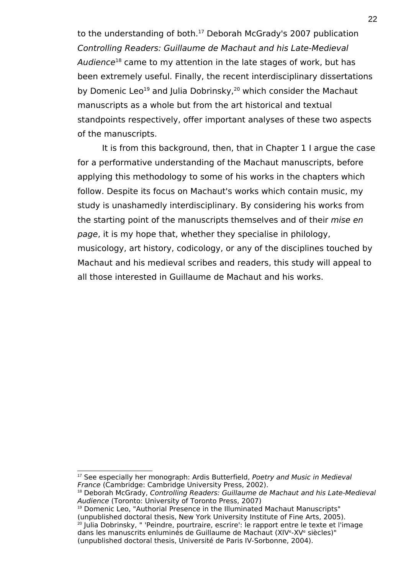to the understanding of both.<sup>[17](#page-21-0)</sup> Deborah McGrady's 2007 publication Controlling Readers: Guillaume de Machaut and his Late-Medieval Audience<sup>[18](#page-21-1)</sup> came to my attention in the late stages of work, but has been extremely useful. Finally, the recent interdisciplinary dissertations by Domenic Leo<sup>[19](#page-21-2)</sup> and Julia Dobrinsky,<sup>[20](#page-21-3)</sup> which consider the Machaut manuscripts as a whole but from the art historical and textual standpoints respectively, offer important analyses of these two aspects of the manuscripts.

It is from this background, then, that in Chapter 1 I argue the case for a performative understanding of the Machaut manuscripts, before applying this methodology to some of his works in the chapters which follow. Despite its focus on Machaut's works which contain music, my study is unashamedly interdisciplinary. By considering his works from the starting point of the manuscripts themselves and of their mise en page, it is my hope that, whether they specialise in philology, musicology, art history, codicology, or any of the disciplines touched by Machaut and his medieval scribes and readers, this study will appeal to all those interested in Guillaume de Machaut and his works.

<span id="page-21-0"></span> $17$  See especially her monograph: Ardis Butterfield, Poetry and Music in Medieval France (Cambridge: Cambridge University Press, 2002).

<span id="page-21-1"></span><sup>&</sup>lt;sup>18</sup> Deborah McGrady, Controlling Readers: Guillaume de Machaut and his Late-Medieval Audience (Toronto: University of Toronto Press, 2007)

<span id="page-21-3"></span><span id="page-21-2"></span><sup>&</sup>lt;sup>19</sup> Domenic Leo, "Authorial Presence in the Illuminated Machaut Manuscripts" (unpublished doctoral thesis, New York University Institute of Fine Arts, 2005). <sup>20</sup> Julia Dobrinsky, " 'Peindre, pourtraire, escrire': le rapport entre le texte et l'image dans les manuscrits enluminés de Guillaume de Machaut (XIV<sup>e</sup>-XV<sup>e</sup> siècles)" (unpublished doctoral thesis, Université de Paris IV-Sorbonne, 2004).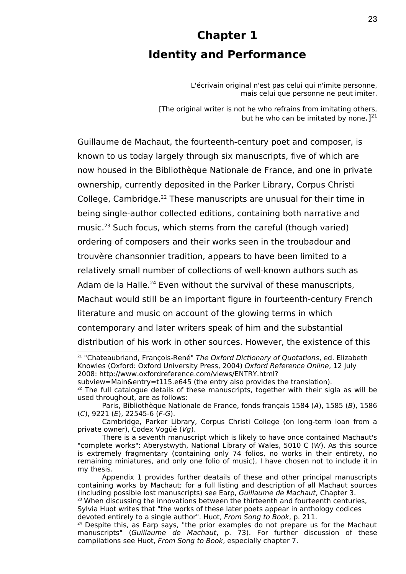# **Chapter 1 Identity and Performance**

L'écrivain original n'est pas celui qui n'imite personne, mais celui que personne ne peut imiter.

[The original writer is not he who refrains from imitating others, but he who can be imitated by none.<sup>[[21](#page-22-0)</sup>]

Guillaume de Machaut, the fourteenth-century poet and composer, is known to us today largely through six manuscripts, five of which are now housed in the Bibliothèque Nationale de France, and one in private ownership, currently deposited in the Parker Library, Corpus Christi College, Cambridge.<sup>[22](#page-22-1)</sup> These manuscripts are unusual for their time in being single-author collected editions, containing both narrative and music.[23](#page-22-2) Such focus, which stems from the careful (though varied) ordering of composers and their works seen in the troubadour and trouvère chansonnier tradition, appears to have been limited to a relatively small number of collections of well-known authors such as Adam de la Halle.<sup>[24](#page-22-3)</sup> Even without the survival of these manuscripts, Machaut would still be an important figure in fourteenth-century French literature and music on account of the glowing terms in which contemporary and later writers speak of him and the substantial distribution of his work in other sources. However, the existence of this

<span id="page-22-0"></span> $21$  "Chateaubriand, François-René" The Oxford Dictionary of Quotations, ed. Elizabeth Knowles (Oxford: Oxford University Press, 2004) Oxford Reference Online, 12 July 2008: http://www.oxfordreference.com/views/ENTRY.html?

subview=Main&entry=t115.e645 (the entry also provides the translation).

<span id="page-22-1"></span> $22$  The full catalogue details of these manuscripts, together with their sigla as will be used throughout, are as follows:

Paris, Bibliothèque Nationale de France, fonds français 1584 (A), 1585 (B), 1586 (C), 9221 (E), 22545-6 (F-G).

Cambridge, Parker Library, Corpus Christi College (on long-term loan from a private owner), Codex Vogüé (Vg).

There is a seventh manuscript which is likely to have once contained Machaut's "complete works": Aberystwyth, National Library of Wales, 5010 C (W). As this source is extremely fragmentary (containing only 74 folios, no works in their entirety, no remaining miniatures, and only one folio of music), I have chosen not to include it in my thesis.

Appendix 1 provides further deatails of these and other principal manuscripts containing works by Machaut; for a full listing and description of all Machaut sources (including possible lost manuscripts) see Earp, Guillaume de Machaut, Chapter 3. <sup>23</sup> When discussing the innovations between the thirteenth and fourteenth centuries,

<span id="page-22-2"></span>Sylvia Huot writes that "the works of these later poets appear in anthology codices devoted entirely to a single author". Huot, From Song to Book, p. 211.

<span id="page-22-3"></span><sup>&</sup>lt;sup>24</sup> Despite this, as Earp says, "the prior examples do not prepare us for the Machaut manuscripts" (Guillaume de Machaut, p. 73). For further discussion of these compilations see Huot, From Song to Book, especially chapter 7.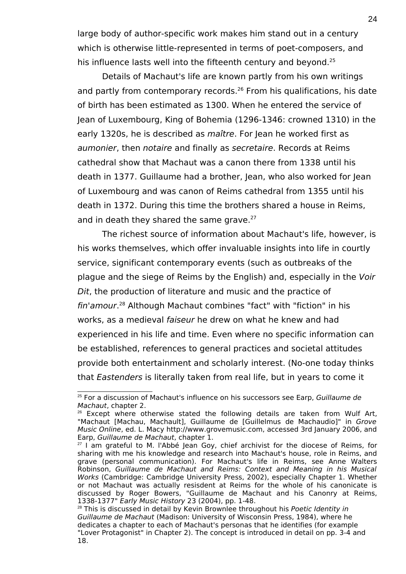large body of author-specific work makes him stand out in a century which is otherwise little-represented in terms of poet-composers, and his influence lasts well into the fifteenth century and beyond.<sup>[25](#page-23-0)</sup>

Details of Machaut's life are known partly from his own writings and partly from contemporary records.<sup>[26](#page-23-1)</sup> From his qualifications, his date of birth has been estimated as 1300. When he entered the service of Jean of Luxembourg, King of Bohemia (1296-1346: crowned 1310) in the early 1320s, he is described as *maître*. For Jean he worked first as aumonier, then notaire and finally as secretaire. Records at Reims cathedral show that Machaut was a canon there from 1338 until his death in 1377. Guillaume had a brother, Jean, who also worked for Jean of Luxembourg and was canon of Reims cathedral from 1355 until his death in 1372. During this time the brothers shared a house in Reims, and in death they shared the same grave.<sup>[27](#page-23-2)</sup>

The richest source of information about Machaut's life, however, is his works themselves, which offer invaluable insights into life in courtly service, significant contemporary events (such as outbreaks of the plague and the siege of Reims by the English) and, especially in the Voir Dit, the production of literature and music and the practice of fin'amour.<sup>[28](#page-23-3)</sup> Although Machaut combines "fact" with "fiction" in his works, as a medieval faiseur he drew on what he knew and had experienced in his life and time. Even where no specific information can be established, references to general practices and societal attitudes provide both entertainment and scholarly interest. (No-one today thinks that Eastenders is literally taken from real life, but in years to come it

<span id="page-23-0"></span> $25$  For a discussion of Machaut's influence on his successors see Earp, Guillaume de Machaut, chapter 2.

<span id="page-23-1"></span> $26$  Except where otherwise stated the following details are taken from Wulf Art, "Machaut [Machau, Machault], Guillaume de [Guillelmus de Machaudio]" in Grove Music Online, ed. L. Macy http://www.grovemusic.com, accessed 3rd January 2006, and Earp, Guillaume de Machaut, chapter 1.

<span id="page-23-2"></span> $27$  I am grateful to M. l'Abbé Jean Goy, chief archivist for the diocese of Reims, for sharing with me his knowledge and research into Machaut's house, role in Reims, and grave (personal communication). For Machaut's life in Reims, see Anne Walters Robinson, Guillaume de Machaut and Reims: Context and Meaning in his Musical Works (Cambridge: Cambridge University Press, 2002), especially Chapter 1. Whether or not Machaut was actually resisdent at Reims for the whole of his canonicate is discussed by Roger Bowers, "Guillaume de Machaut and his Canonry at Reims, 1338-1377" Early Music History 23 (2004), pp. 1-48.

<span id="page-23-3"></span><sup>&</sup>lt;sup>28</sup> This is discussed in detail by Kevin Brownlee throughout his Poetic Identity in Guillaume de Machaut (Madison: University of Wisconsin Press, 1984), where he dedicates a chapter to each of Machaut's personas that he identifies (for example "Lover Protagonist" in Chapter 2). The concept is introduced in detail on pp. 3-4 and 18.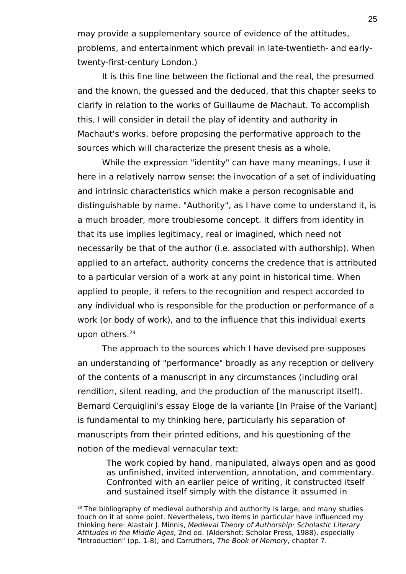may provide a supplementary source of evidence of the attitudes, problems, and entertainment which prevail in late-twentieth- and earlytwenty-first-century London.)

It is this fine line between the fictional and the real, the presumed and the known, the guessed and the deduced, that this chapter seeks to clarify in relation to the works of Guillaume de Machaut. To accomplish this, I will consider in detail the play of identity and authority in Machaut's works, before proposing the performative approach to the sources which will characterize the present thesis as a whole.

While the expression "identity" can have many meanings, I use it here in a relatively narrow sense: the invocation of a set of individuating and intrinsic characteristics which make a person recognisable and distinguishable by name. "Authority", as I have come to understand it, is a much broader, more troublesome concept. It differs from identity in that its use implies legitimacy, real or imagined, which need not necessarily be that of the author (i.e. associated with authorship). When applied to an artefact, authority concerns the credence that is attributed to a particular version of a work at any point in historical time. When applied to people, it refers to the recognition and respect accorded to any individual who is responsible for the production or performance of a work (or body of work), and to the influence that this individual exerts upon others.<sup>[29](#page-24-0)</sup>

The approach to the sources which I have devised pre-supposes an understanding of "performance" broadly as any reception or delivery of the contents of a manuscript in any circumstances (including oral rendition, silent reading, and the production of the manuscript itself). Bernard Cerquiglini's essay Eloge de la variante [In Praise of the Variant] is fundamental to my thinking here, particularly his separation of manuscripts from their printed editions, and his questioning of the notion of the medieval vernacular text:

The work copied by hand, manipulated, always open and as good as unfinished, invited intervention, annotation, and commentary. Confronted with an earlier peice of writing, it constructed itself and sustained itself simply with the distance it assumed in

<span id="page-24-0"></span> $29$  The bibliography of medieval authorship and authority is large, and many studies touch on it at some point. Nevertheless, two items in particular have influenced my thinking here: Alastair J. Minnis, Medieval Theory of Authorship: Scholastic Literary Attitudes in the Middle Ages, 2nd ed. (Aldershot: Scholar Press, 1988), especially "Introduction" (pp. 1-8); and Carruthers, The Book of Memory, chapter 7.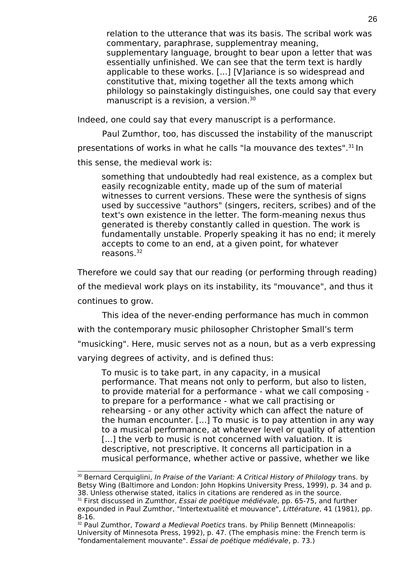relation to the utterance that was its basis. The scribal work was commentary, paraphrase, supplementray meaning, supplementary language, brought to bear upon a letter that was essentially unfinished. We can see that the term text is hardly applicable to these works. [...] [V]ariance is so widespread and constitutive that, mixing together all the texts among which philology so painstakingly distinguishes, one could say that every manuscript is a revision, a version.<sup>[30](#page-25-0)</sup>

Indeed, one could say that every manuscript is a performance.

Paul Zumthor, too, has discussed the instability of the manuscript

presentations of works in what he calls "la mouvance des textes".[31](#page-25-1) In

this sense, the medieval work is:

something that undoubtedly had real existence, as a complex but easily recognizable entity, made up of the sum of material witnesses to current versions. These were the synthesis of signs used by successive "authors" (singers, reciters, scribes) and of the text's own existence in the letter. The form-meaning nexus thus generated is thereby constantly called in question. The work is fundamentally unstable. Properly speaking it has no end; it merely accepts to come to an end, at a given point, for whatever reasons.[32](#page-25-2)

Therefore we could say that our reading (or performing through reading) of the medieval work plays on its instability, its "mouvance", and thus it continues to grow.

This idea of the never-ending performance has much in common with the contemporary music philosopher Christopher Small's term "musicking". Here, music serves not as a noun, but as a verb expressing varying degrees of activity, and is defined thus:

To music is to take part, in any capacity, in a musical performance. That means not only to perform, but also to listen, to provide material for a performance - what we call composing to prepare for a performance - what we call practising or rehearsing - or any other activity which can affect the nature of the human encounter. [...] To music is to pay attention in any way to a musical performance, at whatever level or quality of attention [...] the verb to music is not concerned with valuation. It is descriptive, not prescriptive. It concerns all participation in a musical performance, whether active or passive, whether we like

<span id="page-25-1"></span><span id="page-25-0"></span><sup>&</sup>lt;sup>30</sup> Bernard Cerquiglini, In Praise of the Variant: A Critical History of Philology trans. by Betsy Wing (Baltimore and London: John Hopkins University Press, 1999), p. 34 and p. 38. Unless otherwise stated, italics in citations are rendered as in the source. <sup>31</sup> First discussed in Zumthor, Essai de poétique médiévale, pp. 65-75, and further expounded in Paul Zumthor, "Intertextualité et mouvance", Littérature, 41 (1981), pp. 8-16.

<span id="page-25-2"></span> $32$  Paul Zumthor, Toward a Medieval Poetics trans. by Philip Bennett (Minneapolis: University of Minnesota Press, 1992), p. 47. (The emphasis mine: the French term is "fondamentalement mouvante". Essai de poétique médiévale, p. 73.)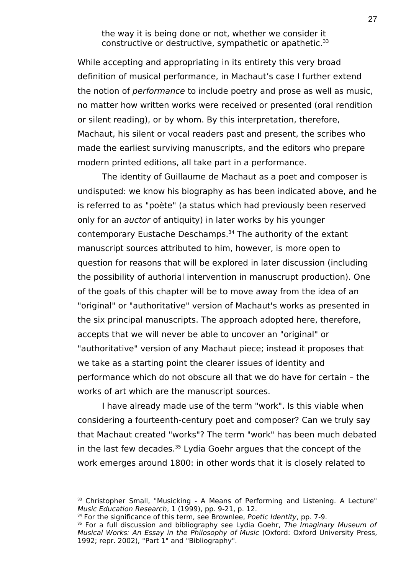#### the way it is being done or not, whether we consider it constructive or destructive, sympathetic or apathetic.<sup>[33](#page-26-0)</sup>

While accepting and appropriating in its entirety this very broad definition of musical performance, in Machaut's case I further extend the notion of performance to include poetry and prose as well as music, no matter how written works were received or presented (oral rendition or silent reading), or by whom. By this interpretation, therefore, Machaut, his silent or vocal readers past and present, the scribes who made the earliest surviving manuscripts, and the editors who prepare modern printed editions, all take part in a performance.

The identity of Guillaume de Machaut as a poet and composer is undisputed: we know his biography as has been indicated above, and he is referred to as "poète" (a status which had previously been reserved only for an auctor of antiquity) in later works by his younger contemporary Eustache Deschamps.<sup>[34](#page-26-1)</sup> The authority of the extant manuscript sources attributed to him, however, is more open to question for reasons that will be explored in later discussion (including the possibility of authorial intervention in manuscrupt production). One of the goals of this chapter will be to move away from the idea of an "original" or "authoritative" version of Machaut's works as presented in the six principal manuscripts. The approach adopted here, therefore, accepts that we will never be able to uncover an "original" or "authoritative" version of any Machaut piece; instead it proposes that we take as a starting point the clearer issues of identity and performance which do not obscure all that we do have for certain – the works of art which are the manuscript sources.

I have already made use of the term "work". Is this viable when considering a fourteenth-century poet and composer? Can we truly say that Machaut created "works"? The term "work" has been much debated in the last few decades.<sup>[35](#page-26-2)</sup> Lydia Goehr argues that the concept of the work emerges around 1800: in other words that it is closely related to

<span id="page-26-0"></span><sup>&</sup>lt;sup>33</sup> Christopher Small, "Musicking - A Means of Performing and Listening. A Lecture" Music Education Research, 1 (1999), pp. 9-21, p. 12.

<span id="page-26-1"></span><sup>&</sup>lt;sup>34</sup> For the significance of this term, see Brownlee, Poetic Identity, pp. 7-9.

<span id="page-26-2"></span><sup>&</sup>lt;sup>35</sup> For a full discussion and bibliography see Lydia Goehr, The Imaginary Museum of Musical Works: An Essay in the Philosophy of Music (Oxford: Oxford University Press, 1992; repr. 2002), "Part 1" and "Bibliography".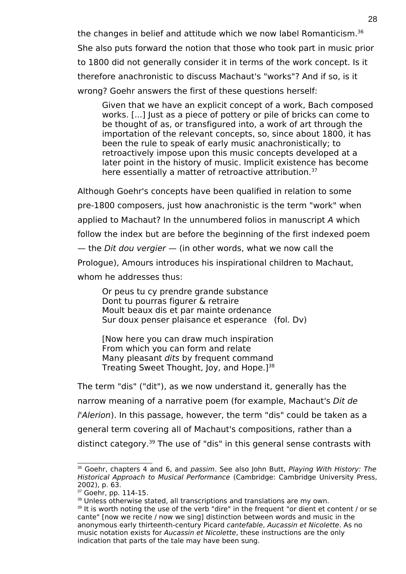the changes in belief and attitude which we now label Romanticism.<sup>[36](#page-27-0)</sup> She also puts forward the notion that those who took part in music prior to 1800 did not generally consider it in terms of the work concept. Is it therefore anachronistic to discuss Machaut's "works"? And if so, is it wrong? Goehr answers the first of these questions herself:

Given that we have an explicit concept of a work, Bach composed works. [...] Just as a piece of pottery or pile of bricks can come to be thought of as, or transfigured into, a work of art through the importation of the relevant concepts, so, since about 1800, it has been the rule to speak of early music anachronistically; to retroactively impose upon this music concepts developed at a later point in the history of music. Implicit existence has become here essentially a matter of retroactive attribution.<sup>[37](#page-27-1)</sup>

Although Goehr's concepts have been qualified in relation to some pre-1800 composers, just how anachronistic is the term "work" when applied to Machaut? In the unnumbered folios in manuscript A which follow the index but are before the beginning of the first indexed poem — the Dit dou vergier  $-$  (in other words, what we now call the Prologue), Amours introduces his inspirational children to Machaut, whom he addresses thus:

Or peus tu cy prendre grande substance Dont tu pourras figurer & retraire Moult beaux dis et par mainte ordenance Sur doux penser plaisance et esperance (fol. Dv)

[Now here you can draw much inspiration From which you can form and relate Many pleasant dits by frequent command Treating Sweet Thought, Joy, and Hope. $]^{38}$  $]^{38}$  $]^{38}$ 

The term "dis" ("dit"), as we now understand it, generally has the narrow meaning of a narrative poem (for example, Machaut's Dit de l'Alerion). In this passage, however, the term "dis" could be taken as a general term covering all of Machaut's compositions, rather than a distinct category.[39](#page-27-3) The use of "dis" in this general sense contrasts with

<span id="page-27-0"></span><sup>&</sup>lt;sup>36</sup> Goehr, chapters 4 and 6, and passim. See also John Butt, Playing With History: The Historical Approach to Musical Performance (Cambridge: Cambridge University Press, 2002), p. 63.

<span id="page-27-1"></span><sup>37</sup> Goehr, pp. 114-15.

<span id="page-27-2"></span><sup>38</sup> Unless otherwise stated, all transcriptions and translations are my own.

<span id="page-27-3"></span><sup>&</sup>lt;sup>39</sup> It is worth noting the use of the verb "dire" in the frequent "or dient et content / or se cante" [now we recite / now we sing] distinction between words and music in the anonymous early thirteenth-century Picard cantefable, Aucassin et Nicolette. As no music notation exists for Aucassin et Nicolette, these instructions are the only indication that parts of the tale may have been sung.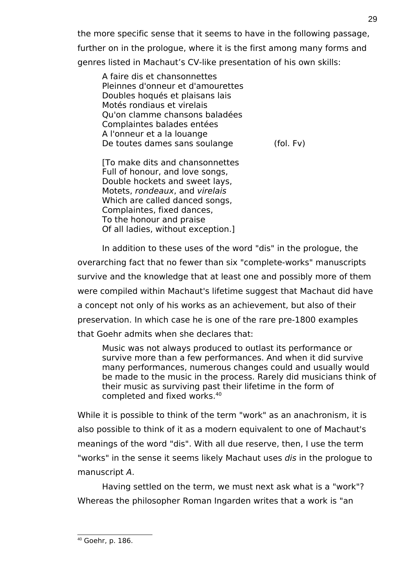the more specific sense that it seems to have in the following passage, further on in the prologue, where it is the first among many forms and genres listed in Machaut's CV-like presentation of his own skills:

A faire dis et chansonnettes Pleinnes d'onneur et d'amourettes Doubles hoqués et plaisans lais Motés rondiaus et virelais Qu'on clamme chansons baladées Complaintes balades entées A l'onneur et a la louange De toutes dames sans soulange (fol. Fv)

[To make dits and chansonnettes Full of honour, and love songs, Double hockets and sweet lays, Motets, rondeaux, and virelais Which are called danced songs. Complaintes, fixed dances, To the honour and praise Of all ladies, without exception.]

In addition to these uses of the word "dis" in the prologue, the overarching fact that no fewer than six "complete-works" manuscripts survive and the knowledge that at least one and possibly more of them were compiled within Machaut's lifetime suggest that Machaut did have a concept not only of his works as an achievement, but also of their preservation. In which case he is one of the rare pre-1800 examples that Goehr admits when she declares that:

Music was not always produced to outlast its performance or survive more than a few performances. And when it did survive many performances, numerous changes could and usually would be made to the music in the process. Rarely did musicians think of their music as surviving past their lifetime in the form of completed and fixed works.[40](#page-28-0)

While it is possible to think of the term "work" as an anachronism, it is also possible to think of it as a modern equivalent to one of Machaut's meanings of the word "dis". With all due reserve, then, I use the term "works" in the sense it seems likely Machaut uses dis in the prologue to manuscript A.

Having settled on the term, we must next ask what is a "work"? Whereas the philosopher Roman Ingarden writes that a work is "an

<span id="page-28-0"></span><sup>40</sup> Goehr, p. 186.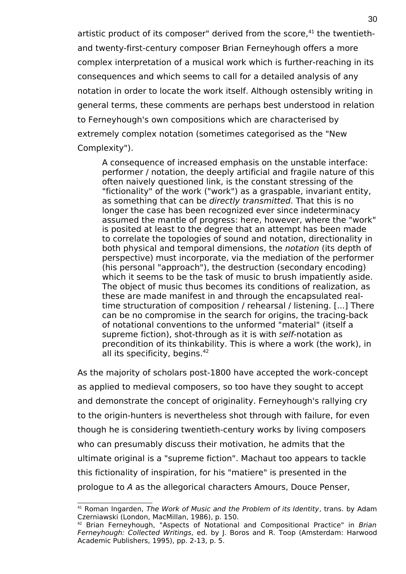artistic product of its composer" derived from the score, $41$  the twentiethand twenty-first-century composer Brian Ferneyhough offers a more complex interpretation of a musical work which is further-reaching in its consequences and which seems to call for a detailed analysis of any notation in order to locate the work itself. Although ostensibly writing in general terms, these comments are perhaps best understood in relation to Ferneyhough's own compositions which are characterised by extremely complex notation (sometimes categorised as the "New Complexity").

A consequence of increased emphasis on the unstable interface: performer / notation, the deeply artificial and fragile nature of this often naively questioned link, is the constant stressing of the "fictionality" of the work ("work") as a graspable, invariant entity, as something that can be *directly transmitted*. That this is no longer the case has been recognized ever since indeterminacy assumed the mantle of progress: here, however, where the "work" is posited at least to the degree that an attempt has been made to correlate the topologies of sound and notation, directionality in both physical and temporal dimensions, the notation (its depth of perspective) must incorporate, via the mediation of the performer (his personal "approach"), the destruction (secondary encoding) which it seems to be the task of music to brush impatiently aside. The object of music thus becomes its conditions of realization, as these are made manifest in and through the encapsulated realtime structuration of composition / rehearsal / listening. [...] There can be no compromise in the search for origins, the tracing-back of notational conventions to the unformed "material" (itself a supreme fiction), shot-through as it is with self-notation as precondition of its thinkability. This is where a work (the work), in all its specificity, begins.<sup>[42](#page-29-1)</sup>

As the majority of scholars post-1800 have accepted the work-concept as applied to medieval composers, so too have they sought to accept and demonstrate the concept of originality. Ferneyhough's rallying cry to the origin-hunters is nevertheless shot through with failure, for even though he is considering twentieth-century works by living composers who can presumably discuss their motivation, he admits that the ultimate original is a "supreme fiction". Machaut too appears to tackle this fictionality of inspiration, for his "matiere" is presented in the prologue to A as the allegorical characters Amours, Douce Penser,

<span id="page-29-0"></span><sup>&</sup>lt;sup>41</sup> Roman Ingarden, The Work of Music and the Problem of its Identity, trans. by Adam Czerniawski (London, MacMillan, 1986), p. 150.

<span id="page-29-1"></span><sup>&</sup>lt;sup>42</sup> Brian Ferneyhough, "Aspects of Notational and Compositional Practice" in Brian Ferneyhough: Collected Writings, ed. by J. Boros and R. Toop (Amsterdam: Harwood Academic Publishers, 1995), pp. 2-13, p. 5.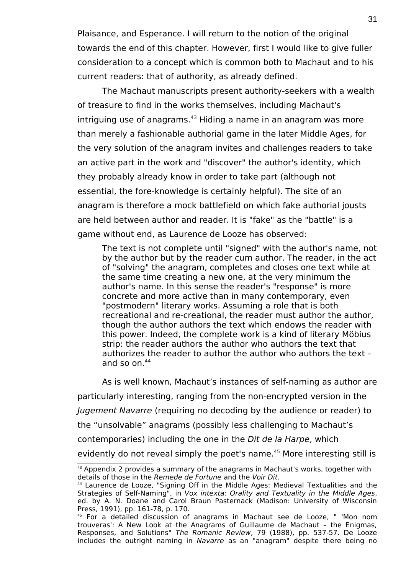Plaisance, and Esperance. I will return to the notion of the original towards the end of this chapter. However, first I would like to give fuller consideration to a concept which is common both to Machaut and to his current readers: that of authority, as already defined.

The Machaut manuscripts present authority-seekers with a wealth of treasure to find in the works themselves, including Machaut's intriguing use of anagrams. $43$  Hiding a name in an anagram was more than merely a fashionable authorial game in the later Middle Ages, for the very solution of the anagram invites and challenges readers to take an active part in the work and "discover" the author's identity, which they probably already know in order to take part (although not essential, the fore-knowledge is certainly helpful). The site of an anagram is therefore a mock battlefield on which fake authorial jousts are held between author and reader. It is "fake" as the "battle" is a game without end, as Laurence de Looze has observed:

The text is not complete until "signed" with the author's name, not by the author but by the reader cum author. The reader, in the act of "solving" the anagram, completes and closes one text while at the same time creating a new one, at the very minimum the author's name. In this sense the reader's "response" is more concrete and more active than in many contemporary, even "postmodern" literary works. Assuming a role that is both recreational and re-creational, the reader must author the author, though the author authors the text which endows the reader with this power. Indeed, the complete work is a kind of literary Möbius strip: the reader authors the author who authors the text that authorizes the reader to author the author who authors the text – and so on. $44$ 

As is well known, Machaut's instances of self-naming as author are particularly interesting, ranging from the non-encrypted version in the Jugement Navarre (requiring no decoding by the audience or reader) to the "unsolvable" anagrams (possibly less challenging to Machaut's contemporaries) including the one in the Dit de la Harpe, which evidently do not reveal simply the poet's name.<sup>[45](#page-30-2)</sup> More interesting still is

<span id="page-30-0"></span><sup>&</sup>lt;sup>43</sup> Appendix 2 provides a summary of the anagrams in Machaut's works, together with details of those in the Remede de Fortune and the Voir Dit.

<span id="page-30-1"></span><sup>44</sup> Laurence de Looze, "Signing Off in the Middle Ages: Medieval Textualities and the Strategies of Self-Naming", in Vox intexta: Orality and Textuality in the Middle Ages, ed. by A. N. Doane and Carol Braun Pasternack (Madison: University of Wisconsin Press, 1991), pp. 161-78, p. 170.

<span id="page-30-2"></span><sup>&</sup>lt;sup>45</sup> For a detailed discussion of anagrams in Machaut see de Looze, " 'Mon nom trouveras': A New Look at the Anagrams of Guillaume de Machaut – the Enigmas, Responses, and Solutions" The Romanic Review, 79 (1988), pp. 537-57. De Looze includes the outright naming in Navarre as an "anagram" despite there being no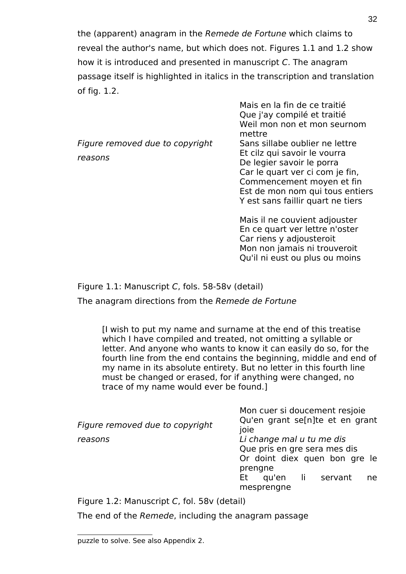the (apparent) anagram in the Remede de Fortune which claims to reveal the author's name, but which does not. Figures 1.1 and 1.2 show how it is introduced and presented in manuscript C. The anagram passage itself is highlighted in italics in the transcription and translation of fig. 1.2.

|                                 | Mais en la fin de ce traitié<br>Que j'ay compilé et traitié<br>Weil mon non et mon seurnom<br>mettre                                                                                              |  |
|---------------------------------|---------------------------------------------------------------------------------------------------------------------------------------------------------------------------------------------------|--|
| Figure removed due to copyright | Sans sillabe oublier ne lettre                                                                                                                                                                    |  |
| reasons                         | Et cilz qui savoir le vourra<br>De legier savoir le porra<br>Car le quart ver ci com je fin,<br>Commencement moyen et fin<br>Est de mon nom qui tous entiers<br>Y est sans faillir quart ne tiers |  |
|                                 | Mais il ne couvient adjouster                                                                                                                                                                     |  |

En ce quart ver lettre n'oster Car riens y adjousteroit Mon non jamais ni trouveroit Qu'il ni eust ou plus ou moins

Figure 1.1: Manuscript C, fols. 58-58v (detail)

The anagram directions from the Remede de Fortune

[I wish to put my name and surname at the end of this treatise which I have compiled and treated, not omitting a syllable or letter. And anyone who wants to know it can easily do so, for the fourth line from the end contains the beginning, middle and end of my name in its absolute entirety. But no letter in this fourth line must be changed or erased, for if anything were changed, no trace of my name would ever be found.]

| Figure removed due to copyright<br>reasons | Mon cuer si doucement resjoie<br>Qu'en grant se[n]te et en grant<br>joie<br>Li change mal u tu me dis |
|--------------------------------------------|-------------------------------------------------------------------------------------------------------|
|                                            | Que pris en gre sera mes dis<br>Or doint diex quen bon gre le                                         |
|                                            | prengne                                                                                               |
|                                            | Et<br>qu'en li servant<br>ne                                                                          |
|                                            | mesprengne                                                                                            |

Figure 1.2: Manuscript C, fol. 58v (detail)

The end of the Remede, including the anagram passage

32

puzzle to solve. See also Appendix 2.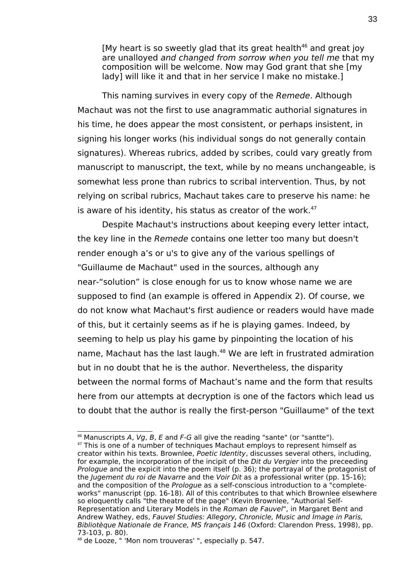[My heart is so sweetly glad that its great health<sup>[46](#page-32-0)</sup> and great joy are unalloyed and changed from sorrow when you tell me that my composition will be welcome. Now may God grant that she [my lady] will like it and that in her service I make no mistake.]

This naming survives in every copy of the Remede. Although Machaut was not the first to use anagrammatic authorial signatures in his time, he does appear the most consistent, or perhaps insistent, in signing his longer works (his individual songs do not generally contain signatures). Whereas rubrics, added by scribes, could vary greatly from manuscript to manuscript, the text, while by no means unchangeable, is somewhat less prone than rubrics to scribal intervention. Thus, by not relying on scribal rubrics, Machaut takes care to preserve his name: he is aware of his identity, his status as creator of the work. $47$ 

Despite Machaut's instructions about keeping every letter intact, the key line in the Remede contains one letter too many but doesn't render enough a's or u's to give any of the various spellings of "Guillaume de Machaut" used in the sources, although any near-"solution" is close enough for us to know whose name we are supposed to find (an example is offered in Appendix 2). Of course, we do not know what Machaut's first audience or readers would have made of this, but it certainly seems as if he is playing games. Indeed, by seeming to help us play his game by pinpointing the location of his name, Machaut has the last laugh.<sup>[48](#page-32-2)</sup> We are left in frustrated admiration but in no doubt that he is the author. Nevertheless, the disparity between the normal forms of Machaut's name and the form that results here from our attempts at decryption is one of the factors which lead us to doubt that the author is really the first-person "Guillaume" of the text

<span id="page-32-0"></span> $46$  Manuscripts A, Vg, B, E and F-G all give the reading "sante" (or "santte").

<span id="page-32-1"></span> $47$  This is one of a number of techniques Machaut employs to represent himself as creator within his texts. Brownlee, Poetic Identity, discusses several others, including, for example, the incorporation of the incipit of the Dit du Vergier into the preceeding Prologue and the expicit into the poem itself (p. 36); the portrayal of the protagonist of the Jugement du roi de Navarre and the Voir Dit as a professional writer (pp. 15-16); and the composition of the Prologue as a self-conscious introduction to a "completeworks" manuscript (pp. 16-18). All of this contributes to that which Brownlee elsewhere so eloquently calls "the theatre of the page" (Kevin Brownlee, "Authorial Self-Representation and Literary Models in the Roman de Fauvel", in Margaret Bent and Andrew Wathey, eds, Fauvel Studies: Allegory, Chronicle, Music and Image in Paris, Bibliotèque Nationale de France, MS français 146 (Oxford: Clarendon Press, 1998), pp. 73-103, p. 80).

<span id="page-32-2"></span><sup>48</sup> de Looze, " 'Mon nom trouveras' ", especially p. 547.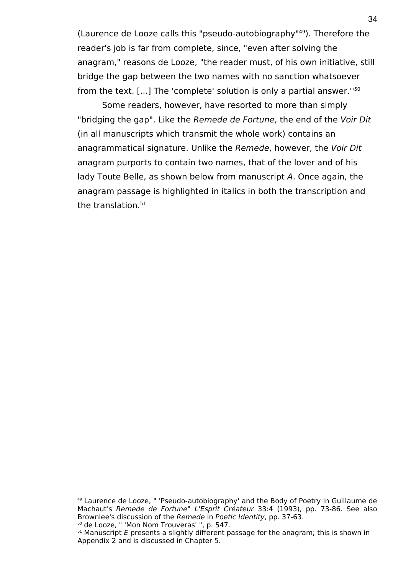(Laurence de Looze calls this "pseudo-autobiography"[49](#page-33-0)). Therefore the reader's job is far from complete, since, "even after solving the anagram," reasons de Looze, "the reader must, of his own initiative, still bridge the gap between the two names with no sanction whatsoever from the text. [...] The 'complete' solution is only a partial answer.''[50](#page-33-1)

Some readers, however, have resorted to more than simply "bridging the gap". Like the Remede de Fortune, the end of the Voir Dit (in all manuscripts which transmit the whole work) contains an anagrammatical signature. Unlike the Remede, however, the Voir Dit anagram purports to contain two names, that of the lover and of his lady Toute Belle, as shown below from manuscript A. Once again, the anagram passage is highlighted in italics in both the transcription and the translation.<sup>[51](#page-33-2)</sup>

<span id="page-33-0"></span><sup>49</sup> Laurence de Looze, " 'Pseudo-autobiography' and the Body of Poetry in Guillaume de Machaut's Remede de Fortune" L'Esprit Créateur 33:4 (1993), pp. 73-86. See also Brownlee's discussion of the Remede in Poetic Identity, pp. 37-63. <sup>50</sup> de Looze, " 'Mon Nom Trouveras' ", p. 547.

<span id="page-33-2"></span><span id="page-33-1"></span> $51$  Manuscript E presents a slightly different passage for the anagram; this is shown in Appendix 2 and is discussed in Chapter 5.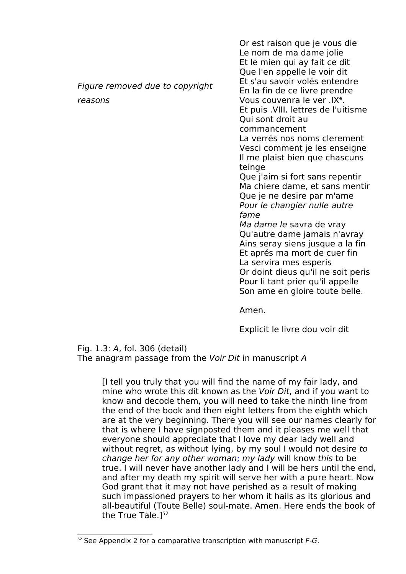Figure removed due to copyright reasons Or est raison que je vous die Le nom de ma dame jolie Et le mien qui ay fait ce dit Que l'en appelle le voir dit Et s'au savoir volés entendre En la fin de ce livre prendre Vous couvenra le ver .IX<sup>e</sup>. Et puis .VIII. lettres de l'uitisme Qui sont droit au commancement La verrés nos noms clerement Vesci comment je les enseigne Il me plaist bien que chascuns teinge Que j'aim si fort sans repentir Ma chiere dame, et sans mentir Que je ne desire par m'ame Pour le changier nulle autre fame Ma dame le savra de vray Qu'autre dame jamais n'avray Ains seray siens jusque a la fin Et aprés ma mort de cuer fin La servira mes esperis Or doint dieus qu'il ne soit peris Pour li tant prier qu'il appelle Son ame en gloire toute belle.

Amen.

Explicit le livre dou voir dit

Fig. 1.3: A, fol. 306 (detail) The anagram passage from the Voir Dit in manuscript A

> [I tell you truly that you will find the name of my fair lady, and mine who wrote this dit known as the Voir Dit, and if you want to know and decode them, you will need to take the ninth line from the end of the book and then eight letters from the eighth which are at the very beginning. There you will see our names clearly for that is where I have signposted them and it pleases me well that everyone should appreciate that I love my dear lady well and without regret, as without lying, by my soul I would not desire to change her for any other woman; my lady will know this to be true. I will never have another lady and I will be hers until the end, and after my death my spirit will serve her with a pure heart. Now God grant that it may not have perished as a result of making such impassioned prayers to her whom it hails as its glorious and all-beautiful (Toute Belle) soul-mate. Amen. Here ends the book of the True Tale. $1<sup>52</sup>$  $1<sup>52</sup>$  $1<sup>52</sup>$

<span id="page-34-0"></span> $52$  See Appendix 2 for a comparative transcription with manuscript  $F-G$ .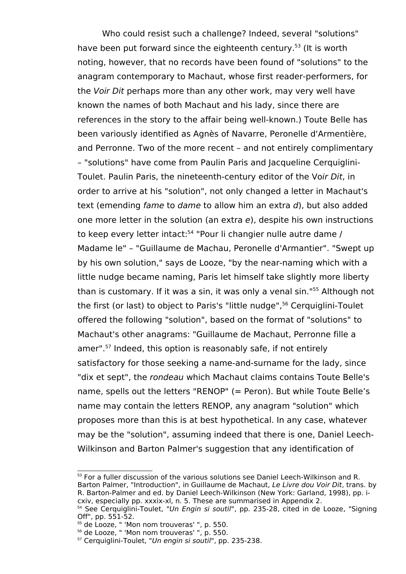Who could resist such a challenge? Indeed, several "solutions" have been put forward since the eighteenth century.<sup>[53](#page-35-0)</sup> (It is worth noting, however, that no records have been found of "solutions" to the anagram contemporary to Machaut, whose first reader-performers, for the Voir Dit perhaps more than any other work, may very well have known the names of both Machaut and his lady, since there are references in the story to the affair being well-known.) Toute Belle has been variously identified as Agnès of Navarre, Peronelle d'Armentière, and Perronne. Two of the more recent – and not entirely complimentary – "solutions" have come from Paulin Paris and Jacqueline Cerquiglini-Toulet. Paulin Paris, the nineteenth-century editor of the Voir Dit, in order to arrive at his "solution", not only changed a letter in Machaut's text (emending fame to dame to allow him an extra d), but also added one more letter in the solution (an extra e), despite his own instructions to keep every letter intact:<sup>[54](#page-35-1)</sup> "Pour li changier nulle autre dame / Madame le" – "Guillaume de Machau, Peronelle d'Armantier". "Swept up by his own solution," says de Looze, "by the near-naming which with a little nudge became naming, Paris let himself take slightly more liberty than is customary. If it was a sin, it was only a venal sin."[55](#page-35-2) Although not the first (or last) to object to Paris's "little nudge",<sup>[56](#page-35-3)</sup> Cerquiglini-Toulet offered the following "solution", based on the format of "solutions" to Machaut's other anagrams: "Guillaume de Machaut, Perronne fille a amer".[57](#page-35-4) Indeed, this option is reasonably safe, if not entirely satisfactory for those seeking a name-and-surname for the lady, since "dix et sept", the rondeau which Machaut claims contains Toute Belle's name, spells out the letters "RENOP" (= Peron). But while Toute Belle's name may contain the letters RENOP, any anagram "solution" which proposes more than this is at best hypothetical. In any case, whatever may be the "solution", assuming indeed that there is one, Daniel Leech-Wilkinson and Barton Palmer's suggestion that any identification of

<span id="page-35-0"></span><sup>&</sup>lt;sup>53</sup> For a fuller discussion of the various solutions see Daniel Leech-Wilkinson and R. Barton Palmer, "Introduction", in Guillaume de Machaut, Le Livre dou Voir Dit, trans. by R. Barton-Palmer and ed. by Daniel Leech-Wilkinson (New York: Garland, 1998), pp. icxiv, especially pp. xxxix-xl, n. 5. These are summarised in Appendix 2.

<span id="page-35-1"></span><sup>&</sup>lt;sup>54</sup> See Cerquiglini-Toulet, "Un Engin si soutil", pp. 235-28, cited in de Looze, "Signing Off", pp. 551-52.

<span id="page-35-2"></span><sup>55</sup> de Looze, " 'Mon nom trouveras' ", p. 550.

<span id="page-35-3"></span><sup>56</sup> de Looze, " 'Mon nom trouveras' ", p. 550.

<span id="page-35-4"></span><sup>57</sup> Cerquiglini-Toulet, "Un engin si soutil", pp. 235-238.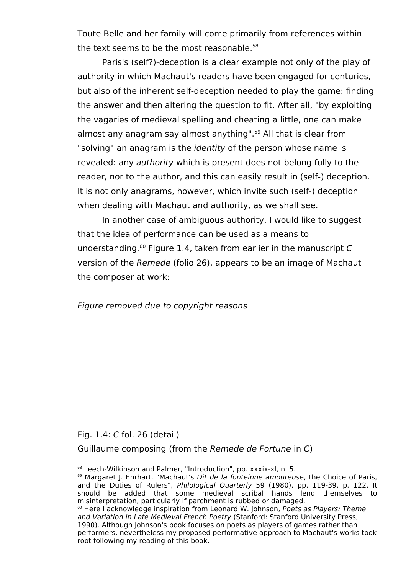Toute Belle and her family will come primarily from references within the text seems to be the most reasonable.<sup>[58](#page-36-0)</sup>

Paris's (self?)-deception is a clear example not only of the play of authority in which Machaut's readers have been engaged for centuries, but also of the inherent self-deception needed to play the game: finding the answer and then altering the question to fit. After all, "by exploiting the vagaries of medieval spelling and cheating a little, one can make almost any anagram say almost anything".<sup>[59](#page-36-1)</sup> All that is clear from "solving" an anagram is the *identity* of the person whose name is revealed: any authority which is present does not belong fully to the reader, nor to the author, and this can easily result in (self-) deception. It is not only anagrams, however, which invite such (self-) deception when dealing with Machaut and authority, as we shall see.

In another case of ambiguous authority, I would like to suggest that the idea of performance can be used as a means to understanding. $60$  Figure 1.4, taken from earlier in the manuscript C version of the Remede (folio 26), appears to be an image of Machaut the composer at work:

#### Figure removed due to copyright reasons

#### Fig. 1.4: C fol. 26 (detail)

Guillaume composing (from the Remede de Fortune in C)

<span id="page-36-0"></span><sup>&</sup>lt;sup>58</sup> Leech-Wilkinson and Palmer, "Introduction", pp. xxxix-xl, n. 5.

<span id="page-36-1"></span><sup>&</sup>lt;sup>59</sup> Margaret J. Ehrhart, "Machaut's Dit de la fonteinne amoureuse, the Choice of Paris, and the Duties of Rulers", Philological Quarterly 59 (1980), pp. 119-39, p. 122. It should be added that some medieval scribal hands lend themselves to misinterpretation, particularly if parchment is rubbed or damaged.

<span id="page-36-2"></span><sup>&</sup>lt;sup>60</sup> Here I acknowledge inspiration from Leonard W. Johnson, Poets as Players: Theme and Variation in Late Medieval French Poetry (Stanford: Stanford University Press, 1990). Although Johnson's book focuses on poets as players of games rather than performers, nevertheless my proposed performative approach to Machaut's works took root following my reading of this book.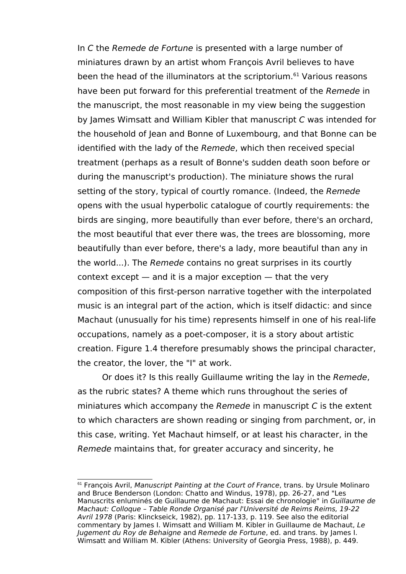In C the Remede de Fortune is presented with a large number of miniatures drawn by an artist whom François Avril believes to have been the head of the illuminators at the scriptorium.[61](#page-37-0) Various reasons have been put forward for this preferential treatment of the Remede in the manuscript, the most reasonable in my view being the suggestion by James Wimsatt and William Kibler that manuscript C was intended for the household of Jean and Bonne of Luxembourg, and that Bonne can be identified with the lady of the Remede, which then received special treatment (perhaps as a result of Bonne's sudden death soon before or during the manuscript's production). The miniature shows the rural setting of the story, typical of courtly romance. (Indeed, the Remede opens with the usual hyperbolic catalogue of courtly requirements: the birds are singing, more beautifully than ever before, there's an orchard, the most beautiful that ever there was, the trees are blossoming, more beautifully than ever before, there's a lady, more beautiful than any in the world...). The Remede contains no great surprises in its courtly context except — and it is a major exception — that the very composition of this first-person narrative together with the interpolated music is an integral part of the action, which is itself didactic: and since Machaut (unusually for his time) represents himself in one of his real-life occupations, namely as a poet-composer, it is a story about artistic creation. Figure 1.4 therefore presumably shows the principal character, the creator, the lover, the "I" at work.

Or does it? Is this really Guillaume writing the lay in the Remede, as the rubric states? A theme which runs throughout the series of miniatures which accompany the Remede in manuscript C is the extent to which characters are shown reading or singing from parchment, or, in this case, writing. Yet Machaut himself, or at least his character, in the Remede maintains that, for greater accuracy and sincerity, he

<span id="page-37-0"></span><sup>&</sup>lt;sup>61</sup> François Avril, Manuscript Painting at the Court of France, trans. by Ursule Molinaro and Bruce Benderson (London: Chatto and Windus, 1978), pp. 26-27, and "Les Manuscrits enluminés de Guillaume de Machaut: Essai de chronologie" in Guillaume de Machaut: Colloque – Table Ronde Organisé par l'Université de Reims Reims, 19-22 Avril 1978 (Paris: Klinckseick, 1982), pp. 117-133, p. 119. See also the editorial commentary by James I. Wimsatt and William M. Kibler in Guillaume de Machaut, Le Jugement du Roy de Behaigne and Remede de Fortune, ed. and trans. by James I. Wimsatt and William M. Kibler (Athens: University of Georgia Press, 1988), p. 449.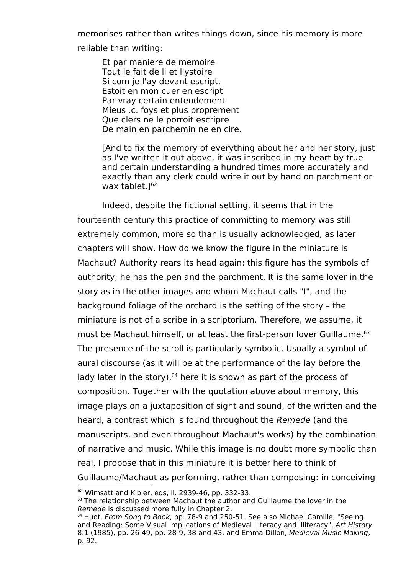memorises rather than writes things down, since his memory is more reliable than writing:

Et par maniere de memoire Tout le fait de li et l'ystoire Si com je l'ay devant escript, Estoit en mon cuer en escript Par vray certain entendement Mieus .c. foys et plus proprement Que clers ne le porroit escripre De main en parchemin ne en cire.

[And to fix the memory of everything about her and her story, just as I've written it out above, it was inscribed in my heart by true and certain understanding a hundred times more accurately and exactly than any clerk could write it out by hand on parchment or wax tablet. $]^{62}$  $]^{62}$  $]^{62}$ 

Indeed, despite the fictional setting, it seems that in the fourteenth century this practice of committing to memory was still extremely common, more so than is usually acknowledged, as later chapters will show. How do we know the figure in the miniature is Machaut? Authority rears its head again: this figure has the symbols of authority; he has the pen and the parchment. It is the same lover in the story as in the other images and whom Machaut calls "I", and the background foliage of the orchard is the setting of the story – the miniature is not of a scribe in a scriptorium. Therefore, we assume, it must be Machaut himself, or at least the first-person lover Guillaume.<sup>[63](#page-38-1)</sup> The presence of the scroll is particularly symbolic. Usually a symbol of aural discourse (as it will be at the performance of the lay before the lady later in the story), $64$  here it is shown as part of the process of composition. Together with the quotation above about memory, this image plays on a juxtaposition of sight and sound, of the written and the heard, a contrast which is found throughout the Remede (and the manuscripts, and even throughout Machaut's works) by the combination of narrative and music. While this image is no doubt more symbolic than real, I propose that in this miniature it is better here to think of Guillaume/Machaut as performing, rather than composing: in conceiving

<span id="page-38-0"></span><sup>62</sup> Wimsatt and Kibler, eds, ll. 2939-46, pp. 332-33.

<span id="page-38-1"></span> $63$  The relationship between Machaut the author and Guillaume the lover in the Remede is discussed more fully in Chapter 2.

<span id="page-38-2"></span><sup>&</sup>lt;sup>64</sup> Huot, From Song to Book, pp. 78-9 and 250-51. See also Michael Camille, "Seeing and Reading: Some Visual Implications of Medieval LIteracy and Illiteracy", Art History 8:1 (1985), pp. 26-49, pp. 28-9, 38 and 43, and Emma Dillon, Medieval Music Making, p. 92.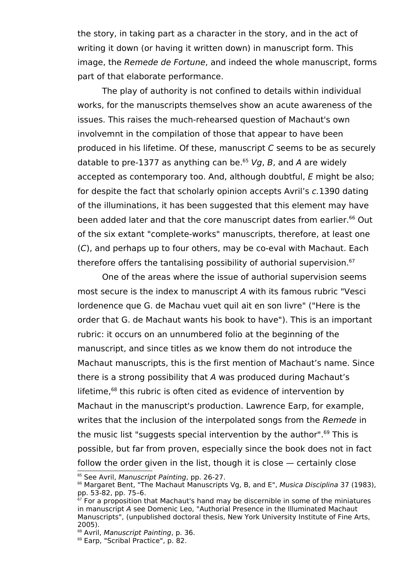the story, in taking part as a character in the story, and in the act of writing it down (or having it written down) in manuscript form. This image, the Remede de Fortune, and indeed the whole manuscript, forms part of that elaborate performance.

The play of authority is not confined to details within individual works, for the manuscripts themselves show an acute awareness of the issues. This raises the much-rehearsed question of Machaut's own involvemnt in the compilation of those that appear to have been produced in his lifetime. Of these, manuscript C seems to be as securely datable to pre-1377 as anything can be.<sup>[65](#page-39-0)</sup> Vg, B, and A are widely accepted as contemporary too. And, although doubtful, E might be also; for despite the fact that scholarly opinion accepts Avril's c.1390 dating of the illuminations, it has been suggested that this element may have been added later and that the core manuscript dates from earlier.<sup>[66](#page-39-1)</sup> Out of the six extant "complete-works" manuscripts, therefore, at least one (C), and perhaps up to four others, may be co-eval with Machaut. Each therefore offers the tantalising possibility of authorial supervision.<sup>[67](#page-39-2)</sup>

One of the areas where the issue of authorial supervision seems most secure is the index to manuscript A with its famous rubric "Vesci lordenence que G. de Machau vuet quil ait en son livre" ("Here is the order that G. de Machaut wants his book to have"). This is an important rubric: it occurs on an unnumbered folio at the beginning of the manuscript, and since titles as we know them do not introduce the Machaut manuscripts, this is the first mention of Machaut's name. Since there is a strong possibility that A was produced during Machaut's lifetime,<sup>[68](#page-39-3)</sup> this rubric is often cited as evidence of intervention by Machaut in the manuscript's production. Lawrence Earp, for example, writes that the inclusion of the interpolated songs from the Remede in the music list "suggests special intervention by the author".<sup>[69](#page-39-4)</sup> This is possible, but far from proven, especially since the book does not in fact follow the order given in the list, though it is close — certainly close

<span id="page-39-0"></span><sup>&</sup>lt;sup>65</sup> See Avril, Manuscript Painting, pp. 26-27.

<span id="page-39-1"></span><sup>&</sup>lt;sup>66</sup> Margaret Bent, "The Machaut Manuscripts Vg, B, and E", Musica Disciplina 37 (1983), pp. 53-82, pp. 75–6.

<span id="page-39-2"></span> $67$  For a proposition that Machaut's hand may be discernible in some of the miniatures in manuscript A see Domenic Leo, "Authorial Presence in the Illuminated Machaut Manuscripts", (unpublished doctoral thesis, New York University Institute of Fine Arts, 2005).

<span id="page-39-3"></span><sup>&</sup>lt;sup>68</sup> Avril, Manuscript Painting, p. 36.

<span id="page-39-4"></span><sup>&</sup>lt;sup>69</sup> Earp, "Scribal Practice", p. 82.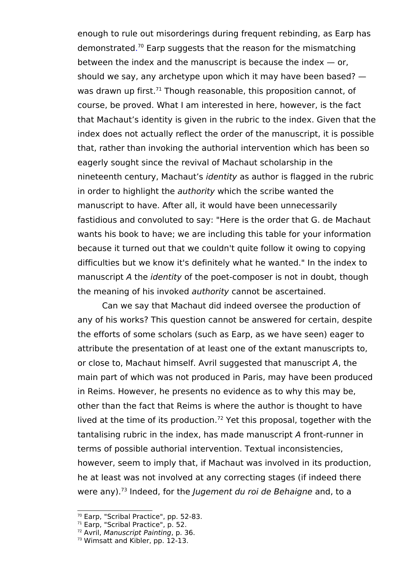enough to rule out misorderings during frequent rebinding, as Earp has demonstrated. [70](#page-40-0) Earp suggests that the reason for the mismatching between the index and the manuscript is because the index — or, should we say, any archetype upon which it may have been based? — was drawn up first.<sup>[71](#page-40-1)</sup> Though reasonable, this proposition cannot, of course, be proved. What I am interested in here, however, is the fact that Machaut's identity is given in the rubric to the index. Given that the index does not actually reflect the order of the manuscript, it is possible that, rather than invoking the authorial intervention which has been so eagerly sought since the revival of Machaut scholarship in the nineteenth century, Machaut's identity as author is flagged in the rubric in order to highlight the authority which the scribe wanted the manuscript to have. After all, it would have been unnecessarily fastidious and convoluted to say: "Here is the order that G. de Machaut wants his book to have; we are including this table for your information because it turned out that we couldn't quite follow it owing to copying difficulties but we know it's definitely what he wanted." In the index to manuscript A the identity of the poet-composer is not in doubt, though the meaning of his invoked authority cannot be ascertained.

Can we say that Machaut did indeed oversee the production of any of his works? This question cannot be answered for certain, despite the efforts of some scholars (such as Earp, as we have seen) eager to attribute the presentation of at least one of the extant manuscripts to, or close to, Machaut himself. Avril suggested that manuscript A, the main part of which was not produced in Paris, may have been produced in Reims. However, he presents no evidence as to why this may be, other than the fact that Reims is where the author is thought to have lived at the time of its production.<sup>[72](#page-40-2)</sup> Yet this proposal, together with the tantalising rubric in the index, has made manuscript A front-runner in terms of possible authorial intervention. Textual inconsistencies, however, seem to imply that, if Machaut was involved in its production, he at least was not involved at any correcting stages (if indeed there were any).<sup>[73](#page-40-3)</sup> Indeed, for the *Jugement du roi de Behaigne* and, to a

<span id="page-40-0"></span><sup>70</sup> Earp, "Scribal Practice", pp. 52-83.

<span id="page-40-1"></span><sup>&</sup>lt;sup>71</sup> Earp, "Scribal Practice", p. 52.

<span id="page-40-2"></span><sup>&</sup>lt;sup>72</sup> Avril, Manuscript Painting, p. 36.

<span id="page-40-3"></span><sup>&</sup>lt;sup>73</sup> Wimsatt and Kibler, pp. 12-13.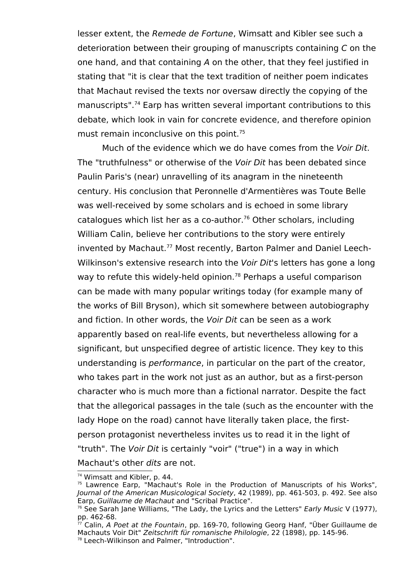lesser extent, the Remede de Fortune, Wimsatt and Kibler see such a deterioration between their grouping of manuscripts containing C on the one hand, and that containing A on the other, that they feel justified in stating that "it is clear that the text tradition of neither poem indicates that Machaut revised the texts nor oversaw directly the copying of the manuscripts".[74](#page-41-0) Earp has written several important contributions to this debate, which look in vain for concrete evidence, and therefore opinion must remain inconclusive on this point.<sup>[75](#page-41-1)</sup>

Much of the evidence which we do have comes from the *Voir Dit.* The "truthfulness" or otherwise of the Voir Dit has been debated since Paulin Paris's (near) unravelling of its anagram in the nineteenth century. His conclusion that Peronnelle d'Armentières was Toute Belle was well-received by some scholars and is echoed in some library catalogues which list her as a co-author.[76](#page-41-2) Other scholars, including William Calin, believe her contributions to the story were entirely invented by Machaut.<sup>[77](#page-41-3)</sup> Most recently, Barton Palmer and Daniel Leech-Wilkinson's extensive research into the Voir Dit's letters has gone a long way to refute this widely-held opinion.<sup>[78](#page-41-4)</sup> Perhaps a useful comparison can be made with many popular writings today (for example many of the works of Bill Bryson), which sit somewhere between autobiography and fiction. In other words, the Voir Dit can be seen as a work apparently based on real-life events, but nevertheless allowing for a significant, but unspecified degree of artistic licence. They key to this understanding is performance, in particular on the part of the creator, who takes part in the work not just as an author, but as a first-person character who is much more than a fictional narrator. Despite the fact that the allegorical passages in the tale (such as the encounter with the lady Hope on the road) cannot have literally taken place, the firstperson protagonist nevertheless invites us to read it in the light of "truth". The Voir Dit is certainly "voir" ("true") in a way in which Machaut's other dits are not.

<span id="page-41-0"></span><sup>74</sup> Wimsatt and Kibler, p. 44.

<span id="page-41-1"></span><sup>&</sup>lt;sup>75</sup> Lawrence Earp, "Machaut's Role in the Production of Manuscripts of his Works", Journal of the American Musicological Society, 42 (1989), pp. 461-503, p. 492. See also Earp, Guillaume de Machaut and "Scribal Practice".

<span id="page-41-2"></span> $76$  See Sarah Jane Williams, "The Lady, the Lyrics and the Letters" Early Music V (1977), pp. 462-68.

<span id="page-41-4"></span><span id="page-41-3"></span>Calin, A Poet at the Fountain, pp. 169-70, following Georg Hanf, "Über Guillaume de Machauts Voir Dit" Zeitschrift für romanische Philologie, 22 (1898), pp. 145-96. 78 Leech-Wilkinson and Palmer, "Introduction".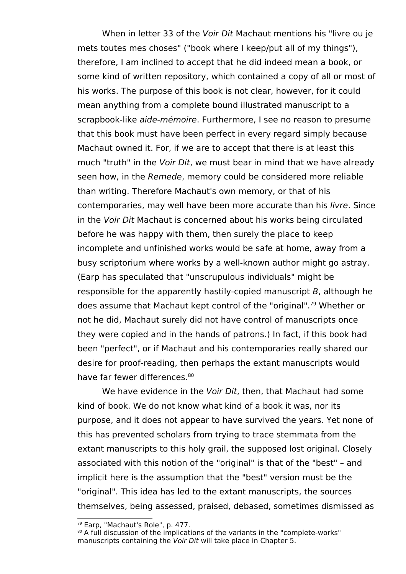When in letter 33 of the Voir Dit Machaut mentions his "livre ou je mets toutes mes choses" ("book where I keep/put all of my things"), therefore, I am inclined to accept that he did indeed mean a book, or some kind of written repository, which contained a copy of all or most of his works. The purpose of this book is not clear, however, for it could mean anything from a complete bound illustrated manuscript to a scrapbook-like aide-mémoire. Furthermore, I see no reason to presume that this book must have been perfect in every regard simply because Machaut owned it. For, if we are to accept that there is at least this much "truth" in the Voir Dit, we must bear in mind that we have already seen how, in the Remede, memory could be considered more reliable than writing. Therefore Machaut's own memory, or that of his contemporaries, may well have been more accurate than his livre. Since in the Voir Dit Machaut is concerned about his works being circulated before he was happy with them, then surely the place to keep incomplete and unfinished works would be safe at home, away from a busy scriptorium where works by a well-known author might go astray. (Earp has speculated that "unscrupulous individuals" might be responsible for the apparently hastily-copied manuscript B, although he does assume that Machaut kept control of the "original".[79](#page-42-0) Whether or not he did, Machaut surely did not have control of manuscripts once they were copied and in the hands of patrons.) In fact, if this book had been "perfect", or if Machaut and his contemporaries really shared our desire for proof-reading, then perhaps the extant manuscripts would have far fewer differences.<sup>[80](#page-42-1)</sup>

We have evidence in the Voir Dit, then, that Machaut had some kind of book. We do not know what kind of a book it was, nor its purpose, and it does not appear to have survived the years. Yet none of this has prevented scholars from trying to trace stemmata from the extant manuscripts to this holy grail, the supposed lost original. Closely associated with this notion of the "original" is that of the "best" – and implicit here is the assumption that the "best" version must be the "original". This idea has led to the extant manuscripts, the sources themselves, being assessed, praised, debased, sometimes dismissed as

<span id="page-42-0"></span><sup>79</sup> Earp, "Machaut's Role", p. 477.

<span id="page-42-1"></span><sup>&</sup>lt;sup>80</sup> A full discussion of the implications of the variants in the "complete-works" manuscripts containing the Voir Dit will take place in Chapter 5.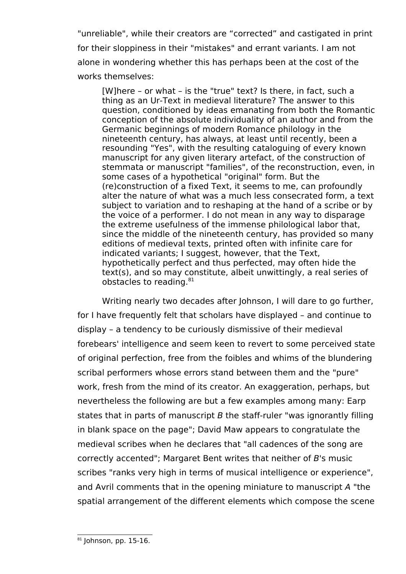"unreliable", while their creators are "corrected" and castigated in print for their sloppiness in their "mistakes" and errant variants. I am not alone in wondering whether this has perhaps been at the cost of the works themselves:

[W]here – or what – is the "true" text? Is there, in fact, such a thing as an Ur-Text in medieval literature? The answer to this question, conditioned by ideas emanating from both the Romantic conception of the absolute individuality of an author and from the Germanic beginnings of modern Romance philology in the nineteenth century, has always, at least until recently, been a resounding "Yes", with the resulting cataloguing of every known manuscript for any given literary artefact, of the construction of stemmata or manuscript "families", of the reconstruction, even, in some cases of a hypothetical "original" form. But the (re)construction of a fixed Text, it seems to me, can profoundly alter the nature of what was a much less consecrated form, a text subject to variation and to reshaping at the hand of a scribe or by the voice of a performer. I do not mean in any way to disparage the extreme usefulness of the immense philological labor that, since the middle of the nineteenth century, has provided so many editions of medieval texts, printed often with infinite care for indicated variants; I suggest, however, that the Text, hypothetically perfect and thus perfected, may often hide the text(s), and so may constitute, albeit unwittingly, a real series of obstacles to reading.<sup>[81](#page-43-0)</sup>

Writing nearly two decades after Johnson, I will dare to go further, for I have frequently felt that scholars have displayed – and continue to display – a tendency to be curiously dismissive of their medieval forebears' intelligence and seem keen to revert to some perceived state of original perfection, free from the foibles and whims of the blundering scribal performers whose errors stand between them and the "pure" work, fresh from the mind of its creator. An exaggeration, perhaps, but nevertheless the following are but a few examples among many: Earp states that in parts of manuscript B the staff-ruler "was ignorantly filling in blank space on the page"; David Maw appears to congratulate the medieval scribes when he declares that "all cadences of the song are correctly accented"; Margaret Bent writes that neither of B's music scribes "ranks very high in terms of musical intelligence or experience", and Avril comments that in the opening miniature to manuscript A "the spatial arrangement of the different elements which compose the scene

<span id="page-43-0"></span> $81$  Johnson, pp. 15-16.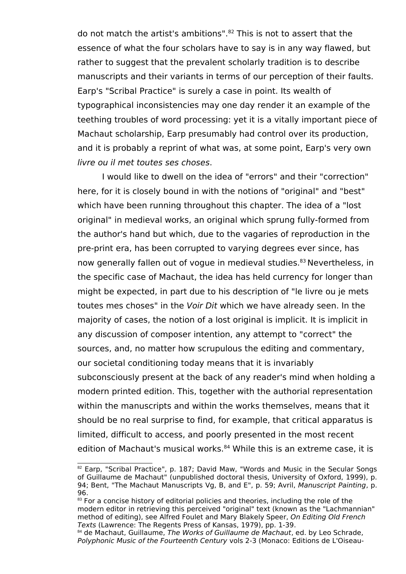do not match the artist's ambitions".[82](#page-44-0) This is not to assert that the essence of what the four scholars have to say is in any way flawed, but rather to suggest that the prevalent scholarly tradition is to describe manuscripts and their variants in terms of our perception of their faults. Earp's "Scribal Practice" is surely a case in point. Its wealth of typographical inconsistencies may one day render it an example of the teething troubles of word processing: yet it is a vitally important piece of Machaut scholarship, Earp presumably had control over its production, and it is probably a reprint of what was, at some point, Earp's very own livre ou il met toutes ses choses.

I would like to dwell on the idea of "errors" and their "correction" here, for it is closely bound in with the notions of "original" and "best" which have been running throughout this chapter. The idea of a "lost original" in medieval works, an original which sprung fully-formed from the author's hand but which, due to the vagaries of reproduction in the pre-print era, has been corrupted to varying degrees ever since, has now generally fallen out of vogue in medieval studies.<sup>[83](#page-44-1)</sup> Nevertheless, in the specific case of Machaut, the idea has held currency for longer than might be expected, in part due to his description of "le livre ou je mets toutes mes choses" in the Voir Dit which we have already seen. In the majority of cases, the notion of a lost original is implicit. It is implicit in any discussion of composer intention, any attempt to "correct" the sources, and, no matter how scrupulous the editing and commentary, our societal conditioning today means that it is invariably subconsciously present at the back of any reader's mind when holding a modern printed edition. This, together with the authorial representation within the manuscripts and within the works themselves, means that it should be no real surprise to find, for example, that critical apparatus is limited, difficult to access, and poorly presented in the most recent edition of Machaut's musical works.<sup>[84](#page-44-2)</sup> While this is an extreme case, it is

<span id="page-44-0"></span> $82$  Earp, "Scribal Practice", p. 187; David Maw, "Words and Music in the Secular Songs of Guillaume de Machaut" (unpublished doctoral thesis, University of Oxford, 1999), p. 94; Bent, "The Machaut Manuscripts Vg, B, and E", p. 59; Avril, Manuscript Painting, p. 96.

<span id="page-44-1"></span><sup>83</sup> For a concise history of editorial policies and theories, including the role of the modern editor in retrieving this perceived "original" text (known as the "Lachmannian" method of editing), see Alfred Foulet and Mary Blakely Speer, On Editing Old French Texts (Lawrence: The Regents Press of Kansas, 1979), pp. 1-39.

<span id="page-44-2"></span><sup>&</sup>lt;sup>84</sup> de Machaut, Guillaume, The Works of Guillaume de Machaut, ed. by Leo Schrade, Polyphonic Music of the Fourteenth Century vols 2-3 (Monaco: Editions de L'Oiseau-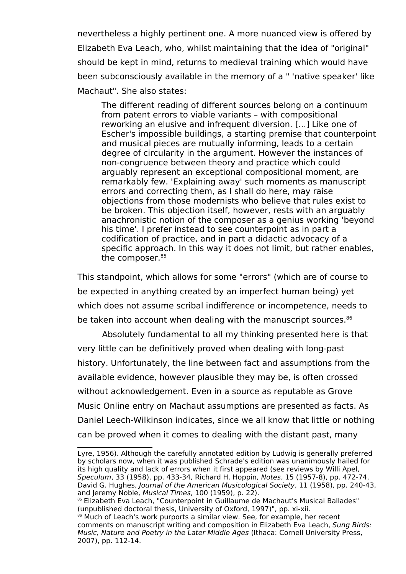nevertheless a highly pertinent one. A more nuanced view is offered by Elizabeth Eva Leach, who, whilst maintaining that the idea of "original" should be kept in mind, returns to medieval training which would have been subconsciously available in the memory of a " 'native speaker' like Machaut". She also states:

The different reading of different sources belong on a continuum from patent errors to viable variants – with compositional reworking an elusive and infrequent diversion. [...] Like one of Escher's impossible buildings, a starting premise that counterpoint and musical pieces are mutually informing, leads to a certain degree of circularity in the argument. However the instances of non-congruence between theory and practice which could arguably represent an exceptional compositional moment, are remarkably few. 'Explaining away' such moments as manuscript errors and correcting them, as I shall do here, may raise objections from those modernists who believe that rules exist to be broken. This objection itself, however, rests with an arguably anachronistic notion of the composer as a genius working 'beyond his time'. I prefer instead to see counterpoint as in part a codification of practice, and in part a didactic advocacy of a specific approach. In this way it does not limit, but rather enables, the composer.<sup>[85](#page-45-0)</sup>

This standpoint, which allows for some "errors" (which are of course to be expected in anything created by an imperfect human being) yet which does not assume scribal indifference or incompetence, needs to be taken into account when dealing with the manuscript sources.<sup>[86](#page-45-1)</sup>

Absolutely fundamental to all my thinking presented here is that very little can be definitively proved when dealing with long-past history. Unfortunately, the line between fact and assumptions from the available evidence, however plausible they may be, is often crossed without acknowledgement. Even in a source as reputable as Grove Music Online entry on Machaut assumptions are presented as facts. As Daniel Leech-Wilkinson indicates, since we all know that little or nothing can be proved when it comes to dealing with the distant past, many

Lyre, 1956). Although the carefully annotated edition by Ludwig is generally preferred by scholars now, when it was published Schrade's edition was unanimously hailed for its high quality and lack of errors when it first appeared (see reviews by Willi Apel, Speculum, 33 (1958), pp. 433-34, Richard H. Hoppin, Notes, 15 (1957-8), pp. 472-74, David G. Hughes, Journal of the American Musicological Society, 11 (1958), pp. 240-43, and Jeremy Noble, Musical Times, 100 (1959), p. 22).

<span id="page-45-0"></span><sup>85</sup> Elizabeth Eva Leach, "Counterpoint in Guillaume de Machaut's Musical Ballades" (unpublished doctoral thesis, University of Oxford, 1997)", pp. xi-xii.

<span id="page-45-1"></span><sup>86</sup> Much of Leach's work purports a similar view. See, for example, her recent comments on manuscript writing and composition in Elizabeth Eva Leach, Sung Birds: Music, Nature and Poetry in the Later Middle Ages (Ithaca: Cornell University Press, 2007), pp. 112-14.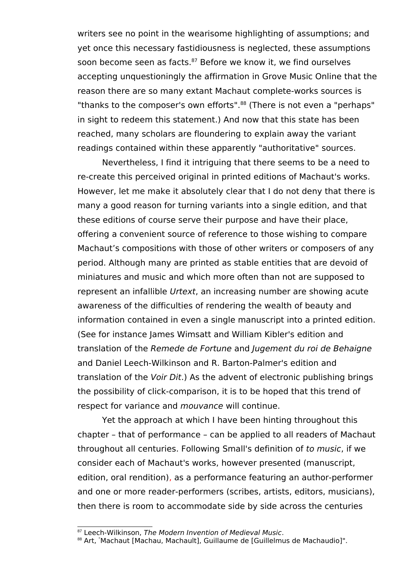writers see no point in the wearisome highlighting of assumptions; and yet once this necessary fastidiousness is neglected, these assumptions soon become seen as facts.<sup>[87](#page-46-0)</sup> Before we know it, we find ourselves accepting unquestioningly the affirmation in Grove Music Online that the reason there are so many extant Machaut complete-works sources is "thanks to the composer's own efforts".<sup>[88](#page-46-1)</sup> (There is not even a "perhaps" in sight to redeem this statement.) And now that this state has been reached, many scholars are floundering to explain away the variant readings contained within these apparently "authoritative" sources.

Nevertheless, I find it intriguing that there seems to be a need to re-create this perceived original in printed editions of Machaut's works. However, let me make it absolutely clear that I do not deny that there is many a good reason for turning variants into a single edition, and that these editions of course serve their purpose and have their place, offering a convenient source of reference to those wishing to compare Machaut's compositions with those of other writers or composers of any period. Although many are printed as stable entities that are devoid of miniatures and music and which more often than not are supposed to represent an infallible Urtext, an increasing number are showing acute awareness of the difficulties of rendering the wealth of beauty and information contained in even a single manuscript into a printed edition. (See for instance James Wimsatt and William Kibler's edition and translation of the Remede de Fortune and Jugement du roi de Behaigne and Daniel Leech-Wilkinson and R. Barton-Palmer's edition and translation of the Voir Dit.) As the advent of electronic publishing brings the possibility of click-comparison, it is to be hoped that this trend of respect for variance and mouvance will continue.

Yet the approach at which I have been hinting throughout this chapter – that of performance – can be applied to all readers of Machaut throughout all centuries. Following Small's definition of to music, if we consider each of Machaut's works, however presented (manuscript, edition, oral rendition), as a performance featuring an author-performer and one or more reader-performers (scribes, artists, editors, musicians), then there is room to accommodate side by side across the centuries

<span id="page-46-0"></span><sup>87</sup> Leech-Wilkinson, The Modern Invention of Medieval Music.

<span id="page-46-1"></span><sup>88</sup> Art, "Machaut [Machau, Machault], Guillaume de [Guillelmus de Machaudio]".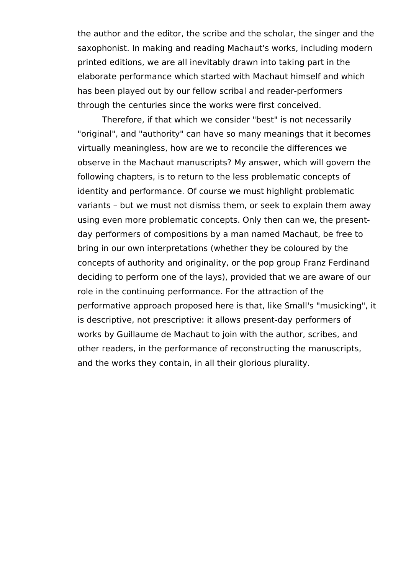the author and the editor, the scribe and the scholar, the singer and the saxophonist. In making and reading Machaut's works, including modern printed editions, we are all inevitably drawn into taking part in the elaborate performance which started with Machaut himself and which has been played out by our fellow scribal and reader-performers through the centuries since the works were first conceived.

Therefore, if that which we consider "best" is not necessarily "original", and "authority" can have so many meanings that it becomes virtually meaningless, how are we to reconcile the differences we observe in the Machaut manuscripts? My answer, which will govern the following chapters, is to return to the less problematic concepts of identity and performance. Of course we must highlight problematic variants – but we must not dismiss them, or seek to explain them away using even more problematic concepts. Only then can we, the presentday performers of compositions by a man named Machaut, be free to bring in our own interpretations (whether they be coloured by the concepts of authority and originality, or the pop group Franz Ferdinand deciding to perform one of the lays), provided that we are aware of our role in the continuing performance. For the attraction of the performative approach proposed here is that, like Small's "musicking", it is descriptive, not prescriptive: it allows present-day performers of works by Guillaume de Machaut to join with the author, scribes, and other readers, in the performance of reconstructing the manuscripts, and the works they contain, in all their glorious plurality.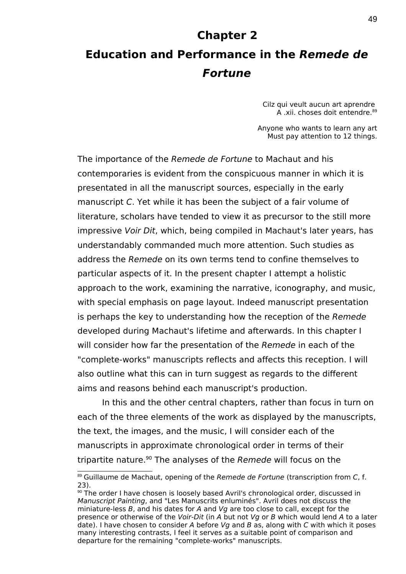# **Chapter 2 Education and Performance in the Remede de Fortune**

Cilz qui veult aucun art aprendre A .xii. choses doit entendre.[89](#page-48-0)

Anyone who wants to learn any art Must pay attention to 12 things.

The importance of the Remede de Fortune to Machaut and his contemporaries is evident from the conspicuous manner in which it is presentated in all the manuscript sources, especially in the early manuscript C. Yet while it has been the subject of a fair volume of literature, scholars have tended to view it as precursor to the still more impressive Voir Dit, which, being compiled in Machaut's later years, has understandably commanded much more attention. Such studies as address the Remede on its own terms tend to confine themselves to particular aspects of it. In the present chapter I attempt a holistic approach to the work, examining the narrative, iconography, and music, with special emphasis on page layout. Indeed manuscript presentation is perhaps the key to understanding how the reception of the Remede developed during Machaut's lifetime and afterwards. In this chapter I will consider how far the presentation of the Remede in each of the "complete-works" manuscripts reflects and affects this reception. I will also outline what this can in turn suggest as regards to the different aims and reasons behind each manuscript's production.

In this and the other central chapters, rather than focus in turn on each of the three elements of the work as displayed by the manuscripts, the text, the images, and the music, I will consider each of the manuscripts in approximate chronological order in terms of their tripartite nature.<sup>[90](#page-48-1)</sup> The analyses of the Remede will focus on the

<span id="page-48-0"></span><sup>89</sup> Guillaume de Machaut, opening of the Remede de Fortune (transcription from C, f. 23).

<span id="page-48-1"></span><sup>90</sup> The order I have chosen is loosely based Avril's chronological order, discussed in Manuscript Painting, and "Les Manuscrits enluminés". Avril does not discuss the miniature-less B, and his dates for A and Vg are too close to call, except for the presence or otherwise of the Voir-Dit (in A but not Vg or B which would lend A to a later date). I have chosen to consider A before  $Vg$  and B as, along with C with which it poses many interesting contrasts, I feel it serves as a suitable point of comparison and departure for the remaining "complete-works" manuscripts.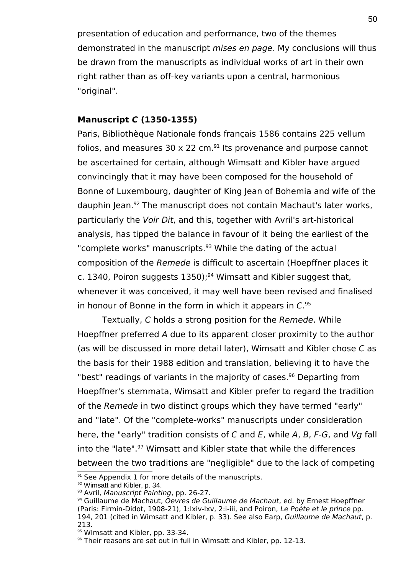presentation of education and performance, two of the themes demonstrated in the manuscript mises en page. My conclusions will thus be drawn from the manuscripts as individual works of art in their own right rather than as off-key variants upon a central, harmonious "original".

### **Manuscript C (1350-1355)**

Paris, Bibliothèque Nationale fonds français 1586 contains 225 vellum folios, and measures 30  $\times$  22 cm.<sup>[91](#page-49-0)</sup> Its provenance and purpose cannot be ascertained for certain, although Wimsatt and Kibler have argued convincingly that it may have been composed for the household of Bonne of Luxembourg, daughter of King Jean of Bohemia and wife of the dauphin Jean.[92](#page-49-1) The manuscript does not contain Machaut's later works, particularly the Voir Dit, and this, together with Avril's art-historical analysis, has tipped the balance in favour of it being the earliest of the "complete works" manuscripts.<sup>[93](#page-49-2)</sup> While the dating of the actual composition of the Remede is difficult to ascertain (Hoepffner places it c. 1340, Poiron suggests  $1350$ );<sup>[94](#page-49-3)</sup> Wimsatt and Kibler suggest that, whenever it was conceived, it may well have been revised and finalised in honour of Bonne in the form in which it appears in  $C^{.95}$  $C^{.95}$  $C^{.95}$ 

Textually, C holds a strong position for the Remede. While Hoepffner preferred A due to its apparent closer proximity to the author (as will be discussed in more detail later), Wimsatt and Kibler chose C as the basis for their 1988 edition and translation, believing it to have the "best" readings of variants in the majority of cases.<sup>[96](#page-49-5)</sup> Departing from Hoepffner's stemmata, Wimsatt and Kibler prefer to regard the tradition of the Remede in two distinct groups which they have termed "early" and "late". Of the "complete-works" manuscripts under consideration here, the "early" tradition consists of C and E, while A, B, F-G, and Vg fall into the "late".<sup>[97](#page-50-0)</sup> Wimsatt and Kibler state that while the differences between the two traditions are "negligible" due to the lack of competing

<span id="page-49-0"></span> $91$  See Appendix 1 for more details of the manuscripts.

<span id="page-49-1"></span><sup>92</sup> Wimsatt and Kibler, p. 34.

<span id="page-49-2"></span><sup>93</sup> Avril, Manuscript Painting, pp. 26-27.

<span id="page-49-3"></span><sup>&</sup>lt;sup>94</sup> Guillaume de Machaut, Oevres de Guillaume de Machaut, ed. by Ernest Hoepffner (Paris: Firmin-Didot, 1908-21), 1:lxiv-lxv, 2:i-iii, and Poiron, Le Poète et le prince pp. 194, 201 (cited in Wimsatt and Kibler, p. 33). See also Earp, Guillaume de Machaut, p. 213.

<span id="page-49-4"></span><sup>95</sup> WImsatt and Kibler, pp. 33-34.

<span id="page-49-5"></span><sup>96</sup> Their reasons are set out in full in Wimsatt and Kibler, pp. 12-13.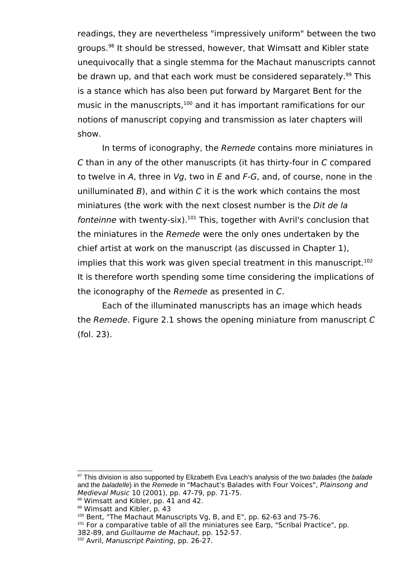readings, they are nevertheless "impressively uniform" between the two groups.[98](#page-50-1) It should be stressed, however, that Wimsatt and Kibler state unequivocally that a single stemma for the Machaut manuscripts cannot be drawn up, and that each work must be considered separately.<sup>[99](#page-50-2)</sup> This is a stance which has also been put forward by Margaret Bent for the music in the manuscripts,<sup>[100](#page-50-3)</sup> and it has important ramifications for our notions of manuscript copying and transmission as later chapters will show.

In terms of iconography, the Remede contains more miniatures in C than in any of the other manuscripts (it has thirty-four in C compared to twelve in A, three in  $Vg$ , two in E and F-G, and, of course, none in the unilluminated B), and within C it is the work which contains the most miniatures (the work with the next closest number is the Dit de la fonteinne with twenty-six).<sup>[101](#page-50-4)</sup> This, together with Avril's conclusion that the miniatures in the Remede were the only ones undertaken by the chief artist at work on the manuscript (as discussed in Chapter 1), implies that this work was given special treatment in this manuscript.<sup>[102](#page-50-5)</sup> It is therefore worth spending some time considering the implications of the iconography of the Remede as presented in C.

Each of the illuminated manuscripts has an image which heads the Remede. Figure 2.1 shows the opening miniature from manuscript C (fol. 23).

<span id="page-50-0"></span><sup>97</sup> This division is also supported by Elizabeth Eva Leach's analysis of the two *balades* (the *balade* and the *baladelle*) in the *Remede* in "Machaut's Balades with Four Voices", Plainsong and Medieval Music 10 (2001), pp. 47-79, pp. 71-75.

<span id="page-50-1"></span><sup>98</sup> Wimsatt and Kibler, pp. 41 and 42.

<span id="page-50-2"></span><sup>99</sup> Wimsatt and Kibler, p. 43

<span id="page-50-3"></span><sup>&</sup>lt;sup>100</sup> Bent, "The Machaut Manuscripts Vg, B, and E", pp. 62-63 and 75-76.

<span id="page-50-4"></span><sup>&</sup>lt;sup>101</sup> For a comparative table of all the miniatures see Earp, "Scribal Practice", pp.

<sup>382-89,</sup> and Guillaume de Machaut, pp. 152-57.

<span id="page-50-5"></span><sup>&</sup>lt;sup>102</sup> Avril, Manuscript Painting, pp. 26-27.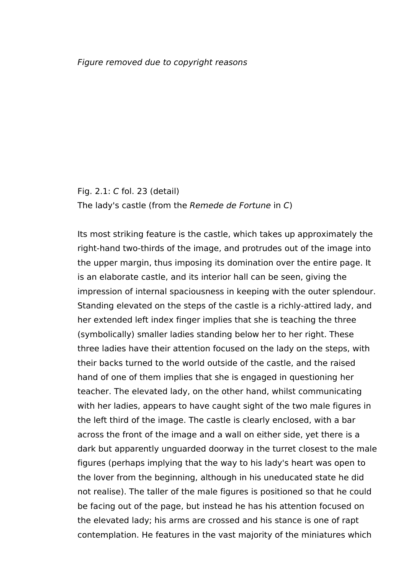Fig. 2.1: C fol. 23 (detail) The lady's castle (from the Remede de Fortune in C)

Its most striking feature is the castle, which takes up approximately the right-hand two-thirds of the image, and protrudes out of the image into the upper margin, thus imposing its domination over the entire page. It is an elaborate castle, and its interior hall can be seen, giving the impression of internal spaciousness in keeping with the outer splendour. Standing elevated on the steps of the castle is a richly-attired lady, and her extended left index finger implies that she is teaching the three (symbolically) smaller ladies standing below her to her right. These three ladies have their attention focused on the lady on the steps, with their backs turned to the world outside of the castle, and the raised hand of one of them implies that she is engaged in questioning her teacher. The elevated lady, on the other hand, whilst communicating with her ladies, appears to have caught sight of the two male figures in the left third of the image. The castle is clearly enclosed, with a bar across the front of the image and a wall on either side, yet there is a dark but apparently unguarded doorway in the turret closest to the male figures (perhaps implying that the way to his lady's heart was open to the lover from the beginning, although in his uneducated state he did not realise). The taller of the male figures is positioned so that he could be facing out of the page, but instead he has his attention focused on the elevated lady; his arms are crossed and his stance is one of rapt contemplation. He features in the vast majority of the miniatures which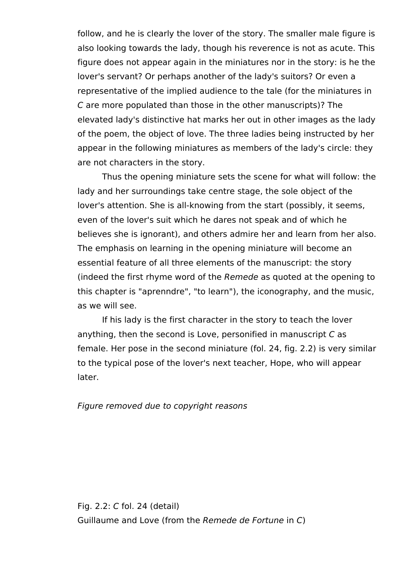follow, and he is clearly the lover of the story. The smaller male figure is also looking towards the lady, though his reverence is not as acute. This figure does not appear again in the miniatures nor in the story: is he the lover's servant? Or perhaps another of the lady's suitors? Or even a representative of the implied audience to the tale (for the miniatures in C are more populated than those in the other manuscripts)? The elevated lady's distinctive hat marks her out in other images as the lady of the poem, the object of love. The three ladies being instructed by her appear in the following miniatures as members of the lady's circle: they are not characters in the story.

Thus the opening miniature sets the scene for what will follow: the lady and her surroundings take centre stage, the sole object of the lover's attention. She is all-knowing from the start (possibly, it seems, even of the lover's suit which he dares not speak and of which he believes she is ignorant), and others admire her and learn from her also. The emphasis on learning in the opening miniature will become an essential feature of all three elements of the manuscript: the story (indeed the first rhyme word of the Remede as quoted at the opening to this chapter is "aprenndre", "to learn"), the iconography, and the music, as we will see.

If his lady is the first character in the story to teach the lover anything, then the second is Love, personified in manuscript C as female. Her pose in the second miniature (fol. 24, fig. 2.2) is very similar to the typical pose of the lover's next teacher, Hope, who will appear later.

Figure removed due to copyright reasons

Fig. 2.2: C fol. 24 (detail) Guillaume and Love (from the Remede de Fortune in C)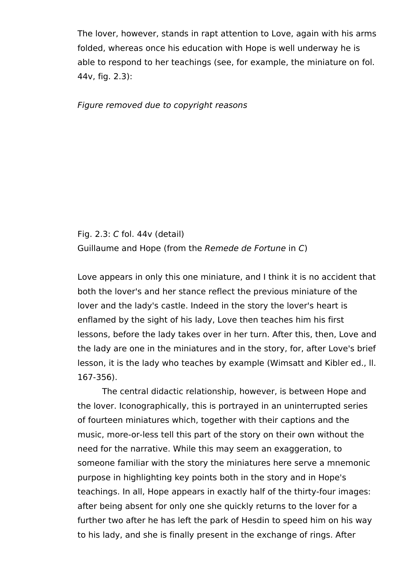The lover, however, stands in rapt attention to Love, again with his arms folded, whereas once his education with Hope is well underway he is able to respond to her teachings (see, for example, the miniature on fol. 44v, fig. 2.3):

Figure removed due to copyright reasons

Fig. 2.3: C fol. 44v (detail) Guillaume and Hope (from the Remede de Fortune in C)

Love appears in only this one miniature, and I think it is no accident that both the lover's and her stance reflect the previous miniature of the lover and the lady's castle. Indeed in the story the lover's heart is enflamed by the sight of his lady, Love then teaches him his first lessons, before the lady takes over in her turn. After this, then, Love and the lady are one in the miniatures and in the story, for, after Love's brief lesson, it is the lady who teaches by example (Wimsatt and Kibler ed., ll. 167-356).

The central didactic relationship, however, is between Hope and the lover. Iconographically, this is portrayed in an uninterrupted series of fourteen miniatures which, together with their captions and the music, more-or-less tell this part of the story on their own without the need for the narrative. While this may seem an exaggeration, to someone familiar with the story the miniatures here serve a mnemonic purpose in highlighting key points both in the story and in Hope's teachings. In all, Hope appears in exactly half of the thirty-four images: after being absent for only one she quickly returns to the lover for a further two after he has left the park of Hesdin to speed him on his way to his lady, and she is finally present in the exchange of rings. After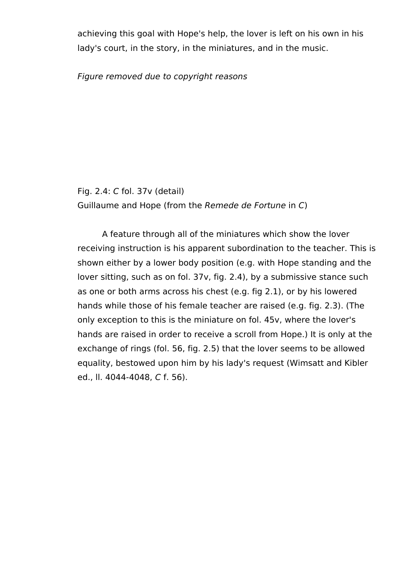achieving this goal with Hope's help, the lover is left on his own in his lady's court, in the story, in the miniatures, and in the music.

Figure removed due to copyright reasons

Fig. 2.4: C fol. 37v (detail) Guillaume and Hope (from the Remede de Fortune in C)

A feature through all of the miniatures which show the lover receiving instruction is his apparent subordination to the teacher. This is shown either by a lower body position (e.g. with Hope standing and the lover sitting, such as on fol. 37v, fig. 2.4), by a submissive stance such as one or both arms across his chest (e.g. fig 2.1), or by his lowered hands while those of his female teacher are raised (e.g. fig. 2.3). (The only exception to this is the miniature on fol. 45v, where the lover's hands are raised in order to receive a scroll from Hope.) It is only at the exchange of rings (fol. 56, fig. 2.5) that the lover seems to be allowed equality, bestowed upon him by his lady's request (Wimsatt and Kibler ed., ll. 4044-4048, C f. 56).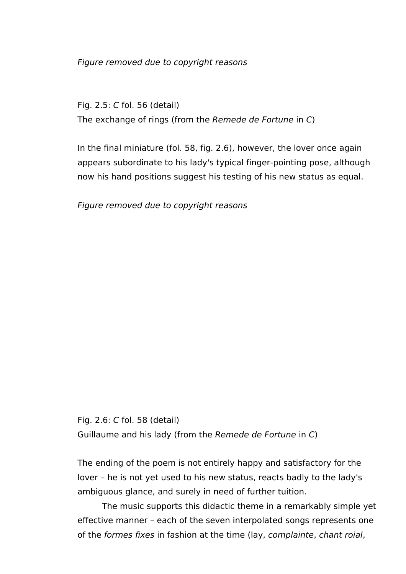# Figure removed due to copyright reasons

Fig. 2.5: C fol. 56 (detail) The exchange of rings (from the Remede de Fortune in C)

In the final miniature (fol. 58, fig. 2.6), however, the lover once again appears subordinate to his lady's typical finger-pointing pose, although now his hand positions suggest his testing of his new status as equal.

Figure removed due to copyright reasons

Fig. 2.6: C fol. 58 (detail) Guillaume and his lady (from the Remede de Fortune in C)

The ending of the poem is not entirely happy and satisfactory for the lover – he is not yet used to his new status, reacts badly to the lady's ambiguous glance, and surely in need of further tuition.

The music supports this didactic theme in a remarkably simple yet effective manner – each of the seven interpolated songs represents one of the formes fixes in fashion at the time (lay, complainte, chant roial,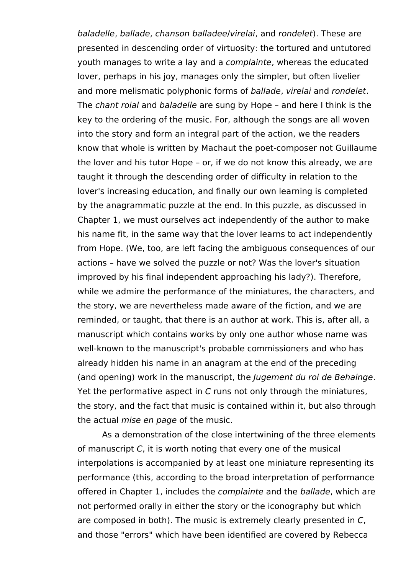baladelle, ballade, chanson balladee/virelai, and rondelet). These are presented in descending order of virtuosity: the tortured and untutored youth manages to write a lay and a complainte, whereas the educated lover, perhaps in his joy, manages only the simpler, but often livelier and more melismatic polyphonic forms of ballade, virelai and rondelet. The chant roial and baladelle are sung by Hope – and here I think is the key to the ordering of the music. For, although the songs are all woven into the story and form an integral part of the action, we the readers know that whole is written by Machaut the poet-composer not Guillaume the lover and his tutor Hope – or, if we do not know this already, we are taught it through the descending order of difficulty in relation to the lover's increasing education, and finally our own learning is completed by the anagrammatic puzzle at the end. In this puzzle, as discussed in Chapter 1, we must ourselves act independently of the author to make his name fit, in the same way that the lover learns to act independently from Hope. (We, too, are left facing the ambiguous consequences of our actions – have we solved the puzzle or not? Was the lover's situation improved by his final independent approaching his lady?). Therefore, while we admire the performance of the miniatures, the characters, and the story, we are nevertheless made aware of the fiction, and we are reminded, or taught, that there is an author at work. This is, after all, a manuscript which contains works by only one author whose name was well-known to the manuscript's probable commissioners and who has already hidden his name in an anagram at the end of the preceding (and opening) work in the manuscript, the Jugement du roi de Behainge. Yet the performative aspect in C runs not only through the miniatures, the story, and the fact that music is contained within it, but also through the actual mise en page of the music.

As a demonstration of the close intertwining of the three elements of manuscript C, it is worth noting that every one of the musical interpolations is accompanied by at least one miniature representing its performance (this, according to the broad interpretation of performance offered in Chapter 1, includes the complainte and the ballade, which are not performed orally in either the story or the iconography but which are composed in both). The music is extremely clearly presented in C, and those "errors" which have been identified are covered by Rebecca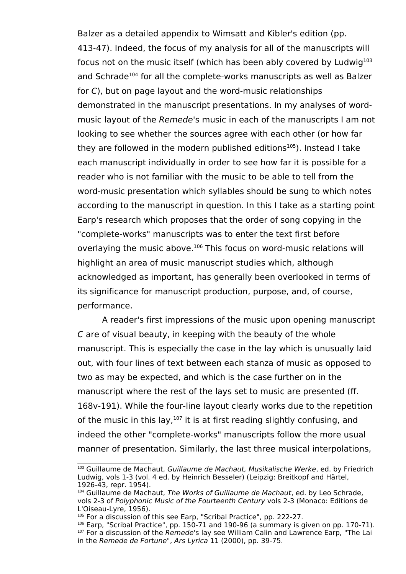Balzer as a detailed appendix to Wimsatt and Kibler's edition (pp. 413-47). Indeed, the focus of my analysis for all of the manuscripts will focus not on the music itself (which has been ably covered by Ludwig $103$ and Schrade<sup>[104](#page-57-1)</sup> for all the complete-works manuscripts as well as Balzer for C), but on page layout and the word-music relationships demonstrated in the manuscript presentations. In my analyses of wordmusic layout of the Remede's music in each of the manuscripts I am not looking to see whether the sources agree with each other (or how far they are followed in the modern published editions<sup>[105](#page-57-2)</sup>). Instead I take each manuscript individually in order to see how far it is possible for a reader who is not familiar with the music to be able to tell from the word-music presentation which syllables should be sung to which notes according to the manuscript in question. In this I take as a starting point Earp's research which proposes that the order of song copying in the "complete-works" manuscripts was to enter the text first before overlaying the music above.<sup>[106](#page-57-3)</sup> This focus on word-music relations will highlight an area of music manuscript studies which, although acknowledged as important, has generally been overlooked in terms of its significance for manuscript production, purpose, and, of course, performance.

A reader's first impressions of the music upon opening manuscript C are of visual beauty, in keeping with the beauty of the whole manuscript. This is especially the case in the lay which is unusually laid out, with four lines of text between each stanza of music as opposed to two as may be expected, and which is the case further on in the manuscript where the rest of the lays set to music are presented (ff. 168v-191). While the four-line layout clearly works due to the repetition of the music in this lay,  $107$  it is at first reading slightly confusing, and indeed the other "complete-works" manuscripts follow the more usual manner of presentation. Similarly, the last three musical interpolations,

<span id="page-57-0"></span><sup>&</sup>lt;sup>103</sup> Guillaume de Machaut, Guillaume de Machaut, Musikalische Werke, ed. by Friedrich Ludwig, vols 1-3 (vol. 4 ed. by Heinrich Besseler) (Leipzig: Breitkopf and Härtel, 1926-43, repr. 1954).

<span id="page-57-1"></span><sup>&</sup>lt;sup>104</sup> Guillaume de Machaut, The Works of Guillaume de Machaut, ed. by Leo Schrade, vols 2-3 of Polyphonic Music of the Fourteenth Century vols 2-3 (Monaco: Editions de L'Oiseau-Lyre, 1956).

<span id="page-57-2"></span><sup>105</sup> For a discussion of this see Earp, "Scribal Practice", pp. 222-27.

<span id="page-57-4"></span><span id="page-57-3"></span><sup>106</sup> Earp, "Scribal Practice", pp. 150-71 and 190-96 (a summary is given on pp. 170-71). <sup>107</sup> For a discussion of the Remede's lay see William Calin and Lawrence Earp, "The Lai in the Remede de Fortune", Ars Lyrica 11 (2000), pp. 39-75.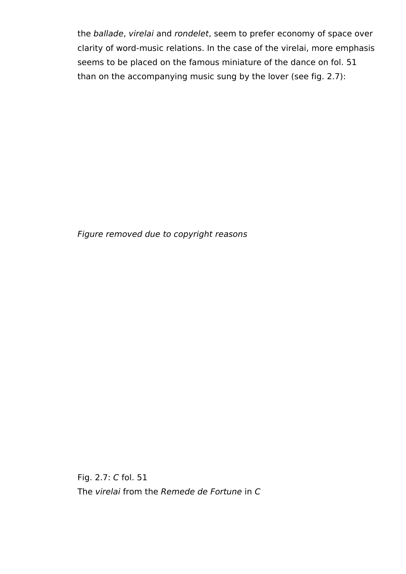the ballade, virelai and rondelet, seem to prefer economy of space over clarity of word-music relations. In the case of the virelai, more emphasis seems to be placed on the famous miniature of the dance on fol. 51 than on the accompanying music sung by the lover (see fig. 2.7):

Figure removed due to copyright reasons

Fig. 2.7: C fol. 51 The virelai from the Remede de Fortune in C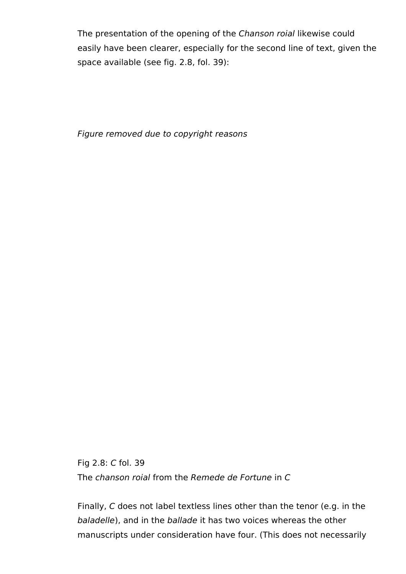The presentation of the opening of the Chanson roial likewise could easily have been clearer, especially for the second line of text, given the space available (see fig. 2.8, fol. 39):

Figure removed due to copyright reasons

Fig 2.8: C fol. 39 The chanson roial from the Remede de Fortune in C

Finally, C does not label textless lines other than the tenor (e.g. in the baladelle), and in the ballade it has two voices whereas the other manuscripts under consideration have four. (This does not necessarily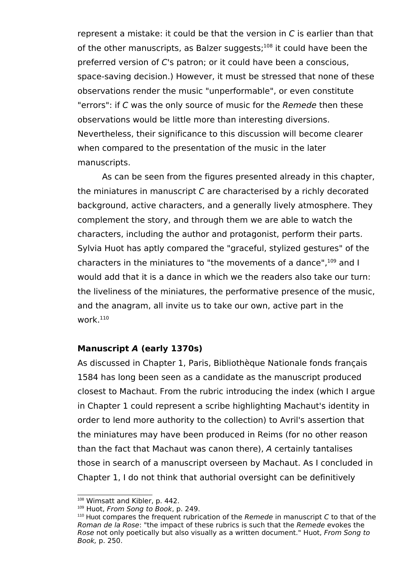represent a mistake: it could be that the version in C is earlier than that of the other manuscripts, as Balzer suggests;<sup>[108](#page-60-0)</sup> it could have been the preferred version of C's patron; or it could have been a conscious, space-saving decision.) However, it must be stressed that none of these observations render the music "unperformable", or even constitute "errors": if C was the only source of music for the Remede then these observations would be little more than interesting diversions. Nevertheless, their significance to this discussion will become clearer when compared to the presentation of the music in the later manuscripts.

As can be seen from the figures presented already in this chapter, the miniatures in manuscript C are characterised by a richly decorated background, active characters, and a generally lively atmosphere. They complement the story, and through them we are able to watch the characters, including the author and protagonist, perform their parts. Sylvia Huot has aptly compared the "graceful, stylized gestures" of the characters in the miniatures to "the movements of a dance", [109](#page-60-1) and I would add that it is a dance in which we the readers also take our turn: the liveliness of the miniatures, the performative presence of the music, and the anagram, all invite us to take our own, active part in the work $110$ 

## **Manuscript A (early 1370s)**

As discussed in Chapter 1, Paris, Bibliothèque Nationale fonds français 1584 has long been seen as a candidate as the manuscript produced closest to Machaut. From the rubric introducing the index (which I argue in Chapter 1 could represent a scribe highlighting Machaut's identity in order to lend more authority to the collection) to Avril's assertion that the miniatures may have been produced in Reims (for no other reason than the fact that Machaut was canon there), A certainly tantalises those in search of a manuscript overseen by Machaut. As I concluded in Chapter 1, I do not think that authorial oversight can be definitively

<span id="page-60-0"></span><sup>108</sup> Wimsatt and Kibler, p. 442.

<span id="page-60-1"></span><sup>&</sup>lt;sup>109</sup> Huot, From Song to Book, p. 249.

<span id="page-60-2"></span> $110$  Huot compares the frequent rubrication of the Remede in manuscript C to that of the Roman de la Rose: "the impact of these rubrics is such that the Remede evokes the Rose not only poetically but also visually as a written document." Huot, From Song to Book, p. 250.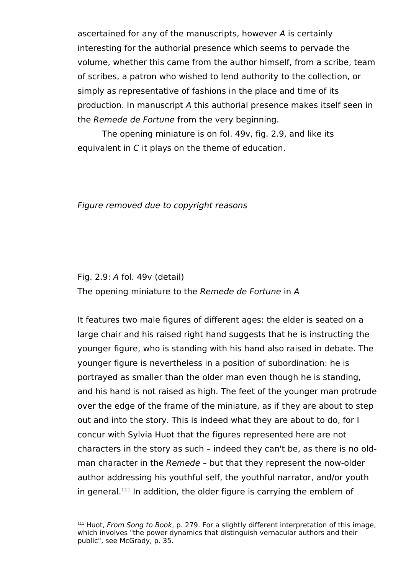ascertained for any of the manuscripts, however A is certainly interesting for the authorial presence which seems to pervade the volume, whether this came from the author himself, from a scribe, team of scribes, a patron who wished to lend authority to the collection, or simply as representative of fashions in the place and time of its production. In manuscript A this authorial presence makes itself seen in the Remede de Fortune from the very beginning.

The opening miniature is on fol. 49v, fig. 2.9, and like its equivalent in C it plays on the theme of education.

Figure removed due to copyright reasons

Fig. 2.9: A fol. 49v (detail) The opening miniature to the Remede de Fortune in A

It features two male figures of different ages: the elder is seated on a large chair and his raised right hand suggests that he is instructing the younger figure, who is standing with his hand also raised in debate. The younger figure is nevertheless in a position of subordination: he is portrayed as smaller than the older man even though he is standing, and his hand is not raised as high. The feet of the younger man protrude over the edge of the frame of the miniature, as if they are about to step out and into the story. This is indeed what they are about to do, for I concur with Sylvia Huot that the figures represented here are not characters in the story as such – indeed they can't be, as there is no oldman character in the Remede – but that they represent the now-older author addressing his youthful self, the youthful narrator, and/or youth in general. $111$  In addition, the older figure is carrying the emblem of

<span id="page-61-0"></span> $111$  Huot, From Song to Book, p. 279. For a slightly different interpretation of this image, which involves "the power dynamics that distinguish vernacular authors and their public", see McGrady, p. 35.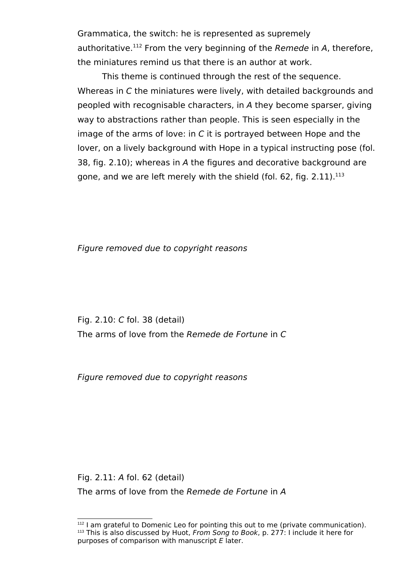Grammatica, the switch: he is represented as supremely authoritative.<sup>[112](#page-62-0)</sup> From the very beginning of the Remede in A, therefore, the miniatures remind us that there is an author at work.

This theme is continued through the rest of the sequence. Whereas in C the miniatures were lively, with detailed backgrounds and peopled with recognisable characters, in A they become sparser, giving way to abstractions rather than people. This is seen especially in the image of the arms of love: in C it is portrayed between Hope and the lover, on a lively background with Hope in a typical instructing pose (fol. 38, fig. 2.10); whereas in A the figures and decorative background are gone, and we are left merely with the shield (fol. 62, fig. 2.11).<sup>[113](#page-62-1)</sup>

Figure removed due to copyright reasons

Fig. 2.10: C fol. 38 (detail) The arms of love from the Remede de Fortune in C

Figure removed due to copyright reasons

Fig. 2.11: A fol. 62 (detail) The arms of love from the Remede de Fortune in A

<span id="page-62-1"></span><span id="page-62-0"></span><sup>&</sup>lt;sup>112</sup> I am grateful to Domenic Leo for pointing this out to me (private communication).  $113$  This is also discussed by Huot, From Song to Book, p. 277: I include it here for purposes of comparison with manuscript E later.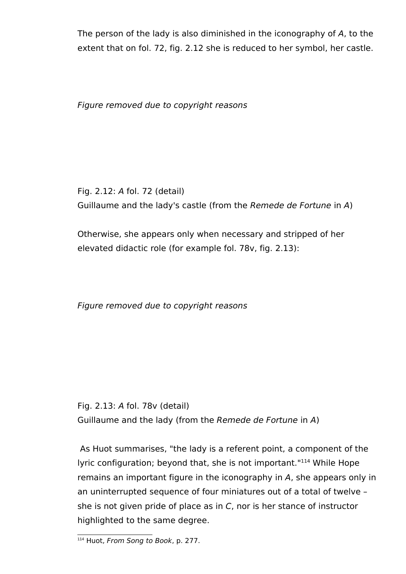The person of the lady is also diminished in the iconography of A, to the extent that on fol. 72, fig. 2.12 she is reduced to her symbol, her castle.

Figure removed due to copyright reasons

Fig. 2.12: A fol. 72 (detail) Guillaume and the lady's castle (from the Remede de Fortune in A)

Otherwise, she appears only when necessary and stripped of her elevated didactic role (for example fol. 78v, fig. 2.13):

Figure removed due to copyright reasons

Fig. 2.13: A fol. 78v (detail) Guillaume and the lady (from the Remede de Fortune in A)

 As Huot summarises, "the lady is a referent point, a component of the lyric configuration; beyond that, she is not important."[114](#page-63-0) While Hope remains an important figure in the iconography in A, she appears only in an uninterrupted sequence of four miniatures out of a total of twelve – she is not given pride of place as in C, nor is her stance of instructor highlighted to the same degree.

<span id="page-63-0"></span><sup>&</sup>lt;sup>114</sup> Huot, From Song to Book, p. 277.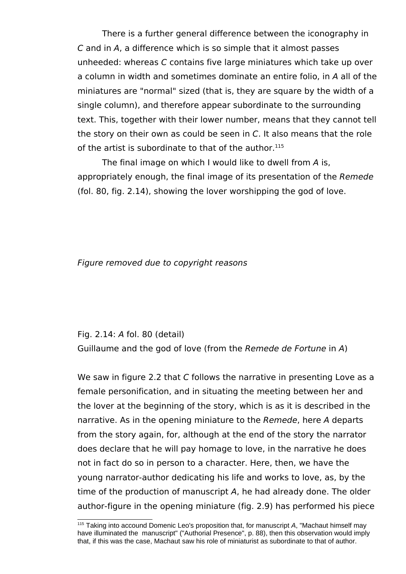There is a further general difference between the iconography in C and in A, a difference which is so simple that it almost passes unheeded: whereas C contains five large miniatures which take up over a column in width and sometimes dominate an entire folio, in A all of the miniatures are "normal" sized (that is, they are square by the width of a single column), and therefore appear subordinate to the surrounding text. This, together with their lower number, means that they cannot tell the story on their own as could be seen in C. It also means that the role of the artist is subordinate to that of the author. $115$ 

The final image on which I would like to dwell from A is, appropriately enough, the final image of its presentation of the Remede (fol. 80, fig. 2.14), showing the lover worshipping the god of love.

Figure removed due to copyright reasons

Fig. 2.14: A fol. 80 (detail) Guillaume and the god of love (from the Remede de Fortune in A)

We saw in figure 2.2 that C follows the narrative in presenting Love as a female personification, and in situating the meeting between her and the lover at the beginning of the story, which is as it is described in the narrative. As in the opening miniature to the Remede, here A departs from the story again, for, although at the end of the story the narrator does declare that he will pay homage to love, in the narrative he does not in fact do so in person to a character. Here, then, we have the young narrator-author dedicating his life and works to love, as, by the time of the production of manuscript A, he had already done. The older author-figure in the opening miniature (fig. 2.9) has performed his piece

<span id="page-64-0"></span><sup>115</sup> Taking into accound Domenic Leo's proposition that, for manuscript *A*, "Machaut himself may have illuminated the manuscript" ("Authorial Presence", p. 88), then this observation would imply that, if this was the case, Machaut saw his role of miniaturist as subordinate to that of author.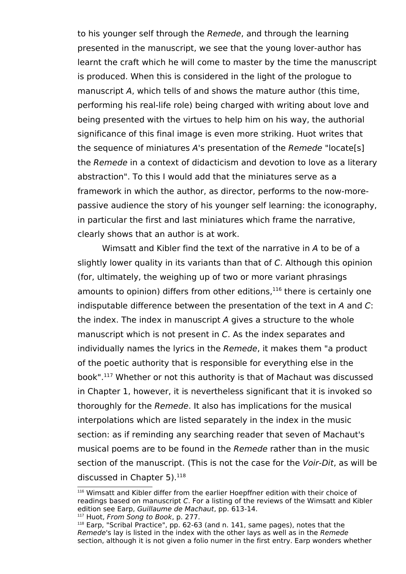to his younger self through the Remede, and through the learning presented in the manuscript, we see that the young lover-author has learnt the craft which he will come to master by the time the manuscript is produced. When this is considered in the light of the prologue to manuscript A, which tells of and shows the mature author (this time, performing his real-life role) being charged with writing about love and being presented with the virtues to help him on his way, the authorial significance of this final image is even more striking. Huot writes that the sequence of miniatures A's presentation of the Remede "locate[s] the Remede in a context of didacticism and devotion to love as a literary abstraction". To this I would add that the miniatures serve as a framework in which the author, as director, performs to the now-morepassive audience the story of his younger self learning: the iconography, in particular the first and last miniatures which frame the narrative, clearly shows that an author is at work.

Wimsatt and Kibler find the text of the narrative in A to be of a slightly lower quality in its variants than that of C. Although this opinion (for, ultimately, the weighing up of two or more variant phrasings amounts to opinion) differs from other editions, $116$  there is certainly one indisputable difference between the presentation of the text in A and C: the index. The index in manuscript A gives a structure to the whole manuscript which is not present in C. As the index separates and individually names the lyrics in the Remede, it makes them "a product of the poetic authority that is responsible for everything else in the book".[117](#page-65-1) Whether or not this authority is that of Machaut was discussed in Chapter 1, however, it is nevertheless significant that it is invoked so thoroughly for the Remede. It also has implications for the musical interpolations which are listed separately in the index in the music section: as if reminding any searching reader that seven of Machaut's musical poems are to be found in the Remede rather than in the music section of the manuscript. (This is not the case for the Voir-Dit, as will be discussed in Chapter 5).<sup>[118](#page-65-2)</sup>

<span id="page-65-1"></span><sup>117</sup> Huot, From Song to Book, p. 277.

<span id="page-65-0"></span><sup>116</sup> Wimsatt and Kibler differ from the earlier Hoepffner edition with their choice of readings based on manuscript C. For a listing of the reviews of the Wimsatt and Kibler edition see Earp, Guillaume de Machaut, pp. 613-14.

<span id="page-65-2"></span><sup>118</sup> Earp, "Scribal Practice", pp. 62-63 (and n. 141, same pages), notes that the Remede's lay is listed in the index with the other lays as well as in the Remede section, although it is not given a folio numer in the first entry. Earp wonders whether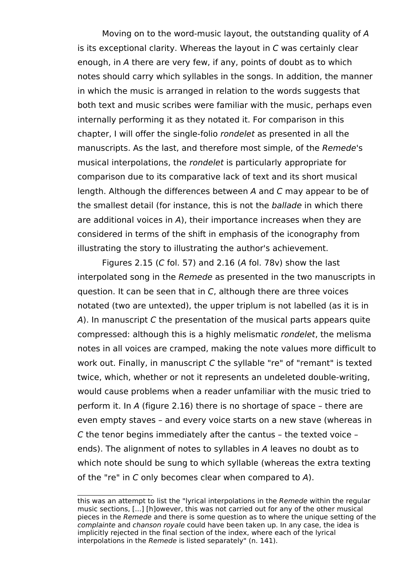Moving on to the word-music layout, the outstanding quality of A is its exceptional clarity. Whereas the layout in C was certainly clear enough, in A there are very few, if any, points of doubt as to which notes should carry which syllables in the songs. In addition, the manner in which the music is arranged in relation to the words suggests that both text and music scribes were familiar with the music, perhaps even internally performing it as they notated it. For comparison in this chapter, I will offer the single-folio rondelet as presented in all the manuscripts. As the last, and therefore most simple, of the Remede's musical interpolations, the rondelet is particularly appropriate for comparison due to its comparative lack of text and its short musical length. Although the differences between A and C may appear to be of the smallest detail (for instance, this is not the ballade in which there are additional voices in A), their importance increases when they are considered in terms of the shift in emphasis of the iconography from illustrating the story to illustrating the author's achievement.

Figures 2.15 (C fol. 57) and 2.16 (A fol. 78v) show the last interpolated song in the Remede as presented in the two manuscripts in question. It can be seen that in C, although there are three voices notated (two are untexted), the upper triplum is not labelled (as it is in A). In manuscript C the presentation of the musical parts appears quite compressed: although this is a highly melismatic rondelet, the melisma notes in all voices are cramped, making the note values more difficult to work out. Finally, in manuscript C the syllable "re" of "remant" is texted twice, which, whether or not it represents an undeleted double-writing, would cause problems when a reader unfamiliar with the music tried to perform it. In A (figure 2.16) there is no shortage of space – there are even empty staves – and every voice starts on a new stave (whereas in C the tenor begins immediately after the cantus – the texted voice – ends). The alignment of notes to syllables in A leaves no doubt as to which note should be sung to which syllable (whereas the extra texting of the "re" in C only becomes clear when compared to A).

this was an attempt to list the "lyrical interpolations in the Remede within the regular music sections, [...] [h]owever, this was not carried out for any of the other musical pieces in the Remede and there is some question as to where the unique setting of the complainte and chanson royale could have been taken up. In any case, the idea is implicitly rejected in the final section of the index, where each of the lyrical interpolations in the Remede is listed separately" (n. 141).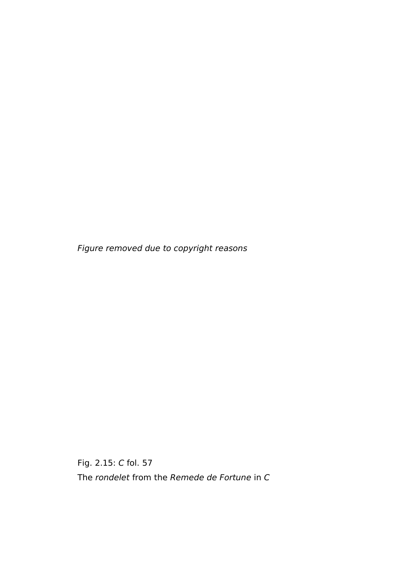Figure removed due to copyright reasons

Fig. 2.15: C fol. 57 The rondelet from the Remede de Fortune in C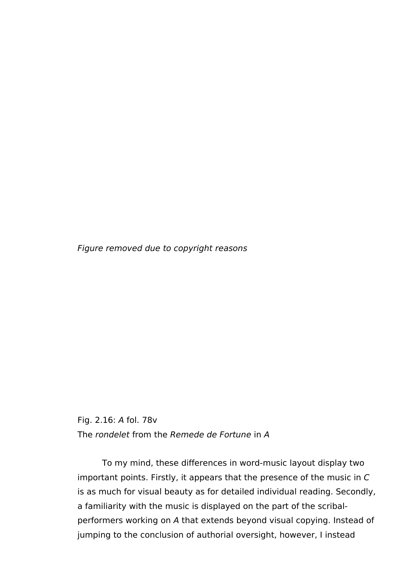Figure removed due to copyright reasons

Fig. 2.16: A fol. 78v The rondelet from the Remede de Fortune in A

To my mind, these differences in word-music layout display two important points. Firstly, it appears that the presence of the music in C is as much for visual beauty as for detailed individual reading. Secondly, a familiarity with the music is displayed on the part of the scribalperformers working on A that extends beyond visual copying. Instead of jumping to the conclusion of authorial oversight, however, I instead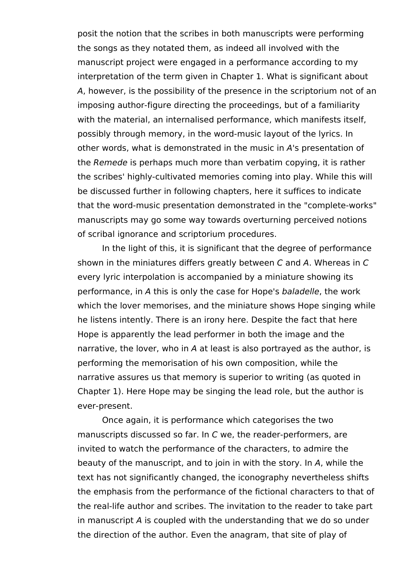posit the notion that the scribes in both manuscripts were performing the songs as they notated them, as indeed all involved with the manuscript project were engaged in a performance according to my interpretation of the term given in Chapter 1. What is significant about A, however, is the possibility of the presence in the scriptorium not of an imposing author-figure directing the proceedings, but of a familiarity with the material, an internalised performance, which manifests itself, possibly through memory, in the word-music layout of the lyrics. In other words, what is demonstrated in the music in A's presentation of the Remede is perhaps much more than verbatim copying, it is rather the scribes' highly-cultivated memories coming into play. While this will be discussed further in following chapters, here it suffices to indicate that the word-music presentation demonstrated in the "complete-works" manuscripts may go some way towards overturning perceived notions of scribal ignorance and scriptorium procedures.

In the light of this, it is significant that the degree of performance shown in the miniatures differs greatly between C and A. Whereas in C every lyric interpolation is accompanied by a miniature showing its performance, in A this is only the case for Hope's baladelle, the work which the lover memorises, and the miniature shows Hope singing while he listens intently. There is an irony here. Despite the fact that here Hope is apparently the lead performer in both the image and the narrative, the lover, who in A at least is also portrayed as the author, is performing the memorisation of his own composition, while the narrative assures us that memory is superior to writing (as quoted in Chapter 1). Here Hope may be singing the lead role, but the author is ever-present.

Once again, it is performance which categorises the two manuscripts discussed so far. In C we, the reader-performers, are invited to watch the performance of the characters, to admire the beauty of the manuscript, and to join in with the story. In A, while the text has not significantly changed, the iconography nevertheless shifts the emphasis from the performance of the fictional characters to that of the real-life author and scribes. The invitation to the reader to take part in manuscript A is coupled with the understanding that we do so under the direction of the author. Even the anagram, that site of play of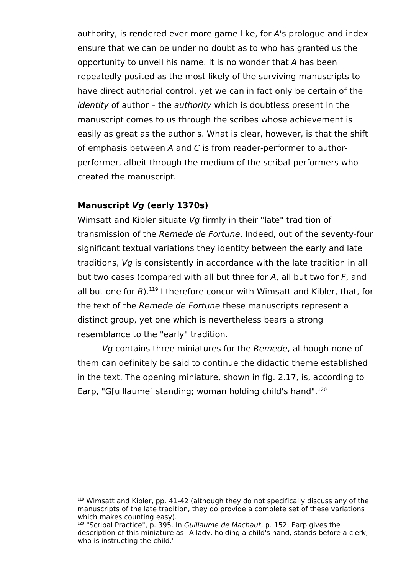authority, is rendered ever-more game-like, for A's prologue and index ensure that we can be under no doubt as to who has granted us the opportunity to unveil his name. It is no wonder that A has been repeatedly posited as the most likely of the surviving manuscripts to have direct authorial control, yet we can in fact only be certain of the identity of author - the *authority* which is doubtless present in the manuscript comes to us through the scribes whose achievement is easily as great as the author's. What is clear, however, is that the shift of emphasis between A and C is from reader-performer to authorperformer, albeit through the medium of the scribal-performers who created the manuscript.

# **Manuscript Vg (early 1370s)**

Wimsatt and Kibler situate Vg firmly in their "late" tradition of transmission of the Remede de Fortune. Indeed, out of the seventy-four significant textual variations they identity between the early and late traditions, Vg is consistently in accordance with the late tradition in all but two cases (compared with all but three for A, all but two for F, and all but one for  $B$ ).<sup>[119](#page-70-0)</sup> I therefore concur with Wimsatt and Kibler, that, for the text of the Remede de Fortune these manuscripts represent a distinct group, yet one which is nevertheless bears a strong resemblance to the "early" tradition.

Vg contains three miniatures for the Remede, although none of them can definitely be said to continue the didactic theme established in the text. The opening miniature, shown in fig. 2.17, is, according to Earp, "G[uillaume] standing; woman holding child's hand".<sup>[120](#page-70-1)</sup>

<span id="page-70-0"></span><sup>119</sup> Wimsatt and Kibler, pp. 41-42 (although they do not specifically discuss any of the manuscripts of the late tradition, they do provide a complete set of these variations which makes counting easy).

<span id="page-70-1"></span> $120$  "Scribal Practice", p. 395. In Guillaume de Machaut, p. 152, Earp gives the description of this miniature as "A lady, holding a child's hand, stands before a clerk, who is instructing the child."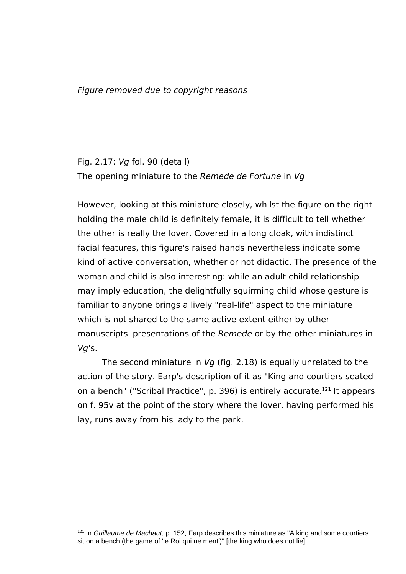Figure removed due to copyright reasons

Fig. 2.17: Vg fol. 90 (detail) The opening miniature to the Remede de Fortune in Vg

However, looking at this miniature closely, whilst the figure on the right holding the male child is definitely female, it is difficult to tell whether the other is really the lover. Covered in a long cloak, with indistinct facial features, this figure's raised hands nevertheless indicate some kind of active conversation, whether or not didactic. The presence of the woman and child is also interesting: while an adult-child relationship may imply education, the delightfully squirming child whose gesture is familiar to anyone brings a lively "real-life" aspect to the miniature which is not shared to the same active extent either by other manuscripts' presentations of the Remede or by the other miniatures in Vg's.

The second miniature in Vg (fig. 2.18) is equally unrelated to the action of the story. Earp's description of it as "King and courtiers seated on a bench" ("Scribal Practice", p. 396) is entirely accurate.<sup>[121](#page-71-0)</sup> It appears on f. 95v at the point of the story where the lover, having performed his lay, runs away from his lady to the park.

<span id="page-71-0"></span><sup>&</sup>lt;sup>121</sup> In *Guillaume de Machaut*, p. 152, Earp describes this miniature as "A king and some courtiers sit on a bench (the game of 'le Roi qui ne ment')" [the king who does not lie].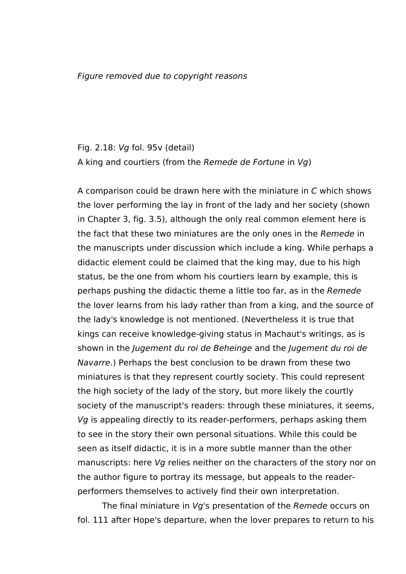### Fig. 2.18: Vg fol. 95v (detail) A king and courtiers (from the Remede de Fortune in Vg)

A comparison could be drawn here with the miniature in C which shows the lover performing the lay in front of the lady and her society (shown in Chapter 3, fig. 3.5), although the only real common element here is the fact that these two miniatures are the only ones in the Remede in the manuscripts under discussion which include a king. While perhaps a didactic element could be claimed that the king may, due to his high status, be the one from whom his courtiers learn by example, this is perhaps pushing the didactic theme a little too far, as in the Remede the lover learns from his lady rather than from a king, and the source of the lady's knowledge is not mentioned. (Nevertheless it is true that kings can receive knowledge-giving status in Machaut's writings, as is shown in the Jugement du roi de Beheinge and the Jugement du roi de Navarre.) Perhaps the best conclusion to be drawn from these two miniatures is that they represent courtly society. This could represent the high society of the lady of the story, but more likely the courtly society of the manuscript's readers: through these miniatures, it seems, Vg is appealing directly to its reader-performers, perhaps asking them to see in the story their own personal situations. While this could be seen as itself didactic, it is in a more subtle manner than the other manuscripts: here Vg relies neither on the characters of the story nor on the author figure to portray its message, but appeals to the readerperformers themselves to actively find their own interpretation.

The final miniature in Vg's presentation of the Remede occurs on fol. 111 after Hope's departure, when the lover prepares to return to his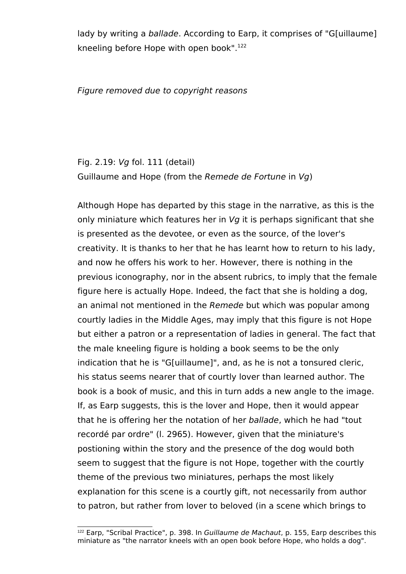lady by writing a *ballade*. According to Earp, it comprises of "G[uillaume] kneeling before Hope with open book".<sup>[122](#page-73-0)</sup>

Figure removed due to copyright reasons

Fig. 2.19: Vg fol. 111 (detail) Guillaume and Hope (from the Remede de Fortune in Vg)

Although Hope has departed by this stage in the narrative, as this is the only miniature which features her in  $Vq$  it is perhaps significant that she is presented as the devotee, or even as the source, of the lover's creativity. It is thanks to her that he has learnt how to return to his lady, and now he offers his work to her. However, there is nothing in the previous iconography, nor in the absent rubrics, to imply that the female figure here is actually Hope. Indeed, the fact that she is holding a dog, an animal not mentioned in the Remede but which was popular among courtly ladies in the Middle Ages, may imply that this figure is not Hope but either a patron or a representation of ladies in general. The fact that the male kneeling figure is holding a book seems to be the only indication that he is "G[uillaume]", and, as he is not a tonsured cleric, his status seems nearer that of courtly lover than learned author. The book is a book of music, and this in turn adds a new angle to the image. If, as Earp suggests, this is the lover and Hope, then it would appear that he is offering her the notation of her ballade, which he had "tout recordé par ordre" (l. 2965). However, given that the miniature's postioning within the story and the presence of the dog would both seem to suggest that the figure is not Hope, together with the courtly theme of the previous two miniatures, perhaps the most likely explanation for this scene is a courtly gift, not necessarily from author to patron, but rather from lover to beloved (in a scene which brings to

<span id="page-73-0"></span><sup>&</sup>lt;sup>122</sup> Earp, "Scribal Practice", p. 398. In Guillaume de Machaut, p. 155, Earp describes this miniature as "the narrator kneels with an open book before Hope, who holds a dog".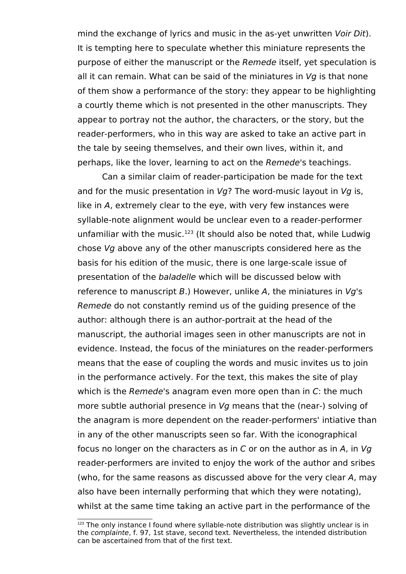mind the exchange of lyrics and music in the as-yet unwritten Voir Dit). It is tempting here to speculate whether this miniature represents the purpose of either the manuscript or the Remede itself, yet speculation is all it can remain. What can be said of the miniatures in  $Vg$  is that none of them show a performance of the story: they appear to be highlighting a courtly theme which is not presented in the other manuscripts. They appear to portray not the author, the characters, or the story, but the reader-performers, who in this way are asked to take an active part in the tale by seeing themselves, and their own lives, within it, and perhaps, like the lover, learning to act on the Remede's teachings.

Can a similar claim of reader-participation be made for the text and for the music presentation in  $Vq$ ? The word-music layout in  $Vq$  is, like in A, extremely clear to the eye, with very few instances were syllable-note alignment would be unclear even to a reader-performer unfamiliar with the music. $123$  (It should also be noted that, while Ludwig chose Vg above any of the other manuscripts considered here as the basis for his edition of the music, there is one large-scale issue of presentation of the baladelle which will be discussed below with reference to manuscript  $B$ .) However, unlike  $A$ , the miniatures in  $Vg$ 's Remede do not constantly remind us of the guiding presence of the author: although there is an author-portrait at the head of the manuscript, the authorial images seen in other manuscripts are not in evidence. Instead, the focus of the miniatures on the reader-performers means that the ease of coupling the words and music invites us to join in the performance actively. For the text, this makes the site of play which is the Remede's anagram even more open than in C: the much more subtle authorial presence in Vg means that the (near-) solving of the anagram is more dependent on the reader-performers' intiative than in any of the other manuscripts seen so far. With the iconographical focus no longer on the characters as in  $C$  or on the author as in  $A$ , in  $Vq$ reader-performers are invited to enjoy the work of the author and sribes (who, for the same reasons as discussed above for the very clear A, may also have been internally performing that which they were notating), whilst at the same time taking an active part in the performance of the

<span id="page-74-0"></span> $123$  The only instance I found where syllable-note distribution was slightly unclear is in the complainte, f. 97, 1st stave, second text. Nevertheless, the intended distribution can be ascertained from that of the first text.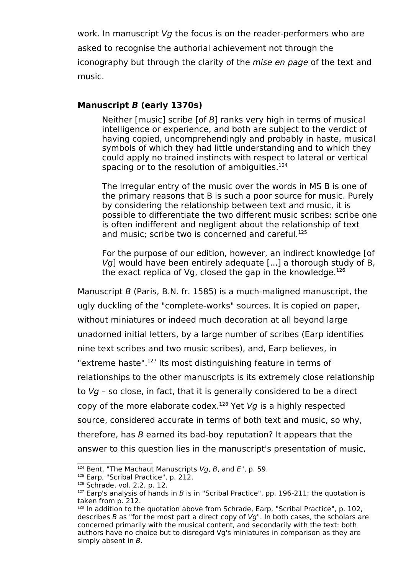work. In manuscript Vg the focus is on the reader-performers who are asked to recognise the authorial achievement not through the iconography but through the clarity of the mise en page of the text and music.

### **Manuscript B (early 1370s)**

Neither [music] scribe [of B] ranks very high in terms of musical intelligence or experience, and both are subject to the verdict of having copied, uncomprehendingly and probably in haste, musical symbols of which they had little understanding and to which they could apply no trained instincts with respect to lateral or vertical spacing or to the resolution of ambiguities.<sup>[124](#page-75-0)</sup>

The irregular entry of the music over the words in MS B is one of the primary reasons that B is such a poor source for music. Purely by considering the relationship between text and music, it is possible to differentiate the two different music scribes: scribe one is often indifferent and negligent about the relationship of text and music; scribe two is concerned and careful.<sup>[125](#page-75-1)</sup>

For the purpose of our edition, however, an indirect knowledge [of Vg] would have been entirely adequate [...] a thorough study of B, the exact replica of Vg, closed the gap in the knowledge.<sup>[126](#page-75-2)</sup>

Manuscript B (Paris, B.N. fr. 1585) is a much-maligned manuscript, the ugly duckling of the "complete-works" sources. It is copied on paper, without miniatures or indeed much decoration at all beyond large unadorned initial letters, by a large number of scribes (Earp identifies nine text scribes and two music scribes), and, Earp believes, in "extreme haste".[127](#page-75-3) Its most distinguishing feature in terms of relationships to the other manuscripts is its extremely close relationship to Vg – so close, in fact, that it is generally considered to be a direct copy of the more elaborate codex.<sup>[128](#page-75-4)</sup> Yet Vg is a highly respected source, considered accurate in terms of both text and music, so why, therefore, has B earned its bad-boy reputation? It appears that the answer to this question lies in the manuscript's presentation of music,

<span id="page-75-0"></span> $124$  Bent, "The Machaut Manuscripts Vg, B, and E", p. 59.

<span id="page-75-1"></span><sup>&</sup>lt;sup>125</sup> Earp, "Scribal Practice", p. 212.

<span id="page-75-2"></span><sup>126</sup> Schrade, vol. 2.2, p. 12.

<span id="page-75-3"></span><sup>&</sup>lt;sup>127</sup> Earp's analysis of hands in B is in "Scribal Practice", pp. 196-211; the quotation is taken from p. 212.

<span id="page-75-4"></span> $128$  In addition to the quotation above from Schrade, Earp, "Scribal Practice", p. 102, describes B as "for the most part a direct copy of  $Vg$ ". In both cases, the scholars are concerned primarily with the musical content, and secondarily with the text: both authors have no choice but to disregard Vg's miniatures in comparison as they are simply absent in B.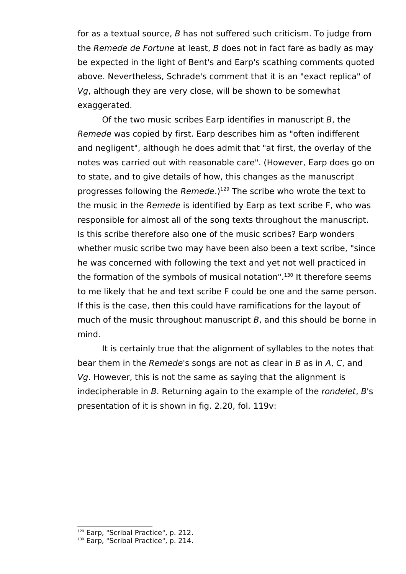for as a textual source, B has not suffered such criticism. To judge from the Remede de Fortune at least, B does not in fact fare as badly as may be expected in the light of Bent's and Earp's scathing comments quoted above. Nevertheless, Schrade's comment that it is an "exact replica" of Vg, although they are very close, will be shown to be somewhat exaggerated.

Of the two music scribes Earp identifies in manuscript B, the Remede was copied by first. Earp describes him as "often indifferent and negligent", although he does admit that "at first, the overlay of the notes was carried out with reasonable care". (However, Earp does go on to state, and to give details of how, this changes as the manuscript progresses following the Remede.)<sup>[129](#page-76-0)</sup> The scribe who wrote the text to the music in the Remede is identified by Earp as text scribe F, who was responsible for almost all of the song texts throughout the manuscript. Is this scribe therefore also one of the music scribes? Earp wonders whether music scribe two may have been also been a text scribe, "since he was concerned with following the text and yet not well practiced in the formation of the symbols of musical notation".<sup>[130](#page-76-1)</sup> It therefore seems to me likely that he and text scribe F could be one and the same person. If this is the case, then this could have ramifications for the layout of much of the music throughout manuscript B, and this should be borne in mind.

It is certainly true that the alignment of syllables to the notes that bear them in the Remede's songs are not as clear in B as in A, C, and Vq. However, this is not the same as saying that the alignment is indecipherable in B. Returning again to the example of the rondelet, B's presentation of it is shown in fig. 2.20, fol. 119v:

<span id="page-76-0"></span><sup>&</sup>lt;sup>129</sup> Earp, "Scribal Practice", p. 212.

<span id="page-76-1"></span><sup>&</sup>lt;sup>130</sup> Earp, "Scribal Practice", p. 214.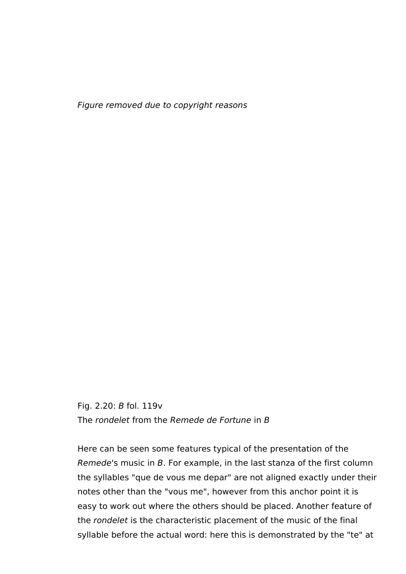Fig. 2.20: B fol. 119v The rondelet from the Remede de Fortune in B

Here can be seen some features typical of the presentation of the Remede's music in B. For example, in the last stanza of the first column the syllables "que de vous me depar" are not aligned exactly under their notes other than the "vous me", however from this anchor point it is easy to work out where the others should be placed. Another feature of the rondelet is the characteristic placement of the music of the final syllable before the actual word: here this is demonstrated by the "te" at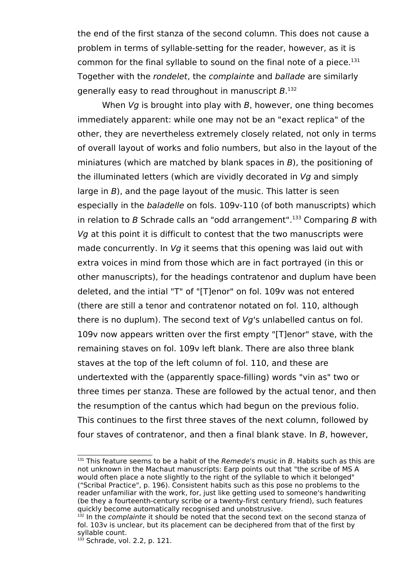the end of the first stanza of the second column. This does not cause a problem in terms of syllable-setting for the reader, however, as it is common for the final syllable to sound on the final note of a piece. $131$ Together with the rondelet, the complainte and ballade are similarly generally easy to read throughout in manuscript  $B.^{132}$  $B.^{132}$  $B.^{132}$ 

When  $Vg$  is brought into play with  $B$ , however, one thing becomes immediately apparent: while one may not be an "exact replica" of the other, they are nevertheless extremely closely related, not only in terms of overall layout of works and folio numbers, but also in the layout of the miniatures (which are matched by blank spaces in  $B$ ), the positioning of the illuminated letters (which are vividly decorated in Vg and simply large in B), and the page layout of the music. This latter is seen especially in the baladelle on fols. 109v-110 (of both manuscripts) which in relation to B Schrade calls an "odd arrangement".<sup>[133](#page-78-2)</sup> Comparing B with Vg at this point it is difficult to contest that the two manuscripts were made concurrently. In Vg it seems that this opening was laid out with extra voices in mind from those which are in fact portrayed (in this or other manuscripts), for the headings contratenor and duplum have been deleted, and the intial "T" of "[T]enor" on fol. 109v was not entered (there are still a tenor and contratenor notated on fol. 110, although there is no duplum). The second text of  $Vq$ 's unlabelled cantus on fol. 109v now appears written over the first empty "[T]enor" stave, with the remaining staves on fol. 109v left blank. There are also three blank staves at the top of the left column of fol. 110, and these are undertexted with the (apparently space-filling) words "vin as" two or three times per stanza. These are followed by the actual tenor, and then the resumption of the cantus which had begun on the previous folio. This continues to the first three staves of the next column, followed by four staves of contratenor, and then a final blank stave. In B, however,

<span id="page-78-0"></span> $131$  This feature seems to be a habit of the Remede's music in B. Habits such as this are not unknown in the Machaut manuscripts: Earp points out that "the scribe of MS A would often place a note slightly to the right of the syllable to which it belonged" ("Scribal Practice", p. 196). Consistent habits such as this pose no problems to the reader unfamiliar with the work, for, just like getting used to someone's handwriting (be they a fourteenth-century scribe or a twenty-first century friend), such features quickly become automatically recognised and unobstrusive.

<span id="page-78-1"></span><sup>&</sup>lt;sup>132</sup> In the complainte it should be noted that the second text on the second stanza of fol. 103v is unclear, but its placement can be deciphered from that of the first by syllable count.

<span id="page-78-2"></span> $133$  Schrade, vol. 2.2, p. 121.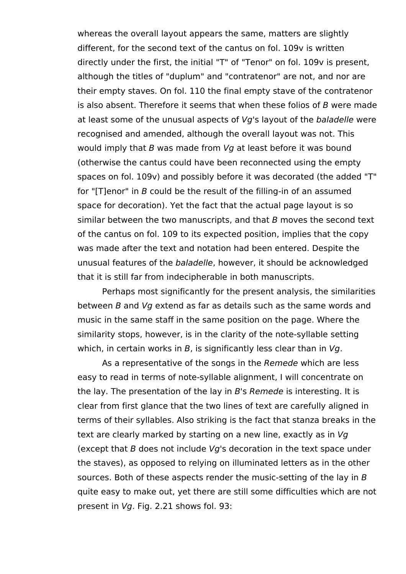whereas the overall layout appears the same, matters are slightly different, for the second text of the cantus on fol. 109v is written directly under the first, the initial "T" of "Tenor" on fol. 109v is present, although the titles of "duplum" and "contratenor" are not, and nor are their empty staves. On fol. 110 the final empty stave of the contratenor is also absent. Therefore it seems that when these folios of B were made at least some of the unusual aspects of  $Vg$ 's layout of the baladelle were recognised and amended, although the overall layout was not. This would imply that  $B$  was made from  $Vg$  at least before it was bound (otherwise the cantus could have been reconnected using the empty spaces on fol. 109v) and possibly before it was decorated (the added "T" for "[T]enor" in B could be the result of the filling-in of an assumed space for decoration). Yet the fact that the actual page layout is so similar between the two manuscripts, and that  $B$  moves the second text of the cantus on fol. 109 to its expected position, implies that the copy was made after the text and notation had been entered. Despite the unusual features of the baladelle, however, it should be acknowledged that it is still far from indecipherable in both manuscripts.

Perhaps most significantly for the present analysis, the similarities between B and Vg extend as far as details such as the same words and music in the same staff in the same position on the page. Where the similarity stops, however, is in the clarity of the note-syllable setting which, in certain works in  $B$ , is significantly less clear than in  $Vg$ .

As a representative of the songs in the Remede which are less easy to read in terms of note-syllable alignment, I will concentrate on the lay. The presentation of the lay in  $B$ 's Remede is interesting. It is clear from first glance that the two lines of text are carefully aligned in terms of their syllables. Also striking is the fact that stanza breaks in the text are clearly marked by starting on a new line, exactly as in Vg (except that B does not include Vg's decoration in the text space under the staves), as opposed to relying on illuminated letters as in the other sources. Both of these aspects render the music-setting of the lay in B quite easy to make out, yet there are still some difficulties which are not present in Vg. Fig. 2.21 shows fol. 93: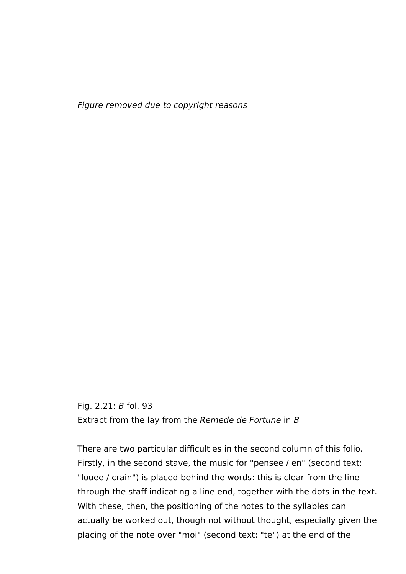Fig. 2.21: B fol. 93 Extract from the lay from the Remede de Fortune in B

There are two particular difficulties in the second column of this folio. Firstly, in the second stave, the music for "pensee / en" (second text: "louee / crain") is placed behind the words: this is clear from the line through the staff indicating a line end, together with the dots in the text. With these, then, the positioning of the notes to the syllables can actually be worked out, though not without thought, especially given the placing of the note over "moi" (second text: "te") at the end of the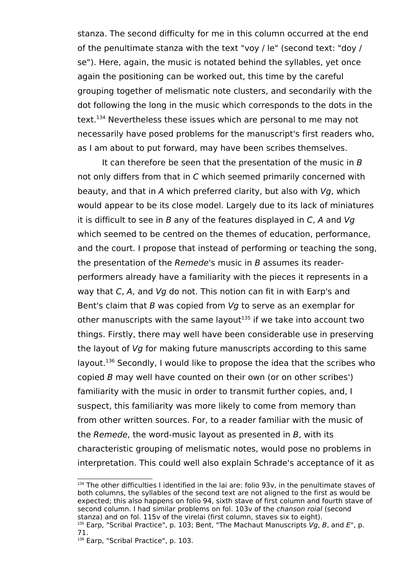stanza. The second difficulty for me in this column occurred at the end of the penultimate stanza with the text "voy / le" (second text: "doy / se"). Here, again, the music is notated behind the syllables, yet once again the positioning can be worked out, this time by the careful grouping together of melismatic note clusters, and secondarily with the dot following the long in the music which corresponds to the dots in the text.[134](#page-81-0) Nevertheless these issues which are personal to me may not necessarily have posed problems for the manuscript's first readers who, as I am about to put forward, may have been scribes themselves.

It can therefore be seen that the presentation of the music in B not only differs from that in C which seemed primarily concerned with beauty, and that in A which preferred clarity, but also with Vg, which would appear to be its close model. Largely due to its lack of miniatures it is difficult to see in  $B$  any of the features displayed in  $C$ , A and  $Vq$ which seemed to be centred on the themes of education, performance, and the court. I propose that instead of performing or teaching the song, the presentation of the Remede's music in  $B$  assumes its readerperformers already have a familiarity with the pieces it represents in a way that C, A, and Vg do not. This notion can fit in with Earp's and Bent's claim that  $B$  was copied from  $Vg$  to serve as an exemplar for other manuscripts with the same layout $135$  if we take into account two things. Firstly, there may well have been considerable use in preserving the layout of Vg for making future manuscripts according to this same layout.[136](#page-81-2) Secondly, I would like to propose the idea that the scribes who copied B may well have counted on their own (or on other scribes') familiarity with the music in order to transmit further copies, and, I suspect, this familiarity was more likely to come from memory than from other written sources. For, to a reader familiar with the music of the Remede, the word-music layout as presented in  $B$ , with its characteristic grouping of melismatic notes, would pose no problems in interpretation. This could well also explain Schrade's acceptance of it as

<span id="page-81-0"></span> $134$  The other difficulties I identified in the lai are: folio 93v, in the penultimate staves of both columns, the syllables of the second text are not aligned to the first as would be expected; this also happens on folio 94, sixth stave of first column and fourth stave of second column. I had similar problems on fol. 103v of the chanson roial (second stanza) and on fol. 115v of the virelai (first column, staves six to eight).

<span id="page-81-1"></span><sup>&</sup>lt;sup>135</sup> Earp, "Scribal Practice", p. 103; Bent, "The Machaut Manuscripts  $Vg$ , B, and E", p. 71.

<span id="page-81-2"></span><sup>136</sup> Earp, "Scribal Practice", p. 103.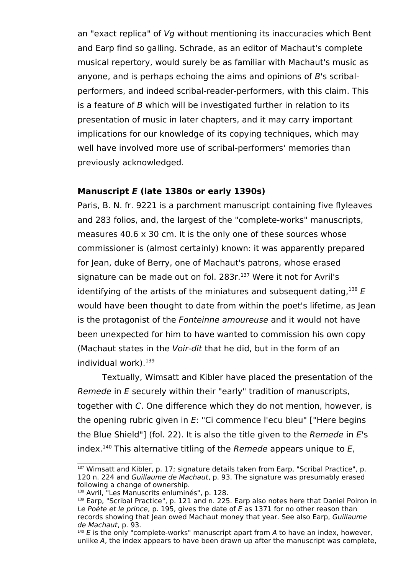an "exact replica" of Vg without mentioning its inaccuracies which Bent and Earp find so galling. Schrade, as an editor of Machaut's complete musical repertory, would surely be as familiar with Machaut's music as anyone, and is perhaps echoing the aims and opinions of B's scribalperformers, and indeed scribal-reader-performers, with this claim. This is a feature of B which will be investigated further in relation to its presentation of music in later chapters, and it may carry important implications for our knowledge of its copying techniques, which may well have involved more use of scribal-performers' memories than previously acknowledged.

### **Manuscript E (late 1380s or early 1390s)**

Paris, B. N. fr. 9221 is a parchment manuscript containing five flyleaves and 283 folios, and, the largest of the "complete-works" manuscripts, measures 40.6 x 30 cm. It is the only one of these sources whose commissioner is (almost certainly) known: it was apparently prepared for Jean, duke of Berry, one of Machaut's patrons, whose erased signature can be made out on fol.  $283r<sup>137</sup>$  $283r<sup>137</sup>$  $283r<sup>137</sup>$  Were it not for Avril's identifying of the artists of the miniatures and subsequent dating,  $138$  E would have been thought to date from within the poet's lifetime, as Jean is the protagonist of the Fonteinne amoureuse and it would not have been unexpected for him to have wanted to commission his own copy (Machaut states in the Voir-dit that he did, but in the form of an individual work).<sup>[139](#page-82-2)</sup>

Textually, Wimsatt and Kibler have placed the presentation of the Remede in E securely within their "early" tradition of manuscripts, together with C. One difference which they do not mention, however, is the opening rubric given in E: "Ci commence l'ecu bleu" ["Here begins the Blue Shield"] (fol. 22). It is also the title given to the Remede in E's index.<sup>[140](#page-82-3)</sup> This alternative titling of the Remede appears unique to  $E$ .

<span id="page-82-0"></span><sup>137</sup> Wimsatt and Kibler, p. 17; signature details taken from Earp, "Scribal Practice", p. 120 n. 224 and Guillaume de Machaut, p. 93. The signature was presumably erased following a change of ownership.

<span id="page-82-1"></span><sup>138</sup> Avril, "Les Manuscrits enluminés", p. 128.

<span id="page-82-2"></span><sup>139</sup> Earp, "Scribal Practice", p. 121 and n. 225. Earp also notes here that Daniel Poiron in Le Poète et le prince, p. 195, gives the date of  $E$  as 1371 for no other reason than records showing that Jean owed Machaut money that year. See also Earp, Guillaume de Machaut, p. 93.

<span id="page-82-3"></span> $140$  E is the only "complete-works" manuscript apart from A to have an index, however, unlike A, the index appears to have been drawn up after the manuscript was complete,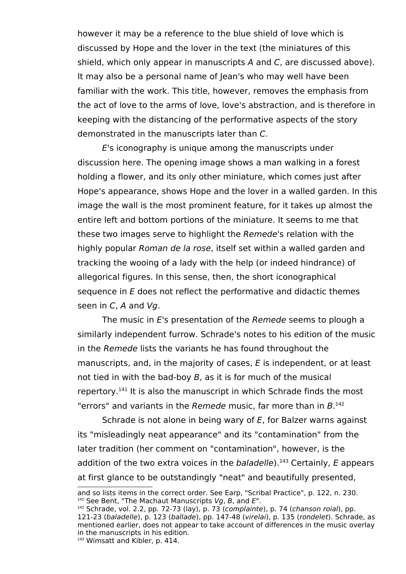however it may be a reference to the blue shield of love which is discussed by Hope and the lover in the text (the miniatures of this shield, which only appear in manuscripts A and C, are discussed above). It may also be a personal name of Jean's who may well have been familiar with the work. This title, however, removes the emphasis from the act of love to the arms of love, love's abstraction, and is therefore in keeping with the distancing of the performative aspects of the story demonstrated in the manuscripts later than C.

E's iconography is unique among the manuscripts under discussion here. The opening image shows a man walking in a forest holding a flower, and its only other miniature, which comes just after Hope's appearance, shows Hope and the lover in a walled garden. In this image the wall is the most prominent feature, for it takes up almost the entire left and bottom portions of the miniature. It seems to me that these two images serve to highlight the Remede's relation with the highly popular Roman de la rose, itself set within a walled garden and tracking the wooing of a lady with the help (or indeed hindrance) of allegorical figures. In this sense, then, the short iconographical sequence in  $E$  does not reflect the performative and didactic themes seen in C, A and Vg.

The music in E's presentation of the Remede seems to plough a similarly independent furrow. Schrade's notes to his edition of the music in the Remede lists the variants he has found throughout the manuscripts, and, in the majority of cases, E is independent, or at least not tied in with the bad-boy B, as it is for much of the musical repertory.[141](#page-83-0) It is also the manuscript in which Schrade finds the most "errors" and variants in the Remede music, far more than in  $B$ <sup>[142](#page-83-1)</sup>

Schrade is not alone in being wary of E, for Balzer warns against its "misleadingly neat appearance" and its "contamination" from the later tradition (her comment on "contamination", however, is the addition of the two extra voices in the baladelle).<sup>[143](#page-83-2)</sup> Certainly, E appears at first glance to be outstandingly "neat" and beautifully presented,

<span id="page-83-0"></span>and so lists items in the correct order. See Earp, "Scribal Practice", p. 122, n. 230. <sup>141</sup> See Bent, "The Machaut Manuscripts  $Vg$ , B, and E".

<span id="page-83-1"></span><sup>&</sup>lt;sup>142</sup> Schrade, vol. 2.2, pp. 72-73 (lay), p. 73 (complainte), p. 74 (chanson roial), pp. 121-23 (baladelle), p. 123 (ballade), pp. 147-48 (virelai), p. 135 (rondelet). Schrade, as mentioned earlier, does not appear to take account of differences in the music overlay in the manuscripts in his edition.

<span id="page-83-2"></span><sup>&</sup>lt;sup>143</sup> Wimsatt and Kibler, p. 414.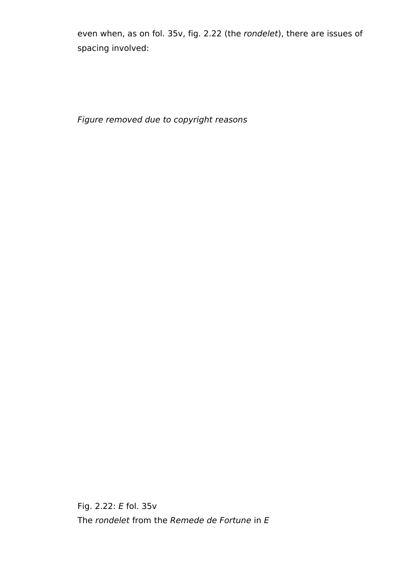even when, as on fol. 35v, fig. 2.22 (the rondelet), there are issues of spacing involved:

Figure removed due to copyright reasons

Fig. 2.22: E fol. 35v The rondelet from the Remede de Fortune in E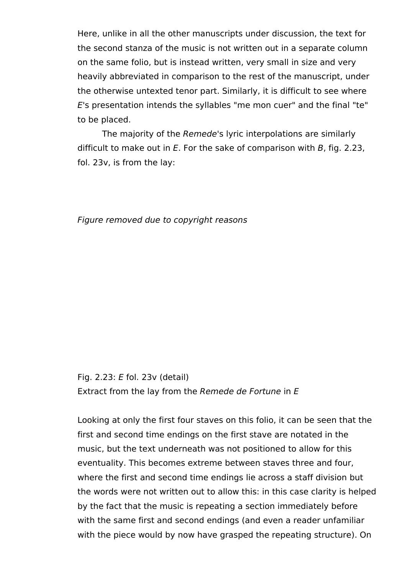Here, unlike in all the other manuscripts under discussion, the text for the second stanza of the music is not written out in a separate column on the same folio, but is instead written, very small in size and very heavily abbreviated in comparison to the rest of the manuscript, under the otherwise untexted tenor part. Similarly, it is difficult to see where E's presentation intends the syllables "me mon cuer" and the final "te" to be placed.

The majority of the Remede's lyric interpolations are similarly difficult to make out in  $E$ . For the sake of comparison with  $B$ , fig. 2.23, fol. 23v, is from the lay:

Figure removed due to copyright reasons

Fig. 2.23: E fol. 23v (detail) Extract from the lay from the Remede de Fortune in E

Looking at only the first four staves on this folio, it can be seen that the first and second time endings on the first stave are notated in the music, but the text underneath was not positioned to allow for this eventuality. This becomes extreme between staves three and four, where the first and second time endings lie across a staff division but the words were not written out to allow this: in this case clarity is helped by the fact that the music is repeating a section immediately before with the same first and second endings (and even a reader unfamiliar with the piece would by now have grasped the repeating structure). On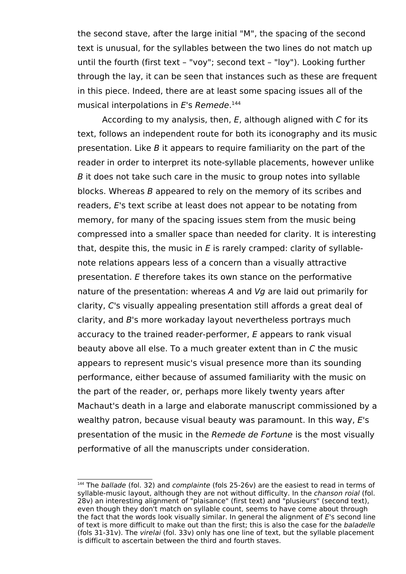the second stave, after the large initial "M", the spacing of the second text is unusual, for the syllables between the two lines do not match up until the fourth (first text – "voy"; second text – "loy"). Looking further through the lay, it can be seen that instances such as these are frequent in this piece. Indeed, there are at least some spacing issues all of the musical interpolations in E's Remede.<sup>[144](#page-86-0)</sup>

According to my analysis, then, E, although aligned with C for its text, follows an independent route for both its iconography and its music presentation. Like B it appears to require familiarity on the part of the reader in order to interpret its note-syllable placements, however unlike B it does not take such care in the music to group notes into syllable blocks. Whereas B appeared to rely on the memory of its scribes and readers, E's text scribe at least does not appear to be notating from memory, for many of the spacing issues stem from the music being compressed into a smaller space than needed for clarity. It is interesting that, despite this, the music in  $E$  is rarely cramped: clarity of syllablenote relations appears less of a concern than a visually attractive presentation. E therefore takes its own stance on the performative nature of the presentation: whereas A and Vg are laid out primarily for clarity, C's visually appealing presentation still affords a great deal of clarity, and B's more workaday layout nevertheless portrays much accuracy to the trained reader-performer, E appears to rank visual beauty above all else. To a much greater extent than in C the music appears to represent music's visual presence more than its sounding performance, either because of assumed familiarity with the music on the part of the reader, or, perhaps more likely twenty years after Machaut's death in a large and elaborate manuscript commissioned by a wealthy patron, because visual beauty was paramount. In this way, E's presentation of the music in the Remede de Fortune is the most visually performative of all the manuscripts under consideration.

<span id="page-86-0"></span> $144$  The ballade (fol. 32) and complainte (fols 25-26v) are the easiest to read in terms of syllable-music layout, although they are not without difficulty. In the *chanson roial* (fol. 28v) an interesting alignment of "plaisance" (first text) and "plusieurs" (second text), even though they don't match on syllable count, seems to have come about through the fact that the words look visually similar. In general the alignment of  $E$ 's second line of text is more difficult to make out than the first; this is also the case for the baladelle (fols 31-31v). The virelai (fol. 33v) only has one line of text, but the syllable placement is difficult to ascertain between the third and fourth staves.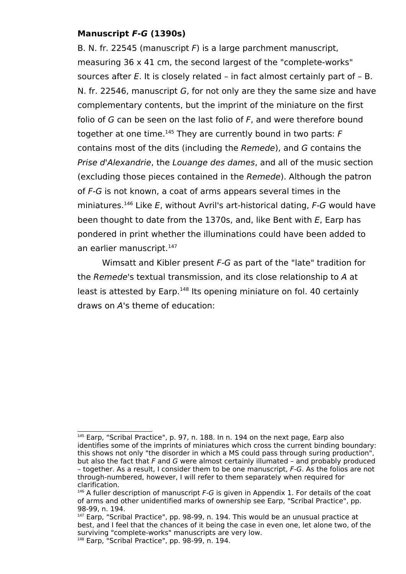### **Manuscript F-G (1390s)**

B. N. fr. 22545 (manuscript F) is a large parchment manuscript, measuring 36 x 41 cm, the second largest of the "complete-works" sources after E. It is closely related – in fact almost certainly part of – B. N. fr. 22546, manuscript G, for not only are they the same size and have complementary contents, but the imprint of the miniature on the first folio of G can be seen on the last folio of F, and were therefore bound together at one time.<sup>[145](#page-87-0)</sup> They are currently bound in two parts:  $F$ contains most of the dits (including the Remede), and G contains the Prise d'Alexandrie, the Louange des dames, and all of the music section (excluding those pieces contained in the Remede). Although the patron of F-G is not known, a coat of arms appears several times in the miniatures.<sup>[146](#page-87-1)</sup> Like E, without Avril's art-historical dating,  $F-G$  would have been thought to date from the 1370s, and, like Bent with E, Earp has pondered in print whether the illuminations could have been added to an earlier manuscript.<sup>[147](#page-87-2)</sup>

Wimsatt and Kibler present F-G as part of the "late" tradition for the Remede's textual transmission, and its close relationship to A at least is attested by Earp.<sup>[148](#page-87-3)</sup> Its opening miniature on fol. 40 certainly draws on A's theme of education:

<span id="page-87-0"></span><sup>&</sup>lt;sup>145</sup> Earp, "Scribal Practice", p. 97, n. 188. In n. 194 on the next page, Earp also identifies some of the imprints of miniatures which cross the current binding boundary: this shows not only "the disorder in which a MS could pass through suring production", but also the fact that  $F$  and  $G$  were almost certainly illumated - and probably produced – together. As a result, I consider them to be one manuscript, F-G. As the folios are not through-numbered, however, I will refer to them separately when required for clarification.

<span id="page-87-1"></span> $146$  A fuller description of manuscript F-G is given in Appendix 1. For details of the coat of arms and other unidentified marks of ownership see Earp, "Scribal Practice", pp. 98-99, n. 194.

<span id="page-87-3"></span><span id="page-87-2"></span> $147$  Earp, "Scribal Practice", pp. 98-99, n. 194. This would be an unusual practice at best, and I feel that the chances of it being the case in even one, let alone two, of the surviving "complete-works" manuscripts are very low. 148 Earp, "Scribal Practice", pp. 98-99, n. 194.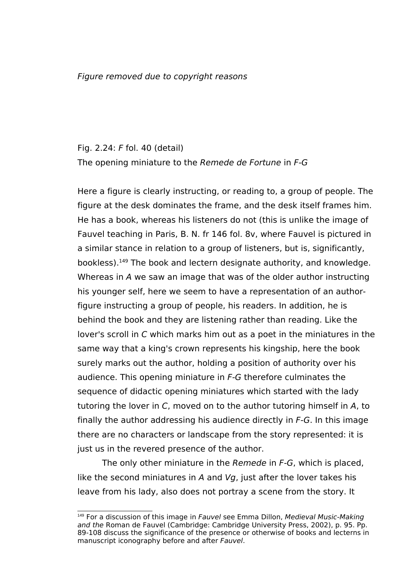## Fig. 2.24: F fol. 40 (detail) The opening miniature to the Remede de Fortune in F-G

Here a figure is clearly instructing, or reading to, a group of people. The figure at the desk dominates the frame, and the desk itself frames him. He has a book, whereas his listeners do not (this is unlike the image of Fauvel teaching in Paris, B. N. fr 146 fol. 8v, where Fauvel is pictured in a similar stance in relation to a group of listeners, but is, significantly, bookless).[149](#page-88-0) The book and lectern designate authority, and knowledge. Whereas in A we saw an image that was of the older author instructing his younger self, here we seem to have a representation of an authorfigure instructing a group of people, his readers. In addition, he is behind the book and they are listening rather than reading. Like the lover's scroll in C which marks him out as a poet in the miniatures in the same way that a king's crown represents his kingship, here the book surely marks out the author, holding a position of authority over his audience. This opening miniature in F-G therefore culminates the sequence of didactic opening miniatures which started with the lady tutoring the lover in C, moved on to the author tutoring himself in A, to finally the author addressing his audience directly in  $F-G$ . In this image there are no characters or landscape from the story represented: it is just us in the revered presence of the author.

The only other miniature in the Remede in F-G, which is placed, like the second miniatures in A and  $Vg$ , just after the lover takes his leave from his lady, also does not portray a scene from the story. It

<span id="page-88-0"></span> $149$  For a discussion of this image in Fauvel see Emma Dillon, Medieval Music-Making and the Roman de Fauvel (Cambridge: Cambridge University Press, 2002), p. 95. Pp. 89-108 discuss the significance of the presence or otherwise of books and lecterns in manuscript iconography before and after Fauvel.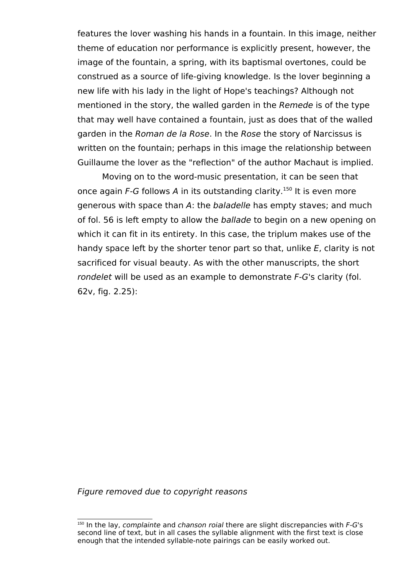features the lover washing his hands in a fountain. In this image, neither theme of education nor performance is explicitly present, however, the image of the fountain, a spring, with its baptismal overtones, could be construed as a source of life-giving knowledge. Is the lover beginning a new life with his lady in the light of Hope's teachings? Although not mentioned in the story, the walled garden in the Remede is of the type that may well have contained a fountain, just as does that of the walled garden in the Roman de la Rose. In the Rose the story of Narcissus is written on the fountain; perhaps in this image the relationship between Guillaume the lover as the "reflection" of the author Machaut is implied.

Moving on to the word-music presentation, it can be seen that once again  $F-G$  follows A in its outstanding clarity.<sup>[150](#page-89-0)</sup> It is even more generous with space than A: the baladelle has empty staves; and much of fol. 56 is left empty to allow the ballade to begin on a new opening on which it can fit in its entirety. In this case, the triplum makes use of the handy space left by the shorter tenor part so that, unlike E, clarity is not sacrificed for visual beauty. As with the other manuscripts, the short rondelet will be used as an example to demonstrate F-G's clarity (fol. 62v, fig. 2.25):

Figure removed due to copyright reasons

<span id="page-89-0"></span> $150$  In the lay, complainte and chanson roial there are slight discrepancies with  $F-G's$ second line of text, but in all cases the syllable alignment with the first text is close enough that the intended syllable-note pairings can be easily worked out.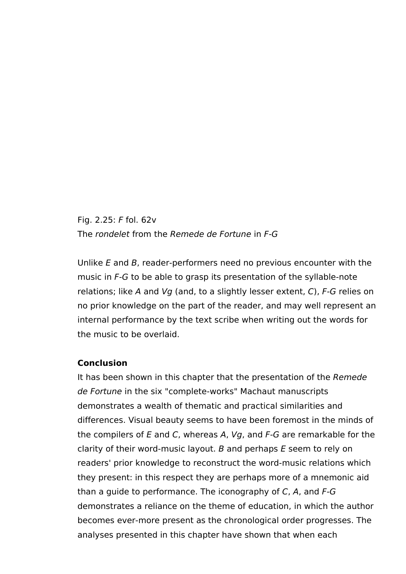Fig. 2.25: F fol. 62v The rondelet from the Remede de Fortune in F-G

Unlike E and B, reader-performers need no previous encounter with the music in F-G to be able to grasp its presentation of the syllable-note relations; like A and Vg (and, to a slightly lesser extent, C), F-G relies on no prior knowledge on the part of the reader, and may well represent an internal performance by the text scribe when writing out the words for the music to be overlaid.

### **Conclusion**

It has been shown in this chapter that the presentation of the Remede de Fortune in the six "complete-works" Machaut manuscripts demonstrates a wealth of thematic and practical similarities and differences. Visual beauty seems to have been foremost in the minds of the compilers of E and C, whereas A, Vg, and  $F-G$  are remarkable for the clarity of their word-music layout. B and perhaps E seem to rely on readers' prior knowledge to reconstruct the word-music relations which they present: in this respect they are perhaps more of a mnemonic aid than a guide to performance. The iconography of  $C$ , A, and  $F-G$ demonstrates a reliance on the theme of education, in which the author becomes ever-more present as the chronological order progresses. The analyses presented in this chapter have shown that when each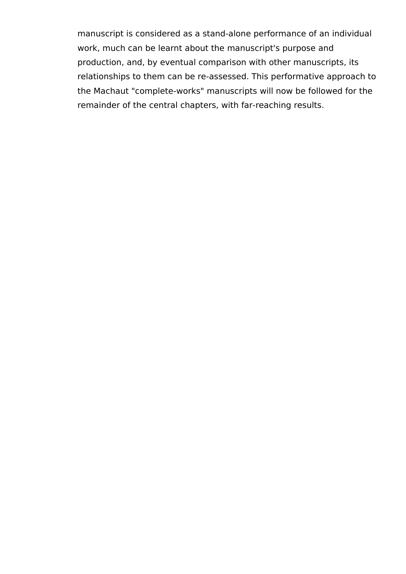manuscript is considered as a stand-alone performance of an individual work, much can be learnt about the manuscript's purpose and production, and, by eventual comparison with other manuscripts, its relationships to them can be re-assessed. This performative approach to the Machaut "complete-works" manuscripts will now be followed for the remainder of the central chapters, with far-reaching results.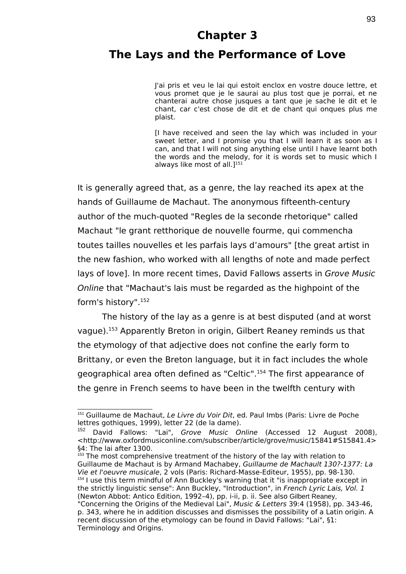# **Chapter 3**

## **The Lays and the Performance of Love**

J'ai pris et veu le lai qui estoit enclox en vostre douce lettre, et vous promet que je le saurai au plus tost que je porrai, et ne chanterai autre chose jusques a tant que je sache le dit et le chant, car c'est chose de dit et de chant qui onques plus me plaist.

[I have received and seen the lay which was included in your sweet letter, and I promise you that I will learn it as soon as I can, and that I will not sing anything else until I have learnt both the words and the melody, for it is words set to music which I always like most of all.]<sup>[151](#page-92-0)</sup>

It is generally agreed that, as a genre, the lay reached its apex at the hands of Guillaume de Machaut. The anonymous fifteenth-century author of the much-quoted "Regles de la seconde rhetorique" called Machaut "le grant retthorique de nouvelle fourme, qui commencha toutes tailles nouvelles et les parfais lays d'amours" [the great artist in the new fashion, who worked with all lengths of note and made perfect lays of love]. In more recent times, David Fallows asserts in Grove Music Online that "Machaut's lais must be regarded as the highpoint of the form's history".[152](#page-92-1)

The history of the lay as a genre is at best disputed (and at worst vague).[153](#page-92-2) Apparently Breton in origin, Gilbert Reaney reminds us that the etymology of that adjective does not confine the early form to Brittany, or even the Breton language, but it in fact includes the whole geographical area often defined as "Celtic".[154](#page-92-3) The first appearance of the genre in French seems to have been in the twelfth century with

<span id="page-92-0"></span><sup>&</sup>lt;sup>151</sup> Guillaume de Machaut, Le Livre du Voir Dit, ed. Paul Imbs (Paris: Livre de Poche lettres gothiques, 1999), letter 22 (de la dame).

<span id="page-92-1"></span><sup>&</sup>lt;sup>152</sup> David Fallows: "Lai", Grove Music Online (Accessed 12 August 2008), <http://www.oxfordmusiconline.com/subscriber/article/grove/music/15841#S15841.4> §4: The lai after 1300.

<span id="page-92-3"></span><span id="page-92-2"></span><sup>153</sup> The most comprehensive treatment of the history of the lay with relation to Guillaume de Machaut is by Armand Machabey, Guillaume de Machault 130?-1377: La Vie et l'oeuvre musicale, 2 vols (Paris: Richard-Masse-Editeur, 1955), pp. 98-130. 154 I use this term mindful of Ann Buckley's warning that it "is inappropriate except in the strictly linguistic sense": Ann Buckley, "Introduction", in French Lyric Lais, Vol. 1 (Newton Abbot: Antico Edition, 1992–4), pp. i-ii, p. ii. See also Gilbert Reaney, "Concerning the Origins of the Medieval Lai", Music & Letters 39:4 (1958), pp. 343-46, p. 343, where he in addition discusses and dismisses the possibility of a Latin origin. A recent discussion of the etymology can be found in David Fallows: "Lai", §1: Terminology and Origins.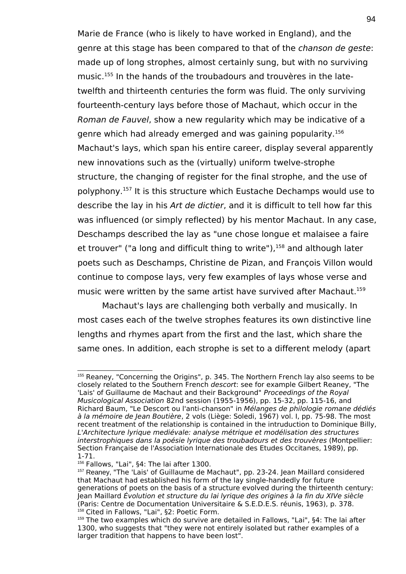Marie de France (who is likely to have worked in England), and the genre at this stage has been compared to that of the chanson de geste: made up of long strophes, almost certainly sung, but with no surviving music.[155](#page-93-0) In the hands of the troubadours and trouvères in the latetwelfth and thirteenth centuries the form was fluid. The only surviving fourteenth-century lays before those of Machaut, which occur in the Roman de Fauvel, show a new regularity which may be indicative of a genre which had already emerged and was gaining popularity.[156](#page-93-1) Machaut's lays, which span his entire career, display several apparently new innovations such as the (virtually) uniform twelve-strophe structure, the changing of register for the final strophe, and the use of polyphony.[157](#page-93-2) It is this structure which Eustache Dechamps would use to describe the lay in his Art de dictier, and it is difficult to tell how far this was influenced (or simply reflected) by his mentor Machaut. In any case, Deschamps described the lay as "une chose longue et malaisee a faire et trouver" ("a long and difficult thing to write"),<sup>[158](#page-93-3)</sup> and although later poets such as Deschamps, Christine de Pizan, and François Villon would continue to compose lays, very few examples of lays whose verse and music were written by the same artist have survived after Machaut.<sup>[159](#page-93-4)</sup>

Machaut's lays are challenging both verbally and musically. In most cases each of the twelve strophes features its own distinctive line lengths and rhymes apart from the first and the last, which share the same ones. In addition, each strophe is set to a different melody (apart

<span id="page-93-0"></span><sup>&</sup>lt;sup>155</sup> Reaney, "Concerning the Origins", p. 345. The Northern French lay also seems to be closely related to the Southern French descort: see for example Gilbert Reaney, "The 'Lais' of Guillaume de Machaut and their Background" Proceedings of the Royal Musicological Association 82nd session (1955-1956), pp. 15-32, pp. 115-16, and Richard Baum, "Le Descort ou l'anti-chanson" in Mélanges de philologie romane dédiés à la mémoire de Jean Boutière, 2 vols (Liège: Soledi, 1967) vol. I, pp. 75-98. The most recent treatment of the relationship is contained in the intruduction to Dominique Billy, L'Architecture lyrique mediévale: analyse métrique et modélisation des structures interstrophiques dans la poésie lyrique des troubadours et des trouvères (Montpellier: Section Française de l'Association Internationale des Etudes Occitanes, 1989), pp. 1-71.

<span id="page-93-1"></span><sup>156</sup> Fallows, "Lai", §4: The lai after 1300.

<span id="page-93-2"></span><sup>&</sup>lt;sup>157</sup> Reaney, "The 'Lais' of Guillaume de Machaut", pp. 23-24. Jean Maillard considered that Machaut had established his form of the lay single-handedly for future generations of poets on the basis of a structure evolved during the thirteenth century: Jean Maillard Évolution et structure du lai lyrique des origines à la fin du XIVe siècle (Paris: Centre de Documentation Universitaire & S.E.D.E.S. réunis, 1963), p. 378. 158 Cited in Fallows, "Lai", §2: Poetic Form.

<span id="page-93-4"></span><span id="page-93-3"></span><sup>&</sup>lt;sup>159</sup> The two examples which do survive are detailed in Fallows, "Lai", §4: The lai after 1300, who suggests that "they were not entirely isolated but rather examples of a larger tradition that happens to have been lost".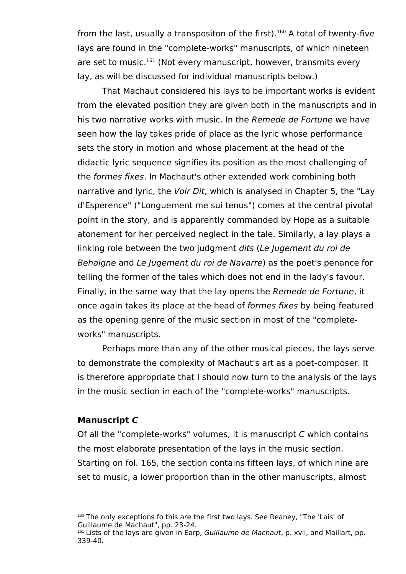from the last, usually a transpositon of the first).<sup>[160](#page-94-0)</sup> A total of twenty-five lays are found in the "complete-works" manuscripts, of which nineteen are set to music.<sup>[161](#page-94-1)</sup> (Not every manuscript, however, transmits every lay, as will be discussed for individual manuscripts below.)

That Machaut considered his lays to be important works is evident from the elevated position they are given both in the manuscripts and in his two narrative works with music. In the Remede de Fortune we have seen how the lay takes pride of place as the lyric whose performance sets the story in motion and whose placement at the head of the didactic lyric sequence signifies its position as the most challenging of the formes fixes. In Machaut's other extended work combining both narrative and lyric, the Voir Dit, which is analysed in Chapter 5, the "Lay d'Esperence" ("Longuement me sui tenus") comes at the central pivotal point in the story, and is apparently commanded by Hope as a suitable atonement for her perceived neglect in the tale. Similarly, a lay plays a linking role between the two judgment dits (Le Jugement du roi de Behaigne and Le Jugement du roi de Navarre) as the poet's penance for telling the former of the tales which does not end in the lady's favour. Finally, in the same way that the lay opens the Remede de Fortune, it once again takes its place at the head of formes fixes by being featured as the opening genre of the music section in most of the "completeworks" manuscripts.

Perhaps more than any of the other musical pieces, the lays serve to demonstrate the complexity of Machaut's art as a poet-composer. It is therefore appropriate that I should now turn to the analysis of the lays in the music section in each of the "complete-works" manuscripts.

### **Manuscript C**

Of all the "complete-works" volumes, it is manuscript C which contains the most elaborate presentation of the lays in the music section. Starting on fol. 165, the section contains fifteen lays, of which nine are set to music, a lower proportion than in the other manuscripts, almost

<span id="page-94-0"></span><sup>&</sup>lt;sup>160</sup> The only exceptions fo this are the first two lays. See Reaney, "The 'Lais' of Guillaume de Machaut", pp. 23-24.

<span id="page-94-1"></span> $161$  Lists of the lays are given in Earp, Guillaume de Machaut, p. xvii, and Maillart, pp. 339-40.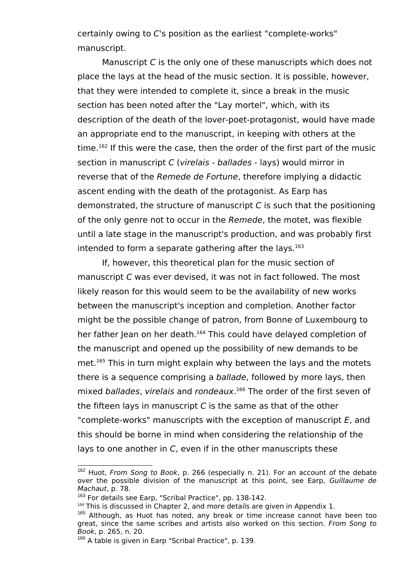certainly owing to C's position as the earliest "complete-works" manuscript.

Manuscript C is the only one of these manuscripts which does not place the lays at the head of the music section. It is possible, however, that they were intended to complete it, since a break in the music section has been noted after the "Lay mortel", which, with its description of the death of the lover-poet-protagonist, would have made an appropriate end to the manuscript, in keeping with others at the time.<sup>[162](#page-95-0)</sup> If this were the case, then the order of the first part of the music section in manuscript C (virelais - ballades - lays) would mirror in reverse that of the Remede de Fortune, therefore implying a didactic ascent ending with the death of the protagonist. As Earp has demonstrated, the structure of manuscript C is such that the positioning of the only genre not to occur in the Remede, the motet, was flexible until a late stage in the manuscript's production, and was probably first intended to form a separate gathering after the lays.<sup>[163](#page-95-1)</sup>

If, however, this theoretical plan for the music section of manuscript C was ever devised, it was not in fact followed. The most likely reason for this would seem to be the availability of new works between the manuscript's inception and completion. Another factor might be the possible change of patron, from Bonne of Luxembourg to her father Jean on her death.<sup>[164](#page-95-2)</sup> This could have delayed completion of the manuscript and opened up the possibility of new demands to be met.<sup>[165](#page-95-3)</sup> This in turn might explain why between the lays and the motets there is a sequence comprising a ballade, followed by more lays, then mixed ballades, virelais and rondeaux.<sup>[166](#page-95-4)</sup> The order of the first seven of the fifteen lays in manuscript C is the same as that of the other "complete-works" manuscripts with the exception of manuscript  $E$ , and this should be borne in mind when considering the relationship of the lays to one another in C, even if in the other manuscripts these

<span id="page-95-0"></span><sup>&</sup>lt;sup>162</sup> Huot, From Song to Book, p. 266 (especially n. 21). For an account of the debate over the possible division of the manuscript at this point, see Earp, Guillaume de Machaut, p. 78.

<span id="page-95-1"></span><sup>&</sup>lt;sup>163</sup> For details see Earp, "Scribal Practice", pp. 138-142.

<span id="page-95-2"></span><sup>164</sup> This is discussed in Chapter 2, and more details are given in Appendix 1.

<span id="page-95-3"></span> $165$  Although, as Huot has noted, any break or time increase cannot have been too great, since the same scribes and artists also worked on this section. From Song to Book, p. 265, n. 20.

<span id="page-95-4"></span><sup>166</sup> A table is given in Earp "Scribal Practice", p. 139.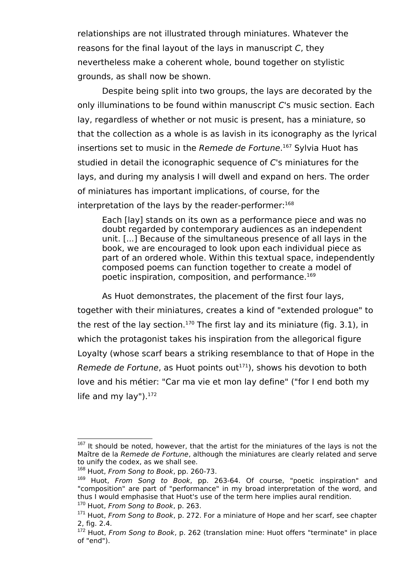relationships are not illustrated through miniatures. Whatever the reasons for the final layout of the lays in manuscript C, they nevertheless make a coherent whole, bound together on stylistic grounds, as shall now be shown.

Despite being split into two groups, the lays are decorated by the only illuminations to be found within manuscript C's music section. Each lay, regardless of whether or not music is present, has a miniature, so that the collection as a whole is as lavish in its iconography as the lyrical insertions set to music in the Remede de Fortune.<sup>[167](#page-96-0)</sup> Sylvia Huot has studied in detail the iconographic sequence of C's miniatures for the lays, and during my analysis I will dwell and expand on hers. The order of miniatures has important implications, of course, for the interpretation of the lays by the reader-performer: $168$ 

Each [lay] stands on its own as a performance piece and was no doubt regarded by contemporary audiences as an independent unit. [...] Because of the simultaneous presence of all lays in the book, we are encouraged to look upon each individual piece as part of an ordered whole. Within this textual space, independently composed poems can function together to create a model of poetic inspiration, composition, and performance.[169](#page-96-2)

As Huot demonstrates, the placement of the first four lays, together with their miniatures, creates a kind of "extended prologue" to the rest of the lay section.<sup>[170](#page-96-3)</sup> The first lay and its miniature (fig. 3.1), in which the protagonist takes his inspiration from the allegorical figure Loyalty (whose scarf bears a striking resemblance to that of Hope in the Remede de Fortune, as Huot points out<sup>[171](#page-96-4)</sup>), shows his devotion to both love and his métier: "Car ma vie et mon lay define" ("for I end both my life and my lay" $1.172$  $1.172$ 

<span id="page-96-0"></span> $167$  It should be noted, however, that the artist for the miniatures of the lays is not the Maître de la Remede de Fortune, although the miniatures are clearly related and serve to unify the codex, as we shall see.

<span id="page-96-1"></span><sup>&</sup>lt;sup>168</sup> Huot, From Song to Book, pp. 260-73.

<span id="page-96-2"></span><sup>&</sup>lt;sup>169</sup> Huot. From Song to Book, pp. 263-64. Of course, "poetic inspiration" and "composition" are part of "performance" in my broad interpretation of the word, and thus I would emphasise that Huot's use of the term here implies aural rendition.

<span id="page-96-3"></span><sup>170</sup> Huot, From Song to Book, p. 263.

<span id="page-96-4"></span><sup>&</sup>lt;sup>171</sup> Huot, From Song to Book, p. 272. For a miniature of Hope and her scarf, see chapter 2, fig. 2.4.

<span id="page-96-5"></span><sup>&</sup>lt;sup>172</sup> Huot, From Song to Book, p. 262 (translation mine: Huot offers "terminate" in place of "end").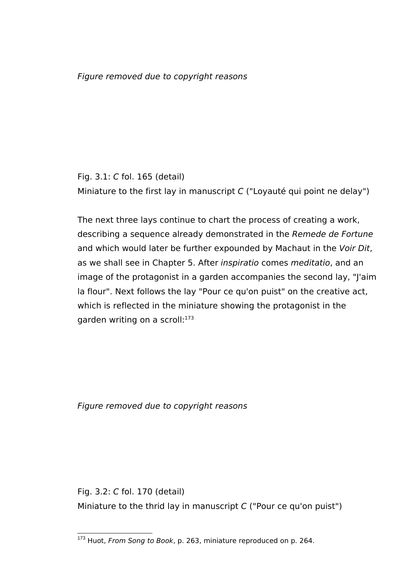Fig. 3.1: C fol. 165 (detail) Miniature to the first lay in manuscript  $C$  ("Loyauté qui point ne delay")

The next three lays continue to chart the process of creating a work, describing a sequence already demonstrated in the Remede de Fortune and which would later be further expounded by Machaut in the Voir Dit, as we shall see in Chapter 5. After inspiratio comes meditatio, and an image of the protagonist in a garden accompanies the second lay, "J'aim la flour". Next follows the lay "Pour ce qu'on puist" on the creative act, which is reflected in the miniature showing the protagonist in the garden writing on a scroll:<sup>[173](#page-97-0)</sup>

Figure removed due to copyright reasons

Fig. 3.2: C fol. 170 (detail) Miniature to the thrid lay in manuscript  $C$  ("Pour ce qu'on puist")

<span id="page-97-0"></span><sup>173</sup> Huot, From Song to Book, p. 263, miniature reproduced on p. 264.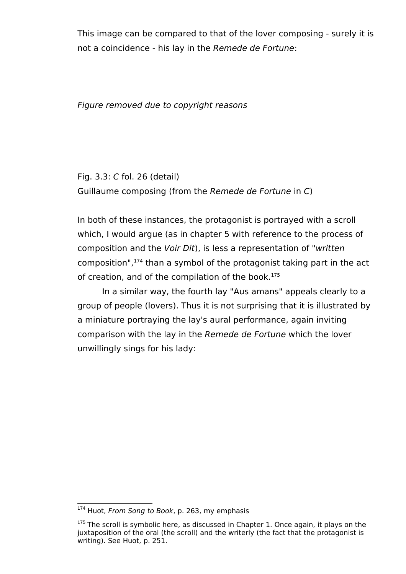This image can be compared to that of the lover composing - surely it is not a coincidence - his lay in the Remede de Fortune:

Figure removed due to copyright reasons

Fig. 3.3: C fol. 26 (detail) Guillaume composing (from the Remede de Fortune in C)

In both of these instances, the protagonist is portrayed with a scroll which, I would argue (as in chapter 5 with reference to the process of composition and the Voir Dit), is less a representation of "written composition",[174](#page-98-0) than a symbol of the protagonist taking part in the act of creation, and of the compilation of the book.<sup>[175](#page-98-1)</sup>

In a similar way, the fourth lay "Aus amans" appeals clearly to a group of people (lovers). Thus it is not surprising that it is illustrated by a miniature portraying the lay's aural performance, again inviting comparison with the lay in the Remede de Fortune which the lover unwillingly sings for his lady:

<span id="page-98-0"></span> $174$  Huot, From Song to Book, p. 263, my emphasis

<span id="page-98-1"></span> $175$  The scroll is symbolic here, as discussed in Chapter 1. Once again, it plays on the juxtaposition of the oral (the scroll) and the writerly (the fact that the protagonist is writing). See Huot, p. 251.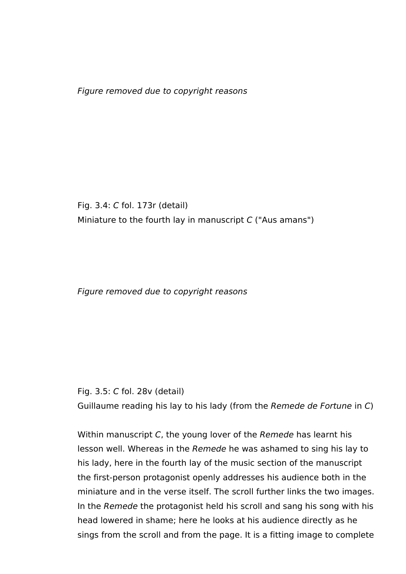Fig. 3.4: C fol. 173r (detail) Miniature to the fourth lay in manuscript  $C$  ("Aus amans")

Figure removed due to copyright reasons

Fig. 3.5: C fol. 28v (detail)

Guillaume reading his lay to his lady (from the Remede de Fortune in C)

Within manuscript C, the young lover of the Remede has learnt his lesson well. Whereas in the Remede he was ashamed to sing his lay to his lady, here in the fourth lay of the music section of the manuscript the first-person protagonist openly addresses his audience both in the miniature and in the verse itself. The scroll further links the two images. In the Remede the protagonist held his scroll and sang his song with his head lowered in shame; here he looks at his audience directly as he sings from the scroll and from the page. It is a fitting image to complete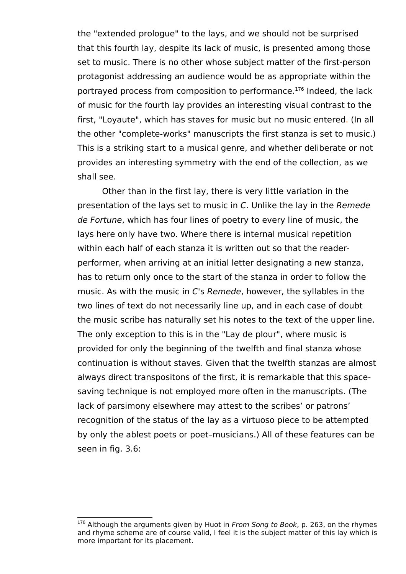the "extended prologue" to the lays, and we should not be surprised that this fourth lay, despite its lack of music, is presented among those set to music. There is no other whose subject matter of the first-person protagonist addressing an audience would be as appropriate within the portrayed process from composition to performance.<sup>[176](#page-100-0)</sup> Indeed, the lack of music for the fourth lay provides an interesting visual contrast to the first, "Loyaute", which has staves for music but no music entered. (In all the other "complete-works" manuscripts the first stanza is set to music.) This is a striking start to a musical genre, and whether deliberate or not provides an interesting symmetry with the end of the collection, as we shall see.

Other than in the first lay, there is very little variation in the presentation of the lays set to music in C. Unlike the lay in the Remede de Fortune, which has four lines of poetry to every line of music, the lays here only have two. Where there is internal musical repetition within each half of each stanza it is written out so that the readerperformer, when arriving at an initial letter designating a new stanza, has to return only once to the start of the stanza in order to follow the music. As with the music in C's Remede, however, the syllables in the two lines of text do not necessarily line up, and in each case of doubt the music scribe has naturally set his notes to the text of the upper line. The only exception to this is in the "Lay de plour", where music is provided for only the beginning of the twelfth and final stanza whose continuation is without staves. Given that the twelfth stanzas are almost always direct transpositons of the first, it is remarkable that this spacesaving technique is not employed more often in the manuscripts. (The lack of parsimony elsewhere may attest to the scribes' or patrons' recognition of the status of the lay as a virtuoso piece to be attempted by only the ablest poets or poet–musicians.) All of these features can be seen in fig. 3.6:

<span id="page-100-0"></span> $176$  Although the arguments given by Huot in From Song to Book, p. 263, on the rhymes and rhyme scheme are of course valid, I feel it is the subject matter of this lay which is more important for its placement.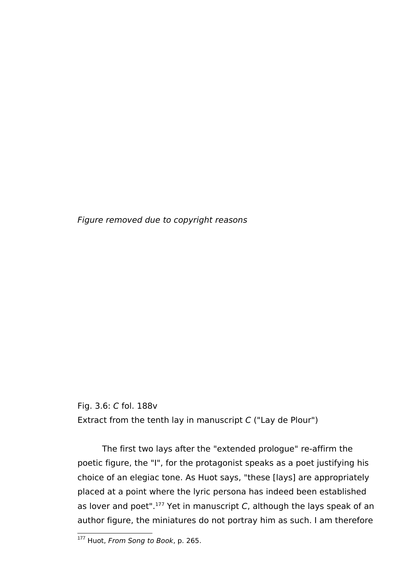Fig. 3.6: C fol. 188v Extract from the tenth lay in manuscript C ("Lay de Plour")

The first two lays after the "extended prologue" re-affirm the poetic figure, the "I", for the protagonist speaks as a poet justifying his choice of an elegiac tone. As Huot says, "these [lays] are appropriately placed at a point where the lyric persona has indeed been established as lover and poet".<sup>[177](#page-101-0)</sup> Yet in manuscript C, although the lays speak of an author figure, the miniatures do not portray him as such. I am therefore

<span id="page-101-0"></span><sup>177</sup> Huot, From Song to Book, p. 265.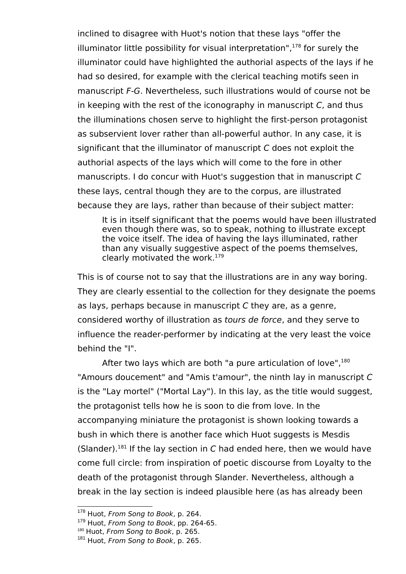inclined to disagree with Huot's notion that these lays "offer the illuminator little possibility for visual interpretation", $178$  for surely the illuminator could have highlighted the authorial aspects of the lays if he had so desired, for example with the clerical teaching motifs seen in manuscript F-G. Nevertheless, such illustrations would of course not be in keeping with the rest of the iconography in manuscript  $C$ , and thus the illuminations chosen serve to highlight the first-person protagonist as subservient lover rather than all-powerful author. In any case, it is significant that the illuminator of manuscript C does not exploit the authorial aspects of the lays which will come to the fore in other manuscripts. I do concur with Huot's suggestion that in manuscript C these lays, central though they are to the corpus, are illustrated because they are lays, rather than because of their subject matter:

It is in itself significant that the poems would have been illustrated even though there was, so to speak, nothing to illustrate except the voice itself. The idea of having the lays illuminated, rather than any visually suggestive aspect of the poems themselves, clearly motivated the work.[179](#page-102-1)

This is of course not to say that the illustrations are in any way boring. They are clearly essential to the collection for they designate the poems as lays, perhaps because in manuscript C they are, as a genre, considered worthy of illustration as tours de force, and they serve to influence the reader-performer by indicating at the very least the voice behind the "I".

After two lays which are both "a pure articulation of love",<sup>[180](#page-102-2)</sup> "Amours doucement" and "Amis t'amour", the ninth lay in manuscript C is the "Lay mortel" ("Mortal Lay"). In this lay, as the title would suggest, the protagonist tells how he is soon to die from love. In the accompanying miniature the protagonist is shown looking towards a bush in which there is another face which Huot suggests is Mesdis (Slander).<sup>[181](#page-102-3)</sup> If the lay section in C had ended here, then we would have come full circle: from inspiration of poetic discourse from Loyalty to the death of the protagonist through Slander. Nevertheless, although a break in the lay section is indeed plausible here (as has already been

<span id="page-102-0"></span><sup>178</sup> Huot, From Song to Book, p. 264.

<span id="page-102-1"></span><sup>179</sup> Huot, From Song to Book, pp. 264-65.

<span id="page-102-2"></span><sup>180</sup> Huot, From Song to Book, p. 265.

<span id="page-102-3"></span><sup>181</sup> Huot, From Song to Book, p. 265.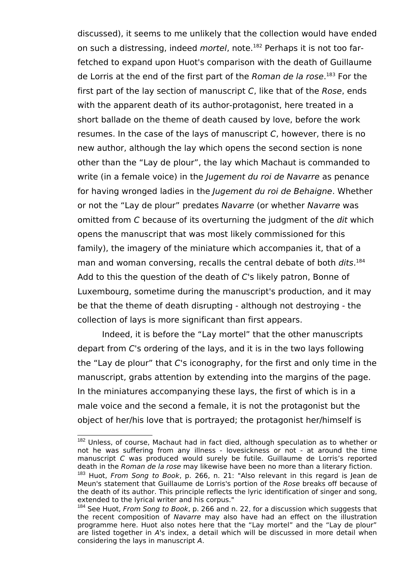discussed), it seems to me unlikely that the collection would have ended on such a distressing, indeed *mortel*, note.<sup>[182](#page-103-0)</sup> Perhaps it is not too farfetched to expand upon Huot's comparison with the death of Guillaume de Lorris at the end of the first part of the Roman de la rose.<sup>[183](#page-103-1)</sup> For the first part of the lay section of manuscript C, like that of the Rose, ends with the apparent death of its author-protagonist, here treated in a short ballade on the theme of death caused by love, before the work resumes. In the case of the lays of manuscript C, however, there is no new author, although the lay which opens the second section is none other than the "Lay de plour", the lay which Machaut is commanded to write (in a female voice) in the *Jugement du roi de Navarre* as penance for having wronged ladies in the Jugement du roi de Behaigne. Whether or not the "Lay de plour" predates Navarre (or whether Navarre was omitted from C because of its overturning the judgment of the dit which opens the manuscript that was most likely commissioned for this family), the imagery of the miniature which accompanies it, that of a man and woman conversing, recalls the central debate of both dits.<sup>[184](#page-103-2)</sup> Add to this the question of the death of C's likely patron, Bonne of Luxembourg, sometime during the manuscript's production, and it may be that the theme of death disrupting - although not destroying - the collection of lays is more significant than first appears.

Indeed, it is before the "Lay mortel" that the other manuscripts depart from C's ordering of the lays, and it is in the two lays following the "Lay de plour" that C's iconography, for the first and only time in the manuscript, grabs attention by extending into the margins of the page. In the miniatures accompanying these lays, the first of which is in a male voice and the second a female, it is not the protagonist but the object of her/his love that is portrayed; the protagonist her/himself is

<span id="page-103-1"></span><span id="page-103-0"></span><sup>&</sup>lt;sup>182</sup> Unless, of course, Machaut had in fact died, although speculation as to whether or not he was suffering from any illness - lovesickness or not - at around the time manuscript C was produced would surely be futile. Guillaume de Lorris's reported death in the Roman de la rose may likewise have been no more than a literary fiction.  $183$  Huot, From Song to Book, p. 266, n. 21: "Also relevant in this regard is Jean de Meun's statement that Guillaume de Lorris's portion of the Rose breaks off because of the death of its author. This principle reflects the lyric identification of singer and song, extended to the lyrical writer and his corpus."

<span id="page-103-2"></span><sup>&</sup>lt;sup>184</sup> See Huot, From Song to Book, p. 266 and n. 22, for a discussion which suggests that the recent composition of Navarre may also have had an effect on the illustration programme here. Huot also notes here that the "Lay mortel" and the "Lay de plour" are listed together in A's index, a detail which will be discussed in more detail when considering the lays in manuscript A.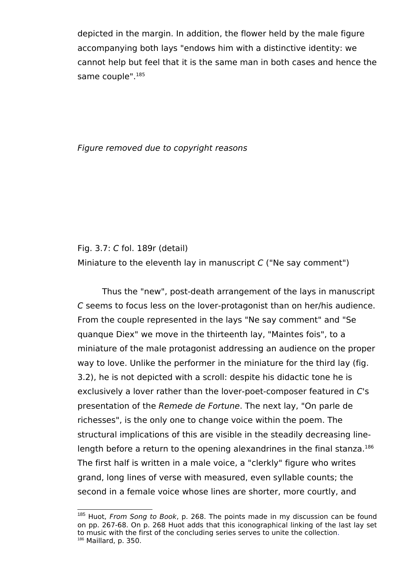depicted in the margin. In addition, the flower held by the male figure accompanying both lays "endows him with a distinctive identity: we cannot help but feel that it is the same man in both cases and hence the same couple".<sup>[185](#page-104-0)</sup>

### Figure removed due to copyright reasons

## Fig. 3.7: C fol. 189r (detail) Miniature to the eleventh lay in manuscript  $C$  ("Ne say comment")

Thus the "new", post-death arrangement of the lays in manuscript C seems to focus less on the lover-protagonist than on her/his audience. From the couple represented in the lays "Ne say comment" and "Se quanque Diex" we move in the thirteenth lay, "Maintes fois", to a miniature of the male protagonist addressing an audience on the proper way to love. Unlike the performer in the miniature for the third lay (fig. 3.2), he is not depicted with a scroll: despite his didactic tone he is exclusively a lover rather than the lover-poet-composer featured in C's presentation of the Remede de Fortune. The next lay, "On parle de richesses", is the only one to change voice within the poem. The structural implications of this are visible in the steadily decreasing line-length before a return to the opening alexandrines in the final stanza.<sup>[186](#page-104-1)</sup> The first half is written in a male voice, a "clerkly" figure who writes grand, long lines of verse with measured, even syllable counts; the second in a female voice whose lines are shorter, more courtly, and

<span id="page-104-1"></span><span id="page-104-0"></span> $185$  Huot, From Song to Book, p. 268. The points made in my discussion can be found on pp. 267-68. On p. 268 Huot adds that this iconographical linking of the last lay set to music with the first of the concluding series serves to unite the collection. 186 Maillard, p. 350.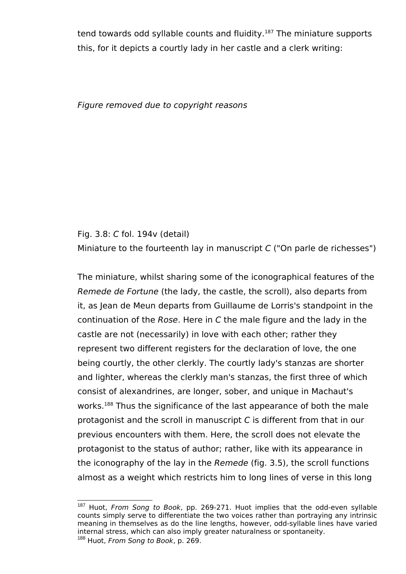tend towards odd syllable counts and fluidity.<sup>[187](#page-105-0)</sup> The miniature supports this, for it depicts a courtly lady in her castle and a clerk writing:

Figure removed due to copyright reasons

### Fig. 3.8: C fol. 194v (detail)

Miniature to the fourteenth lay in manuscript  $C$  ("On parle de richesses")

The miniature, whilst sharing some of the iconographical features of the Remede de Fortune (the lady, the castle, the scroll), also departs from it, as Jean de Meun departs from Guillaume de Lorris's standpoint in the continuation of the Rose. Here in C the male figure and the lady in the castle are not (necessarily) in love with each other; rather they represent two different registers for the declaration of love, the one being courtly, the other clerkly. The courtly lady's stanzas are shorter and lighter, whereas the clerkly man's stanzas, the first three of which consist of alexandrines, are longer, sober, and unique in Machaut's works.<sup>[188](#page-105-1)</sup> Thus the significance of the last appearance of both the male protagonist and the scroll in manuscript C is different from that in our previous encounters with them. Here, the scroll does not elevate the protagonist to the status of author; rather, like with its appearance in the iconography of the lay in the Remede (fig. 3.5), the scroll functions almost as a weight which restricts him to long lines of verse in this long

<span id="page-105-1"></span><span id="page-105-0"></span><sup>187</sup> Huot, From Song to Book, pp. 269-271. Huot implies that the odd-even syllable counts simply serve to differentiate the two voices rather than portraying any intrinsic meaning in themselves as do the line lengths, however, odd-syllable lines have varied internal stress, which can also imply greater naturalness or spontaneity. <sup>188</sup> Huot, From Song to Book, p. 269.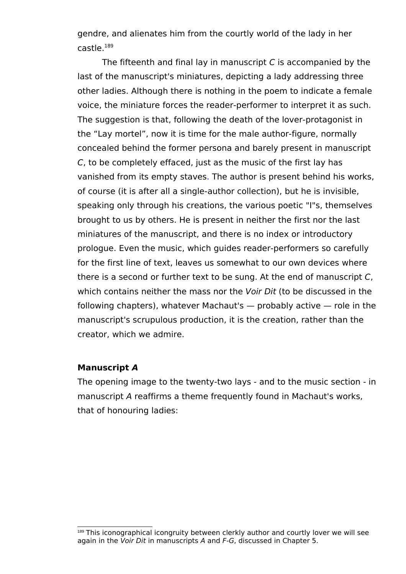gendre, and alienates him from the courtly world of the lady in her castle.[189](#page-106-0)

The fifteenth and final lay in manuscript C is accompanied by the last of the manuscript's miniatures, depicting a lady addressing three other ladies. Although there is nothing in the poem to indicate a female voice, the miniature forces the reader-performer to interpret it as such. The suggestion is that, following the death of the lover-protagonist in the "Lay mortel", now it is time for the male author-figure, normally concealed behind the former persona and barely present in manuscript C, to be completely effaced, just as the music of the first lay has vanished from its empty staves. The author is present behind his works, of course (it is after all a single-author collection), but he is invisible, speaking only through his creations, the various poetic "I"s, themselves brought to us by others. He is present in neither the first nor the last miniatures of the manuscript, and there is no index or introductory prologue. Even the music, which guides reader-performers so carefully for the first line of text, leaves us somewhat to our own devices where there is a second or further text to be sung. At the end of manuscript C, which contains neither the mass nor the Voir Dit (to be discussed in the following chapters), whatever Machaut's — probably active — role in the manuscript's scrupulous production, it is the creation, rather than the creator, which we admire.

### **Manuscript A**

The opening image to the twenty-two lays - and to the music section - in manuscript A reaffirms a theme frequently found in Machaut's works, that of honouring ladies:

<span id="page-106-0"></span> $189$  This iconographical icongruity between clerkly author and courtly lover we will see again in the Voir Dit in manuscripts A and F-G, discussed in Chapter 5.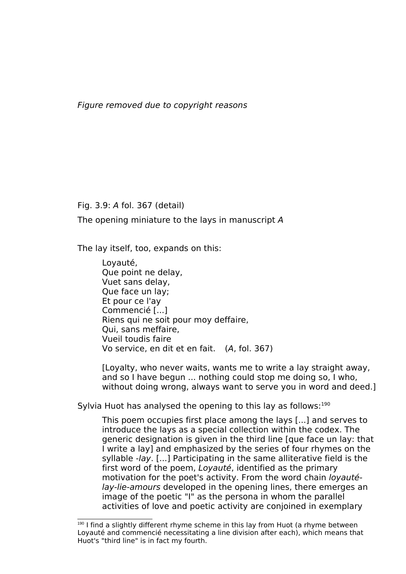Fig. 3.9: A fol. 367 (detail)

The opening miniature to the lays in manuscript A

The lay itself, too, expands on this:

Loyauté, Que point ne delay, Vuet sans delay, Que face un lay; Et pour ce l'ay Commencié [...] Riens qui ne soit pour moy deffaire, Qui, sans meffaire, Vueil toudis faire Vo service, en dit et en fait. (A, fol. 367)

[Loyalty, who never waits, wants me to write a lay straight away, and so I have begun ... nothing could stop me doing so, I who, without doing wrong, always want to serve you in word and deed.]

Sylvia Huot has analysed the opening to this lay as follows: $190$ 

This poem occupies first place among the lays [...] and serves to introduce the lays as a special collection within the codex. The generic designation is given in the third line [que face un lay: that I write a lay] and emphasized by the series of four rhymes on the syllable -lay. [...] Participating in the same alliterative field is the first word of the poem, Loyauté, identified as the primary motivation for the poet's activity. From the word chain loyautélay-lie-amours developed in the opening lines, there emerges an image of the poetic "I" as the persona in whom the parallel activities of love and poetic activity are conjoined in exemplary

<span id="page-107-0"></span> $190$  I find a slightly different rhyme scheme in this lay from Huot (a rhyme between Loyauté and commencié necessitating a line division after each), which means that Huot's "third line" is in fact my fourth.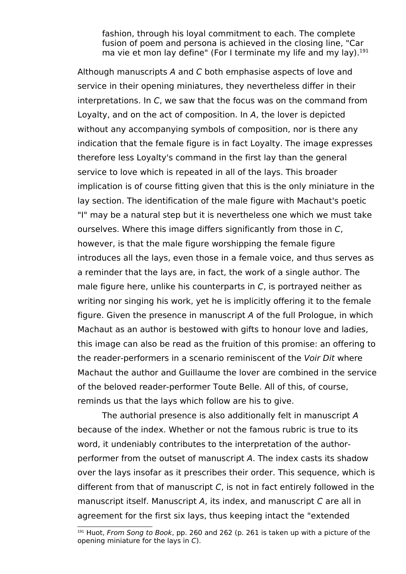fashion, through his loyal commitment to each. The complete fusion of poem and persona is achieved in the closing line, "Car ma vie et mon lay define" (For I terminate my life and my lay).<sup>[191](#page-108-0)</sup>

Although manuscripts A and C both emphasise aspects of love and service in their opening miniatures, they nevertheless differ in their interpretations. In C, we saw that the focus was on the command from Loyalty, and on the act of composition. In A, the lover is depicted without any accompanying symbols of composition, nor is there any indication that the female figure is in fact Loyalty. The image expresses therefore less Loyalty's command in the first lay than the general service to love which is repeated in all of the lays. This broader implication is of course fitting given that this is the only miniature in the lay section. The identification of the male figure with Machaut's poetic "I" may be a natural step but it is nevertheless one which we must take ourselves. Where this image differs significantly from those in C, however, is that the male figure worshipping the female figure introduces all the lays, even those in a female voice, and thus serves as a reminder that the lays are, in fact, the work of a single author. The male figure here, unlike his counterparts in C, is portrayed neither as writing nor singing his work, yet he is implicitly offering it to the female figure. Given the presence in manuscript A of the full Prologue, in which Machaut as an author is bestowed with gifts to honour love and ladies, this image can also be read as the fruition of this promise: an offering to the reader-performers in a scenario reminiscent of the Voir Dit where Machaut the author and Guillaume the lover are combined in the service of the beloved reader-performer Toute Belle. All of this, of course, reminds us that the lays which follow are his to give.

The authorial presence is also additionally felt in manuscript A because of the index. Whether or not the famous rubric is true to its word, it undeniably contributes to the interpretation of the authorperformer from the outset of manuscript A. The index casts its shadow over the lays insofar as it prescribes their order. This sequence, which is different from that of manuscript C, is not in fact entirely followed in the manuscript itself. Manuscript A, its index, and manuscript C are all in agreement for the first six lays, thus keeping intact the "extended

<span id="page-108-0"></span> $191$  Huot, From Song to Book, pp. 260 and 262 (p. 261 is taken up with a picture of the opening miniature for the lays in C).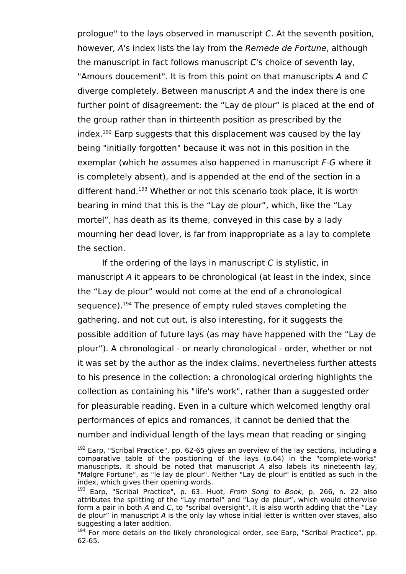prologue" to the lays observed in manuscript C. At the seventh position, however, A's index lists the lay from the Remede de Fortune, although the manuscript in fact follows manuscript C's choice of seventh lay, "Amours doucement". It is from this point on that manuscripts A and C diverge completely. Between manuscript A and the index there is one further point of disagreement: the "Lay de plour" is placed at the end of the group rather than in thirteenth position as prescribed by the index.<sup>[192](#page-109-0)</sup> Earp suggests that this displacement was caused by the lay being "initially forgotten" because it was not in this position in the exemplar (which he assumes also happened in manuscript F-G where it is completely absent), and is appended at the end of the section in a different hand.[193](#page-109-1) Whether or not this scenario took place, it is worth bearing in mind that this is the "Lay de plour", which, like the "Lay mortel", has death as its theme, conveyed in this case by a lady mourning her dead lover, is far from inappropriate as a lay to complete the section.

If the ordering of the lays in manuscript C is stylistic, in manuscript A it appears to be chronological (at least in the index, since the "Lay de plour" would not come at the end of a chronological sequence).<sup>[194](#page-109-2)</sup> The presence of empty ruled staves completing the gathering, and not cut out, is also interesting, for it suggests the possible addition of future lays (as may have happened with the "Lay de plour"). A chronological - or nearly chronological - order, whether or not it was set by the author as the index claims, nevertheless further attests to his presence in the collection: a chronological ordering highlights the collection as containing his "life's work", rather than a suggested order for pleasurable reading. Even in a culture which welcomed lengthy oral performances of epics and romances, it cannot be denied that the number and individual length of the lays mean that reading or singing

<span id="page-109-0"></span> $192$  Earp, "Scribal Practice", pp. 62-65 gives an overview of the lay sections, including a comparative table of the positioning of the lays (p.64) in the "complete-works" manuscripts. It should be noted that manuscript  $\overrightarrow{A}$  also labels its nineteenth lay, "Malgre Fortune", as "le lay de plour". Neither "Lay de plour" is entitled as such in the index, which gives their opening words.

<span id="page-109-1"></span><sup>&</sup>lt;sup>193</sup> Earp, "Scribal Practice", p. 63. Huot, From Song to Book, p. 266, n. 22 also attributes the splitting of the "Lay mortel" and "Lay de plour", which would otherwise form a pair in both A and C, to "scribal oversight". It is also worth adding that the "Lay de plour" in manuscript A is the only lay whose initial letter is written over staves, also suggesting a later addition.

<span id="page-109-2"></span><sup>&</sup>lt;sup>194</sup> For more details on the likely chronological order, see Earp, "Scribal Practice", pp. 62-65.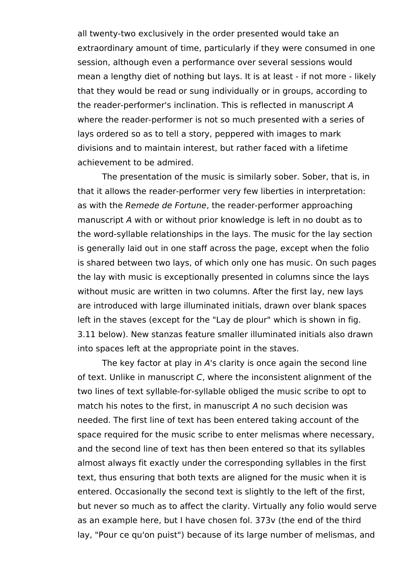all twenty-two exclusively in the order presented would take an extraordinary amount of time, particularly if they were consumed in one session, although even a performance over several sessions would mean a lengthy diet of nothing but lays. It is at least - if not more - likely that they would be read or sung individually or in groups, according to the reader-performer's inclination. This is reflected in manuscript A where the reader-performer is not so much presented with a series of lays ordered so as to tell a story, peppered with images to mark divisions and to maintain interest, but rather faced with a lifetime achievement to be admired.

The presentation of the music is similarly sober. Sober, that is, in that it allows the reader-performer very few liberties in interpretation: as with the Remede de Fortune, the reader-performer approaching manuscript A with or without prior knowledge is left in no doubt as to the word-syllable relationships in the lays. The music for the lay section is generally laid out in one staff across the page, except when the folio is shared between two lays, of which only one has music. On such pages the lay with music is exceptionally presented in columns since the lays without music are written in two columns. After the first lay, new lays are introduced with large illuminated initials, drawn over blank spaces left in the staves (except for the "Lay de plour" which is shown in fig. 3.11 below). New stanzas feature smaller illuminated initials also drawn into spaces left at the appropriate point in the staves.

The key factor at play in A's clarity is once again the second line of text. Unlike in manuscript C, where the inconsistent alignment of the two lines of text syllable-for-syllable obliged the music scribe to opt to match his notes to the first, in manuscript A no such decision was needed. The first line of text has been entered taking account of the space required for the music scribe to enter melismas where necessary, and the second line of text has then been entered so that its syllables almost always fit exactly under the corresponding syllables in the first text, thus ensuring that both texts are aligned for the music when it is entered. Occasionally the second text is slightly to the left of the first, but never so much as to affect the clarity. Virtually any folio would serve as an example here, but I have chosen fol. 373v (the end of the third lay, "Pour ce qu'on puist") because of its large number of melismas, and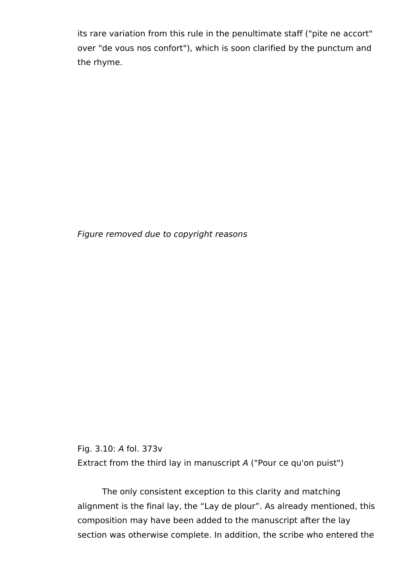its rare variation from this rule in the penultimate staff ("pite ne accort" over "de vous nos confort"), which is soon clarified by the punctum and the rhyme.

Figure removed due to copyright reasons

Fig. 3.10: A fol. 373v Extract from the third lay in manuscript A ("Pour ce qu'on puist")

The only consistent exception to this clarity and matching alignment is the final lay, the "Lay de plour". As already mentioned, this composition may have been added to the manuscript after the lay section was otherwise complete. In addition, the scribe who entered the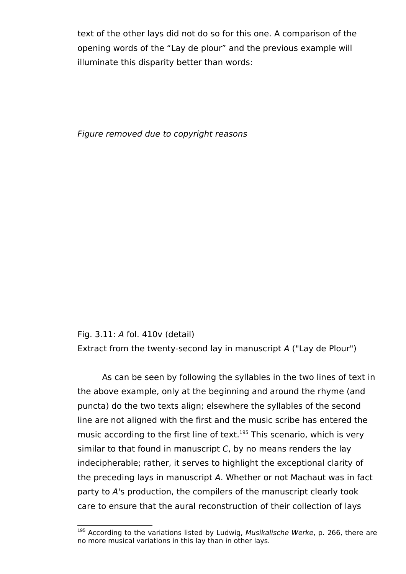text of the other lays did not do so for this one. A comparison of the opening words of the "Lay de plour" and the previous example will illuminate this disparity better than words:

Figure removed due to copyright reasons

Fig. 3.11: A fol. 410v (detail) Extract from the twenty-second lay in manuscript A ("Lay de Plour")

As can be seen by following the syllables in the two lines of text in the above example, only at the beginning and around the rhyme (and puncta) do the two texts align; elsewhere the syllables of the second line are not aligned with the first and the music scribe has entered the music according to the first line of text.<sup>[195](#page-112-0)</sup> This scenario, which is very similar to that found in manuscript  $C$ , by no means renders the lay indecipherable; rather, it serves to highlight the exceptional clarity of the preceding lays in manuscript A. Whether or not Machaut was in fact party to A's production, the compilers of the manuscript clearly took care to ensure that the aural reconstruction of their collection of lays

<span id="page-112-0"></span> $195$  According to the variations listed by Ludwig, Musikalische Werke, p. 266, there are no more musical variations in this lay than in other lays.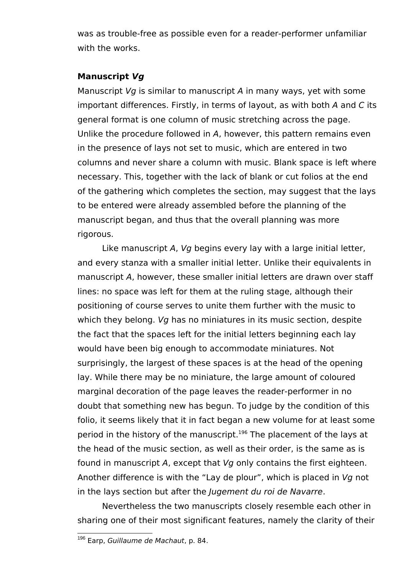was as trouble-free as possible even for a reader-performer unfamiliar with the works.

# **Manuscript Vg**

Manuscript  $Vg$  is similar to manuscript  $A$  in many ways, yet with some important differences. Firstly, in terms of layout, as with both A and C its general format is one column of music stretching across the page. Unlike the procedure followed in A, however, this pattern remains even in the presence of lays not set to music, which are entered in two columns and never share a column with music. Blank space is left where necessary. This, together with the lack of blank or cut folios at the end of the gathering which completes the section, may suggest that the lays to be entered were already assembled before the planning of the manuscript began, and thus that the overall planning was more rigorous.

Like manuscript A, Vg begins every lay with a large initial letter, and every stanza with a smaller initial letter. Unlike their equivalents in manuscript A, however, these smaller initial letters are drawn over staff lines: no space was left for them at the ruling stage, although their positioning of course serves to unite them further with the music to which they belong. Vg has no miniatures in its music section, despite the fact that the spaces left for the initial letters beginning each lay would have been big enough to accommodate miniatures. Not surprisingly, the largest of these spaces is at the head of the opening lay. While there may be no miniature, the large amount of coloured marginal decoration of the page leaves the reader-performer in no doubt that something new has begun. To judge by the condition of this folio, it seems likely that it in fact began a new volume for at least some period in the history of the manuscript.<sup>[196](#page-113-0)</sup> The placement of the lays at the head of the music section, as well as their order, is the same as is found in manuscript A, except that Vg only contains the first eighteen. Another difference is with the "Lay de plour", which is placed in Vg not in the lays section but after the *Jugement du roi de Navarre*.

Nevertheless the two manuscripts closely resemble each other in sharing one of their most significant features, namely the clarity of their

<span id="page-113-0"></span><sup>196</sup> Earp, Guillaume de Machaut, p. 84.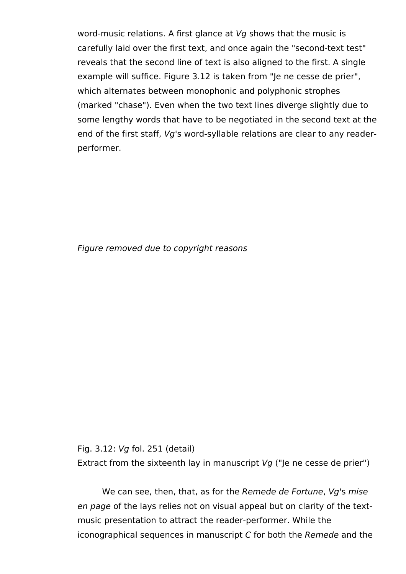word-music relations. A first glance at Vg shows that the music is carefully laid over the first text, and once again the "second-text test" reveals that the second line of text is also aligned to the first. A single example will suffice. Figure 3.12 is taken from "Je ne cesse de prier", which alternates between monophonic and polyphonic strophes (marked "chase"). Even when the two text lines diverge slightly due to some lengthy words that have to be negotiated in the second text at the end of the first staff, Vg's word-syllable relations are clear to any readerperformer.

Figure removed due to copyright reasons

Fig. 3.12: Vg fol. 251 (detail) Extract from the sixteenth lay in manuscript  $Vg$  ("Je ne cesse de prier")

We can see, then, that, as for the Remede de Fortune, Vg's mise en page of the lays relies not on visual appeal but on clarity of the textmusic presentation to attract the reader-performer. While the iconographical sequences in manuscript C for both the Remede and the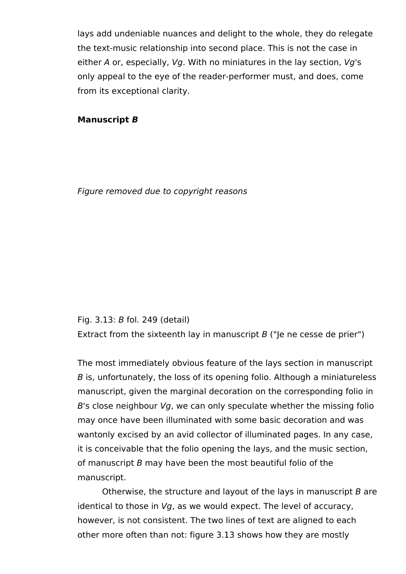lays add undeniable nuances and delight to the whole, they do relegate the text-music relationship into second place. This is not the case in either A or, especially, Vg. With no miniatures in the lay section, Vg's only appeal to the eye of the reader-performer must, and does, come from its exceptional clarity.

# **Manuscript B**

Figure removed due to copyright reasons

# Fig. 3.13: B fol. 249 (detail)

Extract from the sixteenth lay in manuscript  $B$  ("Je ne cesse de prier")

The most immediately obvious feature of the lays section in manuscript B is, unfortunately, the loss of its opening folio. Although a miniatureless manuscript, given the marginal decoration on the corresponding folio in B's close neighbour Vg, we can only speculate whether the missing folio may once have been illuminated with some basic decoration and was wantonly excised by an avid collector of illuminated pages. In any case, it is conceivable that the folio opening the lays, and the music section, of manuscript B may have been the most beautiful folio of the manuscript.

Otherwise, the structure and layout of the lays in manuscript  $B$  are identical to those in Vg, as we would expect. The level of accuracy, however, is not consistent. The two lines of text are aligned to each other more often than not: figure 3.13 shows how they are mostly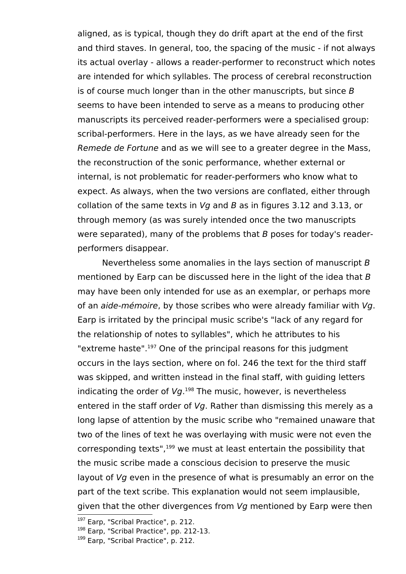aligned, as is typical, though they do drift apart at the end of the first and third staves. In general, too, the spacing of the music - if not always its actual overlay - allows a reader-performer to reconstruct which notes are intended for which syllables. The process of cerebral reconstruction is of course much longer than in the other manuscripts, but since  $B$ seems to have been intended to serve as a means to producing other manuscripts its perceived reader-performers were a specialised group: scribal-performers. Here in the lays, as we have already seen for the Remede de Fortune and as we will see to a greater degree in the Mass, the reconstruction of the sonic performance, whether external or internal, is not problematic for reader-performers who know what to expect. As always, when the two versions are conflated, either through collation of the same texts in Vg and B as in figures 3.12 and 3.13, or through memory (as was surely intended once the two manuscripts were separated), many of the problems that B poses for today's readerperformers disappear.

Nevertheless some anomalies in the lays section of manuscript B mentioned by Earp can be discussed here in the light of the idea that B may have been only intended for use as an exemplar, or perhaps more of an aide-mémoire, by those scribes who were already familiar with Vg. Earp is irritated by the principal music scribe's "lack of any regard for the relationship of notes to syllables", which he attributes to his "extreme haste".<sup>[197](#page-116-0)</sup> One of the principal reasons for this judgment occurs in the lays section, where on fol. 246 the text for the third staff was skipped, and written instead in the final staff, with guiding letters indicating the order of  $Vg$ .<sup>[198](#page-116-1)</sup> The music, however, is nevertheless entered in the staff order of Vg. Rather than dismissing this merely as a long lapse of attention by the music scribe who "remained unaware that two of the lines of text he was overlaying with music were not even the corresponding texts",[199](#page-116-2) we must at least entertain the possibility that the music scribe made a conscious decision to preserve the music layout of Vg even in the presence of what is presumably an error on the part of the text scribe. This explanation would not seem implausible, given that the other divergences from Vg mentioned by Earp were then

<span id="page-116-0"></span><sup>&</sup>lt;sup>197</sup> Earp, "Scribal Practice", p. 212.

<span id="page-116-1"></span><sup>198</sup> Earp, "Scribal Practice", pp. 212-13.

<span id="page-116-2"></span><sup>199</sup> Earp, "Scribal Practice", p. 212.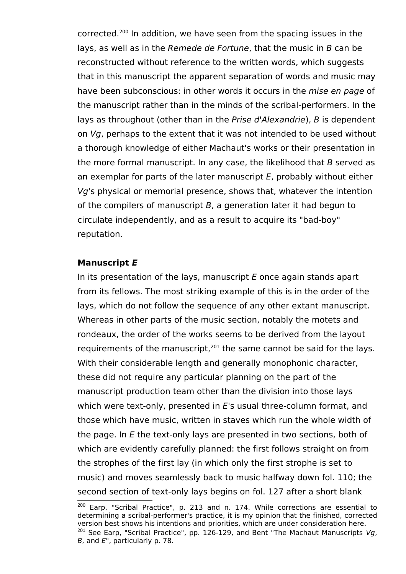corrected.[200](#page-117-0) In addition, we have seen from the spacing issues in the lays, as well as in the Remede de Fortune, that the music in B can be reconstructed without reference to the written words, which suggests that in this manuscript the apparent separation of words and music may have been subconscious: in other words it occurs in the mise en page of the manuscript rather than in the minds of the scribal-performers. In the lays as throughout (other than in the Prise d'Alexandrie), B is dependent on Vg, perhaps to the extent that it was not intended to be used without a thorough knowledge of either Machaut's works or their presentation in the more formal manuscript. In any case, the likelihood that B served as an exemplar for parts of the later manuscript  $E$ , probably without either Vg's physical or memorial presence, shows that, whatever the intention of the compilers of manuscript  $B$ , a generation later it had begun to circulate independently, and as a result to acquire its "bad-boy" reputation.

# **Manuscript E**

In its presentation of the lays, manuscript E once again stands apart from its fellows. The most striking example of this is in the order of the lays, which do not follow the sequence of any other extant manuscript. Whereas in other parts of the music section, notably the motets and rondeaux, the order of the works seems to be derived from the layout requirements of the manuscript, $201$  the same cannot be said for the lays. With their considerable length and generally monophonic character, these did not require any particular planning on the part of the manuscript production team other than the division into those lays which were text-only, presented in E's usual three-column format, and those which have music, written in staves which run the whole width of the page. In E the text-only lays are presented in two sections, both of which are evidently carefully planned: the first follows straight on from the strophes of the first lay (in which only the first strophe is set to music) and moves seamlessly back to music halfway down fol. 110; the second section of text-only lays begins on fol. 127 after a short blank

<span id="page-117-1"></span><span id="page-117-0"></span><sup>&</sup>lt;sup>200</sup> Earp, "Scribal Practice", p. 213 and n. 174. While corrections are essential to determining a scribal-performer's practice, it is my opinion that the finished, corrected version best shows his intentions and priorities, which are under consideration here. <sup>201</sup> See Earp, "Scribal Practice", pp. 126-129, and Bent "The Machaut Manuscripts Vg,  $B$ , and  $E^{\prime\prime}$ , particularly p. 78.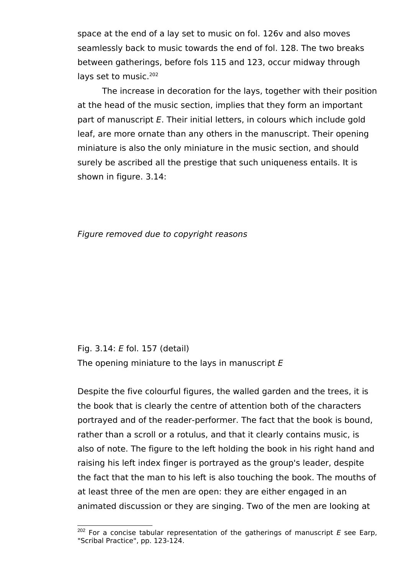space at the end of a lay set to music on fol. 126v and also moves seamlessly back to music towards the end of fol. 128. The two breaks between gatherings, before fols 115 and 123, occur midway through lays set to music.<sup>[202](#page-118-0)</sup>

The increase in decoration for the lays, together with their position at the head of the music section, implies that they form an important part of manuscript E. Their initial letters, in colours which include gold leaf, are more ornate than any others in the manuscript. Their opening miniature is also the only miniature in the music section, and should surely be ascribed all the prestige that such uniqueness entails. It is shown in figure. 3.14:

Figure removed due to copyright reasons

Fig. 3.14: E fol. 157 (detail) The opening miniature to the lays in manuscript  $E$ 

Despite the five colourful figures, the walled garden and the trees, it is the book that is clearly the centre of attention both of the characters portrayed and of the reader-performer. The fact that the book is bound, rather than a scroll or a rotulus, and that it clearly contains music, is also of note. The figure to the left holding the book in his right hand and raising his left index finger is portrayed as the group's leader, despite the fact that the man to his left is also touching the book. The mouths of at least three of the men are open: they are either engaged in an animated discussion or they are singing. Two of the men are looking at

<span id="page-118-0"></span> $202$  For a concise tabular representation of the gatherings of manuscript E see Earp, "Scribal Practice", pp. 123-124.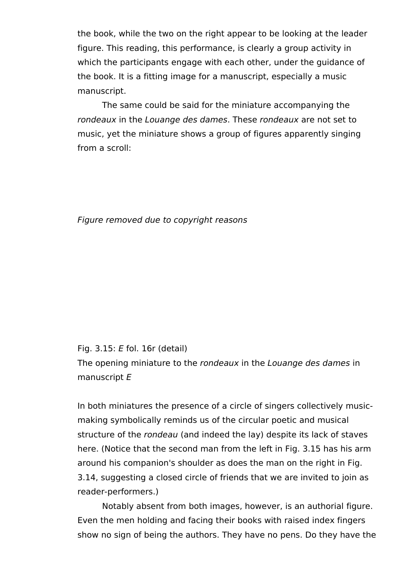the book, while the two on the right appear to be looking at the leader figure. This reading, this performance, is clearly a group activity in which the participants engage with each other, under the guidance of the book. It is a fitting image for a manuscript, especially a music manuscript.

The same could be said for the miniature accompanying the rondeaux in the Louange des dames. These rondeaux are not set to music, yet the miniature shows a group of figures apparently singing from a scroll:

Figure removed due to copyright reasons

Fig. 3.15: E fol. 16r (detail)

The opening miniature to the *rondeaux* in the Louange des dames in manuscript E

In both miniatures the presence of a circle of singers collectively musicmaking symbolically reminds us of the circular poetic and musical structure of the rondeau (and indeed the lay) despite its lack of staves here. (Notice that the second man from the left in Fig. 3.15 has his arm around his companion's shoulder as does the man on the right in Fig. 3.14, suggesting a closed circle of friends that we are invited to join as reader-performers.)

Notably absent from both images, however, is an authorial figure. Even the men holding and facing their books with raised index fingers show no sign of being the authors. They have no pens. Do they have the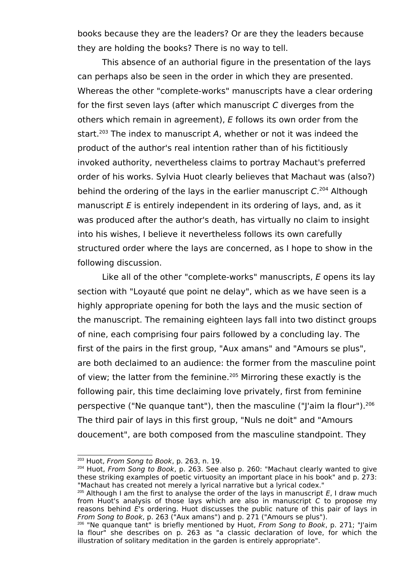books because they are the leaders? Or are they the leaders because they are holding the books? There is no way to tell.

This absence of an authorial figure in the presentation of the lays can perhaps also be seen in the order in which they are presented. Whereas the other "complete-works" manuscripts have a clear ordering for the first seven lays (after which manuscript C diverges from the others which remain in agreement), E follows its own order from the start.<sup>[203](#page-120-0)</sup> The index to manuscript A, whether or not it was indeed the product of the author's real intention rather than of his fictitiously invoked authority, nevertheless claims to portray Machaut's preferred order of his works. Sylvia Huot clearly believes that Machaut was (also?) behind the ordering of the lays in the earlier manuscript C. [204](#page-120-1) Although manuscript E is entirely independent in its ordering of lays, and, as it was produced after the author's death, has virtually no claim to insight into his wishes, I believe it nevertheless follows its own carefully structured order where the lays are concerned, as I hope to show in the following discussion.

Like all of the other "complete-works" manuscripts, E opens its lay section with "Loyauté que point ne delay", which as we have seen is a highly appropriate opening for both the lays and the music section of the manuscript. The remaining eighteen lays fall into two distinct groups of nine, each comprising four pairs followed by a concluding lay. The first of the pairs in the first group, "Aux amans" and "Amours se plus", are both declaimed to an audience: the former from the masculine point of view; the latter from the feminine.<sup>[205](#page-120-2)</sup> Mirroring these exactly is the following pair, this time declaiming love privately, first from feminine perspective ("Ne quanque tant"), then the masculine ("J'aim la flour").<sup>[206](#page-120-3)</sup> The third pair of lays in this first group, "Nuls ne doit" and "Amours doucement", are both composed from the masculine standpoint. They

<span id="page-120-0"></span><sup>&</sup>lt;sup>203</sup> Huot, From Song to Book, p. 263, n. 19.

<span id="page-120-1"></span> $204$  Huot, From Song to Book, p. 263. See also p. 260: "Machaut clearly wanted to give these striking examples of poetic virtuosity an important place in his book" and p. 273: "Machaut has created not merely a lyrical narrative but a lyrical codex."

<span id="page-120-2"></span> $205$  Although I am the first to analyse the order of the lays in manuscript E, I draw much from Huot's analysis of those lays which are also in manuscript  $\overline{C}$  to propose my reasons behind E's ordering. Huot discusses the public nature of this pair of lays in From Song to Book, p. 263 ("Aux amans") and p. 271 ("Amours se plus").

<span id="page-120-3"></span><sup>&</sup>lt;sup>206</sup> "Ne quanque tant" is briefly mentioned by Huot, From Song to Book, p. 271; "J'aim la flour" she describes on p. 263 as "a classic declaration of love, for which the illustration of solitary meditation in the garden is entirely appropriate".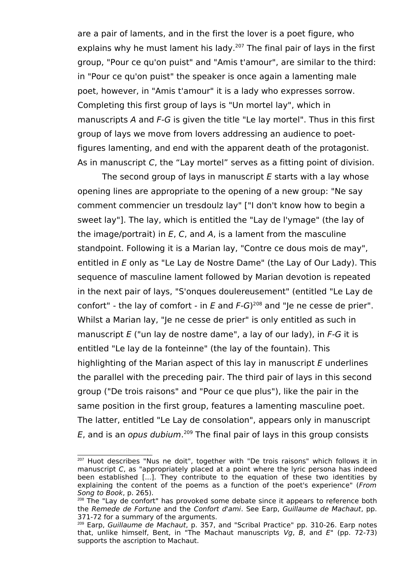are a pair of laments, and in the first the lover is a poet figure, who explains why he must lament his lady.<sup>[207](#page-121-0)</sup> The final pair of lays in the first group, "Pour ce qu'on puist" and "Amis t'amour", are similar to the third: in "Pour ce qu'on puist" the speaker is once again a lamenting male poet, however, in "Amis t'amour" it is a lady who expresses sorrow. Completing this first group of lays is "Un mortel lay", which in manuscripts A and F-G is given the title "Le lay mortel". Thus in this first group of lays we move from lovers addressing an audience to poetfigures lamenting, and end with the apparent death of the protagonist. As in manuscript C, the "Lay mortel" serves as a fitting point of division.

The second group of lays in manuscript  $E$  starts with a lay whose opening lines are appropriate to the opening of a new group: "Ne say comment commencier un tresdoulz lay" ["I don't know how to begin a sweet lay"]. The lay, which is entitled the "Lay de l'ymage" (the lay of the image/portrait) in  $E$ ,  $C$ , and  $A$ , is a lament from the masculine standpoint. Following it is a Marian lay, "Contre ce dous mois de may", entitled in  $E$  only as "Le Lay de Nostre Dame" (the Lay of Our Lady). This sequence of masculine lament followed by Marian devotion is repeated in the next pair of lays, "S'onques doulereusement" (entitled "Le Lay de confort" - the lay of comfort - in E and  $F-G$ <sup>[208](#page-121-1)</sup> and "Je ne cesse de prier". Whilst a Marian lay, "Je ne cesse de prier" is only entitled as such in manuscript  $E$  ("un lay de nostre dame", a lay of our lady), in  $F-G$  it is entitled "Le lay de la fonteinne" (the lay of the fountain). This highlighting of the Marian aspect of this lay in manuscript  $E$  underlines the parallel with the preceding pair. The third pair of lays in this second group ("De trois raisons" and "Pour ce que plus"), like the pair in the same position in the first group, features a lamenting masculine poet. The latter, entitled "Le Lay de consolation", appears only in manuscript E, and is an opus dubium.<sup>[209](#page-121-2)</sup> The final pair of lays in this group consists

<span id="page-121-0"></span> $207$  Huot describes "Nus ne doit", together with "De trois raisons" which follows it in manuscript C, as "appropriately placed at a point where the lyric persona has indeed been established [...]. They contribute to the equation of these two identities by explaining the content of the poems as a function of the poet's experience" (From Song to Book, p. 265).

<span id="page-121-1"></span><sup>&</sup>lt;sup>208</sup> The "Lay de confort" has provoked some debate since it appears to reference both the Remede de Fortune and the Confort d'ami. See Earp, Guillaume de Machaut, pp. 371-72 for a summary of the arguments.

<span id="page-121-2"></span><sup>&</sup>lt;sup>209</sup> Earp, Guillaume de Machaut, p. 357, and "Scribal Practice" pp. 310-26. Earp notes that, unlike himself, Bent, in "The Machaut manuscripts  $Vg$ , B, and E" (pp. 72-73) supports the ascription to Machaut.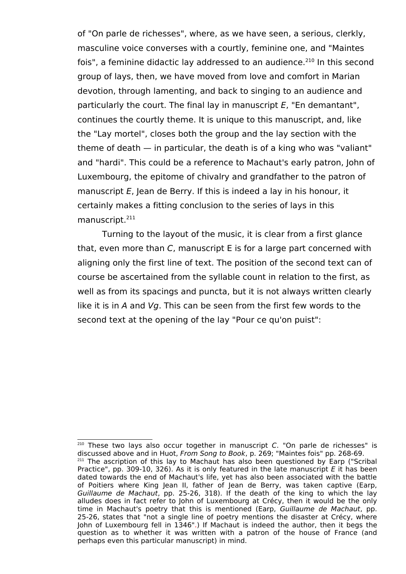of "On parle de richesses", where, as we have seen, a serious, clerkly, masculine voice converses with a courtly, feminine one, and "Maintes fois", a feminine didactic lay addressed to an audience. $210$  In this second group of lays, then, we have moved from love and comfort in Marian devotion, through lamenting, and back to singing to an audience and particularly the court. The final lay in manuscript  $E$ , "En demantant", continues the courtly theme. It is unique to this manuscript, and, like the "Lay mortel", closes both the group and the lay section with the theme of death — in particular, the death is of a king who was "valiant" and "hardi". This could be a reference to Machaut's early patron, John of Luxembourg, the epitome of chivalry and grandfather to the patron of manuscript E, Jean de Berry. If this is indeed a lay in his honour, it certainly makes a fitting conclusion to the series of lays in this manuscript.<sup>[211](#page-122-1)</sup>

Turning to the layout of the music, it is clear from a first glance that, even more than C, manuscript E is for a large part concerned with aligning only the first line of text. The position of the second text can of course be ascertained from the syllable count in relation to the first, as well as from its spacings and puncta, but it is not always written clearly like it is in A and Vg. This can be seen from the first few words to the second text at the opening of the lay "Pour ce qu'on puist":

<span id="page-122-1"></span><span id="page-122-0"></span> $210$  These two lays also occur together in manuscript C. "On parle de richesses" is discussed above and in Huot, From Song to Book, p. 269; "Maintes fois" pp. 268-69. <sup>211</sup> The ascription of this lay to Machaut has also been questioned by Earp ("Scribal Practice", pp. 309-10, 326). As it is only featured in the late manuscript  $E$  it has been dated towards the end of Machaut's life, yet has also been associated with the battle of Poitiers where King Jean II, father of Jean de Berry, was taken captive (Earp, Guillaume de Machaut, pp. 25-26, 318). If the death of the king to which the lay alludes does in fact refer to John of Luxembourg at Crécy, then it would be the only time in Machaut's poetry that this is mentioned (Earp, Guillaume de Machaut, pp. 25-26, states that "not a single line of poetry mentions the disaster at Crécy, where John of Luxembourg fell in 1346".) If Machaut is indeed the author, then it begs the question as to whether it was written with a patron of the house of France (and perhaps even this particular manuscript) in mind.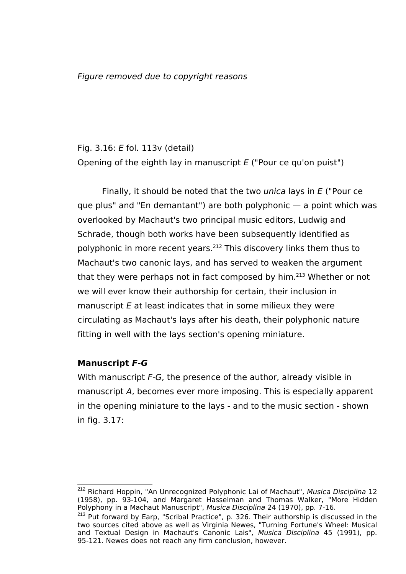### Figure removed due to copyright reasons

# Fig. 3.16: E fol. 113v (detail) Opening of the eighth lay in manuscript  $E$  ("Pour ce qu'on puist")

Finally, it should be noted that the two *unica* lays in  $E$  ("Pour ce que plus" and "En demantant") are both polyphonic — a point which was overlooked by Machaut's two principal music editors, Ludwig and Schrade, though both works have been subsequently identified as polyphonic in more recent years.<sup>[212](#page-123-0)</sup> This discovery links them thus to Machaut's two canonic lays, and has served to weaken the argument that they were perhaps not in fact composed by  $him.^{213}$  $him.^{213}$  $him.^{213}$  Whether or not we will ever know their authorship for certain, their inclusion in manuscript  $E$  at least indicates that in some milieux they were circulating as Machaut's lays after his death, their polyphonic nature fitting in well with the lays section's opening miniature.

# **Manuscript F-G**

With manuscript *F-G*, the presence of the author, already visible in manuscript A, becomes ever more imposing. This is especially apparent in the opening miniature to the lays - and to the music section - shown in fig. 3.17:

<span id="page-123-0"></span><sup>&</sup>lt;sup>212</sup> Richard Hoppin, "An Unrecognized Polyphonic Lai of Machaut", Musica Disciplina 12 (1958), pp. 93-104, and Margaret Hasselman and Thomas Walker, "More Hidden Polyphony in a Machaut Manuscript", Musica Disciplina 24 (1970), pp. 7-16.

<span id="page-123-1"></span><sup>&</sup>lt;sup>213</sup> Put forward by Earp, "Scribal Practice", p. 326. Their authorship is discussed in the two sources cited above as well as Virginia Newes, "Turning Fortune's Wheel: Musical and Textual Design in Machaut's Canonic Lais", Musica Disciplina 45 (1991), pp. 95-121. Newes does not reach any firm conclusion, however.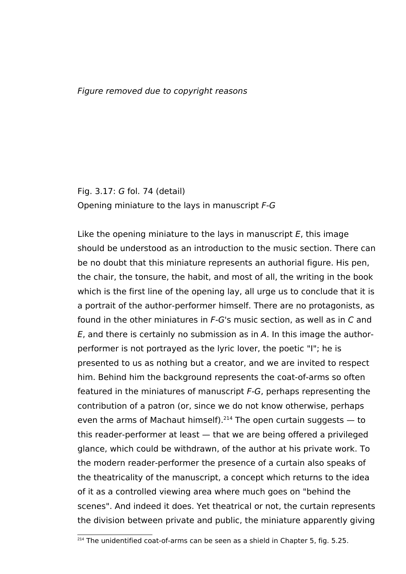#### Figure removed due to copyright reasons

# Fig. 3.17: G fol. 74 (detail) Opening miniature to the lays in manuscript F-G

Like the opening miniature to the lays in manuscript  $E$ , this image should be understood as an introduction to the music section. There can be no doubt that this miniature represents an authorial figure. His pen, the chair, the tonsure, the habit, and most of all, the writing in the book which is the first line of the opening lay, all urge us to conclude that it is a portrait of the author-performer himself. There are no protagonists, as found in the other miniatures in F-G's music section, as well as in C and E, and there is certainly no submission as in A. In this image the authorperformer is not portrayed as the lyric lover, the poetic "I"; he is presented to us as nothing but a creator, and we are invited to respect him. Behind him the background represents the coat-of-arms so often featured in the miniatures of manuscript F-G, perhaps representing the contribution of a patron (or, since we do not know otherwise, perhaps even the arms of Machaut himself).<sup>[214](#page-124-0)</sup> The open curtain suggests  $-$  to this reader-performer at least — that we are being offered a privileged glance, which could be withdrawn, of the author at his private work. To the modern reader-performer the presence of a curtain also speaks of the theatricality of the manuscript, a concept which returns to the idea of it as a controlled viewing area where much goes on "behind the scenes". And indeed it does. Yet theatrical or not, the curtain represents the division between private and public, the miniature apparently giving

<span id="page-124-0"></span> $214$  The unidentified coat-of-arms can be seen as a shield in Chapter 5, fig. 5.25.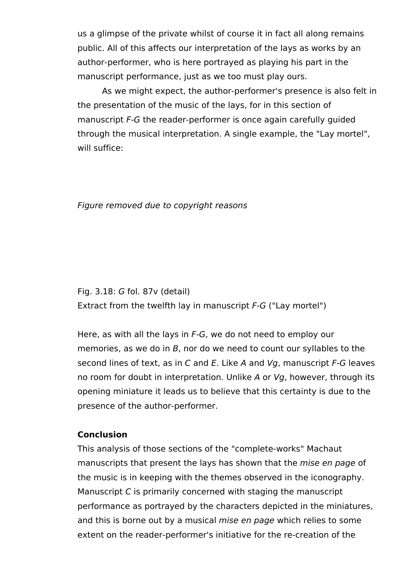us a glimpse of the private whilst of course it in fact all along remains public. All of this affects our interpretation of the lays as works by an author-performer, who is here portrayed as playing his part in the manuscript performance, just as we too must play ours.

As we might expect, the author-performer's presence is also felt in the presentation of the music of the lays, for in this section of manuscript F-G the reader-performer is once again carefully guided through the musical interpretation. A single example, the "Lay mortel", will suffice:

Figure removed due to copyright reasons

Fig. 3.18: G fol. 87v (detail) Extract from the twelfth lay in manuscript F-G ("Lay mortel")

Here, as with all the lays in F-G, we do not need to employ our memories, as we do in B, nor do we need to count our syllables to the second lines of text, as in C and E. Like A and  $Vq$ , manuscript  $F-G$  leaves no room for doubt in interpretation. Unlike A or Vg, however, through its opening miniature it leads us to believe that this certainty is due to the presence of the author-performer.

# **Conclusion**

This analysis of those sections of the "complete-works" Machaut manuscripts that present the lays has shown that the mise en page of the music is in keeping with the themes observed in the iconography. Manuscript C is primarily concerned with staging the manuscript performance as portrayed by the characters depicted in the miniatures, and this is borne out by a musical mise en page which relies to some extent on the reader-performer's initiative for the re-creation of the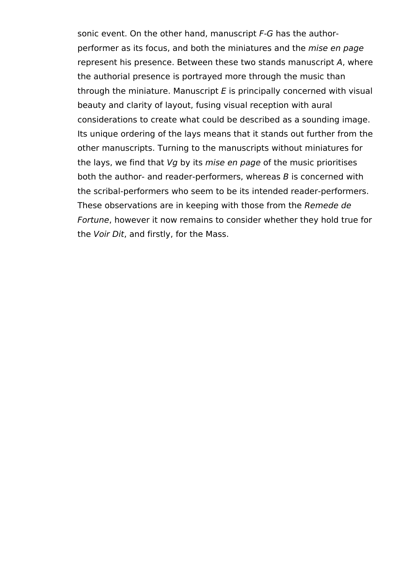sonic event. On the other hand, manuscript F-G has the authorperformer as its focus, and both the miniatures and the mise en page represent his presence. Between these two stands manuscript A, where the authorial presence is portrayed more through the music than through the miniature. Manuscript  $E$  is principally concerned with visual beauty and clarity of layout, fusing visual reception with aural considerations to create what could be described as a sounding image. Its unique ordering of the lays means that it stands out further from the other manuscripts. Turning to the manuscripts without miniatures for the lays, we find that  $Vg$  by its mise en page of the music prioritises both the author- and reader-performers, whereas  $B$  is concerned with the scribal-performers who seem to be its intended reader-performers. These observations are in keeping with those from the Remede de Fortune, however it now remains to consider whether they hold true for the Voir Dit, and firstly, for the Mass.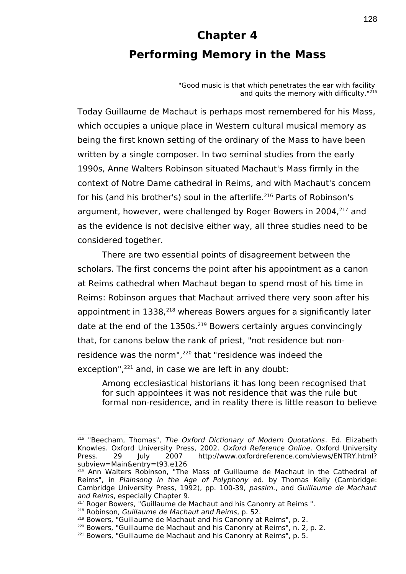# **Chapter 4 Performing Memory in the Mass**

"Good music is that which penetrates the ear with facility and quits the memory with difficulty."<sup>[215](#page-127-0)</sup>

Today Guillaume de Machaut is perhaps most remembered for his Mass, which occupies a unique place in Western cultural musical memory as being the first known setting of the ordinary of the Mass to have been written by a single composer. In two seminal studies from the early 1990s, Anne Walters Robinson situated Machaut's Mass firmly in the context of Notre Dame cathedral in Reims, and with Machaut's concern for his (and his brother's) soul in the afterlife.<sup>[216](#page-127-1)</sup> Parts of Robinson's argument, however, were challenged by Roger Bowers in 2004,<sup>[217](#page-127-2)</sup> and as the evidence is not decisive either way, all three studies need to be considered together.

There are two essential points of disagreement between the scholars. The first concerns the point after his appointment as a canon at Reims cathedral when Machaut began to spend most of his time in Reims: Robinson argues that Machaut arrived there very soon after his appointment in 1338,<sup>[218](#page-127-3)</sup> whereas Bowers argues for a significantly later date at the end of the 1350s.<sup>[219](#page-127-4)</sup> Bowers certainly argues convincingly that, for canons below the rank of priest, "not residence but non-residence was the norm",<sup>[220](#page-127-5)</sup> that "residence was indeed the exception", $221$  and, in case we are left in any doubt:

Among ecclesiastical historians it has long been recognised that for such appointees it was not residence that was the rule but formal non-residence, and in reality there is little reason to believe

<span id="page-127-0"></span><sup>&</sup>lt;sup>215</sup> "Beecham, Thomas", The Oxford Dictionary of Modern Quotations. Ed. Elizabeth Knowles. Oxford University Press, 2002. Oxford Reference Online. Oxford University<br>Press. 29 July 2007 http://www.oxfordreference.com/views/ENTRY.html? Press. 29 July 2007 http://www.oxfordreference.com/views/ENTRY.html? subview=Main&entry=t93.e126

<span id="page-127-1"></span><sup>&</sup>lt;sup>216</sup> Ann Walters Robinson, "The Mass of Guillaume de Machaut in the Cathedral of Reims", in Plainsong in the Age of Polyphony ed. by Thomas Kelly (Cambridge: Cambridge University Press, 1992), pp. 100-39, passim., and Guillaume de Machaut and Reims, especially Chapter 9.

<span id="page-127-2"></span><sup>&</sup>lt;sup>217</sup> Roger Bowers, "Guillaume de Machaut and his Canonry at Reims ".

<span id="page-127-3"></span><sup>&</sup>lt;sup>218</sup> Robinson, Guillaume de Machaut and Reims, p. 52.

<span id="page-127-4"></span><sup>&</sup>lt;sup>219</sup> Bowers, "Guillaume de Machaut and his Canonry at Reims", p. 2.

<span id="page-127-5"></span><sup>&</sup>lt;sup>220</sup> Bowers, "Guillaume de Machaut and his Canonry at Reims", n. 2, p. 2.

<span id="page-127-6"></span> $221$  Bowers, "Guillaume de Machaut and his Canonry at Reims", p. 5.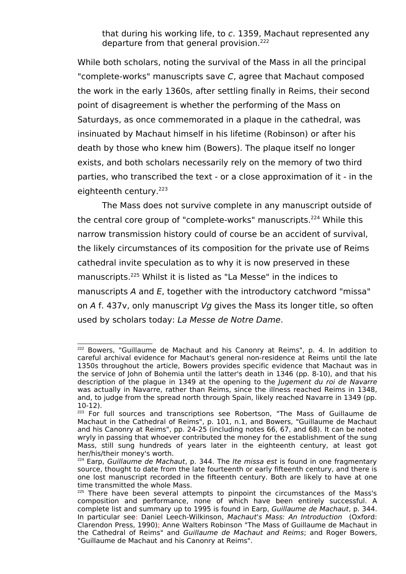that during his working life, to c. 1359, Machaut represented any departure from that general provision.<sup>[222](#page-128-0)</sup>

While both scholars, noting the survival of the Mass in all the principal "complete-works" manuscripts save C, agree that Machaut composed the work in the early 1360s, after settling finally in Reims, their second point of disagreement is whether the performing of the Mass on Saturdays, as once commemorated in a plaque in the cathedral, was insinuated by Machaut himself in his lifetime (Robinson) or after his death by those who knew him (Bowers). The plaque itself no longer exists, and both scholars necessarily rely on the memory of two third parties, who transcribed the text - or a close approximation of it - in the eighteenth century.<sup>[223](#page-128-1)</sup>

The Mass does not survive complete in any manuscript outside of the central core group of "complete-works" manuscripts.<sup>[224](#page-128-2)</sup> While this narrow transmission history could of course be an accident of survival, the likely circumstances of its composition for the private use of Reims cathedral invite speculation as to why it is now preserved in these manuscripts.[225](#page-128-3) Whilst it is listed as "La Messe" in the indices to manuscripts A and E, together with the introductory catchword "missa" on A f. 437v, only manuscript Vg gives the Mass its longer title, so often used by scholars today: La Messe de Notre Dame.

<span id="page-128-0"></span><sup>&</sup>lt;sup>222</sup> Bowers, "Guillaume de Machaut and his Canonry at Reims", p. 4. In addition to careful archival evidence for Machaut's general non-residence at Reims until the late 1350s throughout the article, Bowers provides specific evidence that Machaut was in the service of John of Bohemia until the latter's death in 1346 (pp. 8-10), and that his description of the plague in 1349 at the opening to the Jugement du roi de Navarre was actually in Navarre, rather than Reims, since the illness reached Reims in 1348, and, to judge from the spread north through Spain, likely reached Navarre in 1349 (pp. 10-12).

<span id="page-128-1"></span><sup>&</sup>lt;sup>223</sup> For full sources and transcriptions see Robertson, "The Mass of Guillaume de Machaut in the Cathedral of Reims", p. 101, n.1, and Bowers, "Guillaume de Machaut and his Canonry at Reims", pp. 24-25 (including notes 66, 67, and 68). It can be noted wryly in passing that whoever contributed the money for the establishment of the sung Mass, still sung hundreds of years later in the eighteenth century, at least got her/his/their money's worth.

<span id="page-128-2"></span> $224$  Earp, Guillaume de Machaut, p. 344. The Ite missa est is found in one fragmentary source, thought to date from the late fourteenth or early fifteenth century, and there is one lost manuscript recorded in the fifteenth century. Both are likely to have at one time transmitted the whole Mass.

<span id="page-128-3"></span><sup>&</sup>lt;sup>225</sup> There have been several attempts to pinpoint the circumstances of the Mass's composition and performance, none of which have been entirely successful. A complete list and summary up to 1995 is found in Earp, Guillaume de Machaut, p. 344. In particular see: Daniel Leech-Wilkinson, Machaut's Mass: An Introduction (Oxford: Clarendon Press, 1990); Anne Walters Robinson "The Mass of Guillaume de Machaut in the Cathedral of Reims" and Guillaume de Machaut and Reims; and Roger Bowers, "Guillaume de Machaut and his Canonry at Reims".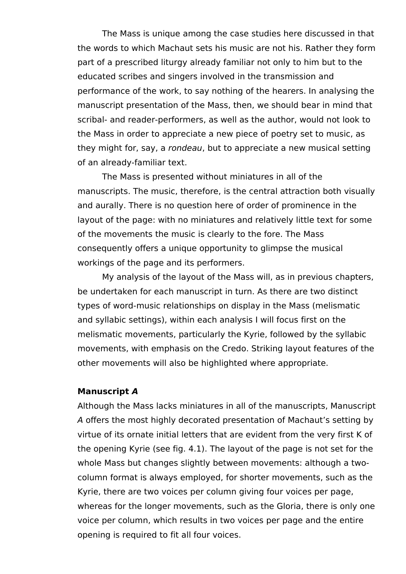The Mass is unique among the case studies here discussed in that the words to which Machaut sets his music are not his. Rather they form part of a prescribed liturgy already familiar not only to him but to the educated scribes and singers involved in the transmission and performance of the work, to say nothing of the hearers. In analysing the manuscript presentation of the Mass, then, we should bear in mind that scribal- and reader-performers, as well as the author, would not look to the Mass in order to appreciate a new piece of poetry set to music, as they might for, say, a rondeau, but to appreciate a new musical setting of an already-familiar text.

The Mass is presented without miniatures in all of the manuscripts. The music, therefore, is the central attraction both visually and aurally. There is no question here of order of prominence in the layout of the page: with no miniatures and relatively little text for some of the movements the music is clearly to the fore. The Mass consequently offers a unique opportunity to glimpse the musical workings of the page and its performers.

My analysis of the layout of the Mass will, as in previous chapters, be undertaken for each manuscript in turn. As there are two distinct types of word-music relationships on display in the Mass (melismatic and syllabic settings), within each analysis I will focus first on the melismatic movements, particularly the Kyrie, followed by the syllabic movements, with emphasis on the Credo. Striking layout features of the other movements will also be highlighted where appropriate.

#### **Manuscript A**

Although the Mass lacks miniatures in all of the manuscripts, Manuscript A offers the most highly decorated presentation of Machaut's setting by virtue of its ornate initial letters that are evident from the very first K of the opening Kyrie (see fig. 4.1). The layout of the page is not set for the whole Mass but changes slightly between movements: although a twocolumn format is always employed, for shorter movements, such as the Kyrie, there are two voices per column giving four voices per page, whereas for the longer movements, such as the Gloria, there is only one voice per column, which results in two voices per page and the entire opening is required to fit all four voices.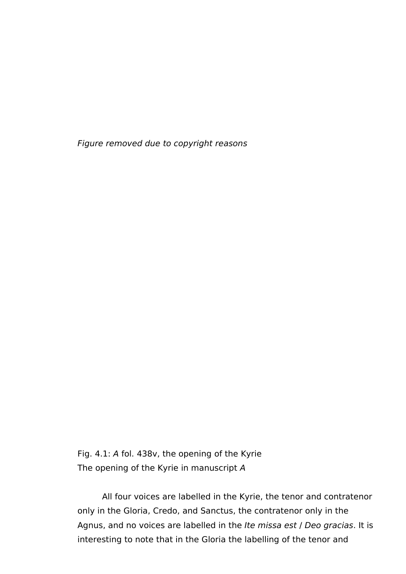Figure removed due to copyright reasons

Fig. 4.1: A fol. 438v, the opening of the Kyrie The opening of the Kyrie in manuscript A

All four voices are labelled in the Kyrie, the tenor and contratenor only in the Gloria, Credo, and Sanctus, the contratenor only in the Agnus, and no voices are labelled in the Ite missa est / Deo gracias. It is interesting to note that in the Gloria the labelling of the tenor and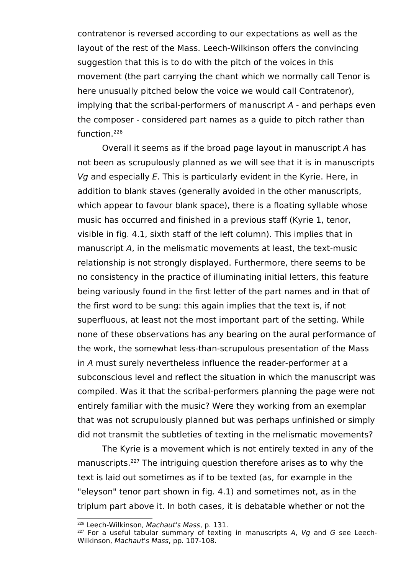contratenor is reversed according to our expectations as well as the layout of the rest of the Mass. Leech-Wilkinson offers the convincing suggestion that this is to do with the pitch of the voices in this movement (the part carrying the chant which we normally call Tenor is here unusually pitched below the voice we would call Contratenor), implying that the scribal-performers of manuscript A - and perhaps even the composer - considered part names as a guide to pitch rather than function.<sup>[226](#page-131-0)</sup>

Overall it seems as if the broad page layout in manuscript A has not been as scrupulously planned as we will see that it is in manuscripts Vg and especially E. This is particularly evident in the Kyrie. Here, in addition to blank staves (generally avoided in the other manuscripts, which appear to favour blank space), there is a floating syllable whose music has occurred and finished in a previous staff (Kyrie 1, tenor, visible in fig. 4.1, sixth staff of the left column). This implies that in manuscript A, in the melismatic movements at least, the text-music relationship is not strongly displayed. Furthermore, there seems to be no consistency in the practice of illuminating initial letters, this feature being variously found in the first letter of the part names and in that of the first word to be sung: this again implies that the text is, if not superfluous, at least not the most important part of the setting. While none of these observations has any bearing on the aural performance of the work, the somewhat less-than-scrupulous presentation of the Mass in A must surely nevertheless influence the reader-performer at a subconscious level and reflect the situation in which the manuscript was compiled. Was it that the scribal-performers planning the page were not entirely familiar with the music? Were they working from an exemplar that was not scrupulously planned but was perhaps unfinished or simply did not transmit the subtleties of texting in the melismatic movements?

The Kyrie is a movement which is not entirely texted in any of the manuscripts.[227](#page-131-1) The intriguing question therefore arises as to why the text is laid out sometimes as if to be texted (as, for example in the "eleyson" tenor part shown in fig. 4.1) and sometimes not, as in the triplum part above it. In both cases, it is debatable whether or not the

<span id="page-131-0"></span><sup>&</sup>lt;sup>226</sup> Leech-Wilkinson, Machaut's Mass, p. 131.

<span id="page-131-1"></span> $227$  For a useful tabular summary of texting in manuscripts A, Vg and G see Leech-Wilkinson, Machaut's Mass, pp. 107-108.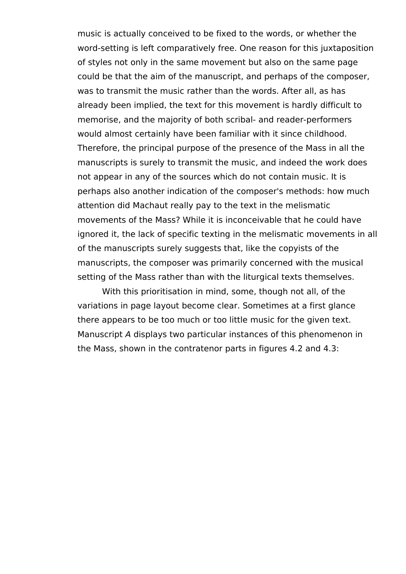music is actually conceived to be fixed to the words, or whether the word-setting is left comparatively free. One reason for this juxtaposition of styles not only in the same movement but also on the same page could be that the aim of the manuscript, and perhaps of the composer, was to transmit the music rather than the words. After all, as has already been implied, the text for this movement is hardly difficult to memorise, and the majority of both scribal- and reader-performers would almost certainly have been familiar with it since childhood. Therefore, the principal purpose of the presence of the Mass in all the manuscripts is surely to transmit the music, and indeed the work does not appear in any of the sources which do not contain music. It is perhaps also another indication of the composer's methods: how much attention did Machaut really pay to the text in the melismatic movements of the Mass? While it is inconceivable that he could have ignored it, the lack of specific texting in the melismatic movements in all of the manuscripts surely suggests that, like the copyists of the manuscripts, the composer was primarily concerned with the musical setting of the Mass rather than with the liturgical texts themselves.

With this prioritisation in mind, some, though not all, of the variations in page layout become clear. Sometimes at a first glance there appears to be too much or too little music for the given text. Manuscript A displays two particular instances of this phenomenon in the Mass, shown in the contratenor parts in figures 4.2 and 4.3: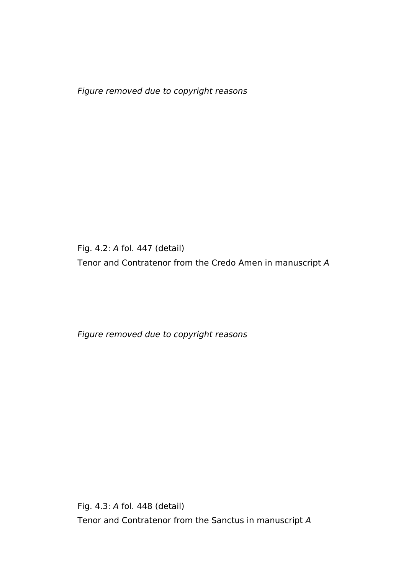Figure removed due to copyright reasons

Fig. 4.2: A fol. 447 (detail) Tenor and Contratenor from the Credo Amen in manuscript A

Figure removed due to copyright reasons

Fig. 4.3: A fol. 448 (detail) Tenor and Contratenor from the Sanctus in manuscript A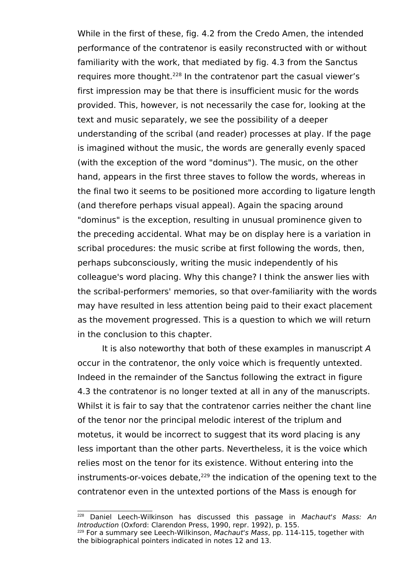While in the first of these, fig. 4.2 from the Credo Amen, the intended performance of the contratenor is easily reconstructed with or without familiarity with the work, that mediated by fig. 4.3 from the Sanctus requires more thought.<sup>[228](#page-134-0)</sup> In the contratenor part the casual viewer's first impression may be that there is insufficient music for the words provided. This, however, is not necessarily the case for, looking at the text and music separately, we see the possibility of a deeper understanding of the scribal (and reader) processes at play. If the page is imagined without the music, the words are generally evenly spaced (with the exception of the word "dominus"). The music, on the other hand, appears in the first three staves to follow the words, whereas in the final two it seems to be positioned more according to ligature length (and therefore perhaps visual appeal). Again the spacing around "dominus" is the exception, resulting in unusual prominence given to the preceding accidental. What may be on display here is a variation in scribal procedures: the music scribe at first following the words, then, perhaps subconsciously, writing the music independently of his colleague's word placing. Why this change? I think the answer lies with the scribal-performers' memories, so that over-familiarity with the words may have resulted in less attention being paid to their exact placement as the movement progressed. This is a question to which we will return in the conclusion to this chapter.

It is also noteworthy that both of these examples in manuscript A occur in the contratenor, the only voice which is frequently untexted. Indeed in the remainder of the Sanctus following the extract in figure 4.3 the contratenor is no longer texted at all in any of the manuscripts. Whilst it is fair to say that the contratenor carries neither the chant line of the tenor nor the principal melodic interest of the triplum and motetus, it would be incorrect to suggest that its word placing is any less important than the other parts. Nevertheless, it is the voice which relies most on the tenor for its existence. Without entering into the instruments-or-voices debate, $229$  the indication of the opening text to the contratenor even in the untexted portions of the Mass is enough for

<span id="page-134-1"></span><span id="page-134-0"></span><sup>&</sup>lt;sup>228</sup> Daniel Leech-Wilkinson has discussed this passage in Machaut's Mass: An Introduction (Oxford: Clarendon Press, 1990, repr. 1992), p. 155.  $229$  For a summary see Leech-Wilkinson, Machaut's Mass, pp. 114-115, together with the bibiographical pointers indicated in notes 12 and 13.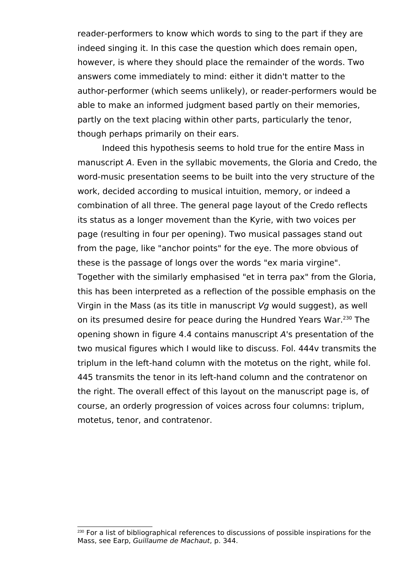reader-performers to know which words to sing to the part if they are indeed singing it. In this case the question which does remain open, however, is where they should place the remainder of the words. Two answers come immediately to mind: either it didn't matter to the author-performer (which seems unlikely), or reader-performers would be able to make an informed judgment based partly on their memories, partly on the text placing within other parts, particularly the tenor, though perhaps primarily on their ears.

Indeed this hypothesis seems to hold true for the entire Mass in manuscript A. Even in the syllabic movements, the Gloria and Credo, the word-music presentation seems to be built into the very structure of the work, decided according to musical intuition, memory, or indeed a combination of all three. The general page layout of the Credo reflects its status as a longer movement than the Kyrie, with two voices per page (resulting in four per opening). Two musical passages stand out from the page, like "anchor points" for the eye. The more obvious of these is the passage of longs over the words "ex maria virgine". Together with the similarly emphasised "et in terra pax" from the Gloria, this has been interpreted as a reflection of the possible emphasis on the Virgin in the Mass (as its title in manuscript Vg would suggest), as well on its presumed desire for peace during the Hundred Years War.<sup>[230](#page-135-0)</sup> The opening shown in figure 4.4 contains manuscript A's presentation of the two musical figures which I would like to discuss. Fol. 444v transmits the triplum in the left-hand column with the motetus on the right, while fol. 445 transmits the tenor in its left-hand column and the contratenor on the right. The overall effect of this layout on the manuscript page is, of course, an orderly progression of voices across four columns: triplum, motetus, tenor, and contratenor.

<span id="page-135-0"></span> $230$  For a list of bibliographical references to discussions of possible inspirations for the Mass, see Earp, Guillaume de Machaut, p. 344.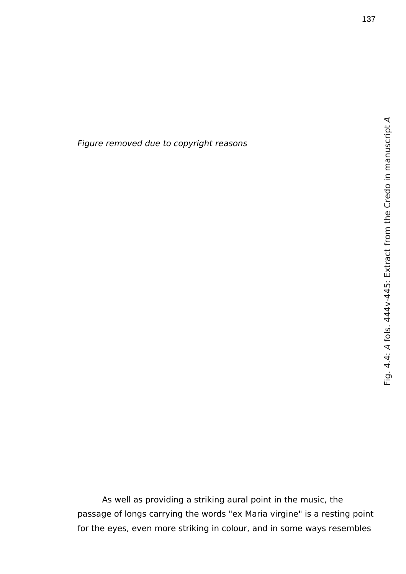Figure removed due to copyright reasons

As well as providing a striking aural point in the music, the passage of longs carrying the words "ex Maria virgine" is a resting point for the eyes, even more striking in colour, and in some ways resembles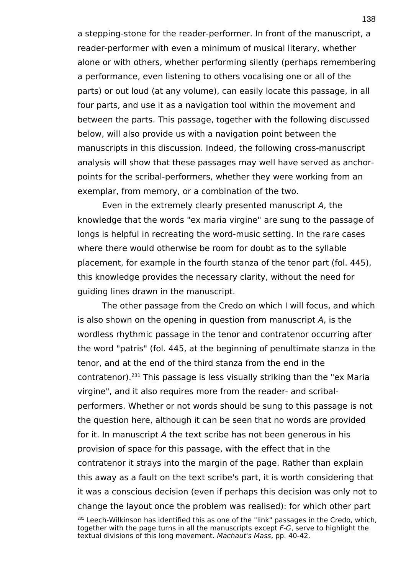a stepping-stone for the reader-performer. In front of the manuscript, a reader-performer with even a minimum of musical literary, whether alone or with others, whether performing silently (perhaps remembering a performance, even listening to others vocalising one or all of the parts) or out loud (at any volume), can easily locate this passage, in all four parts, and use it as a navigation tool within the movement and between the parts. This passage, together with the following discussed below, will also provide us with a navigation point between the manuscripts in this discussion. Indeed, the following cross-manuscript analysis will show that these passages may well have served as anchorpoints for the scribal-performers, whether they were working from an exemplar, from memory, or a combination of the two.

Even in the extremely clearly presented manuscript A, the knowledge that the words "ex maria virgine" are sung to the passage of longs is helpful in recreating the word-music setting. In the rare cases where there would otherwise be room for doubt as to the syllable placement, for example in the fourth stanza of the tenor part (fol. 445), this knowledge provides the necessary clarity, without the need for guiding lines drawn in the manuscript.

The other passage from the Credo on which I will focus, and which is also shown on the opening in question from manuscript A, is the wordless rhythmic passage in the tenor and contratenor occurring after the word "patris" (fol. 445, at the beginning of penultimate stanza in the tenor, and at the end of the third stanza from the end in the contratenor).[231](#page-137-0) This passage is less visually striking than the "ex Maria virgine", and it also requires more from the reader- and scribalperformers. Whether or not words should be sung to this passage is not the question here, although it can be seen that no words are provided for it. In manuscript A the text scribe has not been generous in his provision of space for this passage, with the effect that in the contratenor it strays into the margin of the page. Rather than explain this away as a fault on the text scribe's part, it is worth considering that it was a conscious decision (even if perhaps this decision was only not to change the layout once the problem was realised): for which other part

<span id="page-137-0"></span> $231$  Leech-Wilkinson has identified this as one of the "link" passages in the Credo, which, together with the page turns in all the manuscripts except F-G, serve to highlight the textual divisions of this long movement. Machaut's Mass, pp. 40-42.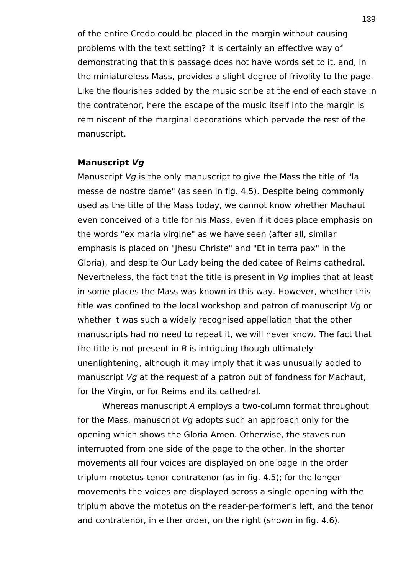of the entire Credo could be placed in the margin without causing problems with the text setting? It is certainly an effective way of demonstrating that this passage does not have words set to it, and, in the miniatureless Mass, provides a slight degree of frivolity to the page. Like the flourishes added by the music scribe at the end of each stave in the contratenor, here the escape of the music itself into the margin is reminiscent of the marginal decorations which pervade the rest of the manuscript.

#### **Manuscript Vg**

Manuscript Vg is the only manuscript to give the Mass the title of "la messe de nostre dame" (as seen in fig. 4.5). Despite being commonly used as the title of the Mass today, we cannot know whether Machaut even conceived of a title for his Mass, even if it does place emphasis on the words "ex maria virgine" as we have seen (after all, similar emphasis is placed on "Jhesu Christe" and "Et in terra pax" in the Gloria), and despite Our Lady being the dedicatee of Reims cathedral. Nevertheless, the fact that the title is present in  $Vg$  implies that at least in some places the Mass was known in this way. However, whether this title was confined to the local workshop and patron of manuscript Vg or whether it was such a widely recognised appellation that the other manuscripts had no need to repeat it, we will never know. The fact that the title is not present in  $B$  is intriguing though ultimately unenlightening, although it may imply that it was unusually added to manuscript Vg at the request of a patron out of fondness for Machaut, for the Virgin, or for Reims and its cathedral.

Whereas manuscript A employs a two-column format throughout for the Mass, manuscript Vg adopts such an approach only for the opening which shows the Gloria Amen. Otherwise, the staves run interrupted from one side of the page to the other. In the shorter movements all four voices are displayed on one page in the order triplum-motetus-tenor-contratenor (as in fig. 4.5); for the longer movements the voices are displayed across a single opening with the triplum above the motetus on the reader-performer's left, and the tenor and contratenor, in either order, on the right (shown in fig. 4.6).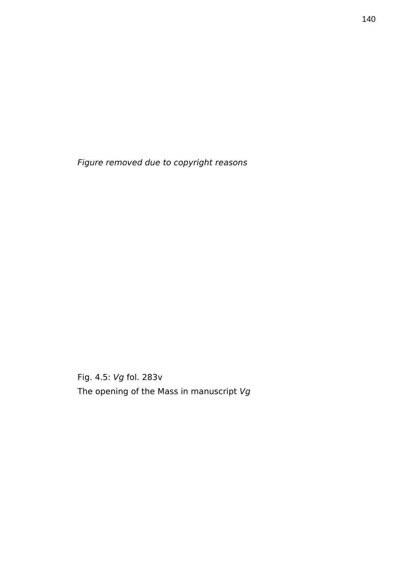Figure removed due to copyright reasons

Fig. 4.5: Vg fol. 283v The opening of the Mass in manuscript Vg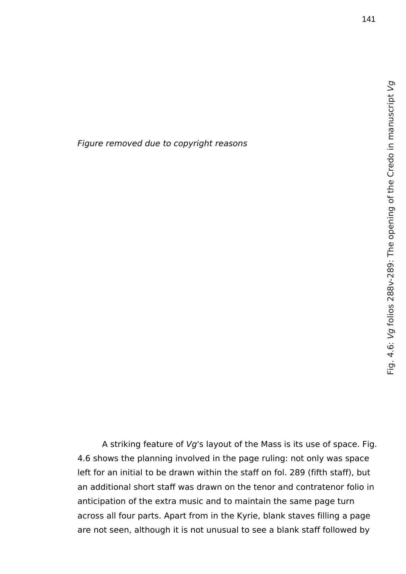Figure removed due to copyright reasons

A striking feature of Vg's layout of the Mass is its use of space. Fig. 4.6 shows the planning involved in the page ruling: not only was space left for an initial to be drawn within the staff on fol. 289 (fifth staff), but an additional short staff was drawn on the tenor and contratenor folio in anticipation of the extra music and to maintain the same page turn across all four parts. Apart from in the Kyrie, blank staves filling a page are not seen, although it is not unusual to see a blank staff followed by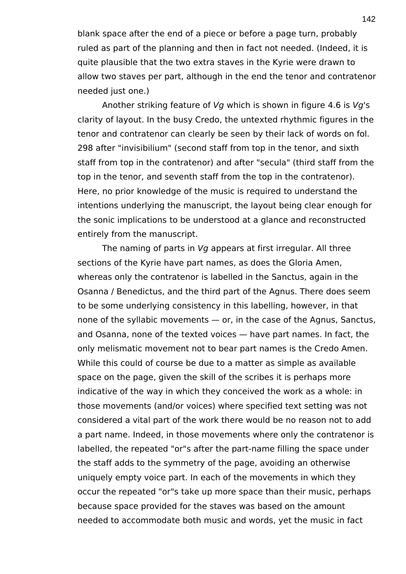blank space after the end of a piece or before a page turn, probably ruled as part of the planning and then in fact not needed. (Indeed, it is quite plausible that the two extra staves in the Kyrie were drawn to allow two staves per part, although in the end the tenor and contratenor needed just one.)

Another striking feature of Vg which is shown in figure 4.6 is Vg's clarity of layout. In the busy Credo, the untexted rhythmic figures in the tenor and contratenor can clearly be seen by their lack of words on fol. 298 after "invisibilium" (second staff from top in the tenor, and sixth staff from top in the contratenor) and after "secula" (third staff from the top in the tenor, and seventh staff from the top in the contratenor). Here, no prior knowledge of the music is required to understand the intentions underlying the manuscript, the layout being clear enough for the sonic implications to be understood at a glance and reconstructed entirely from the manuscript.

The naming of parts in Vg appears at first irregular. All three sections of the Kyrie have part names, as does the Gloria Amen, whereas only the contratenor is labelled in the Sanctus, again in the Osanna / Benedictus, and the third part of the Agnus. There does seem to be some underlying consistency in this labelling, however, in that none of the syllabic movements — or, in the case of the Agnus, Sanctus, and Osanna, none of the texted voices — have part names. In fact, the only melismatic movement not to bear part names is the Credo Amen. While this could of course be due to a matter as simple as available space on the page, given the skill of the scribes it is perhaps more indicative of the way in which they conceived the work as a whole: in those movements (and/or voices) where specified text setting was not considered a vital part of the work there would be no reason not to add a part name. Indeed, in those movements where only the contratenor is labelled, the repeated "or"s after the part-name filling the space under the staff adds to the symmetry of the page, avoiding an otherwise uniquely empty voice part. In each of the movements in which they occur the repeated "or"s take up more space than their music, perhaps because space provided for the staves was based on the amount needed to accommodate both music and words, yet the music in fact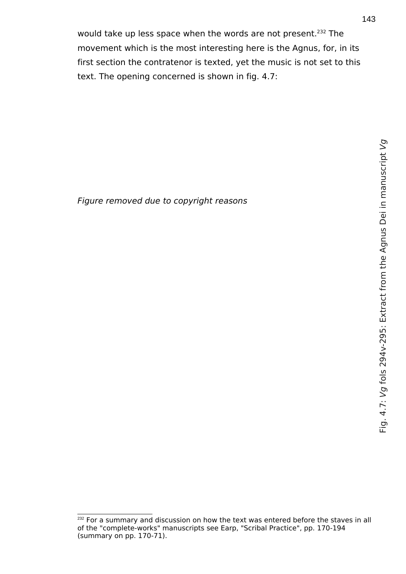would take up less space when the words are not present.<sup>[232](#page-142-0)</sup> The movement which is the most interesting here is the Agnus, for, in its first section the contratenor is texted, yet the music is not set to this text. The opening concerned is shown in fig. 4.7:

Figure removed due to copyright reasons

<span id="page-142-0"></span> $232$  For a summary and discussion on how the text was entered before the staves in all of the "complete-works" manuscripts see Earp, "Scribal Practice", pp. 170-194 (summary on pp. 170-71).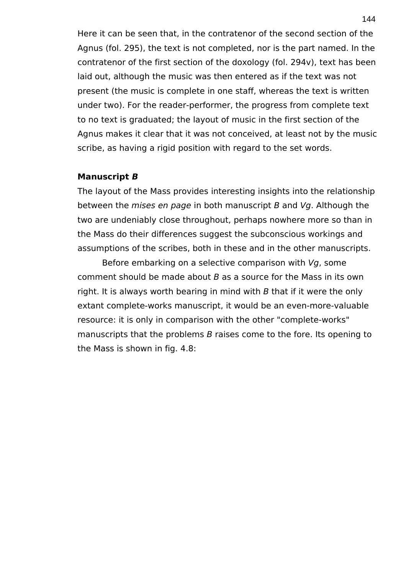Here it can be seen that, in the contratenor of the second section of the Agnus (fol. 295), the text is not completed, nor is the part named. In the contratenor of the first section of the doxology (fol. 294v), text has been laid out, although the music was then entered as if the text was not present (the music is complete in one staff, whereas the text is written under two). For the reader-performer, the progress from complete text to no text is graduated; the layout of music in the first section of the Agnus makes it clear that it was not conceived, at least not by the music scribe, as having a rigid position with regard to the set words.

#### **Manuscript B**

The layout of the Mass provides interesting insights into the relationship between the *mises en page* in both manuscript B and Vg. Although the two are undeniably close throughout, perhaps nowhere more so than in the Mass do their differences suggest the subconscious workings and assumptions of the scribes, both in these and in the other manuscripts.

Before embarking on a selective comparison with Vg, some comment should be made about B as a source for the Mass in its own right. It is always worth bearing in mind with  $B$  that if it were the only extant complete-works manuscript, it would be an even-more-valuable resource: it is only in comparison with the other "complete-works" manuscripts that the problems B raises come to the fore. Its opening to the Mass is shown in fig. 4.8: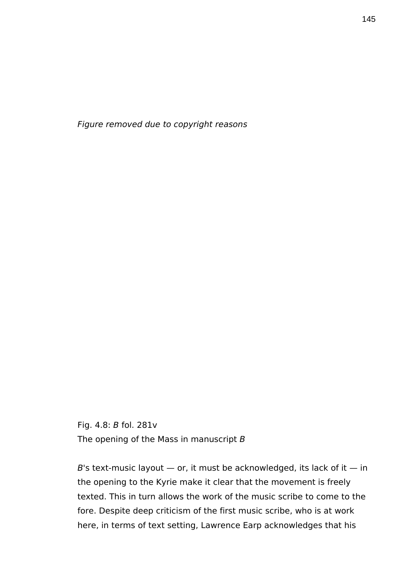Fig. 4.8: B fol. 281v The opening of the Mass in manuscript  $B$ 

B's text-music layout  $-$  or, it must be acknowledged, its lack of it  $-$  in the opening to the Kyrie make it clear that the movement is freely texted. This in turn allows the work of the music scribe to come to the fore. Despite deep criticism of the first music scribe, who is at work here, in terms of text setting, Lawrence Earp acknowledges that his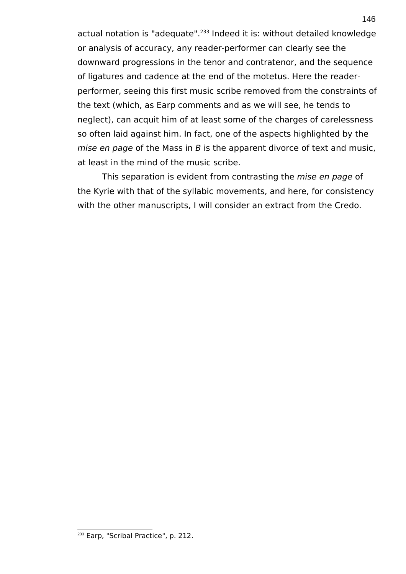actual notation is "adequate".<sup>[233](#page-145-0)</sup> Indeed it is: without detailed knowledge or analysis of accuracy, any reader-performer can clearly see the downward progressions in the tenor and contratenor, and the sequence of ligatures and cadence at the end of the motetus. Here the readerperformer, seeing this first music scribe removed from the constraints of the text (which, as Earp comments and as we will see, he tends to neglect), can acquit him of at least some of the charges of carelessness so often laid against him. In fact, one of the aspects highlighted by the mise en page of the Mass in  $B$  is the apparent divorce of text and music, at least in the mind of the music scribe.

This separation is evident from contrasting the mise en page of the Kyrie with that of the syllabic movements, and here, for consistency with the other manuscripts, I will consider an extract from the Credo.

<span id="page-145-0"></span><sup>&</sup>lt;sup>233</sup> Earp, "Scribal Practice", p. 212.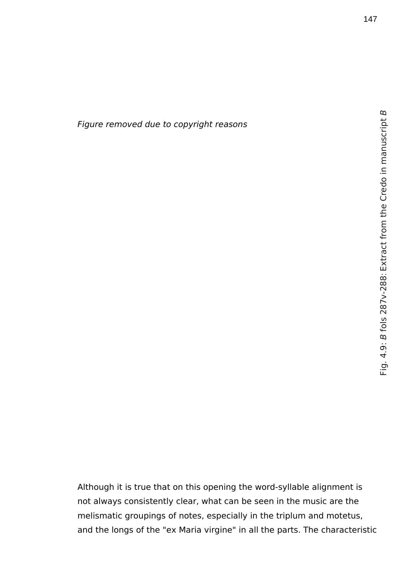Although it is true that on this opening the word-syllable alignment is not always consistently clear, what can be seen in the music are the melismatic groupings of notes, especially in the triplum and motetus, and the longs of the "ex Maria virgine" in all the parts. The characteristic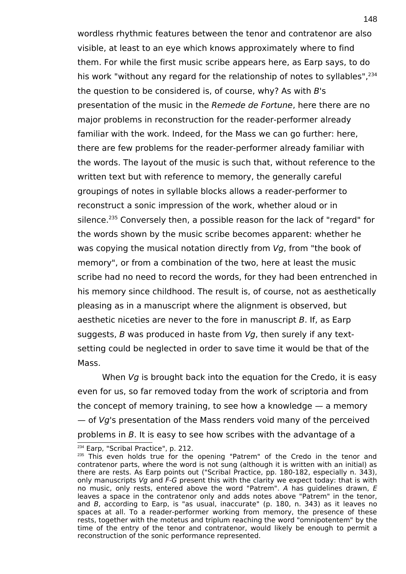wordless rhythmic features between the tenor and contratenor are also visible, at least to an eye which knows approximately where to find them. For while the first music scribe appears here, as Earp says, to do his work "without any regard for the relationship of notes to syllables", <sup>[234](#page-147-0)</sup> the question to be considered is, of course, why? As with  $B$ 's presentation of the music in the Remede de Fortune, here there are no major problems in reconstruction for the reader-performer already familiar with the work. Indeed, for the Mass we can go further: here, there are few problems for the reader-performer already familiar with the words. The layout of the music is such that, without reference to the written text but with reference to memory, the generally careful groupings of notes in syllable blocks allows a reader-performer to reconstruct a sonic impression of the work, whether aloud or in silence.<sup>[235](#page-147-1)</sup> Conversely then, a possible reason for the lack of "regard" for the words shown by the music scribe becomes apparent: whether he was copying the musical notation directly from Vg, from "the book of memory", or from a combination of the two, here at least the music scribe had no need to record the words, for they had been entrenched in his memory since childhood. The result is, of course, not as aesthetically pleasing as in a manuscript where the alignment is observed, but aesthetic niceties are never to the fore in manuscript B. If, as Earp suggests, B was produced in haste from Vg, then surely if any textsetting could be neglected in order to save time it would be that of the Mass.

When Vq is brought back into the equation for the Credo, it is easy even for us, so far removed today from the work of scriptoria and from the concept of memory training, to see how a knowledge — a memory  $-$  of Vg's presentation of the Mass renders void many of the perceived problems in B. It is easy to see how scribes with the advantage of a

<span id="page-147-0"></span><sup>&</sup>lt;sup>234</sup> Earp, "Scribal Practice", p. 212.

<span id="page-147-1"></span> $235$  This even holds true for the opening "Patrem" of the Credo in the tenor and contratenor parts, where the word is not sung (although it is written with an initial) as there are rests. As Earp points out ("Scribal Practice, pp. 180-182, especially n. 343), only manuscripts Vg and  $F-G$  present this with the clarity we expect today: that is with no music, only rests, entered above the word "Patrem". A has guidelines drawn, E leaves a space in the contratenor only and adds notes above "Patrem" in the tenor, and B, according to Earp, is "as usual, inaccurate" (p. 180, n. 343) as it leaves no spaces at all. To a reader-performer working from memory, the presence of these rests, together with the motetus and triplum reaching the word "omnipotentem" by the time of the entry of the tenor and contratenor, would likely be enough to permit a reconstruction of the sonic performance represented.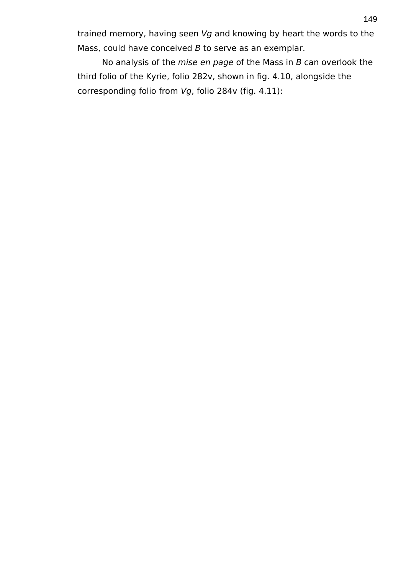trained memory, having seen Vg and knowing by heart the words to the Mass, could have conceived  $B$  to serve as an exemplar.

No analysis of the mise en page of the Mass in  $B$  can overlook the third folio of the Kyrie, folio 282v, shown in fig. 4.10, alongside the corresponding folio from Vg, folio 284v (fig. 4.11):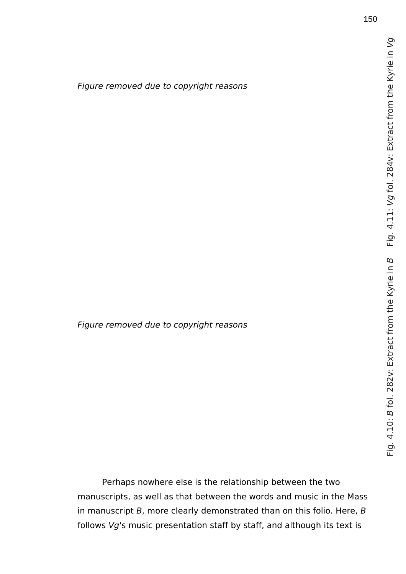Figure removed due to copyright reasons

Perhaps nowhere else is the relationship between the two manuscripts, as well as that between the words and music in the Mass in manuscript  $B$ , more clearly demonstrated than on this folio. Here,  $B$ follows Vg's music presentation staff by staff, and although its text is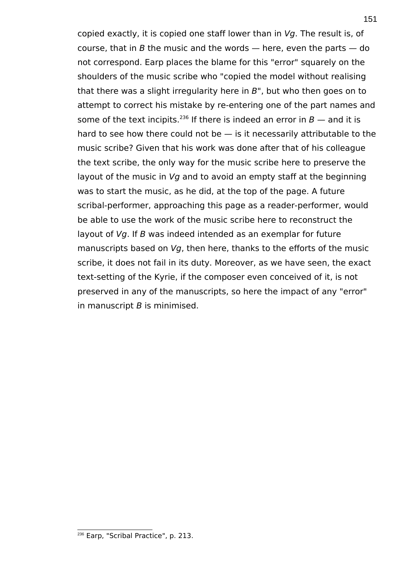copied exactly, it is copied one staff lower than in Vg. The result is, of course, that in B the music and the words  $-$  here, even the parts  $-$  do not correspond. Earp places the blame for this "error" squarely on the shoulders of the music scribe who "copied the model without realising that there was a slight irregularity here in  $B$ ", but who then goes on to attempt to correct his mistake by re-entering one of the part names and some of the text incipits.<sup>[236](#page-150-0)</sup> If there is indeed an error in  $B$  — and it is hard to see how there could not be — is it necessarily attributable to the music scribe? Given that his work was done after that of his colleague the text scribe, the only way for the music scribe here to preserve the layout of the music in Vg and to avoid an empty staff at the beginning was to start the music, as he did, at the top of the page. A future scribal-performer, approaching this page as a reader-performer, would be able to use the work of the music scribe here to reconstruct the layout of Vg. If B was indeed intended as an exemplar for future manuscripts based on Vg, then here, thanks to the efforts of the music scribe, it does not fail in its duty. Moreover, as we have seen, the exact text-setting of the Kyrie, if the composer even conceived of it, is not preserved in any of the manuscripts, so here the impact of any "error" in manuscript  $B$  is minimised.

<span id="page-150-0"></span><sup>&</sup>lt;sup>236</sup> Earp, "Scribal Practice", p. 213.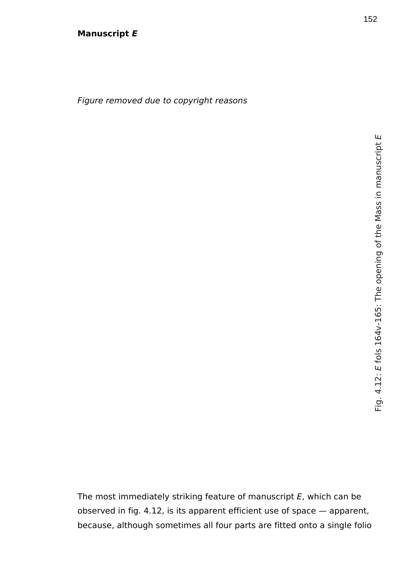## **Manuscript E**

Figure removed due to copyright reasons

The most immediately striking feature of manuscript  $E$ , which can be observed in fig. 4.12, is its apparent efficient use of space — apparent, because, although sometimes all four parts are fitted onto a single folio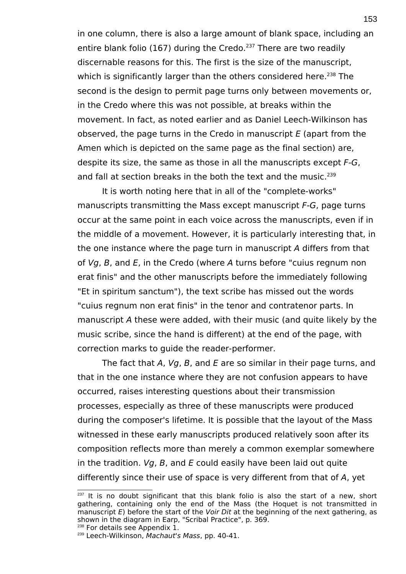in one column, there is also a large amount of blank space, including an entire blank folio (167) during the Credo.<sup>[237](#page-152-0)</sup> There are two readily discernable reasons for this. The first is the size of the manuscript, which is significantly larger than the others considered here.<sup>[238](#page-152-1)</sup> The second is the design to permit page turns only between movements or, in the Credo where this was not possible, at breaks within the movement. In fact, as noted earlier and as Daniel Leech-Wilkinson has observed, the page turns in the Credo in manuscript  $E$  (apart from the Amen which is depicted on the same page as the final section) are, despite its size, the same as those in all the manuscripts except F-G, and fall at section breaks in the both the text and the music.<sup>[239](#page-152-2)</sup>

It is worth noting here that in all of the "complete-works" manuscripts transmitting the Mass except manuscript F-G, page turns occur at the same point in each voice across the manuscripts, even if in the middle of a movement. However, it is particularly interesting that, in the one instance where the page turn in manuscript A differs from that of Vg, B, and E, in the Credo (where A turns before "cuius regnum non erat finis" and the other manuscripts before the immediately following "Et in spiritum sanctum"), the text scribe has missed out the words "cuius regnum non erat finis" in the tenor and contratenor parts. In manuscript A these were added, with their music (and quite likely by the music scribe, since the hand is different) at the end of the page, with correction marks to guide the reader-performer.

The fact that A, Vg, B, and E are so similar in their page turns, and that in the one instance where they are not confusion appears to have occurred, raises interesting questions about their transmission processes, especially as three of these manuscripts were produced during the composer's lifetime. It is possible that the layout of the Mass witnessed in these early manuscripts produced relatively soon after its composition reflects more than merely a common exemplar somewhere in the tradition.  $Vq$ ,  $B$ , and  $E$  could easily have been laid out quite differently since their use of space is very different from that of A, yet

<span id="page-152-0"></span> $237$  It is no doubt significant that this blank folio is also the start of a new, short gathering, containing only the end of the Mass (the Hoquet is not transmitted in manuscript E) before the start of the Voir Dit at the beginning of the next gathering, as shown in the diagram in Earp, "Scribal Practice", p. 369.

<span id="page-152-1"></span><sup>&</sup>lt;sup>238</sup> For details see Appendix 1.

<span id="page-152-2"></span><sup>239</sup> Leech-Wilkinson, Machaut's Mass, pp. 40-41.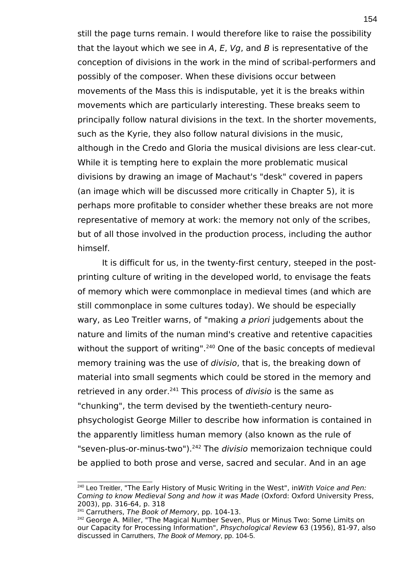still the page turns remain. I would therefore like to raise the possibility that the layout which we see in A, E, Vg, and B is representative of the conception of divisions in the work in the mind of scribal-performers and possibly of the composer. When these divisions occur between movements of the Mass this is indisputable, yet it is the breaks within movements which are particularly interesting. These breaks seem to principally follow natural divisions in the text. In the shorter movements, such as the Kyrie, they also follow natural divisions in the music, although in the Credo and Gloria the musical divisions are less clear-cut. While it is tempting here to explain the more problematic musical divisions by drawing an image of Machaut's "desk" covered in papers (an image which will be discussed more critically in Chapter 5), it is perhaps more profitable to consider whether these breaks are not more representative of memory at work: the memory not only of the scribes, but of all those involved in the production process, including the author himself.

It is difficult for us, in the twenty-first century, steeped in the postprinting culture of writing in the developed world, to envisage the feats of memory which were commonplace in medieval times (and which are still commonplace in some cultures today). We should be especially wary, as Leo Treitler warns, of "making a priori judgements about the nature and limits of the numan mind's creative and retentive capacities without the support of writing".<sup>[240](#page-153-0)</sup> One of the basic concepts of medieval memory training was the use of divisio, that is, the breaking down of material into small segments which could be stored in the memory and retrieved in any order.<sup>[241](#page-153-1)</sup> This process of *divisio* is the same as "chunking", the term devised by the twentieth-century neurophsychologist George Miller to describe how information is contained in the apparently limitless human memory (also known as the rule of "seven-plus-or-minus-two").<sup>[242](#page-153-2)</sup> The divisio memorizaion technique could be applied to both prose and verse, sacred and secular. And in an age

<span id="page-153-0"></span><sup>&</sup>lt;sup>240</sup> Leo Treitler, "The Early History of Music Writing in the West", inWith Voice and Pen: Coming to know Medieval Song and how it was Made (Oxford: Oxford University Press, 2003), pp. 316-64, p. 318

<span id="page-153-1"></span> $241$  Carruthers, The Book of Memory, pp. 104-13.

<span id="page-153-2"></span><sup>&</sup>lt;sup>242</sup> George A. Miller, "The Magical Number Seven, Plus or Minus Two: Some Limits on our Capacity for Processing Information", Phsychological Review 63 (1956), 81-97, also discussed in Carruthers, *The Book of Memory*, pp. 104-5.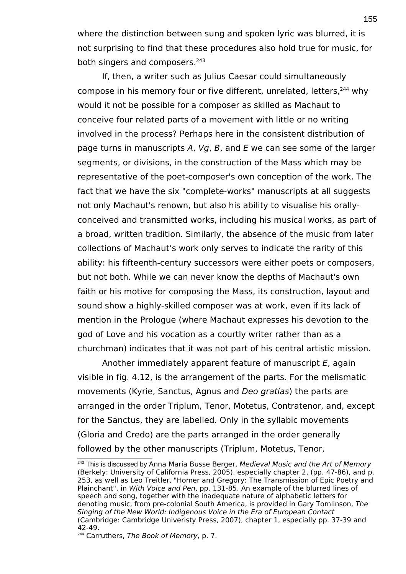where the distinction between sung and spoken lyric was blurred, it is not surprising to find that these procedures also hold true for music, for both singers and composers.<sup>[243](#page-154-0)</sup>

If, then, a writer such as Julius Caesar could simultaneously compose in his memory four or five different, unrelated, letters,<sup>[244](#page-154-1)</sup> why would it not be possible for a composer as skilled as Machaut to conceive four related parts of a movement with little or no writing involved in the process? Perhaps here in the consistent distribution of page turns in manuscripts A, Vg, B, and E we can see some of the larger segments, or divisions, in the construction of the Mass which may be representative of the poet-composer's own conception of the work. The fact that we have the six "complete-works" manuscripts at all suggests not only Machaut's renown, but also his ability to visualise his orallyconceived and transmitted works, including his musical works, as part of a broad, written tradition. Similarly, the absence of the music from later collections of Machaut's work only serves to indicate the rarity of this ability: his fifteenth-century successors were either poets or composers, but not both. While we can never know the depths of Machaut's own faith or his motive for composing the Mass, its construction, layout and sound show a highly-skilled composer was at work, even if its lack of mention in the Prologue (where Machaut expresses his devotion to the god of Love and his vocation as a courtly writer rather than as a churchman) indicates that it was not part of his central artistic mission.

Another immediately apparent feature of manuscript E, again visible in fig. 4.12, is the arrangement of the parts. For the melismatic movements (Kyrie, Sanctus, Agnus and Deo gratias) the parts are arranged in the order Triplum, Tenor, Motetus, Contratenor, and, except for the Sanctus, they are labelled. Only in the syllabic movements (Gloria and Credo) are the parts arranged in the order generally followed by the other manuscripts (Triplum, Motetus, Tenor,

<span id="page-154-0"></span><sup>&</sup>lt;sup>243</sup> This is discussed by Anna Maria Busse Berger, Medieval Music and the Art of Memory (Berkely: University of California Press, 2005), especially chapter 2, (pp. 47-86), and p. 253, as well as Leo Treitler, "Homer and Gregory: The Transmission of Epic Poetry and Plainchant", in With Voice and Pen, pp. 131-85. An example of the blurred lines of speech and song, together with the inadequate nature of alphabetic letters for denoting music, from pre-colonial South America, is provided in Gary Tomlinson, The Singing of the New World: Indigenous Voice in the Era of European Contact (Cambridge: Cambridge Univeristy Press, 2007), chapter 1, especially pp. 37-39 and 42-49.

<span id="page-154-1"></span><sup>&</sup>lt;sup>244</sup> Carruthers, The Book of Memory, p. 7.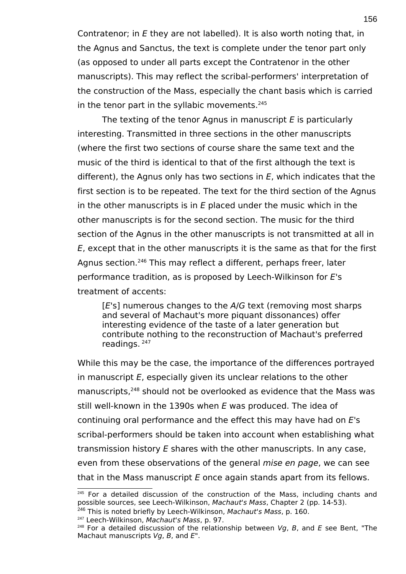Contratenor; in E they are not labelled). It is also worth noting that, in the Agnus and Sanctus, the text is complete under the tenor part only (as opposed to under all parts except the Contratenor in the other manuscripts). This may reflect the scribal-performers' interpretation of the construction of the Mass, especially the chant basis which is carried in the tenor part in the syllabic movements. $245$ 

The texting of the tenor Agnus in manuscript  $E$  is particularly interesting. Transmitted in three sections in the other manuscripts (where the first two sections of course share the same text and the music of the third is identical to that of the first although the text is different), the Agnus only has two sections in  $E$ , which indicates that the first section is to be repeated. The text for the third section of the Agnus in the other manuscripts is in  $E$  placed under the music which in the other manuscripts is for the second section. The music for the third section of the Agnus in the other manuscripts is not transmitted at all in E, except that in the other manuscripts it is the same as that for the first Agnus section.<sup>[246](#page-155-1)</sup> This may reflect a different, perhaps freer, later performance tradition, as is proposed by Leech-Wilkinson for E's treatment of accents:

[E's] numerous changes to the A/G text (removing most sharps and several of Machaut's more piquant dissonances) offer interesting evidence of the taste of a later generation but contribute nothing to the reconstruction of Machaut's preferred readings. [247](#page-155-2)

While this may be the case, the importance of the differences portrayed in manuscript E, especially given its unclear relations to the other manuscripts,<sup>[248](#page-155-3)</sup> should not be overlooked as evidence that the Mass was still well-known in the 1390s when  $E$  was produced. The idea of continuing oral performance and the effect this may have had on E's scribal-performers should be taken into account when establishing what transmission history E shares with the other manuscripts. In any case, even from these observations of the general mise en page, we can see that in the Mass manuscript  $E$  once again stands apart from its fellows.

<span id="page-155-0"></span> $245$  For a detailed discussion of the construction of the Mass, including chants and possible sources, see Leech-Wilkinson, Machaut's Mass, Chapter 2 (pp. 14-53).  $^{246}$  This is noted briefly by Leech-Wilkinson, Machaut's Mass, p. 160.

<span id="page-155-2"></span><span id="page-155-1"></span> $247$  Leech-Wilkinson, Machaut's Mass, p. 97.

<span id="page-155-3"></span> $248$  For a detailed discussion of the relationship between Vg, B, and E see Bent, "The Machaut manuscripts  $Vg$ ,  $B$ , and  $E$ ".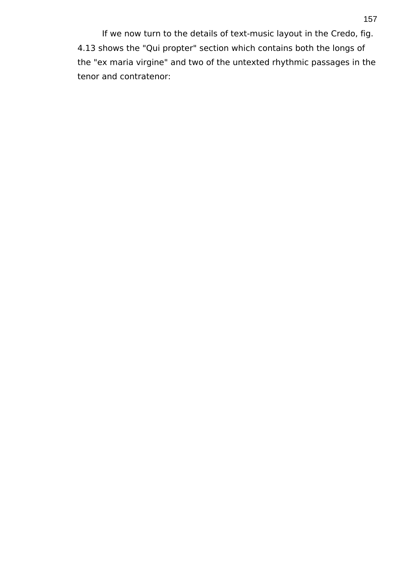If we now turn to the details of text-music layout in the Credo, fig. 4.13 shows the "Qui propter" section which contains both the longs of the "ex maria virgine" and two of the untexted rhythmic passages in the tenor and contratenor: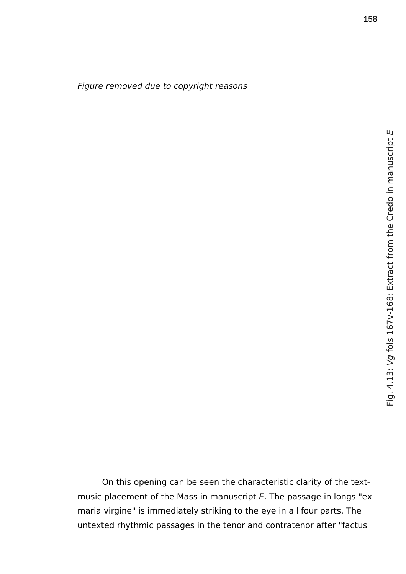On this opening can be seen the characteristic clarity of the textmusic placement of the Mass in manuscript E. The passage in longs "ex maria virgine" is immediately striking to the eye in all four parts. The untexted rhythmic passages in the tenor and contratenor after "factus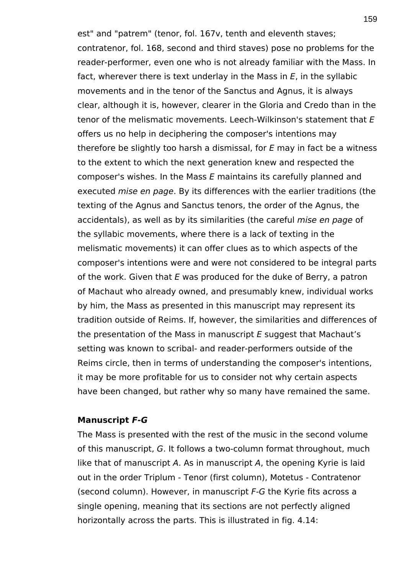est" and "patrem" (tenor, fol. 167v, tenth and eleventh staves; contratenor, fol. 168, second and third staves) pose no problems for the reader-performer, even one who is not already familiar with the Mass. In fact, wherever there is text underlay in the Mass in  $E$ , in the syllabic movements and in the tenor of the Sanctus and Agnus, it is always clear, although it is, however, clearer in the Gloria and Credo than in the tenor of the melismatic movements. Leech-Wilkinson's statement that E offers us no help in deciphering the composer's intentions may therefore be slightly too harsh a dismissal, for  $E$  may in fact be a witness to the extent to which the next generation knew and respected the composer's wishes. In the Mass E maintains its carefully planned and executed mise en page. By its differences with the earlier traditions (the texting of the Agnus and Sanctus tenors, the order of the Agnus, the accidentals), as well as by its similarities (the careful mise en page of the syllabic movements, where there is a lack of texting in the melismatic movements) it can offer clues as to which aspects of the composer's intentions were and were not considered to be integral parts of the work. Given that E was produced for the duke of Berry, a patron of Machaut who already owned, and presumably knew, individual works by him, the Mass as presented in this manuscript may represent its tradition outside of Reims. If, however, the similarities and differences of the presentation of the Mass in manuscript  $E$  suggest that Machaut's setting was known to scribal- and reader-performers outside of the Reims circle, then in terms of understanding the composer's intentions, it may be more profitable for us to consider not why certain aspects have been changed, but rather why so many have remained the same.

### **Manuscript F-G**

The Mass is presented with the rest of the music in the second volume of this manuscript, G. It follows a two-column format throughout, much like that of manuscript A. As in manuscript A, the opening Kyrie is laid out in the order Triplum - Tenor (first column), Motetus - Contratenor (second column). However, in manuscript F-G the Kyrie fits across a single opening, meaning that its sections are not perfectly aligned horizontally across the parts. This is illustrated in fig. 4.14: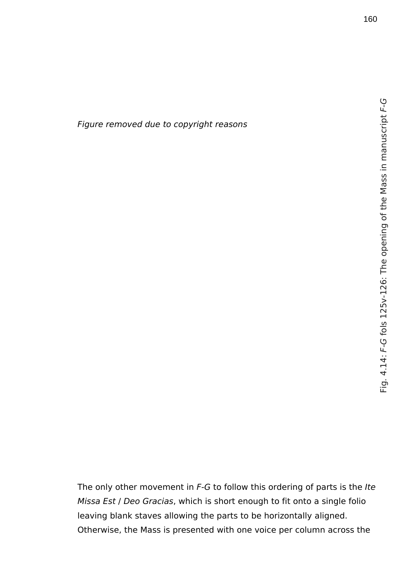The only other movement in  $F-G$  to follow this ordering of parts is the Ite Missa Est / Deo Gracias, which is short enough to fit onto a single folio leaving blank staves allowing the parts to be horizontally aligned. Otherwise, the Mass is presented with one voice per column across the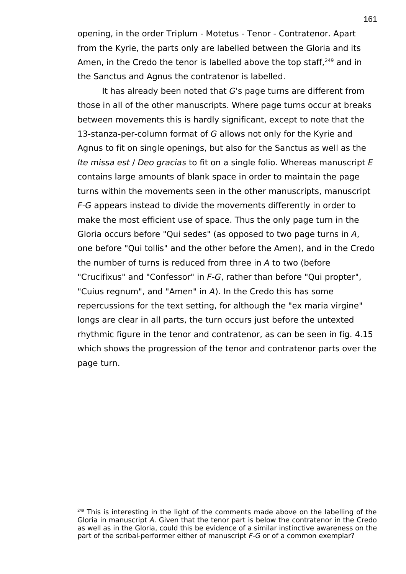opening, in the order Triplum - Motetus - Tenor - Contratenor. Apart from the Kyrie, the parts only are labelled between the Gloria and its Amen, in the Credo the tenor is labelled above the top staff, $249$  and in the Sanctus and Agnus the contratenor is labelled.

It has already been noted that G's page turns are different from those in all of the other manuscripts. Where page turns occur at breaks between movements this is hardly significant, except to note that the 13-stanza-per-column format of G allows not only for the Kyrie and Agnus to fit on single openings, but also for the Sanctus as well as the Ite missa est / Deo gracias to fit on a single folio. Whereas manuscript E contains large amounts of blank space in order to maintain the page turns within the movements seen in the other manuscripts, manuscript F-G appears instead to divide the movements differently in order to make the most efficient use of space. Thus the only page turn in the Gloria occurs before "Qui sedes" (as opposed to two page turns in A, one before "Qui tollis" and the other before the Amen), and in the Credo the number of turns is reduced from three in A to two (before "Crucifixus" and "Confessor" in F-G, rather than before "Qui propter", "Cuius regnum", and "Amen" in A). In the Credo this has some repercussions for the text setting, for although the "ex maria virgine" longs are clear in all parts, the turn occurs just before the untexted rhythmic figure in the tenor and contratenor, as can be seen in fig. 4.15 which shows the progression of the tenor and contratenor parts over the page turn.

<span id="page-160-0"></span><sup>&</sup>lt;sup>249</sup> This is interesting in the light of the comments made above on the labelling of the Gloria in manuscript A. Given that the tenor part is below the contratenor in the Credo as well as in the Gloria, could this be evidence of a similar instinctive awareness on the part of the scribal-performer either of manuscript F-G or of a common exemplar?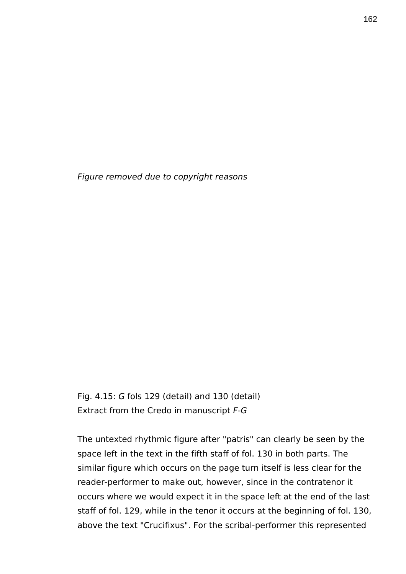Fig. 4.15: G fols 129 (detail) and 130 (detail) Extract from the Credo in manuscript F-G

The untexted rhythmic figure after "patris" can clearly be seen by the space left in the text in the fifth staff of fol. 130 in both parts. The similar figure which occurs on the page turn itself is less clear for the reader-performer to make out, however, since in the contratenor it occurs where we would expect it in the space left at the end of the last staff of fol. 129, while in the tenor it occurs at the beginning of fol. 130, above the text "Crucifixus". For the scribal-performer this represented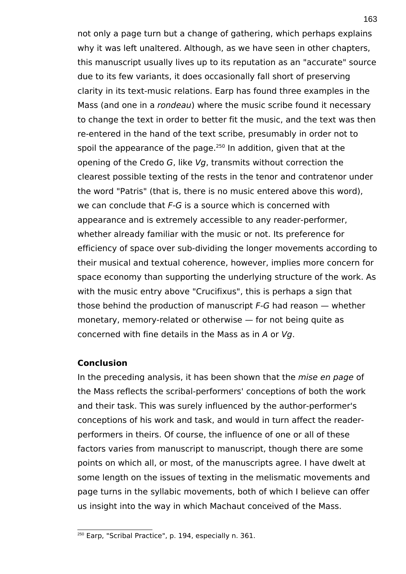not only a page turn but a change of gathering, which perhaps explains why it was left unaltered. Although, as we have seen in other chapters, this manuscript usually lives up to its reputation as an "accurate" source due to its few variants, it does occasionally fall short of preserving clarity in its text-music relations. Earp has found three examples in the Mass (and one in a rondeau) where the music scribe found it necessary to change the text in order to better fit the music, and the text was then re-entered in the hand of the text scribe, presumably in order not to spoil the appearance of the page.<sup>[250](#page-162-0)</sup> In addition, given that at the opening of the Credo G, like Vg, transmits without correction the clearest possible texting of the rests in the tenor and contratenor under the word "Patris" (that is, there is no music entered above this word), we can conclude that F-G is a source which is concerned with appearance and is extremely accessible to any reader-performer, whether already familiar with the music or not. Its preference for efficiency of space over sub-dividing the longer movements according to their musical and textual coherence, however, implies more concern for space economy than supporting the underlying structure of the work. As with the music entry above "Crucifixus", this is perhaps a sign that those behind the production of manuscript F-G had reason — whether monetary, memory-related or otherwise — for not being quite as concerned with fine details in the Mass as in A or Vg.

## **Conclusion**

In the preceding analysis, it has been shown that the *mise en page* of the Mass reflects the scribal-performers' conceptions of both the work and their task. This was surely influenced by the author-performer's conceptions of his work and task, and would in turn affect the readerperformers in theirs. Of course, the influence of one or all of these factors varies from manuscript to manuscript, though there are some points on which all, or most, of the manuscripts agree. I have dwelt at some length on the issues of texting in the melismatic movements and page turns in the syllabic movements, both of which I believe can offer us insight into the way in which Machaut conceived of the Mass.

<span id="page-162-0"></span> $250$  Earp, "Scribal Practice", p. 194, especially n. 361.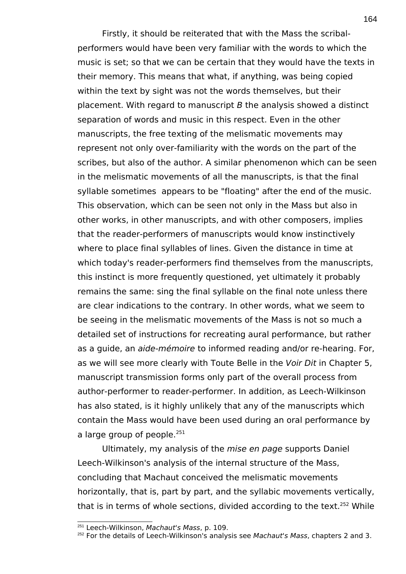Firstly, it should be reiterated that with the Mass the scribalperformers would have been very familiar with the words to which the music is set; so that we can be certain that they would have the texts in their memory. This means that what, if anything, was being copied within the text by sight was not the words themselves, but their placement. With regard to manuscript  $B$  the analysis showed a distinct separation of words and music in this respect. Even in the other manuscripts, the free texting of the melismatic movements may represent not only over-familiarity with the words on the part of the scribes, but also of the author. A similar phenomenon which can be seen in the melismatic movements of all the manuscripts, is that the final syllable sometimes appears to be "floating" after the end of the music. This observation, which can be seen not only in the Mass but also in other works, in other manuscripts, and with other composers, implies that the reader-performers of manuscripts would know instinctively where to place final syllables of lines. Given the distance in time at which today's reader-performers find themselves from the manuscripts, this instinct is more frequently questioned, yet ultimately it probably remains the same: sing the final syllable on the final note unless there are clear indications to the contrary. In other words, what we seem to be seeing in the melismatic movements of the Mass is not so much a detailed set of instructions for recreating aural performance, but rather as a guide, an aide-mémoire to informed reading and/or re-hearing. For, as we will see more clearly with Toute Belle in the Voir Dit in Chapter 5, manuscript transmission forms only part of the overall process from author-performer to reader-performer. In addition, as Leech-Wilkinson has also stated, is it highly unlikely that any of the manuscripts which contain the Mass would have been used during an oral performance by a large group of people. $251$ 

Ultimately, my analysis of the mise en page supports Daniel Leech-Wilkinson's analysis of the internal structure of the Mass, concluding that Machaut conceived the melismatic movements horizontally, that is, part by part, and the syllabic movements vertically, that is in terms of whole sections, divided according to the text.<sup>[252](#page-163-1)</sup> While

<span id="page-163-0"></span><sup>&</sup>lt;sup>251</sup> Leech-Wilkinson, Machaut's Mass, p. 109.

<span id="page-163-1"></span><sup>&</sup>lt;sup>252</sup> For the details of Leech-Wilkinson's analysis see Machaut's Mass, chapters 2 and 3.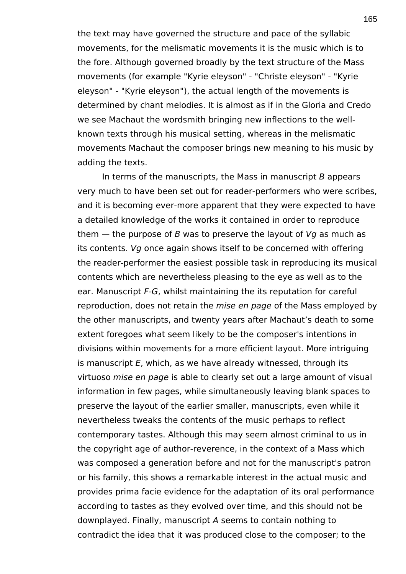the text may have governed the structure and pace of the syllabic movements, for the melismatic movements it is the music which is to the fore. Although governed broadly by the text structure of the Mass movements (for example "Kyrie eleyson" - "Christe eleyson" - "Kyrie eleyson" - "Kyrie eleyson"), the actual length of the movements is determined by chant melodies. It is almost as if in the Gloria and Credo we see Machaut the wordsmith bringing new inflections to the wellknown texts through his musical setting, whereas in the melismatic movements Machaut the composer brings new meaning to his music by adding the texts.

In terms of the manuscripts, the Mass in manuscript  $B$  appears very much to have been set out for reader-performers who were scribes, and it is becoming ever-more apparent that they were expected to have a detailed knowledge of the works it contained in order to reproduce them  $-$  the purpose of B was to preserve the layout of Vg as much as its contents. Vg once again shows itself to be concerned with offering the reader-performer the easiest possible task in reproducing its musical contents which are nevertheless pleasing to the eye as well as to the ear. Manuscript F-G, whilst maintaining the its reputation for careful reproduction, does not retain the *mise en page* of the Mass employed by the other manuscripts, and twenty years after Machaut's death to some extent foregoes what seem likely to be the composer's intentions in divisions within movements for a more efficient layout. More intriguing is manuscript  $E$ , which, as we have already witnessed, through its virtuoso mise en page is able to clearly set out a large amount of visual information in few pages, while simultaneously leaving blank spaces to preserve the layout of the earlier smaller, manuscripts, even while it nevertheless tweaks the contents of the music perhaps to reflect contemporary tastes. Although this may seem almost criminal to us in the copyright age of author-reverence, in the context of a Mass which was composed a generation before and not for the manuscript's patron or his family, this shows a remarkable interest in the actual music and provides prima facie evidence for the adaptation of its oral performance according to tastes as they evolved over time, and this should not be downplayed. Finally, manuscript A seems to contain nothing to contradict the idea that it was produced close to the composer; to the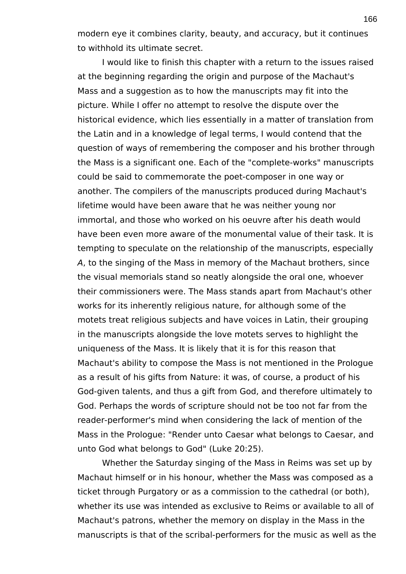modern eye it combines clarity, beauty, and accuracy, but it continues to withhold its ultimate secret.

I would like to finish this chapter with a return to the issues raised at the beginning regarding the origin and purpose of the Machaut's Mass and a suggestion as to how the manuscripts may fit into the picture. While I offer no attempt to resolve the dispute over the historical evidence, which lies essentially in a matter of translation from the Latin and in a knowledge of legal terms, I would contend that the question of ways of remembering the composer and his brother through the Mass is a significant one. Each of the "complete-works" manuscripts could be said to commemorate the poet-composer in one way or another. The compilers of the manuscripts produced during Machaut's lifetime would have been aware that he was neither young nor immortal, and those who worked on his oeuvre after his death would have been even more aware of the monumental value of their task. It is tempting to speculate on the relationship of the manuscripts, especially A, to the singing of the Mass in memory of the Machaut brothers, since the visual memorials stand so neatly alongside the oral one, whoever their commissioners were. The Mass stands apart from Machaut's other works for its inherently religious nature, for although some of the motets treat religious subjects and have voices in Latin, their grouping in the manuscripts alongside the love motets serves to highlight the uniqueness of the Mass. It is likely that it is for this reason that Machaut's ability to compose the Mass is not mentioned in the Prologue as a result of his gifts from Nature: it was, of course, a product of his God-given talents, and thus a gift from God, and therefore ultimately to God. Perhaps the words of scripture should not be too not far from the reader-performer's mind when considering the lack of mention of the Mass in the Prologue: "Render unto Caesar what belongs to Caesar, and unto God what belongs to God" (Luke 20:25).

Whether the Saturday singing of the Mass in Reims was set up by Machaut himself or in his honour, whether the Mass was composed as a ticket through Purgatory or as a commission to the cathedral (or both), whether its use was intended as exclusive to Reims or available to all of Machaut's patrons, whether the memory on display in the Mass in the manuscripts is that of the scribal-performers for the music as well as the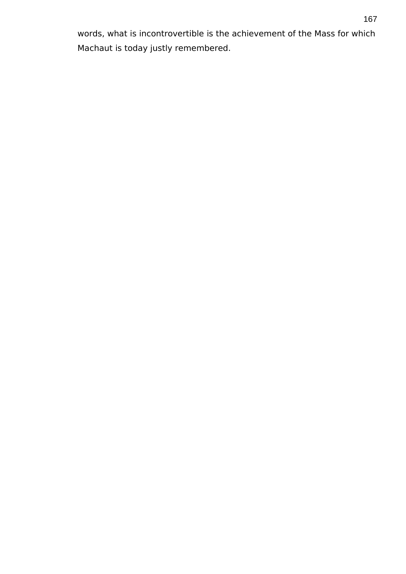words, what is incontrovertible is the achievement of the Mass for which Machaut is today justly remembered.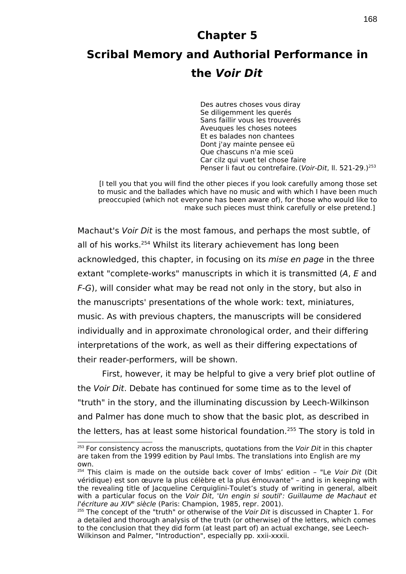# **Chapter 5 Scribal Memory and Authorial Performance in the Voir Dit**

Des autres choses vous diray Se diligemment les querés Sans faillir vous les trouverés Aveuques les choses notees Et es balades non chantees Dont j'ay mainte pensee eü Que chascuns n'a mie sceü Car cilz qui vuet tel chose faire Penser li faut ou contrefaire. (Voir-Dit, Il. 521-29.)<sup>[253](#page-167-0)</sup>

[I tell you that you will find the other pieces if you look carefully among those set to music and the ballades which have no music and with which I have been much preoccupied (which not everyone has been aware of), for those who would like to make such pieces must think carefully or else pretend.]

Machaut's Voir Dit is the most famous, and perhaps the most subtle, of all of his works.<sup>[254](#page-167-1)</sup> Whilst its literary achievement has long been acknowledged, this chapter, in focusing on its mise en page in the three extant "complete-works" manuscripts in which it is transmitted (A, E and F-G), will consider what may be read not only in the story, but also in the manuscripts' presentations of the whole work: text, miniatures, music. As with previous chapters, the manuscripts will be considered individually and in approximate chronological order, and their differing interpretations of the work, as well as their differing expectations of their reader-performers, will be shown.

First, however, it may be helpful to give a very brief plot outline of the Voir Dit. Debate has continued for some time as to the level of "truth" in the story, and the illuminating discussion by Leech-Wilkinson and Palmer has done much to show that the basic plot, as described in the letters, has at least some historical foundation.[255](#page-167-2) The story is told in

<span id="page-167-0"></span> $253$  For consistency across the manuscripts, quotations from the *Voir Dit* in this chapter are taken from the 1999 edition by Paul Imbs. The translations into English are my own.

<span id="page-167-1"></span> $254$  This claim is made on the outside back cover of Imbs' edition - "Le Voir Dit (Dit véridique) est son œuvre la plus célèbre et la plus émouvante" – and is in keeping with the revealing title of Jacqueline Cerquiglini-Toulet's study of writing in general, albeit with a particular focus on the Voir Dit, 'Un engin si soutil': Guillaume de Machaut et l'écriture au XIV<sup>e</sup> siècle (Paris: Champion, 1985, repr. 2001).

<span id="page-167-2"></span> $255$  The concept of the "truth" or otherwise of the Voir Dit is discussed in Chapter 1. For a detailed and thorough analysis of the truth (or otherwise) of the letters, which comes to the conclusion that they did form (at least part of) an actual exchange, see Leech-Wilkinson and Palmer, "Introduction", especially pp. xxii-xxxii.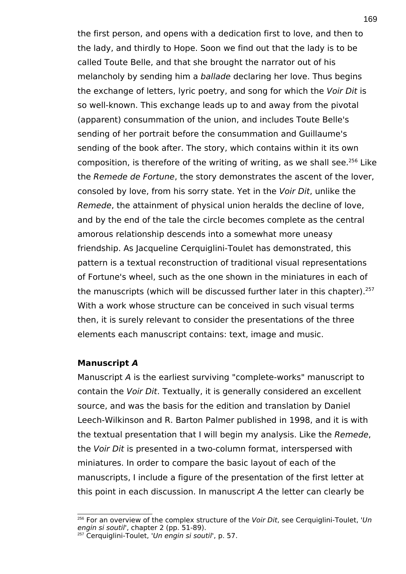the first person, and opens with a dedication first to love, and then to the lady, and thirdly to Hope. Soon we find out that the lady is to be called Toute Belle, and that she brought the narrator out of his melancholy by sending him a *ballade* declaring her love. Thus begins the exchange of letters, lyric poetry, and song for which the Voir Dit is so well-known. This exchange leads up to and away from the pivotal (apparent) consummation of the union, and includes Toute Belle's sending of her portrait before the consummation and Guillaume's sending of the book after. The story, which contains within it its own composition, is therefore of the writing of writing, as we shall see.<sup>[256](#page-168-0)</sup> Like the Remede de Fortune, the story demonstrates the ascent of the lover, consoled by love, from his sorry state. Yet in the Voir Dit, unlike the Remede, the attainment of physical union heralds the decline of love, and by the end of the tale the circle becomes complete as the central amorous relationship descends into a somewhat more uneasy friendship. As Jacqueline Cerquiglini-Toulet has demonstrated, this pattern is a textual reconstruction of traditional visual representations of Fortune's wheel, such as the one shown in the miniatures in each of the manuscripts (which will be discussed further later in this chapter).<sup>[257](#page-168-1)</sup> With a work whose structure can be conceived in such visual terms then, it is surely relevant to consider the presentations of the three elements each manuscript contains: text, image and music.

### **Manuscript A**

Manuscript A is the earliest surviving "complete-works" manuscript to contain the Voir Dit. Textually, it is generally considered an excellent source, and was the basis for the edition and translation by Daniel Leech-Wilkinson and R. Barton Palmer published in 1998, and it is with the textual presentation that I will begin my analysis. Like the Remede, the Voir Dit is presented in a two-column format, interspersed with miniatures. In order to compare the basic layout of each of the manuscripts, I include a figure of the presentation of the first letter at this point in each discussion. In manuscript A the letter can clearly be

<span id="page-168-0"></span> $256$  For an overview of the complex structure of the Voir Dit, see Cerquiglini-Toulet, 'Un engin si soutil', chapter 2 (pp. 51-89).

<span id="page-168-1"></span><sup>&</sup>lt;sup>257</sup> Cerquiglini-Toulet, 'Un engin si soutil', p. 57.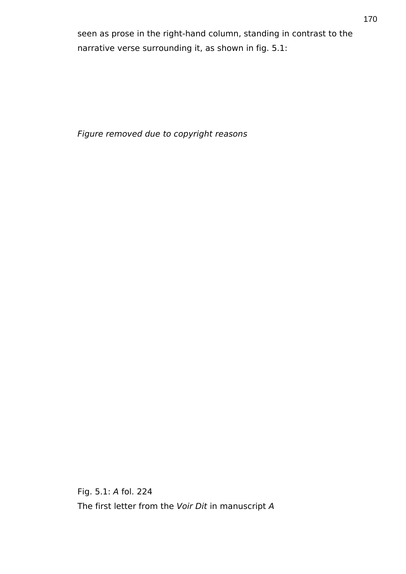seen as prose in the right-hand column, standing in contrast to the narrative verse surrounding it, as shown in fig. 5.1:

Figure removed due to copyright reasons

Fig. 5.1: A fol. 224 The first letter from the Voir Dit in manuscript A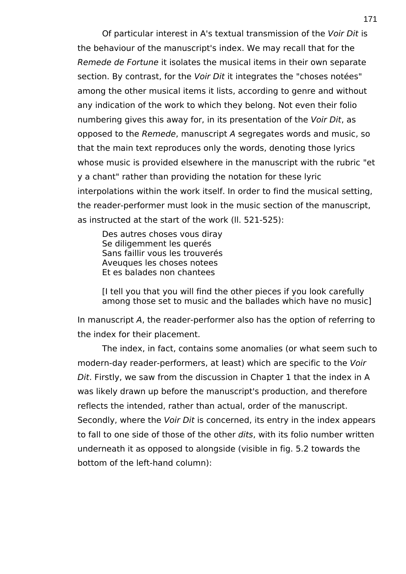Of particular interest in A's textual transmission of the Voir Dit is the behaviour of the manuscript's index. We may recall that for the Remede de Fortune it isolates the musical items in their own separate section. By contrast, for the Voir Dit it integrates the "choses notées" among the other musical items it lists, according to genre and without any indication of the work to which they belong. Not even their folio numbering gives this away for, in its presentation of the Voir Dit, as opposed to the Remede, manuscript A segregates words and music, so that the main text reproduces only the words, denoting those lyrics whose music is provided elsewhere in the manuscript with the rubric "et y a chant" rather than providing the notation for these lyric interpolations within the work itself. In order to find the musical setting, the reader-performer must look in the music section of the manuscript, as instructed at the start of the work (ll. 521-525):

Des autres choses vous diray Se diligemment les querés Sans faillir vous les trouverés Aveuques les choses notees Et es balades non chantees

[I tell you that you will find the other pieces if you look carefully among those set to music and the ballades which have no music]

In manuscript A, the reader-performer also has the option of referring to the index for their placement.

The index, in fact, contains some anomalies (or what seem such to modern-day reader-performers, at least) which are specific to the Voir Dit. Firstly, we saw from the discussion in Chapter 1 that the index in A was likely drawn up before the manuscript's production, and therefore reflects the intended, rather than actual, order of the manuscript. Secondly, where the Voir Dit is concerned, its entry in the index appears to fall to one side of those of the other dits, with its folio number written underneath it as opposed to alongside (visible in fig. 5.2 towards the bottom of the left-hand column):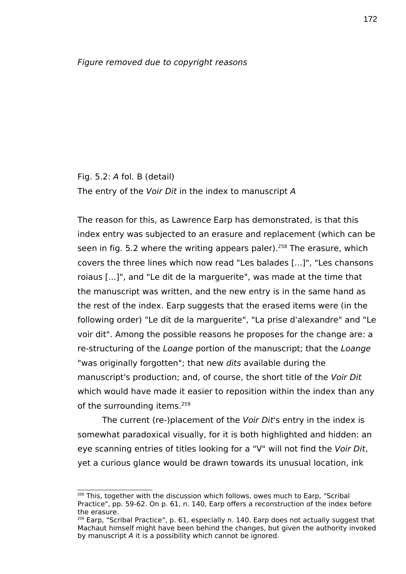Fig. 5.2: A fol. B (detail) The entry of the Voir Dit in the index to manuscript A

The reason for this, as Lawrence Earp has demonstrated, is that this index entry was subjected to an erasure and replacement (which can be seen in fig. 5.2 where the writing appears paler).<sup>[258](#page-171-0)</sup> The erasure, which covers the three lines which now read "Les balades [...]", "Les chansons roiaus [...]", and "Le dit de la marguerite", was made at the time that the manuscript was written, and the new entry is in the same hand as the rest of the index. Earp suggests that the erased items were (in the following order) "Le dit de la marguerite", "La prise d'alexandre" and "Le voir dit". Among the possible reasons he proposes for the change are: a re-structuring of the Loange portion of the manuscript; that the Loange "was originally forgotten"; that new dits available during the manuscript's production; and, of course, the short title of the Voir Dit which would have made it easier to reposition within the index than any of the surrounding items.<sup>[259](#page-171-1)</sup>

The current (re-)placement of the Voir Dit's entry in the index is somewhat paradoxical visually, for it is both highlighted and hidden: an eye scanning entries of titles looking for a "V" will not find the Voir Dit, yet a curious glance would be drawn towards its unusual location, ink

<span id="page-171-0"></span> $258$  This, together with the discussion which follows, owes much to Earp, "Scribal Practice", pp. 59-62. On p. 61, n. 140, Earp offers a reconstruction of the index before the erasure.

<span id="page-171-1"></span> $259$  Earp, "Scribal Practice", p. 61, especially n. 140. Earp does not actually suggest that Machaut himself might have been behind the changes, but given the authority invoked by manuscript A it is a possibility which cannot be ignored.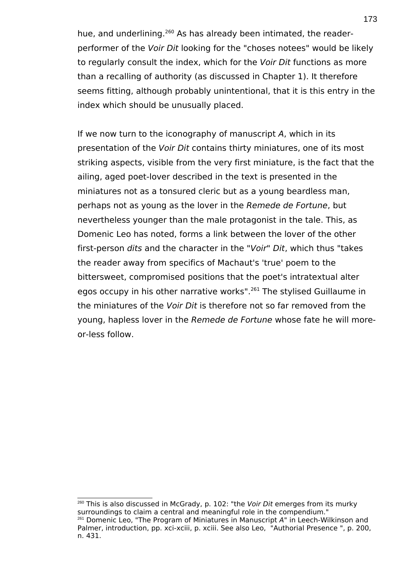hue, and underlining.<sup>[260](#page-172-0)</sup> As has already been intimated, the readerperformer of the Voir Dit looking for the "choses notees" would be likely to regularly consult the index, which for the Voir Dit functions as more than a recalling of authority (as discussed in Chapter 1). It therefore seems fitting, although probably unintentional, that it is this entry in the index which should be unusually placed.

If we now turn to the iconography of manuscript A, which in its presentation of the Voir Dit contains thirty miniatures, one of its most striking aspects, visible from the very first miniature, is the fact that the ailing, aged poet-lover described in the text is presented in the miniatures not as a tonsured cleric but as a young beardless man, perhaps not as young as the lover in the Remede de Fortune, but nevertheless younger than the male protagonist in the tale. This, as Domenic Leo has noted, forms a link between the lover of the other first-person dits and the character in the "Voir" Dit, which thus "takes the reader away from specifics of Machaut's 'true' poem to the bittersweet, compromised positions that the poet's intratextual alter egos occupy in his other narrative works".<sup>[261](#page-172-1)</sup> The stylised Guillaume in the miniatures of the Voir Dit is therefore not so far removed from the young, hapless lover in the Remede de Fortune whose fate he will moreor-less follow.

<span id="page-172-1"></span><span id="page-172-0"></span> $260$  This is also discussed in McGrady, p. 102: "the Voir Dit emerges from its murky surroundings to claim a central and meaningful role in the compendium." <sup>261</sup> Domenic Leo, "The Program of Miniatures in Manuscript A" in Leech-Wilkinson and Palmer, introduction, pp. xci-xciii, p. xciii. See also Leo, "Authorial Presence", p. 200, n. 431.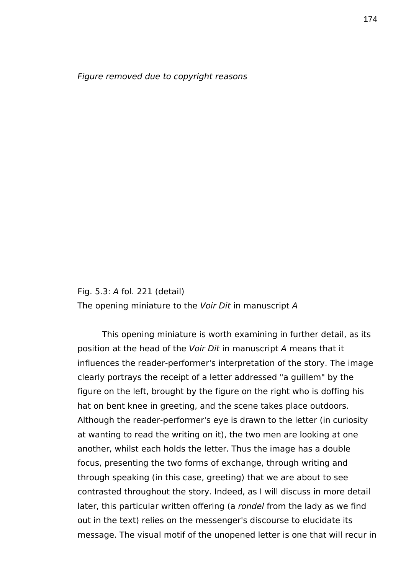Fig. 5.3: A fol. 221 (detail) The opening miniature to the Voir Dit in manuscript A

This opening miniature is worth examining in further detail, as its position at the head of the Voir Dit in manuscript A means that it influences the reader-performer's interpretation of the story. The image clearly portrays the receipt of a letter addressed "a guillem" by the figure on the left, brought by the figure on the right who is doffing his hat on bent knee in greeting, and the scene takes place outdoors. Although the reader-performer's eye is drawn to the letter (in curiosity at wanting to read the writing on it), the two men are looking at one another, whilst each holds the letter. Thus the image has a double focus, presenting the two forms of exchange, through writing and through speaking (in this case, greeting) that we are about to see contrasted throughout the story. Indeed, as I will discuss in more detail later, this particular written offering (a *rondel* from the lady as we find out in the text) relies on the messenger's discourse to elucidate its message. The visual motif of the unopened letter is one that will recur in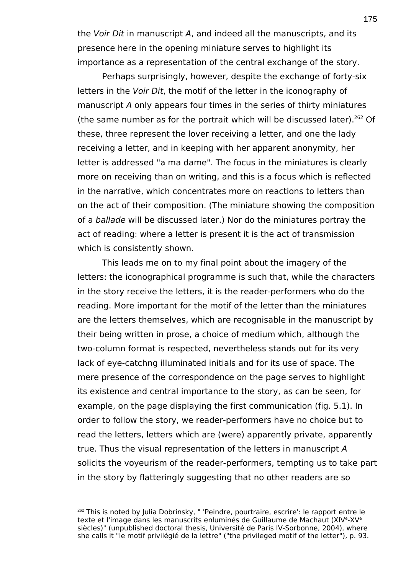the Voir Dit in manuscript A, and indeed all the manuscripts, and its presence here in the opening miniature serves to highlight its importance as a representation of the central exchange of the story.

Perhaps surprisingly, however, despite the exchange of forty-six letters in the Voir Dit, the motif of the letter in the iconography of manuscript A only appears four times in the series of thirty miniatures (the same number as for the portrait which will be discussed later). $262$  Of these, three represent the lover receiving a letter, and one the lady receiving a letter, and in keeping with her apparent anonymity, her letter is addressed "a ma dame". The focus in the miniatures is clearly more on receiving than on writing, and this is a focus which is reflected in the narrative, which concentrates more on reactions to letters than on the act of their composition. (The miniature showing the composition of a ballade will be discussed later.) Nor do the miniatures portray the act of reading: where a letter is present it is the act of transmission which is consistently shown.

This leads me on to my final point about the imagery of the letters: the iconographical programme is such that, while the characters in the story receive the letters, it is the reader-performers who do the reading. More important for the motif of the letter than the miniatures are the letters themselves, which are recognisable in the manuscript by their being written in prose, a choice of medium which, although the two-column format is respected, nevertheless stands out for its very lack of eye-catchng illuminated initials and for its use of space. The mere presence of the correspondence on the page serves to highlight its existence and central importance to the story, as can be seen, for example, on the page displaying the first communication (fig. 5.1). In order to follow the story, we reader-performers have no choice but to read the letters, letters which are (were) apparently private, apparently true. Thus the visual representation of the letters in manuscript A solicits the voyeurism of the reader-performers, tempting us to take part in the story by flatteringly suggesting that no other readers are so

<span id="page-174-0"></span> $262$  This is noted by Julia Dobrinsky, " 'Peindre, pourtraire, escrire': le rapport entre le texte et l'image dans les manuscrits enluminés de Guillaume de Machaut (XIV<sup>e</sup> -XV<sup>e</sup> siècles)" (unpublished doctoral thesis, Université de Paris IV-Sorbonne, 2004), where she calls it "le motif privilégié de la lettre" ("the privileged motif of the letter"), p. 93.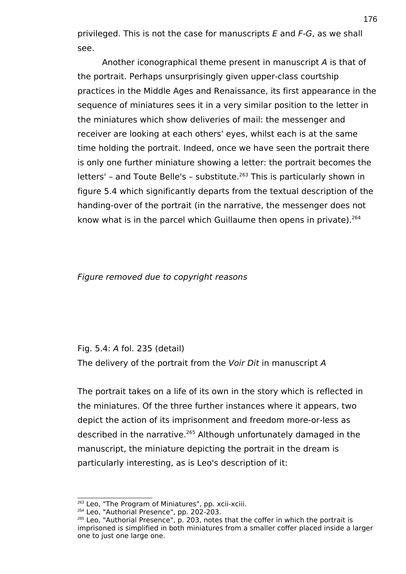privileged. This is not the case for manuscripts  $E$  and  $F-G$ , as we shall see.

Another iconographical theme present in manuscript A is that of the portrait. Perhaps unsurprisingly given upper-class courtship practices in the Middle Ages and Renaissance, its first appearance in the sequence of miniatures sees it in a very similar position to the letter in the miniatures which show deliveries of mail: the messenger and receiver are looking at each others' eyes, whilst each is at the same time holding the portrait. Indeed, once we have seen the portrait there is only one further miniature showing a letter: the portrait becomes the letters' – and Toute Belle's – substitute.<sup>[263](#page-175-0)</sup> This is particularly shown in figure 5.4 which significantly departs from the textual description of the handing-over of the portrait (in the narrative, the messenger does not know what is in the parcel which Guillaume then opens in private).<sup>[264](#page-175-1)</sup>

Figure removed due to copyright reasons

Fig. 5.4: A fol. 235 (detail)

The delivery of the portrait from the Voir Dit in manuscript A

The portrait takes on a life of its own in the story which is reflected in the miniatures. Of the three further instances where it appears, two depict the action of its imprisonment and freedom more-or-less as described in the narrative.<sup>[265](#page-175-2)</sup> Although unfortunately damaged in the manuscript, the miniature depicting the portrait in the dream is particularly interesting, as is Leo's description of it:

<span id="page-175-0"></span><sup>263</sup> Leo, "The Program of Miniatures", pp. xcii-xciii.

<span id="page-175-1"></span><sup>&</sup>lt;sup>264</sup> Leo, "Authorial Presence", pp. 202-203.

<span id="page-175-2"></span><sup>&</sup>lt;sup>265</sup> Leo, "Authorial Presence", p. 203, notes that the coffer in which the portrait is imprisoned is simplified in both miniatures from a smaller coffer placed inside a larger one to just one large one.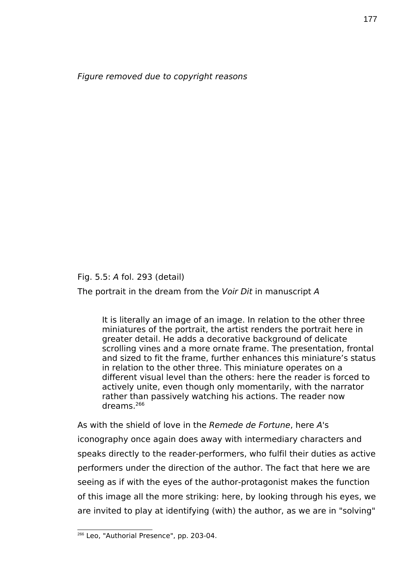Fig. 5.5: A fol. 293 (detail)

The portrait in the dream from the Voir Dit in manuscript A

It is literally an image of an image. In relation to the other three miniatures of the portrait, the artist renders the portrait here in greater detail. He adds a decorative background of delicate scrolling vines and a more ornate frame. The presentation, frontal and sized to fit the frame, further enhances this miniature's status in relation to the other three. This miniature operates on a different visual level than the others: here the reader is forced to actively unite, even though only momentarily, with the narrator rather than passively watching his actions. The reader now dreams.[266](#page-176-0)

As with the shield of love in the Remede de Fortune, here A's iconography once again does away with intermediary characters and speaks directly to the reader-performers, who fulfil their duties as active performers under the direction of the author. The fact that here we are seeing as if with the eyes of the author-protagonist makes the function of this image all the more striking: here, by looking through his eyes, we are invited to play at identifying (with) the author, as we are in "solving"

<span id="page-176-0"></span><sup>&</sup>lt;sup>266</sup> Leo, "Authorial Presence", pp. 203-04.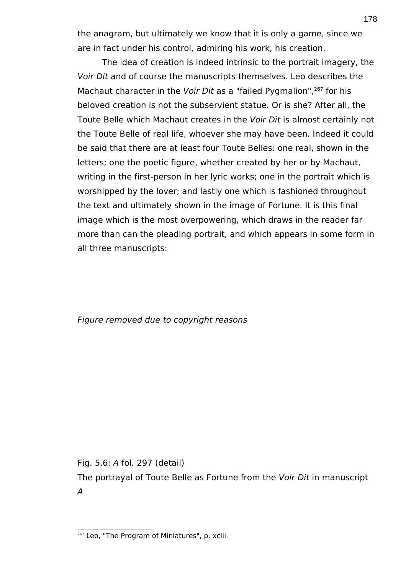the anagram, but ultimately we know that it is only a game, since we are in fact under his control, admiring his work, his creation.

The idea of creation is indeed intrinsic to the portrait imagery, the Voir Dit and of course the manuscripts themselves. Leo describes the Machaut character in the Voir Dit as a "failed Pygmalion",<sup>[267](#page-177-0)</sup> for his beloved creation is not the subservient statue. Or is she? After all, the Toute Belle which Machaut creates in the Voir Dit is almost certainly not the Toute Belle of real life, whoever she may have been. Indeed it could be said that there are at least four Toute Belles: one real, shown in the letters; one the poetic figure, whether created by her or by Machaut, writing in the first-person in her lyric works; one in the portrait which is worshipped by the lover; and lastly one which is fashioned throughout the text and ultimately shown in the image of Fortune. It is this final image which is the most overpowering, which draws in the reader far more than can the pleading portrait, and which appears in some form in all three manuscripts:

Figure removed due to copyright reasons

Fig. 5.6: A fol. 297 (detail)

The portrayal of Toute Belle as Fortune from the Voir Dit in manuscript A

<span id="page-177-0"></span><sup>&</sup>lt;sup>267</sup> Leo, "The Program of Miniatures", p. xciii.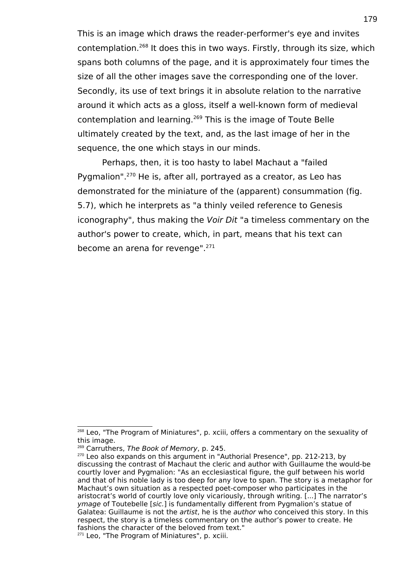This is an image which draws the reader-performer's eye and invites contemplation.[268](#page-178-0) It does this in two ways. Firstly, through its size, which spans both columns of the page, and it is approximately four times the size of all the other images save the corresponding one of the lover. Secondly, its use of text brings it in absolute relation to the narrative around it which acts as a gloss, itself a well-known form of medieval contemplation and learning.[269](#page-178-1) This is the image of Toute Belle ultimately created by the text, and, as the last image of her in the sequence, the one which stays in our minds.

Perhaps, then, it is too hasty to label Machaut a "failed Pygmalion".[270](#page-178-2) He is, after all, portrayed as a creator, as Leo has demonstrated for the miniature of the (apparent) consummation (fig. 5.7), which he interprets as "a thinly veiled reference to Genesis iconography", thus making the Voir Dit "a timeless commentary on the author's power to create, which, in part, means that his text can become an arena for revenge".<sup>[271](#page-178-3)</sup>

<span id="page-178-0"></span><sup>&</sup>lt;sup>268</sup> Leo, "The Program of Miniatures", p. xciii, offers a commentary on the sexuality of this image.

<span id="page-178-1"></span><sup>269</sup> Carruthers, The Book of Memory, p. 245.

<span id="page-178-3"></span><span id="page-178-2"></span><sup>&</sup>lt;sup>270</sup> Leo also expands on this argument in "Authorial Presence", pp. 212-213, by discussing the contrast of Machaut the cleric and author with Guillaume the would-be courtly lover and Pygmalion: "As an ecclesiastical figure, the gulf between his world and that of his noble lady is too deep for any love to span. The story is a metaphor for Machaut's own situation as a respected poet-composer who participates in the aristocrat's world of courtly love only vicariously, through writing. [...] The narrator's ymage of Toutebelle [sic.] is fundamentally different from Pygmalion's statue of Galatea: Guillaume is not the *artist*, he is the *author* who conceived this story. In this respect, the story is a timeless commentary on the author's power to create. He fashions the character of the beloved from text." <sup>271</sup> Leo, "The Program of Miniatures", p. xciii.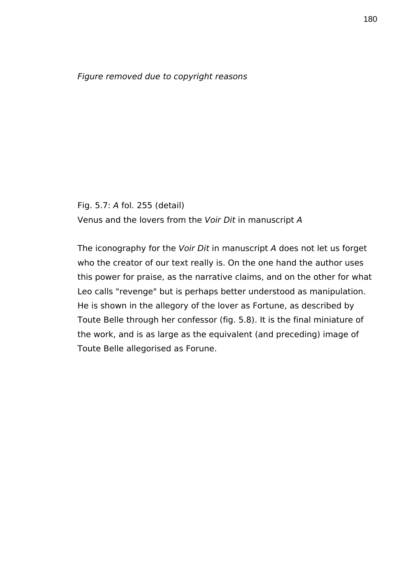Fig. 5.7: A fol. 255 (detail) Venus and the lovers from the Voir Dit in manuscript A

The iconography for the Voir Dit in manuscript A does not let us forget who the creator of our text really is. On the one hand the author uses this power for praise, as the narrative claims, and on the other for what Leo calls "revenge" but is perhaps better understood as manipulation. He is shown in the allegory of the lover as Fortune, as described by Toute Belle through her confessor (fig. 5.8). It is the final miniature of the work, and is as large as the equivalent (and preceding) image of Toute Belle allegorised as Forune.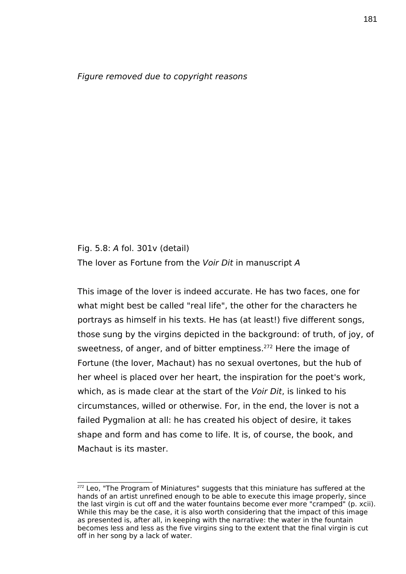Fig. 5.8: A fol. 301v (detail) The lover as Fortune from the Voir Dit in manuscript A

This image of the lover is indeed accurate. He has two faces, one for what might best be called "real life", the other for the characters he portrays as himself in his texts. He has (at least!) five different songs, those sung by the virgins depicted in the background: of truth, of joy, of sweetness, of anger, and of bitter emptiness.<sup>[272](#page-180-0)</sup> Here the image of Fortune (the lover, Machaut) has no sexual overtones, but the hub of her wheel is placed over her heart, the inspiration for the poet's work, which, as is made clear at the start of the Voir Dit, is linked to his circumstances, willed or otherwise. For, in the end, the lover is not a failed Pygmalion at all: he has created his object of desire, it takes shape and form and has come to life. It is, of course, the book, and Machaut is its master.

<span id="page-180-0"></span><sup>&</sup>lt;sup>272</sup> Leo, "The Program of Miniatures" suggests that this miniature has suffered at the hands of an artist unrefined enough to be able to execute this image properly, since the last virgin is cut off and the water fountains become ever more "cramped" (p. xcii). While this may be the case, it is also worth considering that the impact of this image as presented is, after all, in keeping with the narrative: the water in the fountain becomes less and less as the five virgins sing to the extent that the final virgin is cut off in her song by a lack of water.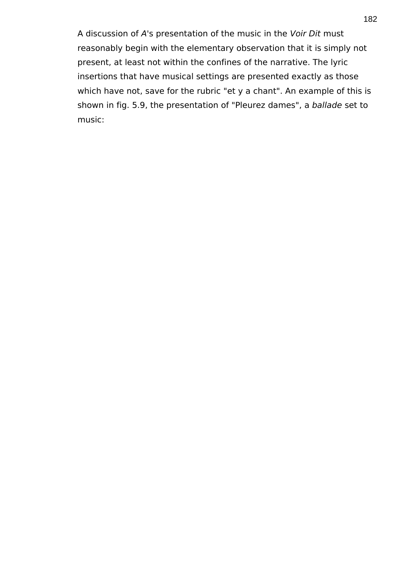A discussion of A's presentation of the music in the Voir Dit must reasonably begin with the elementary observation that it is simply not present, at least not within the confines of the narrative. The lyric insertions that have musical settings are presented exactly as those which have not, save for the rubric "et y a chant". An example of this is shown in fig. 5.9, the presentation of "Pleurez dames", a ballade set to music: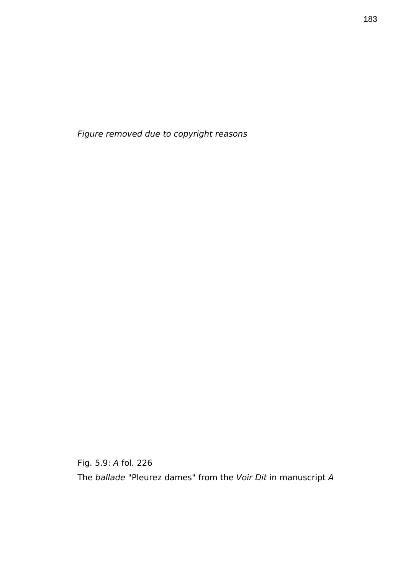Fig. 5.9: A fol. 226 The ballade "Pleurez dames" from the Voir Dit in manuscript A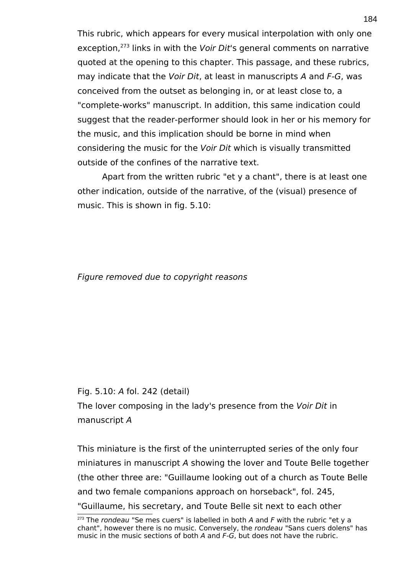This rubric, which appears for every musical interpolation with only one exception,<sup>[273](#page-183-0)</sup> links in with the Voir Dit's general comments on narrative quoted at the opening to this chapter. This passage, and these rubrics, may indicate that the Voir Dit, at least in manuscripts A and F-G, was conceived from the outset as belonging in, or at least close to, a "complete-works" manuscript. In addition, this same indication could suggest that the reader-performer should look in her or his memory for the music, and this implication should be borne in mind when considering the music for the Voir Dit which is visually transmitted outside of the confines of the narrative text.

Apart from the written rubric "et y a chant", there is at least one other indication, outside of the narrative, of the (visual) presence of music. This is shown in fig. 5.10:

Figure removed due to copyright reasons

Fig. 5.10: A fol. 242 (detail)

The lover composing in the lady's presence from the Voir Dit in manuscript A

This miniature is the first of the uninterrupted series of the only four miniatures in manuscript A showing the lover and Toute Belle together (the other three are: "Guillaume looking out of a church as Toute Belle and two female companions approach on horseback", fol. 245, "Guillaume, his secretary, and Toute Belle sit next to each other

<span id="page-183-0"></span> $273$  The rondeau "Se mes cuers" is labelled in both A and F with the rubric "et y a chant", however there is no music. Conversely, the rondeau "Sans cuers dolens" has music in the music sections of both A and F-G, but does not have the rubric.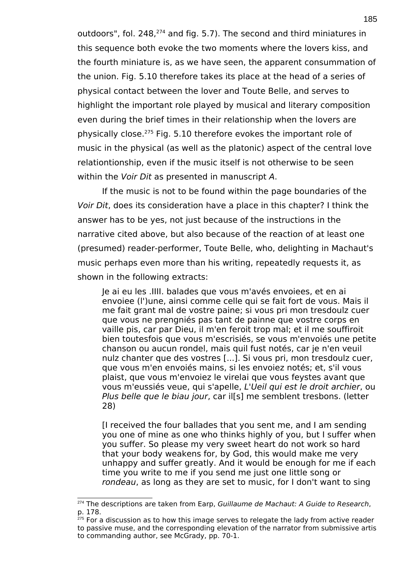outdoors", fol.  $248<sup>274</sup>$  $248<sup>274</sup>$  $248<sup>274</sup>$  and fig. 5.7). The second and third miniatures in this sequence both evoke the two moments where the lovers kiss, and the fourth miniature is, as we have seen, the apparent consummation of the union. Fig. 5.10 therefore takes its place at the head of a series of physical contact between the lover and Toute Belle, and serves to highlight the important role played by musical and literary composition even during the brief times in their relationship when the lovers are physically close.[275](#page-184-1) Fig. 5.10 therefore evokes the important role of music in the physical (as well as the platonic) aspect of the central love relationtionship, even if the music itself is not otherwise to be seen within the Voir Dit as presented in manuscript A.

If the music is not to be found within the page boundaries of the Voir Dit, does its consideration have a place in this chapter? I think the answer has to be yes, not just because of the instructions in the narrative cited above, but also because of the reaction of at least one (presumed) reader-performer, Toute Belle, who, delighting in Machaut's music perhaps even more than his writing, repeatedly requests it, as shown in the following extracts:

Je ai eu les .IIII. balades que vous m'avés envoiees, et en ai envoiee (l')une, ainsi comme celle qui se fait fort de vous. Mais il me fait grant mal de vostre paine; si vous pri mon tresdoulz cuer que vous ne prengniés pas tant de painne que vostre corps en vaille pis, car par Dieu, il m'en feroit trop mal; et il me souffiroit bien toutesfois que vous m'escrisiés, se vous m'envoiés une petite chanson ou aucun rondel, mais quil fust notés, car je n'en veuil nulz chanter que des vostres [...]. Si vous pri, mon tresdoulz cuer, que vous m'en envoiés mains, si les envoiez notés; et, s'il vous plaist, que vous m'envoiez le virelai que vous feystes avant que vous m'eussiés veue, qui s'apelle, L'Ueil qui est le droit archier, ou Plus belle que le biau jour, car il[s] me semblent tresbons. (letter 28)

[I received the four ballades that you sent me, and I am sending you one of mine as one who thinks highly of you, but I suffer when you suffer. So please my very sweet heart do not work so hard that your body weakens for, by God, this would make me very unhappy and suffer greatly. And it would be enough for me if each time you write to me if you send me just one little song or rondeau, as long as they are set to music, for I don't want to sing

<span id="page-184-0"></span> $274$  The descriptions are taken from Earp, Guillaume de Machaut: A Guide to Research, p. 178.

<span id="page-184-1"></span> $^{275}$  For a discussion as to how this image serves to relegate the lady from active reader to passive muse, and the corresponding elevation of the narrator from submissive artis to commanding author, see McGrady, pp. 70-1.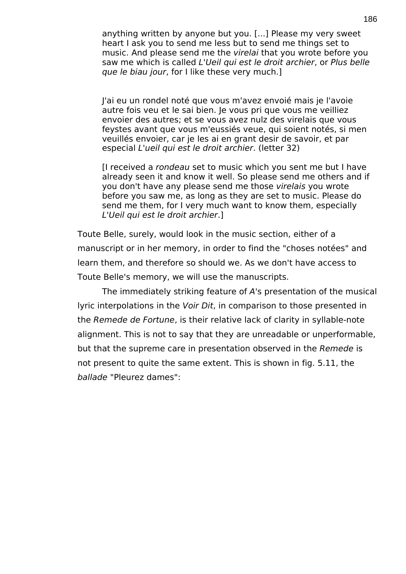anything written by anyone but you. [...] Please my very sweet heart I ask you to send me less but to send me things set to music. And please send me the virelai that you wrote before you saw me which is called L'Ueil qui est le droit archier, or Plus belle que le biau jour, for I like these very much.]

J'ai eu un rondel noté que vous m'avez envoié mais je l'avoie autre fois veu et le sai bien. Je vous pri que vous me veilliez envoier des autres; et se vous avez nulz des virelais que vous feystes avant que vous m'eussiés veue, qui soient notés, si men veuillés envoier, car je les ai en grant desir de savoir, et par especial L'ueil qui est le droit archier. (letter 32)

[I received a rondeau set to music which you sent me but I have already seen it and know it well. So please send me others and if you don't have any please send me those virelais you wrote before you saw me, as long as they are set to music. Please do send me them, for I very much want to know them, especially L'Ueil qui est le droit archier.]

Toute Belle, surely, would look in the music section, either of a manuscript or in her memory, in order to find the "choses notées" and learn them, and therefore so should we. As we don't have access to Toute Belle's memory, we will use the manuscripts.

The immediately striking feature of A's presentation of the musical lyric interpolations in the Voir Dit, in comparison to those presented in the Remede de Fortune, is their relative lack of clarity in syllable-note alignment. This is not to say that they are unreadable or unperformable, but that the supreme care in presentation observed in the Remede is not present to quite the same extent. This is shown in fig. 5.11, the ballade "Pleurez dames":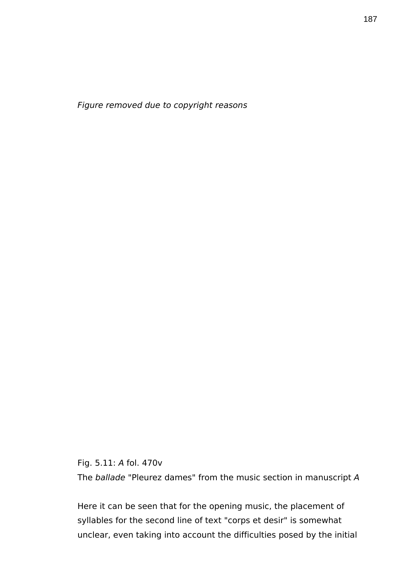Fig. 5.11: A fol. 470v The ballade "Pleurez dames" from the music section in manuscript A

Here it can be seen that for the opening music, the placement of syllables for the second line of text "corps et desir" is somewhat unclear, even taking into account the difficulties posed by the initial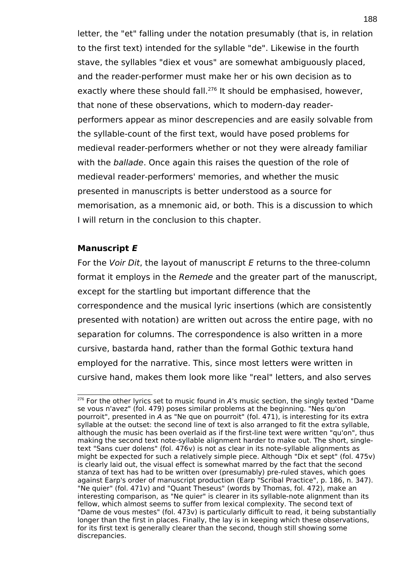letter, the "et" falling under the notation presumably (that is, in relation to the first text) intended for the syllable "de". Likewise in the fourth stave, the syllables "diex et vous" are somewhat ambiguously placed, and the reader-performer must make her or his own decision as to exactly where these should fall.<sup>[276](#page-187-0)</sup> It should be emphasised, however, that none of these observations, which to modern-day readerperformers appear as minor descrepencies and are easily solvable from the syllable-count of the first text, would have posed problems for medieval reader-performers whether or not they were already familiar with the ballade. Once again this raises the question of the role of medieval reader-performers' memories, and whether the music presented in manuscripts is better understood as a source for memorisation, as a mnemonic aid, or both. This is a discussion to which I will return in the conclusion to this chapter.

#### **Manuscript E**

For the Voir Dit, the layout of manuscript  $E$  returns to the three-column format it employs in the Remede and the greater part of the manuscript, except for the startling but important difference that the correspondence and the musical lyric insertions (which are consistently presented with notation) are written out across the entire page, with no separation for columns. The correspondence is also written in a more cursive, bastarda hand, rather than the formal Gothic textura hand employed for the narrative. This, since most letters were written in cursive hand, makes them look more like "real" letters, and also serves

<span id="page-187-0"></span> $276$  For the other lyrics set to music found in A's music section, the singly texted "Dame se vous n'avez" (fol. 479) poses similar problems at the beginning. "Nes qu'on pourroit", presented in A as "Ne que on pourroit" (fol. 471), is interesting for its extra syllable at the outset: the second line of text is also arranged to fit the extra syllable, although the music has been overlaid as if the first-line text were written "qu'on", thus making the second text note-syllable alignment harder to make out. The short, singletext "Sans cuer dolens" (fol. 476v) is not as clear in its note-syllable alignments as might be expected for such a relatively simple piece. Although "Dix et sept" (fol. 475v) is clearly laid out, the visual effect is somewhat marred by the fact that the second stanza of text has had to be written over (presumably) pre-ruled staves, which goes against Earp's order of manuscript production (Earp "Scribal Practice", p. 186, n. 347). "Ne quier" (fol. 471v) and "Quant Theseus" (words by Thomas, fol. 472), make an interesting comparison, as "Ne quier" is clearer in its syllable-note alignment than its fellow, which almost seems to suffer from lexical complexity. The second text of "Dame de vous mestes" (fol. 473v) is particularly difficult to read, it being substantially longer than the first in places. Finally, the lay is in keeping which these observations, for its first text is generally clearer than the second, though still showing some discrepancies.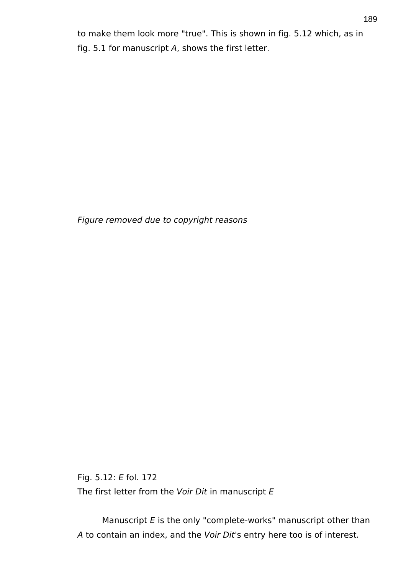to make them look more "true". This is shown in fig. 5.12 which, as in fig. 5.1 for manuscript A, shows the first letter.

Figure removed due to copyright reasons

Fig. 5.12: E fol. 172 The first letter from the Voir Dit in manuscript  $E$ 

Manuscript  $E$  is the only "complete-works" manuscript other than A to contain an index, and the Voir Dit's entry here too is of interest.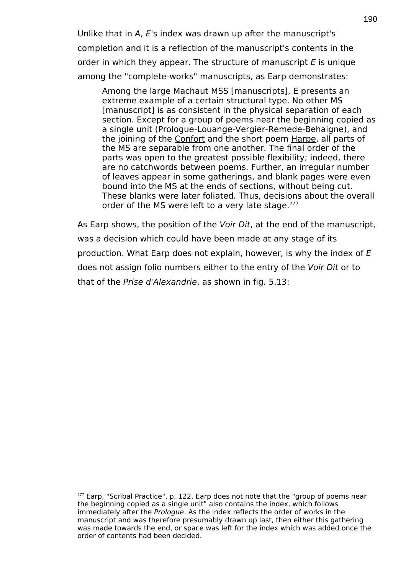Unlike that in A, E's index was drawn up after the manuscript's completion and it is a reflection of the manuscript's contents in the order in which they appear. The structure of manuscript  $E$  is unique among the "complete-works" manuscripts, as Earp demonstrates:

Among the large Machaut MSS [manuscripts], E presents an extreme example of a certain structural type. No other MS [manuscript] is as consistent in the physical separation of each section. Except for a group of poems near the beginning copied as a single unit (Prologue-Louange-Vergier-Remede-Behaigne), and the joining of the Confort and the short poem Harpe, all parts of the MS are separable from one another. The final order of the parts was open to the greatest possible flexibility; indeed, there are no catchwords between poems. Further, an irregular number of leaves appear in some gatherings, and blank pages were even bound into the MS at the ends of sections, without being cut. These blanks were later foliated. Thus, decisions about the overall order of the MS were left to a very late stage.<sup>[277](#page-189-0)</sup>

As Earp shows, the position of the Voir Dit, at the end of the manuscript, was a decision which could have been made at any stage of its production. What Earp does not explain, however, is why the index of E does not assign folio numbers either to the entry of the Voir Dit or to that of the Prise d'Alexandrie, as shown in fig. 5.13:

<span id="page-189-0"></span> $277$  Earp, "Scribal Practice", p. 122. Earp does not note that the "group of poems near the beginning copied as a single unit" also contains the index, which follows immediately after the Prologue. As the index reflects the order of works in the manuscript and was therefore presumably drawn up last, then either this gathering was made towards the end, or space was left for the index which was added once the order of contents had been decided.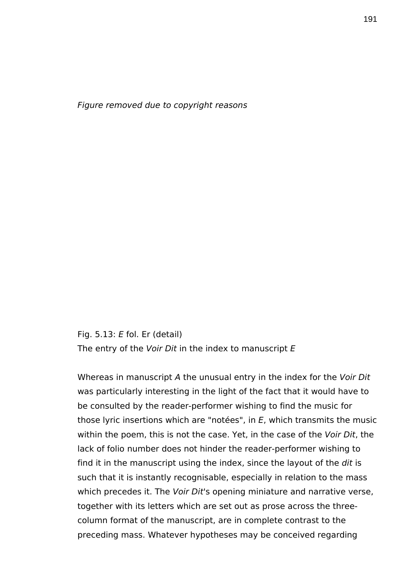Fig.  $5.13: E$  fol. Er (detail) The entry of the Voir Dit in the index to manuscript  $E$ 

Whereas in manuscript A the unusual entry in the index for the Voir Dit was particularly interesting in the light of the fact that it would have to be consulted by the reader-performer wishing to find the music for those lyric insertions which are "notées", in E, which transmits the music within the poem, this is not the case. Yet, in the case of the Voir Dit, the lack of folio number does not hinder the reader-performer wishing to find it in the manuscript using the index, since the layout of the *dit* is such that it is instantly recognisable, especially in relation to the mass which precedes it. The Voir Dit's opening miniature and narrative verse, together with its letters which are set out as prose across the threecolumn format of the manuscript, are in complete contrast to the preceding mass. Whatever hypotheses may be conceived regarding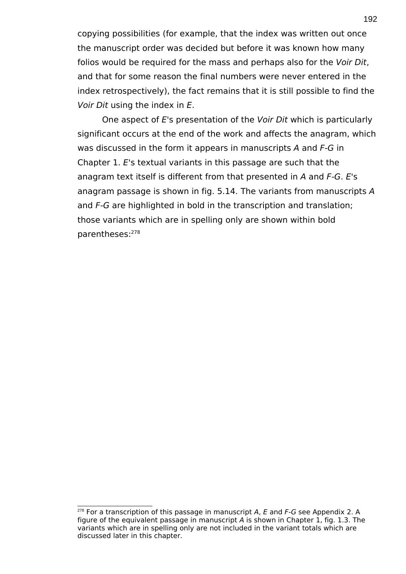copying possibilities (for example, that the index was written out once the manuscript order was decided but before it was known how many folios would be required for the mass and perhaps also for the Voir Dit, and that for some reason the final numbers were never entered in the index retrospectively), the fact remains that it is still possible to find the Voir Dit using the index in E.

One aspect of E's presentation of the Voir Dit which is particularly significant occurs at the end of the work and affects the anagram, which was discussed in the form it appears in manuscripts A and F-G in Chapter 1. E's textual variants in this passage are such that the anagram text itself is different from that presented in A and F-G. E's anagram passage is shown in fig. 5.14. The variants from manuscripts A and F-G are highlighted in bold in the transcription and translation; those variants which are in spelling only are shown within bold parentheses:[278](#page-191-0)

<span id="page-191-0"></span> $278$  For a transcription of this passage in manuscript A, E and F-G see Appendix 2. A figure of the equivalent passage in manuscript A is shown in Chapter 1, fig. 1.3. The variants which are in spelling only are not included in the variant totals which are discussed later in this chapter.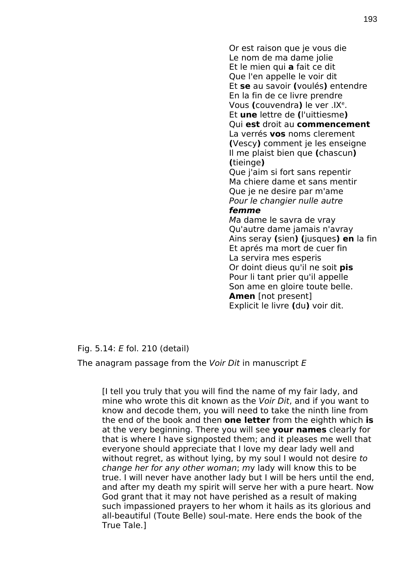Or est raison que je vous die Le nom de ma dame jolie Et le mien qui **a** fait ce dit Que l'en appelle le voir dit Et **se** au savoir **(**voulés**)** entendre En la fin de ce livre prendre Vous **(**couvendra**)** le ver .IX<sup>e</sup> . Et **une** lettre de **(**l'uittiesme**)** Qui **est** droit au **commencement** La verrés **vos** noms clerement **(**Vescy**)** comment je les enseigne Il me plaist bien que **(**chascun**) (**tieinge**)** Que j'aim si fort sans repentir Ma chiere dame et sans mentir Que je ne desire par m'ame Pour le changier nulle autre **femme** Ma dame le savra de vray

Qu'autre dame jamais n'avray Ains seray **(**sien**) (**jusques**) en** la fin Et aprés ma mort de cuer fin La servira mes esperis Or doint dieus qu'il ne soit **pis** Pour li tant prier qu'il appelle Son ame en gloire toute belle. **Amen** [not present] Explicit le livre **(**du**)** voir dit.

Fig. 5.14: E fol. 210 (detail)

The anagram passage from the Voir Dit in manuscript E

[I tell you truly that you will find the name of my fair lady, and mine who wrote this dit known as the Voir Dit, and if you want to know and decode them, you will need to take the ninth line from the end of the book and then **one letter** from the eighth which **is** at the very beginning. There you will see **your names** clearly for that is where I have signposted them; and it pleases me well that everyone should appreciate that I love my dear lady well and without regret, as without lying, by my soul I would not desire to change her for any other woman; my lady will know this to be true. I will never have another lady but I will be hers until the end, and after my death my spirit will serve her with a pure heart. Now God grant that it may not have perished as a result of making such impassioned prayers to her whom it hails as its glorious and all-beautiful (Toute Belle) soul-mate. Here ends the book of the True Tale.]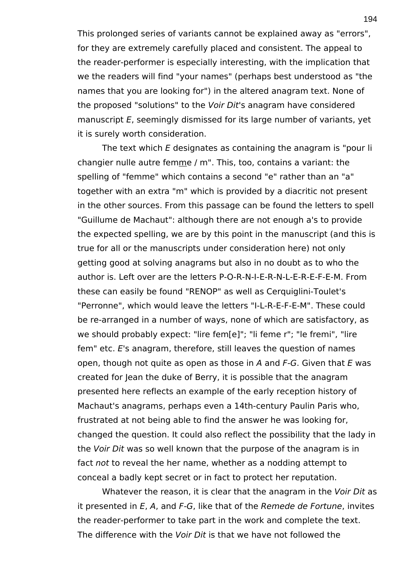This prolonged series of variants cannot be explained away as "errors", for they are extremely carefully placed and consistent. The appeal to the reader-performer is especially interesting, with the implication that we the readers will find "your names" (perhaps best understood as "the names that you are looking for") in the altered anagram text. None of the proposed "solutions" to the Voir Dit's anagram have considered manuscript E, seemingly dismissed for its large number of variants, yet it is surely worth consideration.

The text which E designates as containing the anagram is "pour li changier nulle autre femme / m". This, too, contains a variant: the spelling of "femme" which contains a second "e" rather than an "a" together with an extra "m" which is provided by a diacritic not present in the other sources. From this passage can be found the letters to spell "Guillume de Machaut": although there are not enough a's to provide the expected spelling, we are by this point in the manuscript (and this is true for all or the manuscripts under consideration here) not only getting good at solving anagrams but also in no doubt as to who the author is. Left over are the letters P-O-R-N-I-E-R-N-L-E-R-E-F-E-M. From these can easily be found "RENOP" as well as Cerquiglini-Toulet's "Perronne", which would leave the letters "I-L-R-E-F-E-M". These could be re-arranged in a number of ways, none of which are satisfactory, as we should probably expect: "lire fem[e]"; "li feme r"; "le fremi", "lire fem" etc. E's anagram, therefore, still leaves the question of names open, though not quite as open as those in  $A$  and  $F-G$ . Given that  $E$  was created for Jean the duke of Berry, it is possible that the anagram presented here reflects an example of the early reception history of Machaut's anagrams, perhaps even a 14th-century Paulin Paris who, frustrated at not being able to find the answer he was looking for, changed the question. It could also reflect the possibility that the lady in the Voir Dit was so well known that the purpose of the anagram is in fact not to reveal the her name, whether as a nodding attempt to conceal a badly kept secret or in fact to protect her reputation.

Whatever the reason, it is clear that the anagram in the Voir Dit as it presented in  $E$ ,  $A$ , and  $F$ - $G$ , like that of the Remede de Fortune, invites the reader-performer to take part in the work and complete the text. The difference with the *Voir Dit* is that we have not followed the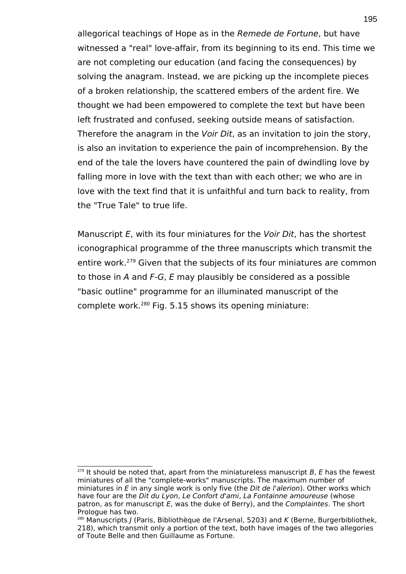allegorical teachings of Hope as in the Remede de Fortune, but have witnessed a "real" love-affair, from its beginning to its end. This time we are not completing our education (and facing the consequences) by solving the anagram. Instead, we are picking up the incomplete pieces of a broken relationship, the scattered embers of the ardent fire. We thought we had been empowered to complete the text but have been left frustrated and confused, seeking outside means of satisfaction. Therefore the anagram in the Voir Dit, as an invitation to join the story, is also an invitation to experience the pain of incomprehension. By the end of the tale the lovers have countered the pain of dwindling love by falling more in love with the text than with each other; we who are in love with the text find that it is unfaithful and turn back to reality, from the "True Tale" to true life.

Manuscript E, with its four miniatures for the Voir Dit, has the shortest iconographical programme of the three manuscripts which transmit the entire work.<sup>[279](#page-194-0)</sup> Given that the subjects of its four miniatures are common to those in A and F-G, E may plausibly be considered as a possible "basic outline" programme for an illuminated manuscript of the complete work.[280](#page-194-1) Fig. 5.15 shows its opening miniature:

<span id="page-194-0"></span> $279$  It should be noted that, apart from the miniatureless manuscript B, E has the fewest miniatures of all the "complete-works" manuscripts. The maximum number of miniatures in  $E$  in any single work is only five (the Dit de l'alerion). Other works which have four are the Dit du Lyon, Le Confort d'ami, La Fontainne amoureuse (whose patron, as for manuscript  $\vec{E}$ , was the duke of Berry), and the *Complaintes*. The short Prologue has two.

<span id="page-194-1"></span> $280$  Manuscripts *J* (Paris, Bibliothèque de l'Arsenal, 5203) and *K* (Berne, Burgerbibliothek, 218), which transmit only a portion of the text, both have images of the two allegories of Toute Belle and then Guillaume as Fortune.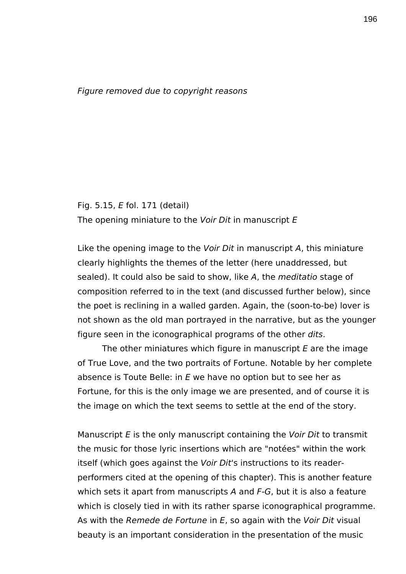Fig. 5.15, E fol. 171 (detail) The opening miniature to the Voir Dit in manuscript E

Like the opening image to the *Voir Dit* in manuscript A, this miniature clearly highlights the themes of the letter (here unaddressed, but sealed). It could also be said to show, like A, the meditatio stage of composition referred to in the text (and discussed further below), since the poet is reclining in a walled garden. Again, the (soon-to-be) lover is not shown as the old man portrayed in the narrative, but as the younger figure seen in the iconographical programs of the other dits.

The other miniatures which figure in manuscript  $E$  are the image of True Love, and the two portraits of Fortune. Notable by her complete absence is Toute Belle: in  $E$  we have no option but to see her as Fortune, for this is the only image we are presented, and of course it is the image on which the text seems to settle at the end of the story.

Manuscript E is the only manuscript containing the Voir Dit to transmit the music for those lyric insertions which are "notées" within the work itself (which goes against the Voir Dit's instructions to its readerperformers cited at the opening of this chapter). This is another feature which sets it apart from manuscripts  $A$  and  $F-G$ , but it is also a feature which is closely tied in with its rather sparse iconographical programme. As with the Remede de Fortune in E, so again with the Voir Dit visual beauty is an important consideration in the presentation of the music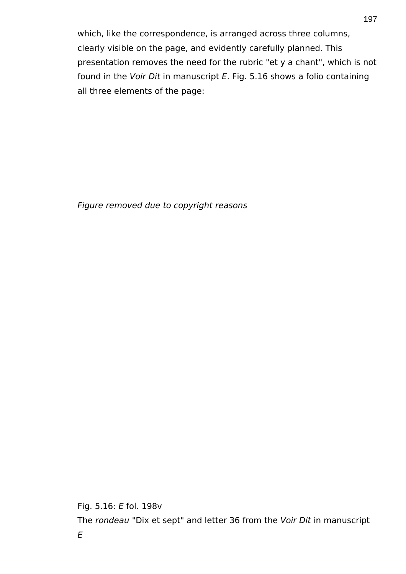which, like the correspondence, is arranged across three columns, clearly visible on the page, and evidently carefully planned. This presentation removes the need for the rubric "et y a chant", which is not found in the Voir Dit in manuscript E. Fig. 5.16 shows a folio containing all three elements of the page:

Figure removed due to copyright reasons

Fig. 5.16: E fol. 198v

E

The rondeau "Dix et sept" and letter 36 from the Voir Dit in manuscript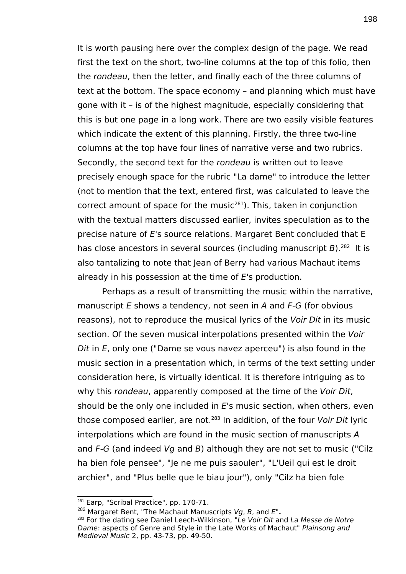It is worth pausing here over the complex design of the page. We read first the text on the short, two-line columns at the top of this folio, then the rondeau, then the letter, and finally each of the three columns of text at the bottom. The space economy – and planning which must have gone with it – is of the highest magnitude, especially considering that this is but one page in a long work. There are two easily visible features which indicate the extent of this planning. Firstly, the three two-line columns at the top have four lines of narrative verse and two rubrics. Secondly, the second text for the rondeau is written out to leave precisely enough space for the rubric "La dame" to introduce the letter (not to mention that the text, entered first, was calculated to leave the correct amount of space for the music<sup>[281](#page-197-0)</sup>). This, taken in conjunction with the textual matters discussed earlier, invites speculation as to the precise nature of E's source relations. Margaret Bent concluded that E has close ancestors in several sources (including manuscript  $B$ ).<sup>[282](#page-197-1)</sup> It is also tantalizing to note that Jean of Berry had various Machaut items already in his possession at the time of E's production.

Perhaps as a result of transmitting the music within the narrative, manuscript E shows a tendency, not seen in A and F-G (for obvious reasons), not to reproduce the musical lyrics of the Voir Dit in its music section. Of the seven musical interpolations presented within the Voir Dit in E, only one ("Dame se vous navez aperceu") is also found in the music section in a presentation which, in terms of the text setting under consideration here, is virtually identical. It is therefore intriguing as to why this *rondeau*, apparently composed at the time of the *Voir Dit*, should be the only one included in E's music section, when others, even those composed earlier, are not.<sup>[283](#page-197-2)</sup> In addition, of the four *Voir Dit* lyric interpolations which are found in the music section of manuscripts A and  $F-G$  (and indeed  $Vg$  and B) although they are not set to music ("Cilz ha bien fole pensee", "Je ne me puis saouler", "L'Ueil qui est le droit archier", and "Plus belle que le biau jour"), only "Cilz ha bien fole

<span id="page-197-0"></span><sup>&</sup>lt;sup>281</sup> Earp, "Scribal Practice", pp. 170-71.

<span id="page-197-1"></span><sup>282</sup> Margaret Bent, "The Machaut Manuscripts Vg, B, and E"**.**

<span id="page-197-2"></span> $283$  For the dating see Daniel Leech-Wilkinson, "Le Voir Dit and La Messe de Notre Dame: aspects of Genre and Style in the Late Works of Machaut" Plainsong and Medieval Music 2, pp. 43-73, pp. 49-50.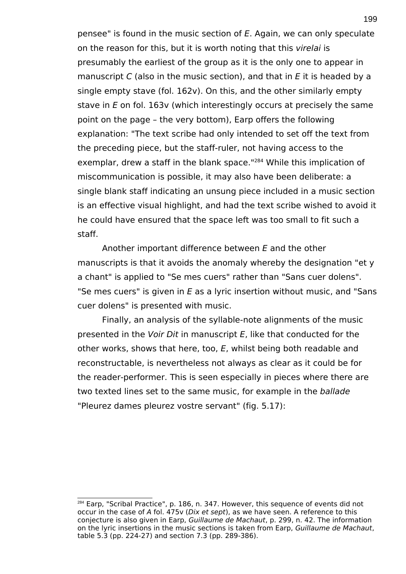pensee" is found in the music section of  $E$ . Again, we can only speculate on the reason for this, but it is worth noting that this *virelai* is presumably the earliest of the group as it is the only one to appear in manuscript  $C$  (also in the music section), and that in  $E$  it is headed by a single empty stave (fol. 162v). On this, and the other similarly empty stave in E on fol. 163v (which interestingly occurs at precisely the same point on the page – the very bottom), Earp offers the following explanation: "The text scribe had only intended to set off the text from the preceding piece, but the staff-ruler, not having access to the exemplar, drew a staff in the blank space."<sup>[284](#page-198-0)</sup> While this implication of miscommunication is possible, it may also have been deliberate: a single blank staff indicating an unsung piece included in a music section is an effective visual highlight, and had the text scribe wished to avoid it he could have ensured that the space left was too small to fit such a staff.

Another important difference between E and the other manuscripts is that it avoids the anomaly whereby the designation "et y a chant" is applied to "Se mes cuers" rather than "Sans cuer dolens". "Se mes cuers" is given in  $E$  as a lyric insertion without music, and "Sans cuer dolens" is presented with music.

Finally, an analysis of the syllable-note alignments of the music presented in the Voir Dit in manuscript E, like that conducted for the other works, shows that here, too, E, whilst being both readable and reconstructable, is nevertheless not always as clear as it could be for the reader-performer. This is seen especially in pieces where there are two texted lines set to the same music, for example in the ballade "Pleurez dames pleurez vostre servant" (fig. 5.17):

<span id="page-198-0"></span><sup>&</sup>lt;sup>284</sup> Earp, "Scribal Practice", p. 186, n. 347. However, this sequence of events did not occur in the case of A fol. 475v (Dix et sept), as we have seen. A reference to this conjecture is also given in Earp, Guillaume de Machaut, p. 299, n. 42. The information on the lyric insertions in the music sections is taken from Earp, Guillaume de Machaut, table 5.3 (pp. 224-27) and section 7.3 (pp. 289-386).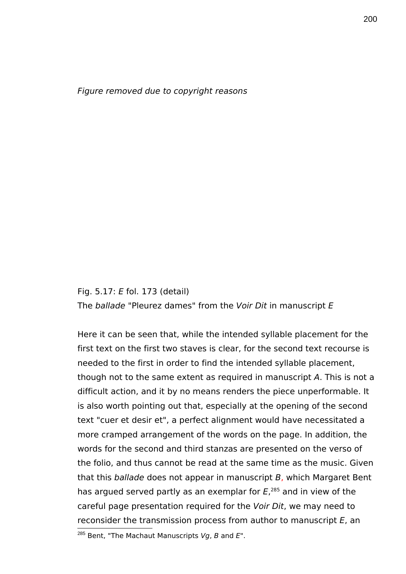# Fig. 5.17: E fol. 173 (detail)

The ballade "Pleurez dames" from the Voir Dit in manuscript E

<span id="page-199-0"></span>Here it can be seen that, while the intended syllable placement for the first text on the first two staves is clear, for the second text recourse is needed to the first in order to find the intended syllable placement, though not to the same extent as required in manuscript A. This is not a difficult action, and it by no means renders the piece unperformable. It is also worth pointing out that, especially at the opening of the second text "cuer et desir et", a perfect alignment would have necessitated a more cramped arrangement of the words on the page. In addition, the words for the second and third stanzas are presented on the verso of the folio, and thus cannot be read at the same time as the music. Given that this ballade does not appear in manuscript B, which Margaret Bent has argued served partly as an exemplar for  $E,$ <sup>[285](#page-199-0)</sup> and in view of the careful page presentation required for the Voir Dit, we may need to reconsider the transmission process from author to manuscript E, an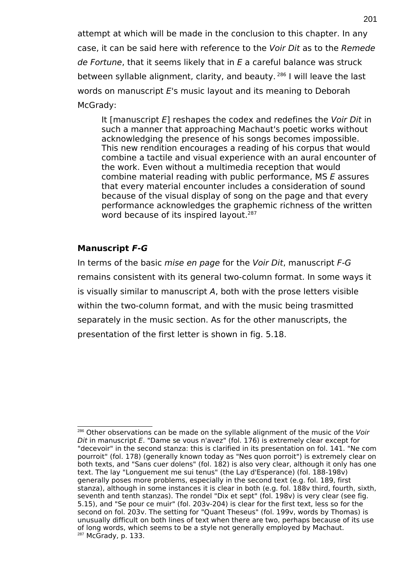attempt at which will be made in the conclusion to this chapter. In any case, it can be said here with reference to the Voir Dit as to the Remede de Fortune, that it seems likely that in  $E$  a careful balance was struck between syllable alignment, clarity, and beauty. <sup>[286](#page-200-0)</sup> I will leave the last words on manuscript E's music layout and its meaning to Deborah McGrady:

It [manuscript E] reshapes the codex and redefines the Voir Dit in such a manner that approaching Machaut's poetic works without acknowledging the presence of his songs becomes impossible. This new rendition encourages a reading of his corpus that would combine a tactile and visual experience with an aural encounter of the work. Even without a multimedia reception that would combine material reading with public performance, MS E assures that every material encounter includes a consideration of sound because of the visual display of song on the page and that every performance acknowledges the graphemic richness of the written word because of its inspired layout.<sup>[287](#page-200-1)</sup>

# **Manuscript F-G**

In terms of the basic mise en page for the Voir Dit, manuscript F-G remains consistent with its general two-column format. In some ways it is visually similar to manuscript A, both with the prose letters visible within the two-column format, and with the music being trasmitted separately in the music section. As for the other manuscripts, the presentation of the first letter is shown in fig. 5.18.

<span id="page-200-1"></span><span id="page-200-0"></span><sup>&</sup>lt;sup>286</sup> Other observations can be made on the syllable alignment of the music of the Voir Dit in manuscript E. "Dame se vous n'avez" (fol. 176) is extremely clear except for "decevoir" in the second stanza: this is clarified in its presentation on fol. 141. "Ne com pourroit" (fol. 178) (generally known today as "Nes quon porroit") is extremely clear on both texts, and "Sans cuer dolens" (fol. 182) is also very clear, although it only has one text. The lay "Longuement me sui tenus" (the Lay d'Esperance) (fol. 188-198v) generally poses more problems, especially in the second text (e.g. fol. 189, first stanza), although in some instances it is clear in both (e.g. fol. 188v third, fourth, sixth, seventh and tenth stanzas). The rondel "Dix et sept" (fol. 198v) is very clear (see fig. 5.15), and "Se pour ce muir" (fol. 203v-204) is clear for the first text, less so for the second on fol. 203v. The setting for "Quant Theseus" (fol. 199v, words by Thomas) is unusually difficult on both lines of text when there are two, perhaps because of its use of long words, which seems to be a style not generally employed by Machaut. 287 McGrady, p. 133.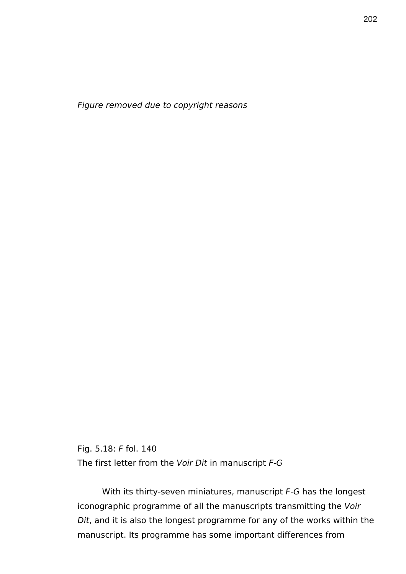Fig. 5.18: F fol. 140 The first letter from the Voir Dit in manuscript F-G

With its thirty-seven miniatures, manuscript F-G has the longest iconographic programme of all the manuscripts transmitting the Voir Dit, and it is also the longest programme for any of the works within the manuscript. Its programme has some important differences from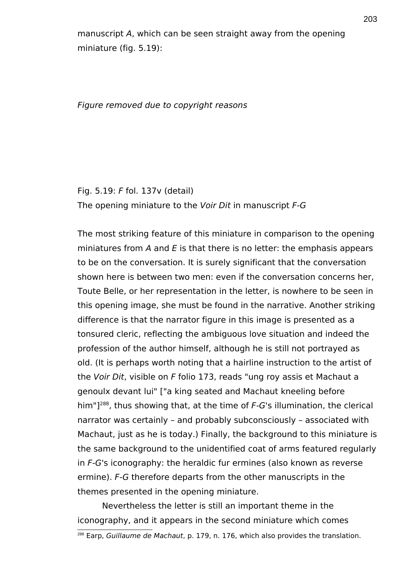manuscript A, which can be seen straight away from the opening miniature (fig. 5.19):

Figure removed due to copyright reasons

Fig. 5.19: F fol. 137v (detail) The opening miniature to the Voir Dit in manuscript F-G

The most striking feature of this miniature in comparison to the opening miniatures from  $A$  and  $E$  is that there is no letter: the emphasis appears to be on the conversation. It is surely significant that the conversation shown here is between two men: even if the conversation concerns her, Toute Belle, or her representation in the letter, is nowhere to be seen in this opening image, she must be found in the narrative. Another striking difference is that the narrator figure in this image is presented as a tonsured cleric, reflecting the ambiguous love situation and indeed the profession of the author himself, although he is still not portrayed as old. (It is perhaps worth noting that a hairline instruction to the artist of the Voir Dit, visible on F folio 173, reads "ung roy assis et Machaut a genoulx devant lui" ["a king seated and Machaut kneeling before him"]<sup>[288](#page-202-0)</sup>, thus showing that, at the time of  $F-G's$  illumination, the clerical narrator was certainly – and probably subconsciously – associated with Machaut, just as he is today.) Finally, the background to this miniature is the same background to the unidentified coat of arms featured regularly in F-G's iconography: the heraldic fur ermines (also known as reverse ermine). F-G therefore departs from the other manuscripts in the themes presented in the opening miniature.

Nevertheless the letter is still an important theme in the iconography, and it appears in the second miniature which comes

<span id="page-202-0"></span> $\frac{288}{288}$  Earp, Guillaume de Machaut, p. 179, n. 176, which also provides the translation.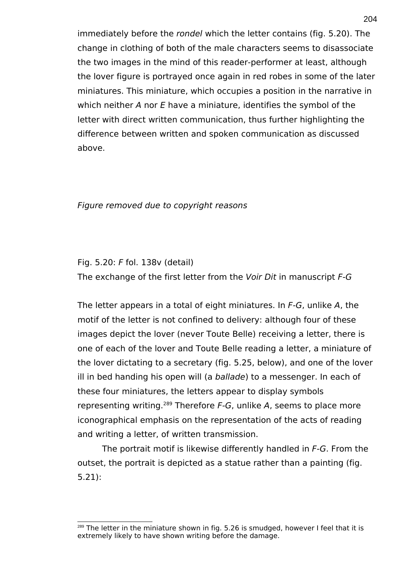immediately before the rondel which the letter contains (fig. 5.20). The change in clothing of both of the male characters seems to disassociate the two images in the mind of this reader-performer at least, although the lover figure is portrayed once again in red robes in some of the later miniatures. This miniature, which occupies a position in the narrative in which neither A nor E have a miniature, identifies the symbol of the letter with direct written communication, thus further highlighting the difference between written and spoken communication as discussed above.

## Figure removed due to copyright reasons

Fig. 5.20: F fol. 138v (detail) The exchange of the first letter from the Voir Dit in manuscript F-G

The letter appears in a total of eight miniatures. In F-G, unlike A, the motif of the letter is not confined to delivery: although four of these images depict the lover (never Toute Belle) receiving a letter, there is one of each of the lover and Toute Belle reading a letter, a miniature of the lover dictating to a secretary (fig. 5.25, below), and one of the lover ill in bed handing his open will (a ballade) to a messenger. In each of these four miniatures, the letters appear to display symbols representing writing.<sup>[289](#page-203-0)</sup> Therefore *F-G*, unlike A, seems to place more iconographical emphasis on the representation of the acts of reading and writing a letter, of written transmission.

The portrait motif is likewise differently handled in F-G. From the outset, the portrait is depicted as a statue rather than a painting (fig. 5.21):

<span id="page-203-0"></span><sup>&</sup>lt;sup>289</sup> The letter in the miniature shown in fig. 5.26 is smudged, however I feel that it is extremely likely to have shown writing before the damage.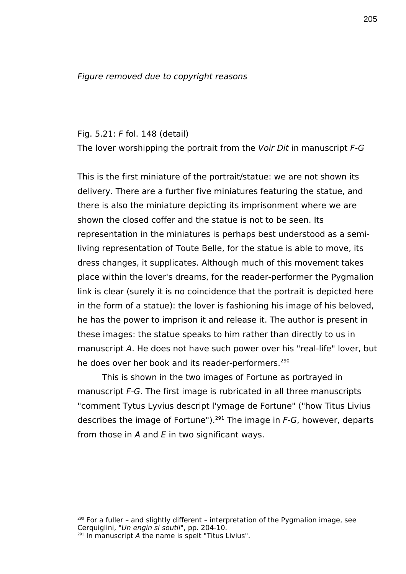#### Fig. 5.21: F fol. 148 (detail)

The lover worshipping the portrait from the Voir Dit in manuscript F-G

This is the first miniature of the portrait/statue: we are not shown its delivery. There are a further five miniatures featuring the statue, and there is also the miniature depicting its imprisonment where we are shown the closed coffer and the statue is not to be seen. Its representation in the miniatures is perhaps best understood as a semiliving representation of Toute Belle, for the statue is able to move, its dress changes, it supplicates. Although much of this movement takes place within the lover's dreams, for the reader-performer the Pygmalion link is clear (surely it is no coincidence that the portrait is depicted here in the form of a statue): the lover is fashioning his image of his beloved, he has the power to imprison it and release it. The author is present in these images: the statue speaks to him rather than directly to us in manuscript A. He does not have such power over his "real-life" lover, but he does over her book and its reader-performers.<sup>[290](#page-204-0)</sup>

This is shown in the two images of Fortune as portrayed in manuscript F-G. The first image is rubricated in all three manuscripts "comment Tytus Lyvius descript l'ymage de Fortune" ("how Titus Livius describes the image of Fortune").<sup>[291](#page-204-1)</sup> The image in  $F-G$ , however, departs from those in A and  $E$  in two significant ways.

<span id="page-204-0"></span> $290$  For a fuller - and slightly different - interpretation of the Pygmalion image, see Cerquiglini, "Un engin si soutil", pp. 204-10.

<span id="page-204-1"></span> $291$  In manuscript A the name is spelt "Titus Livius".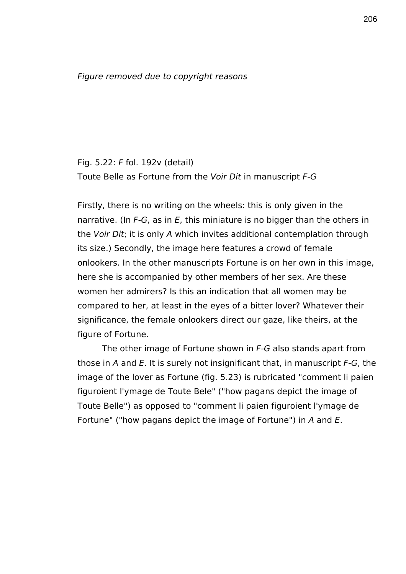Fig. 5.22: F fol. 192v (detail) Toute Belle as Fortune from the Voir Dit in manuscript F-G

Firstly, there is no writing on the wheels: this is only given in the narrative. (In F-G, as in E, this miniature is no bigger than the others in the Voir Dit; it is only A which invites additional contemplation through its size.) Secondly, the image here features a crowd of female onlookers. In the other manuscripts Fortune is on her own in this image, here she is accompanied by other members of her sex. Are these women her admirers? Is this an indication that all women may be compared to her, at least in the eyes of a bitter lover? Whatever their significance, the female onlookers direct our gaze, like theirs, at the figure of Fortune.

The other image of Fortune shown in F-G also stands apart from those in A and E. It is surely not insignificant that, in manuscript F-G, the image of the lover as Fortune (fig. 5.23) is rubricated "comment li paien figuroient l'ymage de Toute Bele" ("how pagans depict the image of Toute Belle") as opposed to "comment li paien figuroient l'ymage de Fortune" ("how pagans depict the image of Fortune") in A and E.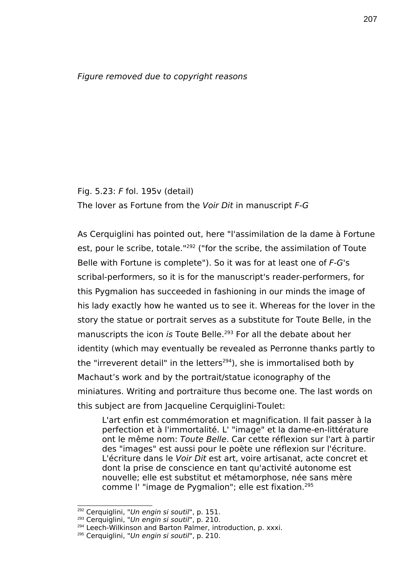Fig. 5.23: F fol. 195v (detail) The lover as Fortune from the Voir Dit in manuscript F-G

As Cerquiglini has pointed out, here "l'assimilation de la dame à Fortune est, pour le scribe, totale."<sup>[292](#page-206-0)</sup> ("for the scribe, the assimilation of Toute Belle with Fortune is complete"). So it was for at least one of F-G's scribal-performers, so it is for the manuscript's reader-performers, for this Pygmalion has succeeded in fashioning in our minds the image of his lady exactly how he wanted us to see it. Whereas for the lover in the story the statue or portrait serves as a substitute for Toute Belle, in the manuscripts the icon is Toute Belle.<sup>[293](#page-206-1)</sup> For all the debate about her identity (which may eventually be revealed as Perronne thanks partly to the "irreverent detail" in the letters<sup>[294](#page-206-2)</sup>), she is immortalised both by Machaut's work and by the portrait/statue iconography of the miniatures. Writing and portraiture thus become one. The last words on this subject are from Jacqueline Cerquiglini-Toulet:

L'art enfin est commémoration et magnification. Il fait passer à la perfection et à l'immortalité. L' "image" et la dame-en-littérature ont le même nom: Toute Belle. Car cette réflexion sur l'art à partir des "images" est aussi pour le poète une réflexion sur l'écriture. L'écriture dans le Voir Dit est art, voire artisanat, acte concret et dont la prise de conscience en tant qu'activité autonome est nouvelle; elle est substitut et métamorphose, née sans mère comme l' "image de Pygmalion"; elle est fixation.[295](#page-206-3)

<span id="page-206-0"></span><sup>292</sup> Cerquiglini, "Un engin si soutil", p. 151.

<span id="page-206-1"></span><sup>293</sup> Cerquiglini, "Un engin si soutil", p. 210.

<span id="page-206-2"></span><sup>&</sup>lt;sup>294</sup> Leech-Wilkinson and Barton Palmer, introduction, p. xxxi.

<span id="page-206-3"></span><sup>295</sup> Cerquiglini, "Un engin si soutil", p. 210.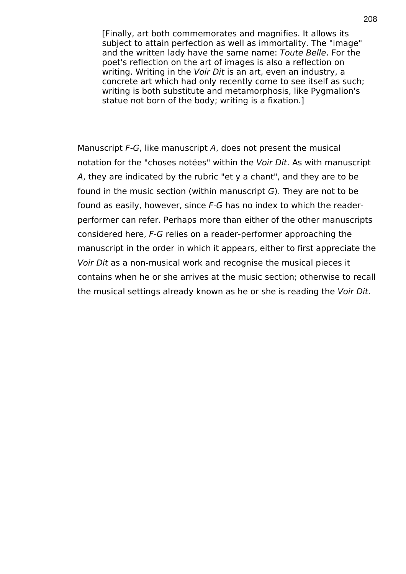[Finally, art both commemorates and magnifies. It allows its subject to attain perfection as well as immortality. The "image" and the written lady have the same name: Toute Belle. For the poet's reflection on the art of images is also a reflection on writing. Writing in the *Voir Dit* is an art, even an industry, a concrete art which had only recently come to see itself as such; writing is both substitute and metamorphosis, like Pygmalion's statue not born of the body; writing is a fixation.]

Manuscript F-G, like manuscript A, does not present the musical notation for the "choses notées" within the Voir Dit. As with manuscript A, they are indicated by the rubric "et y a chant", and they are to be found in the music section (within manuscript G). They are not to be found as easily, however, since F-G has no index to which the readerperformer can refer. Perhaps more than either of the other manuscripts considered here, F-G relies on a reader-performer approaching the manuscript in the order in which it appears, either to first appreciate the Voir Dit as a non-musical work and recognise the musical pieces it contains when he or she arrives at the music section; otherwise to recall the musical settings already known as he or she is reading the Voir Dit.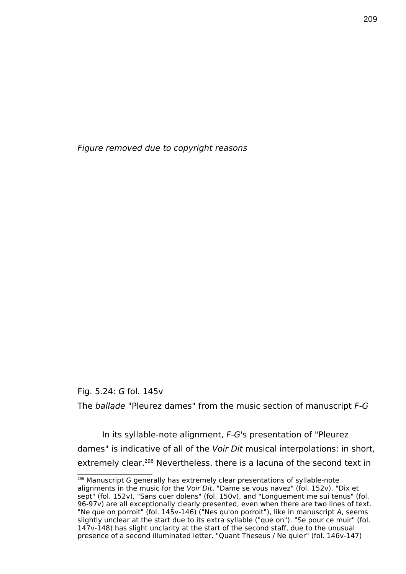Fig. 5.24: G fol. 145v

The ballade "Pleurez dames" from the music section of manuscript F-G

In its syllable-note alignment, F-G's presentation of "Pleurez dames" is indicative of all of the Voir Dit musical interpolations: in short, extremely clear.<sup>[296](#page-208-0)</sup> Nevertheless, there is a lacuna of the second text in

<span id="page-208-0"></span> $296$  Manuscript G generally has extremely clear presentations of syllable-note alignments in the music for the Voir Dit. "Dame se vous navez" (fol. 152v), "Dix et sept" (fol. 152v), "Sans cuer dolens" (fol. 150v), and "Longuement me sui tenus" (fol. 96-97v) are all exceptionally clearly presented, even when there are two lines of text. "Ne que on porroit" (fol. 145v-146) ("Nes qu'on porroit"), like in manuscript A, seems slightly unclear at the start due to its extra syllable ("que on"). "Se pour ce muir" (fol. 147v-148) has slight unclarity at the start of the second staff, due to the unusual presence of a second illuminated letter. "Quant Theseus / Ne quier" (fol. 146v-147)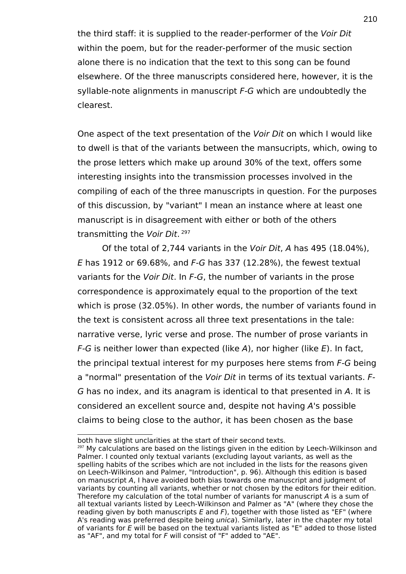the third staff: it is supplied to the reader-performer of the Voir Dit within the poem, but for the reader-performer of the music section alone there is no indication that the text to this song can be found elsewhere. Of the three manuscripts considered here, however, it is the syllable-note alignments in manuscript F-G which are undoubtedly the clearest.

One aspect of the text presentation of the Voir Dit on which I would like to dwell is that of the variants between the mansucripts, which, owing to the prose letters which make up around 30% of the text, offers some interesting insights into the transmission processes involved in the compiling of each of the three manuscripts in question. For the purposes of this discussion, by "variant" I mean an instance where at least one manuscript is in disagreement with either or both of the others transmitting the Voir Dit.<sup>[297](#page-209-0)</sup>

Of the total of 2,744 variants in the Voir Dit, A has 495 (18.04%), E has 1912 or 69.68%, and F-G has 337 (12.28%), the fewest textual variants for the Voir Dit. In F-G, the number of variants in the prose correspondence is approximately equal to the proportion of the text which is prose (32.05%). In other words, the number of variants found in the text is consistent across all three text presentations in the tale: narrative verse, lyric verse and prose. The number of prose variants in F-G is neither lower than expected (like A), nor higher (like E). In fact, the principal textual interest for my purposes here stems from F-G being a "normal" presentation of the Voir Dit in terms of its textual variants. F-G has no index, and its anagram is identical to that presented in A. It is considered an excellent source and, despite not having A's possible claims to being close to the author, it has been chosen as the base

both have slight unclarities at the start of their second texts.

<span id="page-209-0"></span><sup>&</sup>lt;sup>297</sup> My calculations are based on the listings given in the edition by Leech-Wilkinson and Palmer. I counted only textual variants (excluding layout variants, as well as the spelling habits of the scribes which are not included in the lists for the reasons given on Leech-Wilkinson and Palmer, "Introduction", p. 96). Although this edition is based on manuscript A, I have avoided both bias towards one manuscript and judgment of variants by counting all variants, whether or not chosen by the editors for their edition. Therefore my calculation of the total number of variants for manuscript A is a sum of all textual variants listed by Leech-Wilkinson and Palmer as "A" (where they chose the reading given by both manuscripts E and F), together with those listed as "EF" (where A's reading was preferred despite being unica). Similarly, later in the chapter my total of variants for E will be based on the textual variants listed as "E" added to those listed as "AF", and my total for F will consist of "F" added to "AE".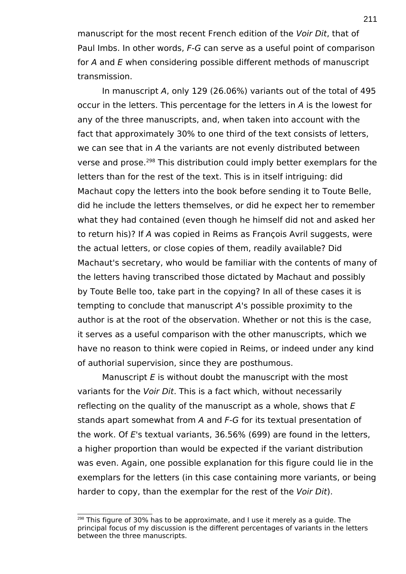manuscript for the most recent French edition of the Voir Dit, that of Paul Imbs. In other words, F-G can serve as a useful point of comparison for A and E when considering possible different methods of manuscript transmission.

In manuscript A, only 129 (26.06%) variants out of the total of 495 occur in the letters. This percentage for the letters in A is the lowest for any of the three manuscripts, and, when taken into account with the fact that approximately 30% to one third of the text consists of letters, we can see that in A the variants are not evenly distributed between verse and prose.<sup>[298](#page-210-0)</sup> This distribution could imply better exemplars for the letters than for the rest of the text. This is in itself intriguing: did Machaut copy the letters into the book before sending it to Toute Belle, did he include the letters themselves, or did he expect her to remember what they had contained (even though he himself did not and asked her to return his)? If A was copied in Reims as François Avril suggests, were the actual letters, or close copies of them, readily available? Did Machaut's secretary, who would be familiar with the contents of many of the letters having transcribed those dictated by Machaut and possibly by Toute Belle too, take part in the copying? In all of these cases it is tempting to conclude that manuscript A's possible proximity to the author is at the root of the observation. Whether or not this is the case, it serves as a useful comparison with the other manuscripts, which we have no reason to think were copied in Reims, or indeed under any kind of authorial supervision, since they are posthumous.

Manuscript  $E$  is without doubt the manuscript with the most variants for the Voir Dit. This is a fact which, without necessarily reflecting on the quality of the manuscript as a whole, shows that  $E$ stands apart somewhat from A and F-G for its textual presentation of the work. Of E's textual variants, 36.56% (699) are found in the letters, a higher proportion than would be expected if the variant distribution was even. Again, one possible explanation for this figure could lie in the exemplars for the letters (in this case containing more variants, or being harder to copy, than the exemplar for the rest of the Voir Dit).

<span id="page-210-0"></span> $298$  This figure of 30% has to be approximate, and I use it merely as a guide. The principal focus of my discussion is the different percentages of variants in the letters between the three manuscripts.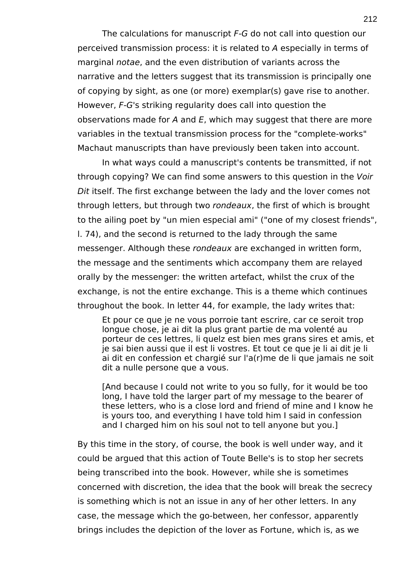The calculations for manuscript F-G do not call into question our perceived transmission process: it is related to A especially in terms of marginal notae, and the even distribution of variants across the narrative and the letters suggest that its transmission is principally one of copying by sight, as one (or more) exemplar(s) gave rise to another. However, F-G's striking regularity does call into question the observations made for A and  $E$ , which may suggest that there are more variables in the textual transmission process for the "complete-works" Machaut manuscripts than have previously been taken into account.

In what ways could a manuscript's contents be transmitted, if not through copying? We can find some answers to this question in the Voir Dit itself. The first exchange between the lady and the lover comes not through letters, but through two rondeaux, the first of which is brought to the ailing poet by "un mien especial ami" ("one of my closest friends", l. 74), and the second is returned to the lady through the same messenger. Although these rondeaux are exchanged in written form, the message and the sentiments which accompany them are relayed orally by the messenger: the written artefact, whilst the crux of the exchange, is not the entire exchange. This is a theme which continues throughout the book. In letter 44, for example, the lady writes that:

Et pour ce que je ne vous porroie tant escrire, car ce seroit trop longue chose, je ai dit la plus grant partie de ma volenté au porteur de ces lettres, li quelz est bien mes grans sires et amis, et je sai bien aussi que il est li vostres. Et tout ce que je li ai dit je li ai dit en confession et chargié sur l'a(r)me de li que jamais ne soit dit a nulle persone que a vous.

[And because I could not write to you so fully, for it would be too long, I have told the larger part of my message to the bearer of these letters, who is a close lord and friend of mine and I know he is yours too, and everything I have told him I said in confession and I charged him on his soul not to tell anyone but you.]

By this time in the story, of course, the book is well under way, and it could be argued that this action of Toute Belle's is to stop her secrets being transcribed into the book. However, while she is sometimes concerned with discretion, the idea that the book will break the secrecy is something which is not an issue in any of her other letters. In any case, the message which the go-between, her confessor, apparently brings includes the depiction of the lover as Fortune, which is, as we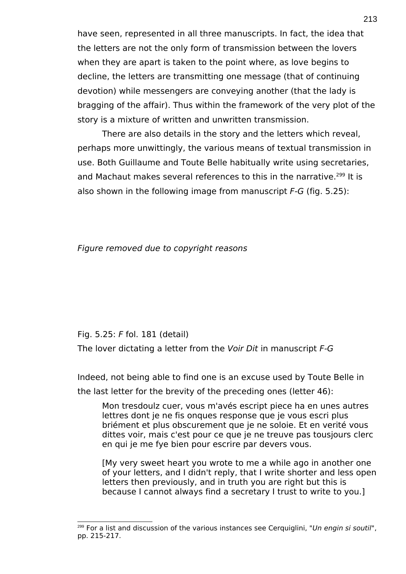have seen, represented in all three manuscripts. In fact, the idea that the letters are not the only form of transmission between the lovers when they are apart is taken to the point where, as love begins to decline, the letters are transmitting one message (that of continuing devotion) while messengers are conveying another (that the lady is bragging of the affair). Thus within the framework of the very plot of the story is a mixture of written and unwritten transmission.

There are also details in the story and the letters which reveal, perhaps more unwittingly, the various means of textual transmission in use. Both Guillaume and Toute Belle habitually write using secretaries, and Machaut makes several references to this in the narrative.<sup>[299](#page-212-0)</sup> It is also shown in the following image from manuscript F-G (fig. 5.25):

Figure removed due to copyright reasons

## Fig. 5.25: F fol. 181 (detail)

The lover dictating a letter from the Voir Dit in manuscript F-G

Indeed, not being able to find one is an excuse used by Toute Belle in the last letter for the brevity of the preceding ones (letter 46):

Mon tresdoulz cuer, vous m'avés escript piece ha en unes autres lettres dont je ne fis onques response que je vous escri plus briément et plus obscurement que je ne soloie. Et en verité vous dittes voir, mais c'est pour ce que je ne treuve pas tousjours clerc en qui je me fye bien pour escrire par devers vous.

[My very sweet heart you wrote to me a while ago in another one of your letters, and I didn't reply, that I write shorter and less open letters then previously, and in truth you are right but this is because I cannot always find a secretary I trust to write to you.]

<span id="page-212-0"></span> $299$  For a list and discussion of the various instances see Cerquiglini, "Un engin si soutil", pp. 215-217.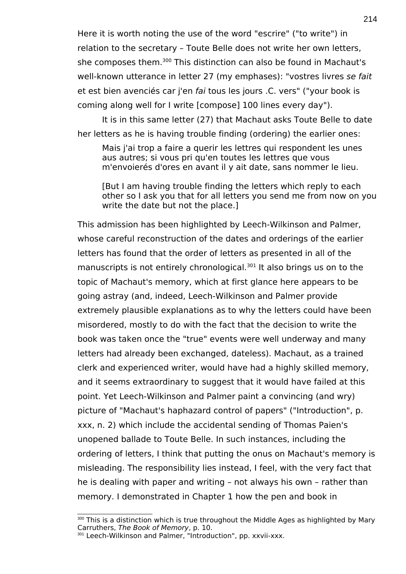Here it is worth noting the use of the word "escrire" ("to write") in relation to the secretary – Toute Belle does not write her own letters, she composes them.<sup>[300](#page-213-0)</sup> This distinction can also be found in Machaut's well-known utterance in letter 27 (my emphases): "vostres livres se fait et est bien avenciés car j'en fai tous les jours .C. vers" ("your book is coming along well for I write [compose] 100 lines every day").

It is in this same letter (27) that Machaut asks Toute Belle to date her letters as he is having trouble finding (ordering) the earlier ones:

Mais j'ai trop a faire a querir les lettres qui respondent les unes aus autres; si vous pri qu'en toutes les lettres que vous m'envoierés d'ores en avant il y ait date, sans nommer le lieu.

[But I am having trouble finding the letters which reply to each other so I ask you that for all letters you send me from now on you write the date but not the place.]

This admission has been highlighted by Leech-Wilkinson and Palmer, whose careful reconstruction of the dates and orderings of the earlier letters has found that the order of letters as presented in all of the manuscripts is not entirely chronological.<sup>[301](#page-213-1)</sup> It also brings us on to the topic of Machaut's memory, which at first glance here appears to be going astray (and, indeed, Leech-Wilkinson and Palmer provide extremely plausible explanations as to why the letters could have been misordered, mostly to do with the fact that the decision to write the book was taken once the "true" events were well underway and many letters had already been exchanged, dateless). Machaut, as a trained clerk and experienced writer, would have had a highly skilled memory, and it seems extraordinary to suggest that it would have failed at this point. Yet Leech-Wilkinson and Palmer paint a convincing (and wry) picture of "Machaut's haphazard control of papers" ("Introduction", p. xxx, n. 2) which include the accidental sending of Thomas Paien's unopened ballade to Toute Belle. In such instances, including the ordering of letters, I think that putting the onus on Machaut's memory is misleading. The responsibility lies instead, I feel, with the very fact that he is dealing with paper and writing – not always his own – rather than memory. I demonstrated in Chapter 1 how the pen and book in

<span id="page-213-0"></span><sup>&</sup>lt;sup>300</sup> This is a distinction which is true throughout the Middle Ages as highlighted by Mary Carruthers, The Book of Memory, p. 10.

<span id="page-213-1"></span><sup>301</sup> Leech-Wilkinson and Palmer, "Introduction", pp. xxvii-xxx.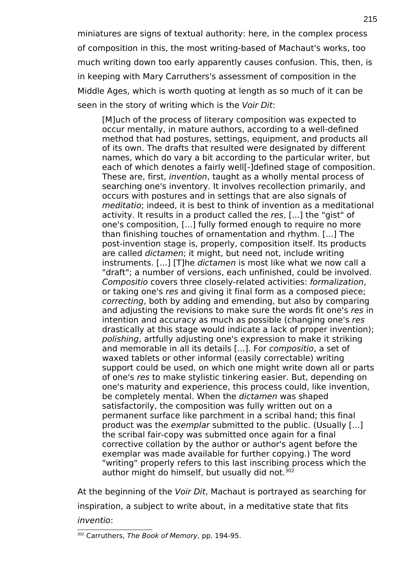miniatures are signs of textual authority: here, in the complex process of composition in this, the most writing-based of Machaut's works, too much writing down too early apparently causes confusion. This, then, is in keeping with Mary Carruthers's assessment of composition in the Middle Ages, which is worth quoting at length as so much of it can be seen in the story of writing which is the Voir Dit:

[M]uch of the process of literary composition was expected to occur mentally, in mature authors, according to a well-defined method that had postures, settings, equipment, and products all of its own. The drafts that resulted were designated by different names, which do vary a bit according to the particular writer, but each of which denotes a fairly well[-]defined stage of composition. These are, first, invention, taught as a wholly mental process of searching one's inventory. It involves recollection primarily, and occurs with postures and in settings that are also signals of meditatio; indeed, it is best to think of invention as a meditational activity. It results in a product called the res. [...] the "gist" of one's composition, [...] fully formed enough to require no more than finishing touches of ornamentation and rhythm. [...] The post-invention stage is, properly, composition itself. Its products are called dictamen; it might, but need not, include writing instruments. [...] [T]he dictamen is most like what we now call a "draft"; a number of versions, each unfinished, could be involved. Compositio covers three closely-related activities: formalization, or taking one's res and giving it final form as a composed piece; correcting, both by adding and emending, but also by comparing and adjusting the revisions to make sure the words fit one's res in intention and accuracy as much as possible (changing one's res drastically at this stage would indicate a lack of proper invention); polishing, artfully adjusting one's expression to make it striking and memorable in all its details [...]. For compositio, a set of waxed tablets or other informal (easily correctable) writing support could be used, on which one might write down all or parts of one's res to make stylistic tinkering easier. But, depending on one's maturity and experience, this process could, like invention, be completely mental. When the dictamen was shaped satisfactorily, the composition was fully written out on a permanent surface like parchment in a scribal hand; this final product was the exemplar submitted to the public. (Usually [...] the scribal fair-copy was submitted once again for a final corrective collation by the author or author's agent before the exemplar was made available for further copying.) The word "writing" properly refers to this last inscribing process which the author might do himself, but usually did not.<sup>[302](#page-214-0)</sup>

At the beginning of the Voir Dit, Machaut is portrayed as searching for inspiration, a subject to write about, in a meditative state that fits inventio:

<span id="page-214-0"></span><sup>302</sup> Carruthers, The Book of Memory, pp. 194-95.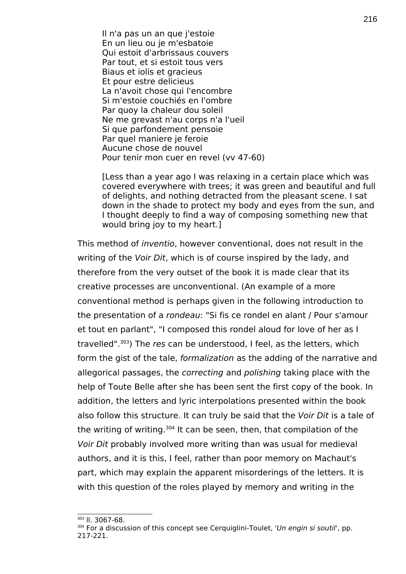Il n'a pas un an que j'estoie En un lieu ou je m'esbatoie Qui estoit d'arbrissaus couvers Par tout, et si estoit tous vers Biaus et iolis et gracieus Et pour estre delicieus La n'avoit chose qui l'encombre Si m'estoie couchiés en l'ombre Par quoy la chaleur dou soleil Ne me grevast n'au corps n'a l'ueil Si que parfondement pensoie Par quel maniere je feroie Aucune chose de nouvel Pour tenir mon cuer en revel (vv 47-60)

[Less than a year ago I was relaxing in a certain place which was covered everywhere with trees; it was green and beautiful and full of delights, and nothing detracted from the pleasant scene. I sat down in the shade to protect my body and eyes from the sun, and I thought deeply to find a way of composing something new that would bring joy to my heart.]

This method of inventio, however conventional, does not result in the writing of the Voir Dit, which is of course inspired by the lady, and therefore from the very outset of the book it is made clear that its creative processes are unconventional. (An example of a more conventional method is perhaps given in the following introduction to the presentation of a rondeau: "Si fis ce rondel en alant / Pour s'amour et tout en parlant", "I composed this rondel aloud for love of her as I travelled".<sup>[303](#page-215-0)</sup>) The res can be understood, I feel, as the letters, which form the gist of the tale, *formalization* as the adding of the narrative and allegorical passages, the correcting and polishing taking place with the help of Toute Belle after she has been sent the first copy of the book. In addition, the letters and lyric interpolations presented within the book also follow this structure. It can truly be said that the Voir Dit is a tale of the writing of writing.[304](#page-215-1) It can be seen, then, that compilation of the Voir Dit probably involved more writing than was usual for medieval authors, and it is this, I feel, rather than poor memory on Machaut's part, which may explain the apparent misorderings of the letters. It is with this question of the roles played by memory and writing in the

<span id="page-215-0"></span><sup>303</sup> ll. 3067-68.

<span id="page-215-1"></span><sup>304</sup> For a discussion of this concept see Cerquiglini-Toulet, 'Un engin si soutil', pp. 217-221.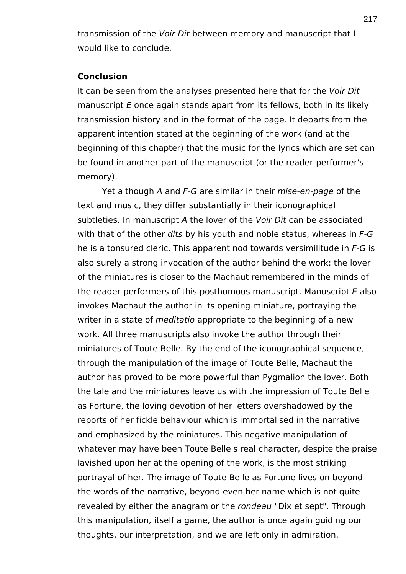transmission of the Voir Dit between memory and manuscript that I would like to conclude.

#### **Conclusion**

It can be seen from the analyses presented here that for the Voir Dit manuscript E once again stands apart from its fellows, both in its likely transmission history and in the format of the page. It departs from the apparent intention stated at the beginning of the work (and at the beginning of this chapter) that the music for the lyrics which are set can be found in another part of the manuscript (or the reader-performer's memory).

Yet although A and F-G are similar in their mise-en-page of the text and music, they differ substantially in their iconographical subtleties. In manuscript A the lover of the Voir Dit can be associated with that of the other dits by his youth and noble status, whereas in  $F-G$ he is a tonsured cleric. This apparent nod towards versimilitude in F-G is also surely a strong invocation of the author behind the work: the lover of the miniatures is closer to the Machaut remembered in the minds of the reader-performers of this posthumous manuscript. Manuscript E also invokes Machaut the author in its opening miniature, portraying the writer in a state of *meditatio* appropriate to the beginning of a new work. All three manuscripts also invoke the author through their miniatures of Toute Belle. By the end of the iconographical sequence, through the manipulation of the image of Toute Belle, Machaut the author has proved to be more powerful than Pygmalion the lover. Both the tale and the miniatures leave us with the impression of Toute Belle as Fortune, the loving devotion of her letters overshadowed by the reports of her fickle behaviour which is immortalised in the narrative and emphasized by the miniatures. This negative manipulation of whatever may have been Toute Belle's real character, despite the praise lavished upon her at the opening of the work, is the most striking portrayal of her. The image of Toute Belle as Fortune lives on beyond the words of the narrative, beyond even her name which is not quite revealed by either the anagram or the rondeau "Dix et sept". Through this manipulation, itself a game, the author is once again guiding our thoughts, our interpretation, and we are left only in admiration.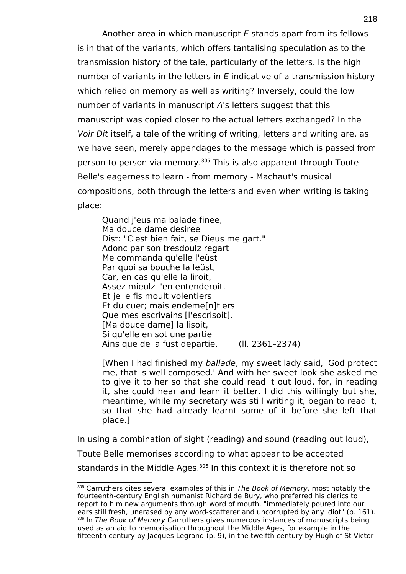Another area in which manuscript E stands apart from its fellows is in that of the variants, which offers tantalising speculation as to the transmission history of the tale, particularly of the letters. Is the high number of variants in the letters in  $E$  indicative of a transmission history which relied on memory as well as writing? Inversely, could the low number of variants in manuscript A's letters suggest that this manuscript was copied closer to the actual letters exchanged? In the Voir Dit itself, a tale of the writing of writing, letters and writing are, as we have seen, merely appendages to the message which is passed from person to person via memory.<sup>[305](#page-217-0)</sup> This is also apparent through Toute Belle's eagerness to learn - from memory - Machaut's musical compositions, both through the letters and even when writing is taking place:

Quand j'eus ma balade finee, Ma douce dame desiree Dist: "C'est bien fait, se Dieus me gart." Adonc par son tresdoulz regart Me commanda qu'elle l'eüst Par quoi sa bouche la leüst, Car, en cas qu'elle la liroit, Assez mieulz l'en entenderoit. Et je le fis moult volentiers Et du cuer; mais endeme[n]tiers Que mes escrivains [l'escrisoit], [Ma douce dame] la lisoit, Si qu'elle en sot une partie Ains que de la fust departie. (ll. 2361–2374)

[When I had finished my ballade, my sweet lady said, 'God protect me, that is well composed.' And with her sweet look she asked me to give it to her so that she could read it out loud, for, in reading it, she could hear and learn it better. I did this willingly but she, meantime, while my secretary was still writing it, began to read it, so that she had already learnt some of it before she left that place.]

In using a combination of sight (reading) and sound (reading out loud), Toute Belle memorises according to what appear to be accepted standards in the Middle Ages.<sup>[306](#page-217-1)</sup> In this context it is therefore not so

<span id="page-217-1"></span><span id="page-217-0"></span><sup>&</sup>lt;sup>305</sup> Carruthers cites several examples of this in The Book of Memory, most notably the fourteenth-century English humanist Richard de Bury, who preferred his clerics to report to him new arguments through word of mouth, "immediately poured into our ears still fresh, unerased by any word-scatterer and uncorrupted by any idiot" (p. 161). <sup>306</sup> In The Book of Memory Carruthers gives numerous instances of manuscripts being used as an aid to memorisation throughout the Middle Ages, for example in the fifteenth century by Jacques Legrand (p. 9), in the twelfth century by Hugh of St Victor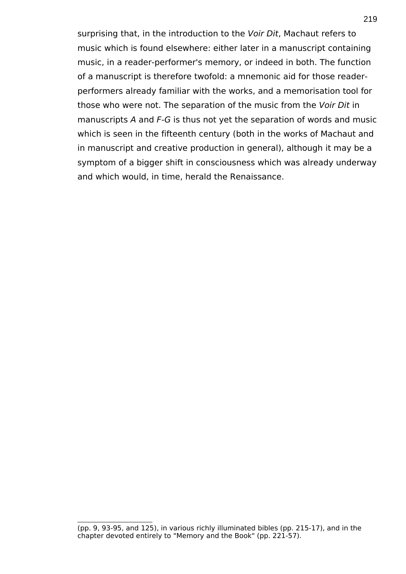surprising that, in the introduction to the Voir Dit, Machaut refers to music which is found elsewhere: either later in a manuscript containing music, in a reader-performer's memory, or indeed in both. The function of a manuscript is therefore twofold: a mnemonic aid for those readerperformers already familiar with the works, and a memorisation tool for those who were not. The separation of the music from the Voir Dit in manuscripts A and F-G is thus not yet the separation of words and music which is seen in the fifteenth century (both in the works of Machaut and in manuscript and creative production in general), although it may be a symptom of a bigger shift in consciousness which was already underway and which would, in time, herald the Renaissance.

<sup>(</sup>pp. 9, 93-95, and 125), in various richly illuminated bibles (pp. 215-17), and in the chapter devoted entirely to "Memory and the Book" (pp. 221-57).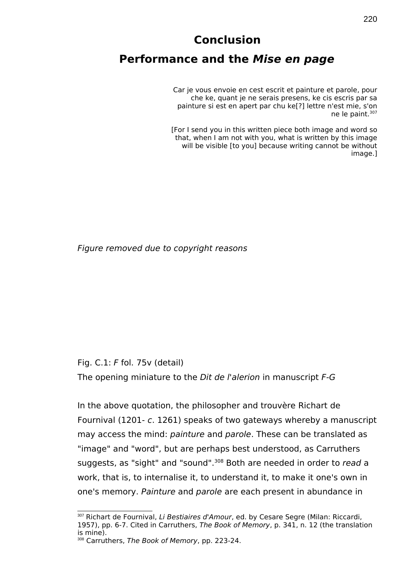# **Conclusion Performance and the Mise en page**

Car je vous envoie en cest escrit et painture et parole, pour che ke, quant je ne serais presens, ke cis escris par sa painture si est en apert par chu ke[?] lettre n'est mie, s'on ne le paint.<sup>[307](#page-219-0)</sup>

[For I send you in this written piece both image and word so that, when I am not with you, what is written by this image will be visible [to you] because writing cannot be without image.]

Figure removed due to copyright reasons

Fig. C.1: F fol. 75v (detail)

The opening miniature to the Dit de l'alerion in manuscript F-G

In the above quotation, the philosopher and trouvère Richart de Fournival (1201- c. 1261) speaks of two gateways whereby a manuscript may access the mind: painture and parole. These can be translated as "image" and "word", but are perhaps best understood, as Carruthers suggests, as "sight" and "sound".<sup>[308](#page-219-1)</sup> Both are needed in order to read a work, that is, to internalise it, to understand it, to make it one's own in one's memory. Painture and parole are each present in abundance in

<span id="page-219-0"></span><sup>&</sup>lt;sup>307</sup> Richart de Fournival, Li Bestiaires d'Amour, ed. by Cesare Segre (Milan: Riccardi, 1957), pp. 6-7. Cited in Carruthers, The Book of Memory, p. 341, n. 12 (the translation is mine).

<span id="page-219-1"></span><sup>308</sup> Carruthers, The Book of Memory, pp. 223-24.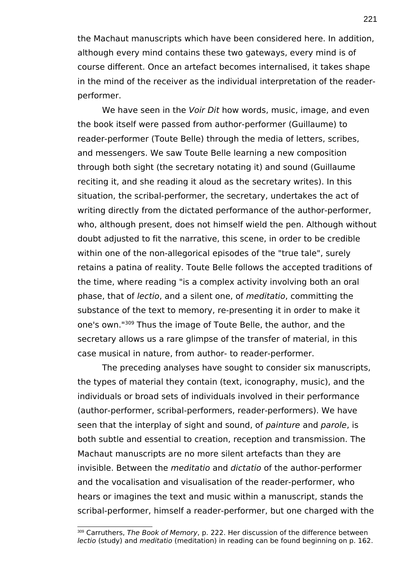the Machaut manuscripts which have been considered here. In addition, although every mind contains these two gateways, every mind is of course different. Once an artefact becomes internalised, it takes shape in the mind of the receiver as the individual interpretation of the readerperformer.

We have seen in the *Voir Dit* how words, music, image, and even the book itself were passed from author-performer (Guillaume) to reader-performer (Toute Belle) through the media of letters, scribes, and messengers. We saw Toute Belle learning a new composition through both sight (the secretary notating it) and sound (Guillaume reciting it, and she reading it aloud as the secretary writes). In this situation, the scribal-performer, the secretary, undertakes the act of writing directly from the dictated performance of the author-performer, who, although present, does not himself wield the pen. Although without doubt adjusted to fit the narrative, this scene, in order to be credible within one of the non-allegorical episodes of the "true tale", surely retains a patina of reality. Toute Belle follows the accepted traditions of the time, where reading "is a complex activity involving both an oral phase, that of lectio, and a silent one, of meditatio, committing the substance of the text to memory, re-presenting it in order to make it one's own."[309](#page-220-0) Thus the image of Toute Belle, the author, and the secretary allows us a rare glimpse of the transfer of material, in this case musical in nature, from author- to reader-performer.

The preceding analyses have sought to consider six manuscripts, the types of material they contain (text, iconography, music), and the individuals or broad sets of individuals involved in their performance (author-performer, scribal-performers, reader-performers). We have seen that the interplay of sight and sound, of painture and parole, is both subtle and essential to creation, reception and transmission. The Machaut manuscripts are no more silent artefacts than they are invisible. Between the meditatio and dictatio of the author-performer and the vocalisation and visualisation of the reader-performer, who hears or imagines the text and music within a manuscript, stands the scribal-performer, himself a reader-performer, but one charged with the

<span id="page-220-0"></span><sup>&</sup>lt;sup>309</sup> Carruthers, The Book of Memory, p. 222. Her discussion of the difference between lectio (study) and meditatio (meditation) in reading can be found beginning on p. 162.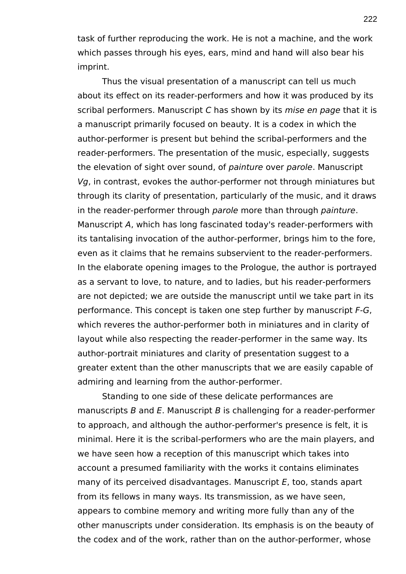task of further reproducing the work. He is not a machine, and the work which passes through his eyes, ears, mind and hand will also bear his imprint.

Thus the visual presentation of a manuscript can tell us much about its effect on its reader-performers and how it was produced by its scribal performers. Manuscript C has shown by its *mise en page* that it is a manuscript primarily focused on beauty. It is a codex in which the author-performer is present but behind the scribal-performers and the reader-performers. The presentation of the music, especially, suggests the elevation of sight over sound, of painture over parole. Manuscript Vg, in contrast, evokes the author-performer not through miniatures but through its clarity of presentation, particularly of the music, and it draws in the reader-performer through parole more than through painture. Manuscript A, which has long fascinated today's reader-performers with its tantalising invocation of the author-performer, brings him to the fore, even as it claims that he remains subservient to the reader-performers. In the elaborate opening images to the Prologue, the author is portrayed as a servant to love, to nature, and to ladies, but his reader-performers are not depicted; we are outside the manuscript until we take part in its performance. This concept is taken one step further by manuscript F-G, which reveres the author-performer both in miniatures and in clarity of layout while also respecting the reader-performer in the same way. Its author-portrait miniatures and clarity of presentation suggest to a greater extent than the other manuscripts that we are easily capable of admiring and learning from the author-performer.

Standing to one side of these delicate performances are manuscripts  $B$  and  $E$ . Manuscript  $B$  is challenging for a reader-performer to approach, and although the author-performer's presence is felt, it is minimal. Here it is the scribal-performers who are the main players, and we have seen how a reception of this manuscript which takes into account a presumed familiarity with the works it contains eliminates many of its perceived disadvantages. Manuscript E, too, stands apart from its fellows in many ways. Its transmission, as we have seen, appears to combine memory and writing more fully than any of the other manuscripts under consideration. Its emphasis is on the beauty of the codex and of the work, rather than on the author-performer, whose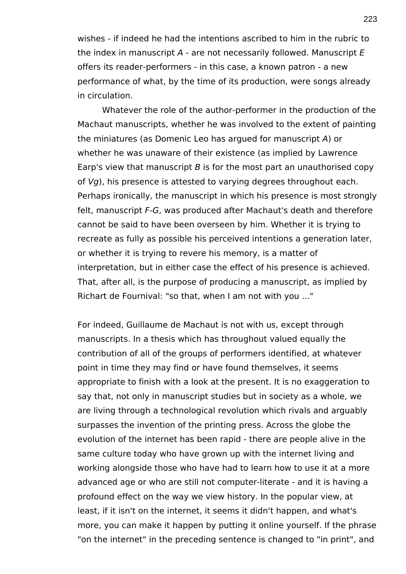wishes - if indeed he had the intentions ascribed to him in the rubric to the index in manuscript  $A$  - are not necessarily followed. Manuscript  $E$ offers its reader-performers - in this case, a known patron - a new performance of what, by the time of its production, were songs already in circulation.

Whatever the role of the author-performer in the production of the Machaut manuscripts, whether he was involved to the extent of painting the miniatures (as Domenic Leo has argued for manuscript A) or whether he was unaware of their existence (as implied by Lawrence Earp's view that manuscript  $B$  is for the most part an unauthorised copy of Vg), his presence is attested to varying degrees throughout each. Perhaps ironically, the manuscript in which his presence is most strongly felt, manuscript F-G, was produced after Machaut's death and therefore cannot be said to have been overseen by him. Whether it is trying to recreate as fully as possible his perceived intentions a generation later, or whether it is trying to revere his memory, is a matter of interpretation, but in either case the effect of his presence is achieved. That, after all, is the purpose of producing a manuscript, as implied by Richart de Fournival: "so that, when I am not with you ..."

For indeed, Guillaume de Machaut is not with us, except through manuscripts. In a thesis which has throughout valued equally the contribution of all of the groups of performers identified, at whatever point in time they may find or have found themselves, it seems appropriate to finish with a look at the present. It is no exaggeration to say that, not only in manuscript studies but in society as a whole, we are living through a technological revolution which rivals and arguably surpasses the invention of the printing press. Across the globe the evolution of the internet has been rapid - there are people alive in the same culture today who have grown up with the internet living and working alongside those who have had to learn how to use it at a more advanced age or who are still not computer-literate - and it is having a profound effect on the way we view history. In the popular view, at least, if it isn't on the internet, it seems it didn't happen, and what's more, you can make it happen by putting it online yourself. If the phrase "on the internet" in the preceding sentence is changed to "in print", and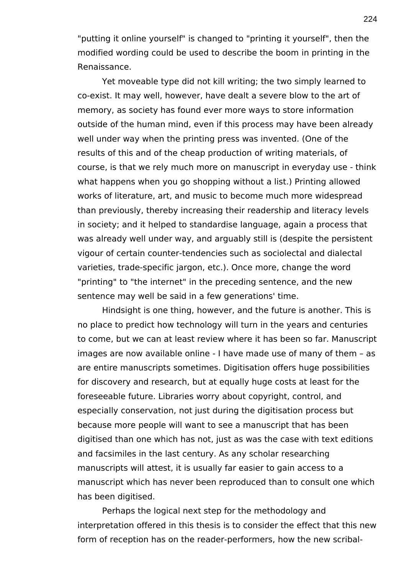"putting it online yourself" is changed to "printing it yourself", then the modified wording could be used to describe the boom in printing in the Renaissance.

Yet moveable type did not kill writing; the two simply learned to co-exist. It may well, however, have dealt a severe blow to the art of memory, as society has found ever more ways to store information outside of the human mind, even if this process may have been already well under way when the printing press was invented. (One of the results of this and of the cheap production of writing materials, of course, is that we rely much more on manuscript in everyday use - think what happens when you go shopping without a list.) Printing allowed works of literature, art, and music to become much more widespread than previously, thereby increasing their readership and literacy levels in society; and it helped to standardise language, again a process that was already well under way, and arguably still is (despite the persistent vigour of certain counter-tendencies such as sociolectal and dialectal varieties, trade-specific jargon, etc.). Once more, change the word "printing" to "the internet" in the preceding sentence, and the new sentence may well be said in a few generations' time.

Hindsight is one thing, however, and the future is another. This is no place to predict how technology will turn in the years and centuries to come, but we can at least review where it has been so far. Manuscript images are now available online - I have made use of many of them – as are entire manuscripts sometimes. Digitisation offers huge possibilities for discovery and research, but at equally huge costs at least for the foreseeable future. Libraries worry about copyright, control, and especially conservation, not just during the digitisation process but because more people will want to see a manuscript that has been digitised than one which has not, just as was the case with text editions and facsimiles in the last century. As any scholar researching manuscripts will attest, it is usually far easier to gain access to a manuscript which has never been reproduced than to consult one which has been digitised.

Perhaps the logical next step for the methodology and interpretation offered in this thesis is to consider the effect that this new form of reception has on the reader-performers, how the new scribal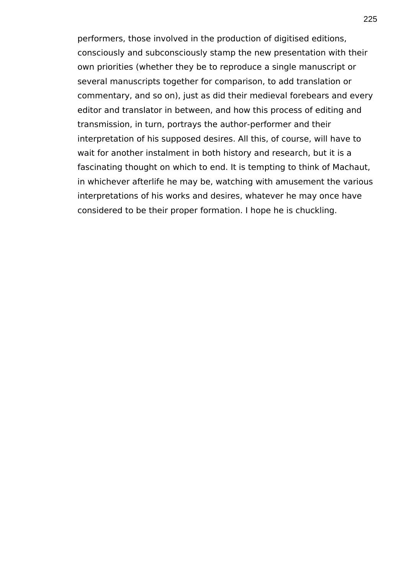performers, those involved in the production of digitised editions, consciously and subconsciously stamp the new presentation with their own priorities (whether they be to reproduce a single manuscript or several manuscripts together for comparison, to add translation or commentary, and so on), just as did their medieval forebears and every editor and translator in between, and how this process of editing and transmission, in turn, portrays the author-performer and their interpretation of his supposed desires. All this, of course, will have to wait for another instalment in both history and research, but it is a fascinating thought on which to end. It is tempting to think of Machaut, in whichever afterlife he may be, watching with amusement the various interpretations of his works and desires, whatever he may once have considered to be their proper formation. I hope he is chuckling.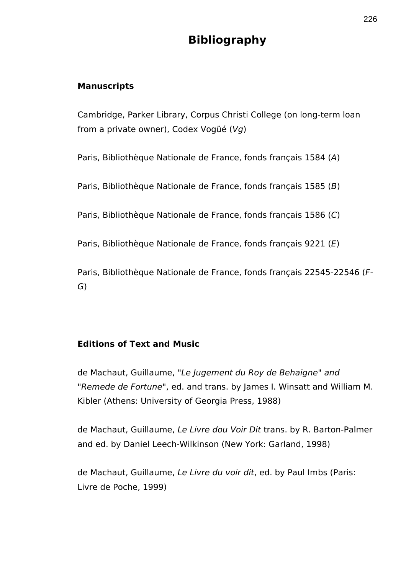### **Bibliography**

#### **Manuscripts**

Cambridge, Parker Library, Corpus Christi College (on long-term loan from a private owner), Codex Vogüé (Vg)

Paris, Bibliothèque Nationale de France, fonds français 1584 (A)

Paris, Bibliothèque Nationale de France, fonds français 1585 (B)

Paris, Bibliothèque Nationale de France, fonds français 1586 (C)

Paris, Bibliothèque Nationale de France, fonds français 9221 (E)

Paris, Bibliothèque Nationale de France, fonds français 22545-22546 (F-G)

#### **Editions of Text and Music**

de Machaut, Guillaume, "Le Jugement du Roy de Behaigne" and "Remede de Fortune", ed. and trans. by James I. Winsatt and William M. Kibler (Athens: University of Georgia Press, 1988)

de Machaut, Guillaume, Le Livre dou Voir Dit trans. by R. Barton-Palmer and ed. by Daniel Leech-Wilkinson (New York: Garland, 1998)

de Machaut, Guillaume, Le Livre du voir dit, ed. by Paul Imbs (Paris: Livre de Poche, 1999)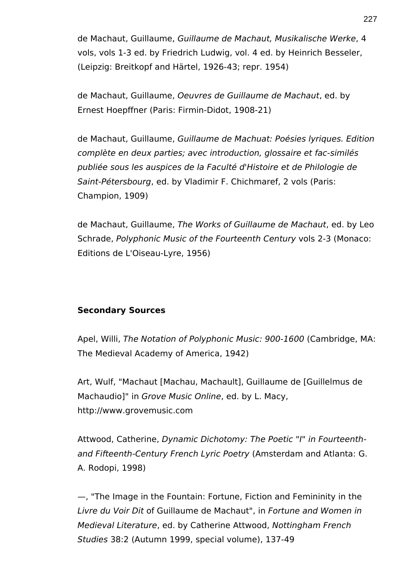de Machaut, Guillaume, Guillaume de Machaut, Musikalische Werke, 4 vols, vols 1-3 ed. by Friedrich Ludwig, vol. 4 ed. by Heinrich Besseler, (Leipzig: Breitkopf and Härtel, 1926-43; repr. 1954)

de Machaut, Guillaume, Oeuvres de Guillaume de Machaut, ed. by Ernest Hoepffner (Paris: Firmin-Didot, 1908-21)

de Machaut, Guillaume, Guillaume de Machuat: Poésies lyriques. Edition complète en deux parties; avec introduction, glossaire et fac-similés publiée sous les auspices de la Faculté d'Histoire et de Philologie de Saint-Pétersbourg, ed. by Vladimir F. Chichmaref, 2 vols (Paris: Champion, 1909)

de Machaut, Guillaume, The Works of Guillaume de Machaut, ed. by Leo Schrade, Polyphonic Music of the Fourteenth Century vols 2-3 (Monaco: Editions de L'Oiseau-Lyre, 1956)

#### **Secondary Sources**

Apel, Willi, The Notation of Polyphonic Music: 900-1600 (Cambridge, MA: The Medieval Academy of America, 1942)

Art, Wulf, "Machaut [Machau, Machault], Guillaume de [Guillelmus de Machaudio]" in Grove Music Online, ed. by L. Macy, http://www.grovemusic.com

Attwood, Catherine, Dynamic Dichotomy: The Poetic "I" in Fourteenthand Fifteenth-Century French Lyric Poetry (Amsterdam and Atlanta: G. A. Rodopi, 1998)

—, "The Image in the Fountain: Fortune, Fiction and Femininity in the Livre du Voir Dit of Guillaume de Machaut", in Fortune and Women in Medieval Literature, ed. by Catherine Attwood, Nottingham French Studies 38:2 (Autumn 1999, special volume), 137-49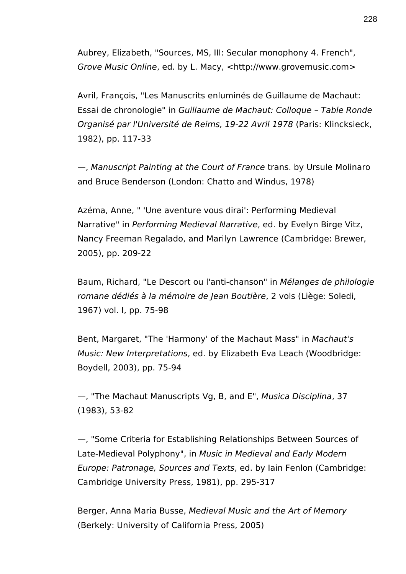Aubrey, Elizabeth, "Sources, MS, III: Secular monophony 4. French", Grove Music Online, ed. by L. Macy, <http://www.grovemusic.com>

Avril, François, "Les Manuscrits enluminés de Guillaume de Machaut: Essai de chronologie" in Guillaume de Machaut: Colloque – Table Ronde Organisé par l'Université de Reims, 19-22 Avril 1978 (Paris: Klincksieck, 1982), pp. 117-33

—, Manuscript Painting at the Court of France trans. by Ursule Molinaro and Bruce Benderson (London: Chatto and Windus, 1978)

Azéma, Anne, " 'Une aventure vous dirai': Performing Medieval Narrative" in Performing Medieval Narrative, ed. by Evelyn Birge Vitz, Nancy Freeman Regalado, and Marilyn Lawrence (Cambridge: Brewer, 2005), pp. 209-22

Baum, Richard, "Le Descort ou l'anti-chanson" in Mélanges de philologie romane dédiés à la mémoire de Jean Boutière, 2 vols (Liège: Soledi, 1967) vol. I, pp. 75-98

Bent, Margaret, "The 'Harmony' of the Machaut Mass" in Machaut's Music: New Interpretations, ed. by Elizabeth Eva Leach (Woodbridge: Boydell, 2003), pp. 75-94

—, "The Machaut Manuscripts Vg, B, and E", Musica Disciplina, 37 (1983), 53-82

—, "Some Criteria for Establishing Relationships Between Sources of Late-Medieval Polyphony", in Music in Medieval and Early Modern Europe: Patronage, Sources and Texts, ed. by Iain Fenlon (Cambridge: Cambridge University Press, 1981), pp. 295-317

Berger, Anna Maria Busse, Medieval Music and the Art of Memory (Berkely: University of California Press, 2005)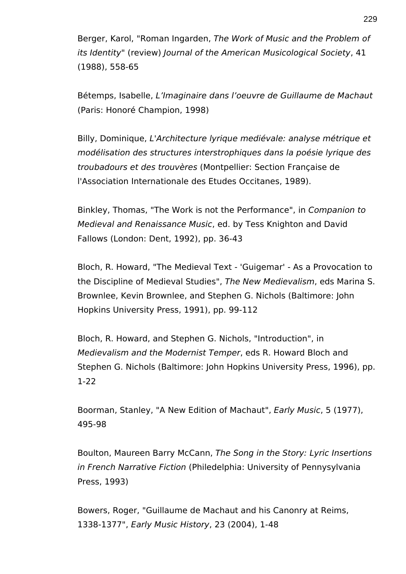Berger, Karol, "Roman Ingarden, The Work of Music and the Problem of its Identity" (review) Journal of the American Musicological Society, 41 (1988), 558-65

Bétemps, Isabelle, L'Imaginaire dans l'oeuvre de Guillaume de Machaut (Paris: Honoré Champion, 1998)

Billy, Dominique, L'Architecture lyrique mediévale: analyse métrique et modélisation des structures interstrophiques dans la poésie lyrique des troubadours et des trouvères (Montpellier: Section Française de l'Association Internationale des Etudes Occitanes, 1989).

Binkley, Thomas, "The Work is not the Performance", in Companion to Medieval and Renaissance Music, ed. by Tess Knighton and David Fallows (London: Dent, 1992), pp. 36-43

Bloch, R. Howard, "The Medieval Text - 'Guigemar' - As a Provocation to the Discipline of Medieval Studies", The New Medievalism, eds Marina S. Brownlee, Kevin Brownlee, and Stephen G. Nichols (Baltimore: John Hopkins University Press, 1991), pp. 99-112

Bloch, R. Howard, and Stephen G. Nichols, "Introduction", in Medievalism and the Modernist Temper, eds R. Howard Bloch and Stephen G. Nichols (Baltimore: John Hopkins University Press, 1996), pp. 1-22

Boorman, Stanley, "A New Edition of Machaut", Early Music, 5 (1977), 495-98

Boulton, Maureen Barry McCann, The Song in the Story: Lyric Insertions in French Narrative Fiction (Philedelphia: University of Pennysylvania Press, 1993)

Bowers, Roger, "Guillaume de Machaut and his Canonry at Reims, 1338-1377", Early Music History, 23 (2004), 1-48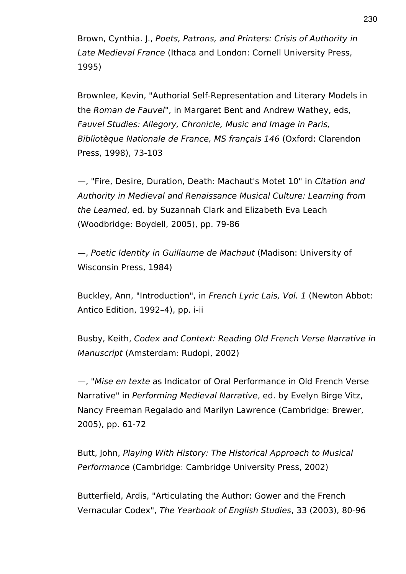Brown, Cynthia. J., Poets, Patrons, and Printers: Crisis of Authority in Late Medieval France (Ithaca and London: Cornell University Press, 1995)

Brownlee, Kevin, "Authorial Self-Representation and Literary Models in the Roman de Fauvel", in Margaret Bent and Andrew Wathey, eds, Fauvel Studies: Allegory, Chronicle, Music and Image in Paris, Bibliotèque Nationale de France, MS français 146 (Oxford: Clarendon Press, 1998), 73-103

—, "Fire, Desire, Duration, Death: Machaut's Motet 10" in Citation and Authority in Medieval and Renaissance Musical Culture: Learning from the Learned, ed. by Suzannah Clark and Elizabeth Eva Leach (Woodbridge: Boydell, 2005), pp. 79-86

—, Poetic Identity in Guillaume de Machaut (Madison: University of Wisconsin Press, 1984)

Buckley, Ann, "Introduction", in French Lyric Lais, Vol. 1 (Newton Abbot: Antico Edition, 1992–4), pp. i-ii

Busby, Keith, Codex and Context: Reading Old French Verse Narrative in Manuscript (Amsterdam: Rudopi, 2002)

—, "Mise en texte as Indicator of Oral Performance in Old French Verse Narrative" in Performing Medieval Narrative, ed. by Evelyn Birge Vitz, Nancy Freeman Regalado and Marilyn Lawrence (Cambridge: Brewer, 2005), pp. 61-72

Butt, John, Playing With History: The Historical Approach to Musical Performance (Cambridge: Cambridge University Press, 2002)

Butterfield, Ardis, "Articulating the Author: Gower and the French Vernacular Codex", The Yearbook of English Studies, 33 (2003), 80-96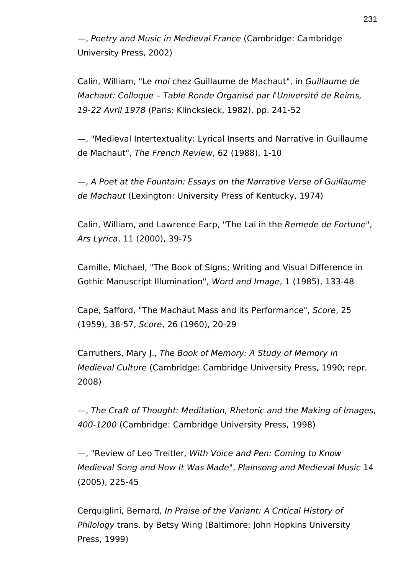—, Poetry and Music in Medieval France (Cambridge: Cambridge University Press, 2002)

Calin, William, "Le moi chez Guillaume de Machaut", in Guillaume de Machaut: Colloque – Table Ronde Organisé par l'Université de Reims, 19-22 Avril 1978 (Paris: Klincksieck, 1982), pp. 241-52

—, "Medieval Intertextuality: Lyrical Inserts and Narrative in Guillaume de Machaut", The French Review, 62 (1988), 1-10

—, A Poet at the Fountain: Essays on the Narrative Verse of Guillaume de Machaut (Lexington: University Press of Kentucky, 1974)

Calin, William, and Lawrence Earp, "The Lai in the Remede de Fortune", Ars Lyrica, 11 (2000), 39-75

Camille, Michael, "The Book of Signs: Writing and Visual Difference in Gothic Manuscript Illumination", Word and Image, 1 (1985), 133-48

Cape, Safford, "The Machaut Mass and its Performance", Score, 25 (1959), 38-57, Score, 26 (1960), 20-29

Carruthers, Mary J., The Book of Memory: A Study of Memory in Medieval Culture (Cambridge: Cambridge University Press, 1990; repr. 2008)

—, The Craft of Thought: Meditation, Rhetoric and the Making of Images, 400-1200 (Cambridge: Cambridge University Press, 1998)

—, "Review of Leo Treitler, With Voice and Pen: Coming to Know Medieval Song and How It Was Made", Plainsong and Medieval Music 14 (2005), 225-45

Cerquiglini, Bernard, In Praise of the Variant: A Critical History of Philology trans. by Betsy Wing (Baltimore: John Hopkins University Press, 1999)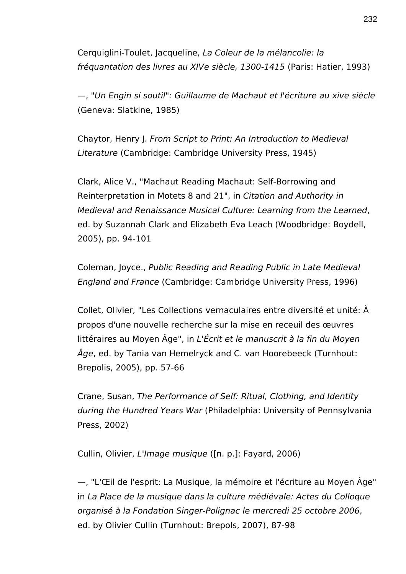Cerquiglini-Toulet, Jacqueline, La Coleur de la mélancolie: la fréquantation des livres au XIVe siècle, 1300-1415 (Paris: Hatier, 1993)

—, "Un Engin si soutil": Guillaume de Machaut et l'écriture au xive siècle (Geneva: Slatkine, 1985)

Chaytor, Henry J. From Script to Print: An Introduction to Medieval Literature (Cambridge: Cambridge University Press, 1945)

Clark, Alice V., "Machaut Reading Machaut: Self-Borrowing and Reinterpretation in Motets 8 and 21", in Citation and Authority in Medieval and Renaissance Musical Culture: Learning from the Learned, ed. by Suzannah Clark and Elizabeth Eva Leach (Woodbridge: Boydell, 2005), pp. 94-101

Coleman, Joyce., Public Reading and Reading Public in Late Medieval England and France (Cambridge: Cambridge University Press, 1996)

Collet, Olivier, "Les Collections vernaculaires entre diversité et unité: À propos d'une nouvelle recherche sur la mise en receuil des œuvres littéraires au Moyen Âge", in L'Écrit et le manuscrit à la fin du Moyen Âge, ed. by Tania van Hemelryck and C. van Hoorebeeck (Turnhout: Brepolis, 2005), pp. 57-66

Crane, Susan, The Performance of Self: Ritual, Clothing, and Identity during the Hundred Years War (Philadelphia: University of Pennsylvania Press, 2002)

Cullin, Olivier, L'Image musique ([n. p.]: Fayard, 2006)

—, "L'Œil de l'esprit: La Musique, la mémoire et l'écriture au Moyen Âge" in La Place de la musique dans la culture médiévale: Actes du Colloque organisé à la Fondation Singer-Polignac le mercredi 25 octobre 2006, ed. by Olivier Cullin (Turnhout: Brepols, 2007), 87-98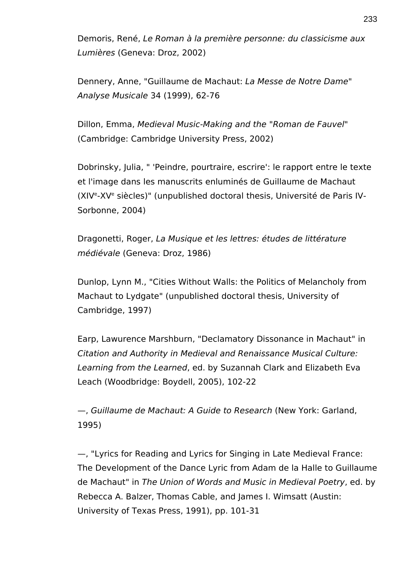Demoris, René, Le Roman à la première personne: du classicisme aux Lumières (Geneva: Droz, 2002)

Dennery, Anne, "Guillaume de Machaut: La Messe de Notre Dame" Analyse Musicale 34 (1999), 62-76

Dillon, Emma, Medieval Music-Making and the "Roman de Fauvel" (Cambridge: Cambridge University Press, 2002)

Dobrinsky, Julia, " 'Peindre, pourtraire, escrire': le rapport entre le texte et l'image dans les manuscrits enluminés de Guillaume de Machaut (XIV<sup>e</sup> -XV<sup>e</sup> siècles)" (unpublished doctoral thesis, Université de Paris IV-Sorbonne, 2004)

Dragonetti, Roger, La Musique et les lettres: études de littérature médiévale (Geneva: Droz, 1986)

Dunlop, Lynn M., "Cities Without Walls: the Politics of Melancholy from Machaut to Lydgate" (unpublished doctoral thesis, University of Cambridge, 1997)

Earp, Lawurence Marshburn, "Declamatory Dissonance in Machaut" in Citation and Authority in Medieval and Renaissance Musical Culture: Learning from the Learned, ed. by Suzannah Clark and Elizabeth Eva Leach (Woodbridge: Boydell, 2005), 102-22

—, Guillaume de Machaut: A Guide to Research (New York: Garland, 1995)

—, "Lyrics for Reading and Lyrics for Singing in Late Medieval France: The Development of the Dance Lyric from Adam de la Halle to Guillaume de Machaut" in The Union of Words and Music in Medieval Poetry, ed. by Rebecca A. Balzer, Thomas Cable, and James I. Wimsatt (Austin: University of Texas Press, 1991), pp. 101-31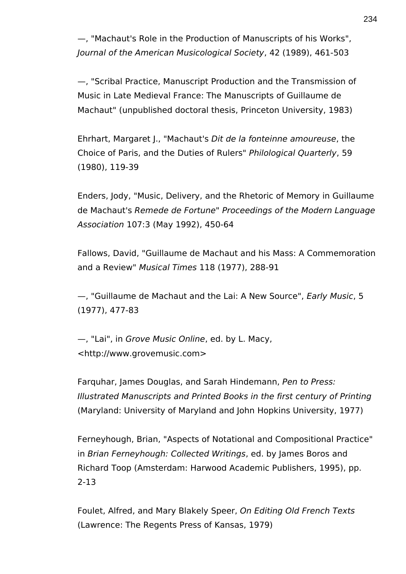—, "Machaut's Role in the Production of Manuscripts of his Works", Journal of the American Musicological Society, 42 (1989), 461-503

—, "Scribal Practice, Manuscript Production and the Transmission of Music in Late Medieval France: The Manuscripts of Guillaume de Machaut" (unpublished doctoral thesis, Princeton University, 1983)

Ehrhart, Margaret J., "Machaut's Dit de la fonteinne amoureuse, the Choice of Paris, and the Duties of Rulers" Philological Quarterly, 59 (1980), 119-39

Enders, Jody, "Music, Delivery, and the Rhetoric of Memory in Guillaume de Machaut's Remede de Fortune" Proceedings of the Modern Language Association 107:3 (May 1992), 450-64

Fallows, David, "Guillaume de Machaut and his Mass: A Commemoration and a Review" Musical Times 118 (1977), 288-91

—, "Guillaume de Machaut and the Lai: A New Source", Early Music, 5 (1977), 477-83

—, "Lai", in Grove Music Online, ed. by L. Macy, <http://www.grovemusic.com>

Farquhar, James Douglas, and Sarah Hindemann, Pen to Press: Illustrated Manuscripts and Printed Books in the first century of Printing (Maryland: University of Maryland and John Hopkins University, 1977)

Ferneyhough, Brian, "Aspects of Notational and Compositional Practice" in Brian Ferneyhough: Collected Writings, ed. by James Boros and Richard Toop (Amsterdam: Harwood Academic Publishers, 1995), pp. 2-13

Foulet, Alfred, and Mary Blakely Speer, On Editing Old French Texts (Lawrence: The Regents Press of Kansas, 1979)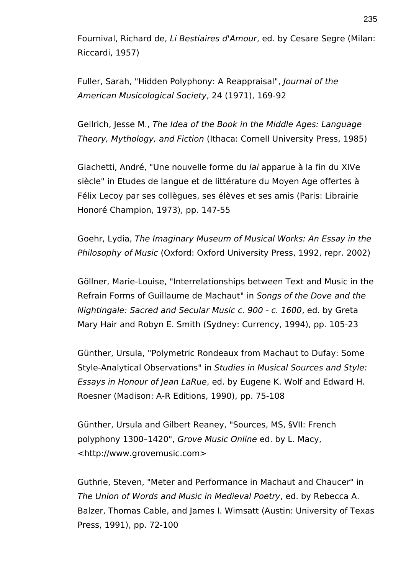Fournival, Richard de, Li Bestiaires d'Amour, ed. by Cesare Segre (Milan: Riccardi, 1957)

Fuller, Sarah, "Hidden Polyphony: A Reappraisal", Journal of the American Musicological Society, 24 (1971), 169-92

Gellrich, Jesse M., The Idea of the Book in the Middle Ages: Language Theory, Mythology, and Fiction (Ithaca: Cornell University Press, 1985)

Giachetti, André, "Une nouvelle forme du lai apparue à la fin du XIVe siècle" in Etudes de langue et de littérature du Moyen Age offertes à Félix Lecoy par ses collègues, ses élèves et ses amis (Paris: Librairie Honoré Champion, 1973), pp. 147-55

Goehr, Lydia, The Imaginary Museum of Musical Works: An Essay in the Philosophy of Music (Oxford: Oxford University Press, 1992, repr. 2002)

Göllner, Marie-Louise, "Interrelationships between Text and Music in the Refrain Forms of Guillaume de Machaut" in Songs of the Dove and the Nightingale: Sacred and Secular Music c. 900 - c. 1600, ed. by Greta Mary Hair and Robyn E. Smith (Sydney: Currency, 1994), pp. 105-23

Günther, Ursula, "Polymetric Rondeaux from Machaut to Dufay: Some Style-Analytical Observations" in Studies in Musical Sources and Style: Essays in Honour of Jean LaRue, ed. by Eugene K. Wolf and Edward H. Roesner (Madison: A-R Editions, 1990), pp. 75-108

Günther, Ursula and Gilbert Reaney, "Sources, MS, §VII: French polyphony 1300–1420", Grove Music Online ed. by L. Macy, <http://www.grovemusic.com>

Guthrie, Steven, "Meter and Performance in Machaut and Chaucer" in The Union of Words and Music in Medieval Poetry, ed. by Rebecca A. Balzer, Thomas Cable, and James I. Wimsatt (Austin: University of Texas Press, 1991), pp. 72-100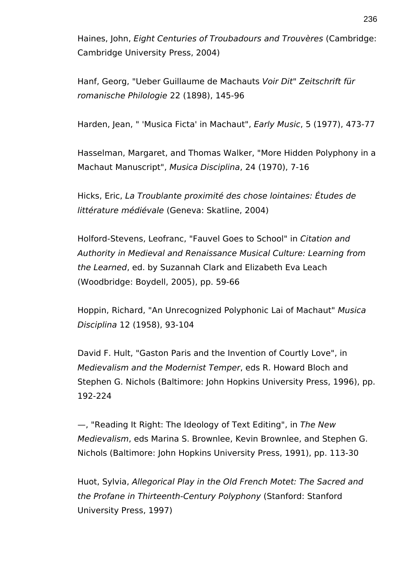Haines, John, Eight Centuries of Troubadours and Trouvères (Cambridge: Cambridge University Press, 2004)

Hanf, Georg, "Ueber Guillaume de Machauts Voir Dit" Zeitschrift für romanische Philologie 22 (1898), 145-96

Harden, Jean, " 'Musica Ficta' in Machaut", Early Music, 5 (1977), 473-77

Hasselman, Margaret, and Thomas Walker, "More Hidden Polyphony in a Machaut Manuscript", Musica Disciplina, 24 (1970), 7-16

Hicks, Eric, La Troublante proximité des chose lointaines: Études de littérature médiévale (Geneva: Skatline, 2004)

Holford-Stevens, Leofranc, "Fauvel Goes to School" in Citation and Authority in Medieval and Renaissance Musical Culture: Learning from the Learned, ed. by Suzannah Clark and Elizabeth Eva Leach (Woodbridge: Boydell, 2005), pp. 59-66

Hoppin, Richard, "An Unrecognized Polyphonic Lai of Machaut" Musica Disciplina 12 (1958), 93-104

David F. Hult, "Gaston Paris and the Invention of Courtly Love", in Medievalism and the Modernist Temper, eds R. Howard Bloch and Stephen G. Nichols (Baltimore: John Hopkins University Press, 1996), pp. 192-224

—, "Reading It Right: The Ideology of Text Editing", in The New Medievalism, eds Marina S. Brownlee, Kevin Brownlee, and Stephen G. Nichols (Baltimore: John Hopkins University Press, 1991), pp. 113-30

Huot, Sylvia, Allegorical Play in the Old French Motet: The Sacred and the Profane in Thirteenth-Century Polyphony (Stanford: Stanford University Press, 1997)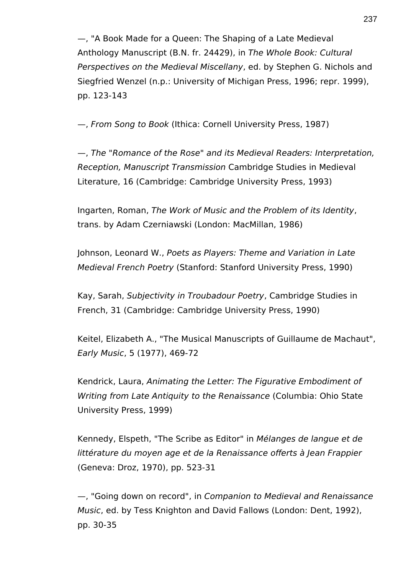—, "A Book Made for a Queen: The Shaping of a Late Medieval Anthology Manuscript (B.N. fr. 24429), in The Whole Book: Cultural Perspectives on the Medieval Miscellany, ed. by Stephen G. Nichols and Siegfried Wenzel (n.p.: University of Michigan Press, 1996; repr. 1999), pp. 123-143

—, From Song to Book (Ithica: Cornell University Press, 1987)

—, The "Romance of the Rose" and its Medieval Readers: Interpretation, Reception, Manuscript Transmission Cambridge Studies in Medieval Literature, 16 (Cambridge: Cambridge University Press, 1993)

Ingarten, Roman, The Work of Music and the Problem of its Identity, trans. by Adam Czerniawski (London: MacMillan, 1986)

Johnson, Leonard W., Poets as Players: Theme and Variation in Late Medieval French Poetry (Stanford: Stanford University Press, 1990)

Kay, Sarah, Subjectivity in Troubadour Poetry, Cambridge Studies in French, 31 (Cambridge: Cambridge University Press, 1990)

Keitel, Elizabeth A., "The Musical Manuscripts of Guillaume de Machaut", Early Music, 5 (1977), 469-72

Kendrick, Laura, Animating the Letter: The Figurative Embodiment of Writing from Late Antiquity to the Renaissance (Columbia: Ohio State University Press, 1999)

Kennedy, Elspeth, "The Scribe as Editor" in Mélanges de langue et de littérature du moyen age et de la Renaissance offerts à Jean Frappier (Geneva: Droz, 1970), pp. 523-31

—, "Going down on record", in Companion to Medieval and Renaissance Music, ed. by Tess Knighton and David Fallows (London: Dent, 1992), pp. 30-35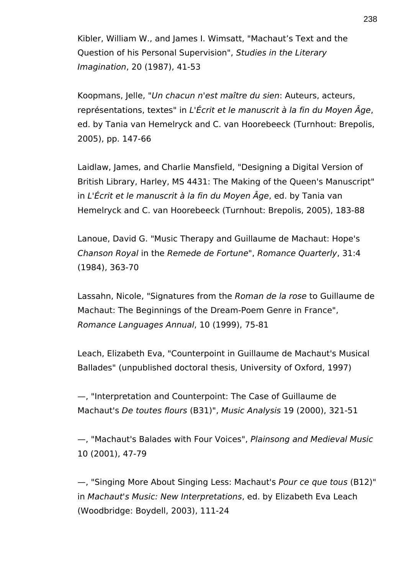Kibler, William W., and James I. Wimsatt, "Machaut's Text and the Question of his Personal Supervision", Studies in the Literary Imagination, 20 (1987), 41-53

Koopmans, Jelle, "Un chacun n'est maître du sien: Auteurs, acteurs, représentations, textes" in L'Écrit et le manuscrit à la fin du Moyen Âge, ed. by Tania van Hemelryck and C. van Hoorebeeck (Turnhout: Brepolis, 2005), pp. 147-66

Laidlaw, James, and Charlie Mansfield, "Designing a Digital Version of British Library, Harley, MS 4431: The Making of the Queen's Manuscript" in L'Écrit et le manuscrit à la fin du Moyen Âge, ed. by Tania van Hemelryck and C. van Hoorebeeck (Turnhout: Brepolis, 2005), 183-88

Lanoue, David G. "Music Therapy and Guillaume de Machaut: Hope's Chanson Royal in the Remede de Fortune", Romance Quarterly, 31:4 (1984), 363-70

Lassahn, Nicole, "Signatures from the Roman de la rose to Guillaume de Machaut: The Beginnings of the Dream-Poem Genre in France", Romance Languages Annual, 10 (1999), 75-81

Leach, Elizabeth Eva, "Counterpoint in Guillaume de Machaut's Musical Ballades" (unpublished doctoral thesis, University of Oxford, 1997)

—, "Interpretation and Counterpoint: The Case of Guillaume de Machaut's De toutes flours (B31)", Music Analysis 19 (2000), 321-51

—, "Machaut's Balades with Four Voices", Plainsong and Medieval Music 10 (2001), 47-79

—, "Singing More About Singing Less: Machaut's Pour ce que tous (B12)" in Machaut's Music: New Interpretations, ed. by Elizabeth Eva Leach (Woodbridge: Boydell, 2003), 111-24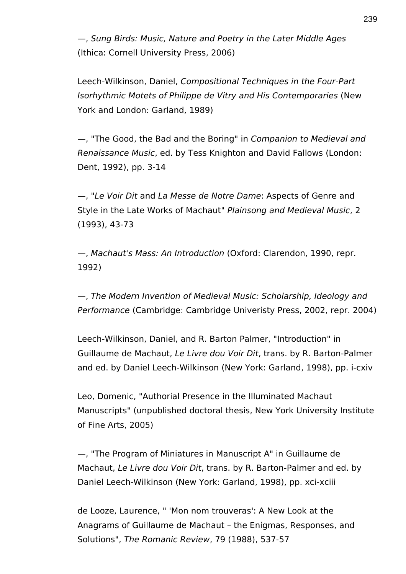—, Sung Birds: Music, Nature and Poetry in the Later Middle Ages (Ithica: Cornell University Press, 2006)

Leech-Wilkinson, Daniel, Compositional Techniques in the Four-Part Isorhythmic Motets of Philippe de Vitry and His Contemporaries (New York and London: Garland, 1989)

—, "The Good, the Bad and the Boring" in Companion to Medieval and Renaissance Music, ed. by Tess Knighton and David Fallows (London: Dent, 1992), pp. 3-14

—, "Le Voir Dit and La Messe de Notre Dame: Aspects of Genre and Style in the Late Works of Machaut" Plainsong and Medieval Music, 2 (1993), 43-73

—, Machaut's Mass: An Introduction (Oxford: Clarendon, 1990, repr. 1992)

—, The Modern Invention of Medieval Music: Scholarship, Ideology and Performance (Cambridge: Cambridge Univeristy Press, 2002, repr. 2004)

Leech-Wilkinson, Daniel, and R. Barton Palmer, "Introduction" in Guillaume de Machaut, Le Livre dou Voir Dit, trans. by R. Barton-Palmer and ed. by Daniel Leech-Wilkinson (New York: Garland, 1998), pp. i-cxiv

Leo, Domenic, "Authorial Presence in the Illuminated Machaut Manuscripts" (unpublished doctoral thesis, New York University Institute of Fine Arts, 2005)

—, "The Program of Miniatures in Manuscript A" in Guillaume de Machaut, Le Livre dou Voir Dit, trans. by R. Barton-Palmer and ed. by Daniel Leech-Wilkinson (New York: Garland, 1998), pp. xci-xciii

de Looze, Laurence, " 'Mon nom trouveras': A New Look at the Anagrams of Guillaume de Machaut – the Enigmas, Responses, and Solutions", The Romanic Review, 79 (1988), 537-57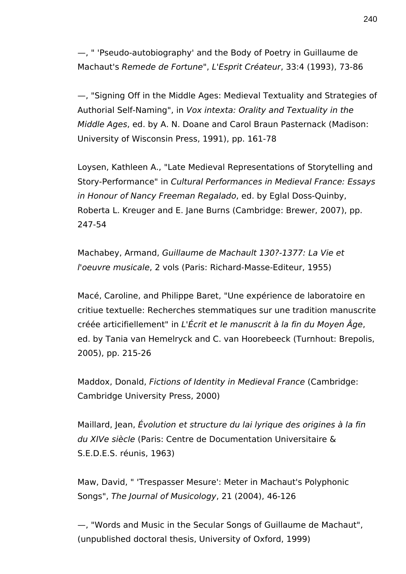—, " 'Pseudo-autobiography' and the Body of Poetry in Guillaume de Machaut's Remede de Fortune", L'Esprit Créateur, 33:4 (1993), 73-86

—, "Signing Off in the Middle Ages: Medieval Textuality and Strategies of Authorial Self-Naming", in Vox intexta: Orality and Textuality in the Middle Ages, ed. by A. N. Doane and Carol Braun Pasternack (Madison: University of Wisconsin Press, 1991), pp. 161-78

Loysen, Kathleen A., "Late Medieval Representations of Storytelling and Story-Performance" in Cultural Performances in Medieval France: Essays in Honour of Nancy Freeman Regalado, ed. by Eglal Doss-Quinby, Roberta L. Kreuger and E. Jane Burns (Cambridge: Brewer, 2007), pp. 247-54

Machabey, Armand, Guillaume de Machault 130?-1377: La Vie et l'oeuvre musicale, 2 vols (Paris: Richard-Masse-Editeur, 1955)

Macé, Caroline, and Philippe Baret, "Une expérience de laboratoire en critiue textuelle: Recherches stemmatiques sur une tradition manuscrite créée articifiellement" in L'Écrit et le manuscrit à la fin du Moyen Âge, ed. by Tania van Hemelryck and C. van Hoorebeeck (Turnhout: Brepolis, 2005), pp. 215-26

Maddox, Donald, Fictions of Identity in Medieval France (Cambridge: Cambridge University Press, 2000)

Maillard, Jean, Évolution et structure du lai lyrique des origines à la fin du XIVe siècle (Paris: Centre de Documentation Universitaire & S.E.D.E.S. réunis, 1963)

Maw, David, " 'Trespasser Mesure': Meter in Machaut's Polyphonic Songs", The Journal of Musicology, 21 (2004), 46-126

—, "Words and Music in the Secular Songs of Guillaume de Machaut", (unpublished doctoral thesis, University of Oxford, 1999)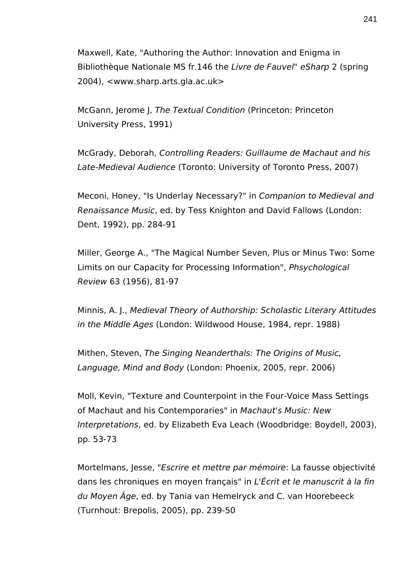Maxwell, Kate, "Authoring the Author: Innovation and Enigma in Bibliothèque Nationale MS fr.146 the Livre de Fauvel" eSharp 2 (spring 2004), <www.sharp.arts.gla.ac.uk>

McGann, Jerome J, The Textual Condition (Princeton: Princeton University Press, 1991)

McGrady, Deborah, Controlling Readers: Guillaume de Machaut and his Late-Medieval Audience (Toronto: University of Toronto Press, 2007)

Meconi, Honey, "Is Underlay Necessary?" in Companion to Medieval and Renaissance Music, ed. by Tess Knighton and David Fallows (London: Dent, 1992), pp. 284-91

Miller, George A., "The Magical Number Seven, Plus or Minus Two: Some Limits on our Capacity for Processing Information", Phsychological Review 63 (1956), 81-97

Minnis, A. J., Medieval Theory of Authorship: Scholastic Literary Attitudes in the Middle Ages (London: Wildwood House, 1984, repr. 1988)

Mithen, Steven, The Singing Neanderthals: The Origins of Music, Language, Mind and Body (London: Phoenix, 2005, repr. 2006)

Moll, Kevin, "Texture and Counterpoint in the Four-Voice Mass Settings of Machaut and his Contemporaries" in Machaut's Music: New Interpretations, ed. by Elizabeth Eva Leach (Woodbridge: Boydell, 2003), pp. 53-73

Mortelmans, Jesse, "Escrire et mettre par mémoire: La fausse objectivité dans les chroniques en moyen français" in L'Écrit et le manuscrit à la fin du Moven Âge, ed. by Tania van Hemelryck and C. van Hoorebeeck (Turnhout: Brepolis, 2005), pp. 239-50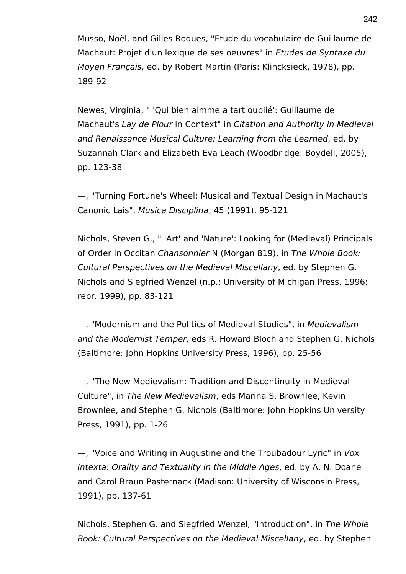Musso, Noël, and Gilles Roques, "Etude du vocabulaire de Guillaume de Machaut: Projet d'un lexique de ses oeuvres" in Etudes de Syntaxe du Moyen Français, ed. by Robert Martin (Paris: Klincksieck, 1978), pp. 189-92

Newes, Virginia, " 'Qui bien aimme a tart oublié': Guillaume de Machaut's Lay de Plour in Context" in Citation and Authority in Medieval and Renaissance Musical Culture: Learning from the Learned, ed. by Suzannah Clark and Elizabeth Eva Leach (Woodbridge: Boydell, 2005), pp. 123-38

—, "Turning Fortune's Wheel: Musical and Textual Design in Machaut's Canonic Lais", Musica Disciplina, 45 (1991), 95-121

Nichols, Steven G., " 'Art' and 'Nature': Looking for (Medieval) Principals of Order in Occitan Chansonnier N (Morgan 819), in The Whole Book: Cultural Perspectives on the Medieval Miscellany, ed. by Stephen G. Nichols and Siegfried Wenzel (n.p.: University of Michigan Press, 1996; repr. 1999), pp. 83-121

—, "Modernism and the Politics of Medieval Studies", in Medievalism and the Modernist Temper, eds R. Howard Bloch and Stephen G. Nichols (Baltimore: John Hopkins University Press, 1996), pp. 25-56

—, "The New Medievalism: Tradition and Discontinuity in Medieval Culture", in The New Medievalism, eds Marina S. Brownlee, Kevin Brownlee, and Stephen G. Nichols (Baltimore: John Hopkins University Press, 1991), pp. 1-26

 $-$ , "Voice and Writing in Augustine and the Troubadour Lyric" in Vox Intexta: Orality and Textuality in the Middle Ages, ed. by A. N. Doane and Carol Braun Pasternack (Madison: University of Wisconsin Press, 1991), pp. 137-61

Nichols, Stephen G. and Siegfried Wenzel, "Introduction", in The Whole Book: Cultural Perspectives on the Medieval Miscellany, ed. by Stephen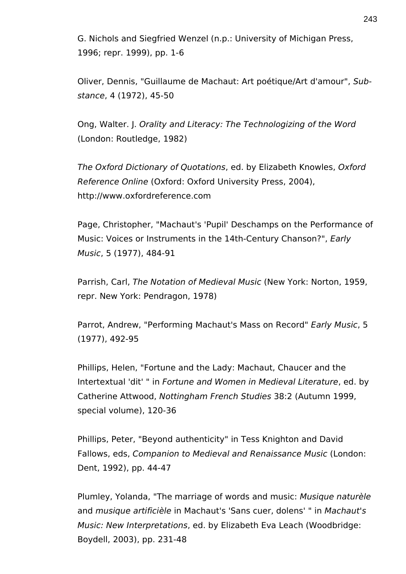G. Nichols and Siegfried Wenzel (n.p.: University of Michigan Press, 1996; repr. 1999), pp. 1-6

Oliver, Dennis, "Guillaume de Machaut: Art poétique/Art d'amour", Substance, 4 (1972), 45-50

Ong, Walter. J. Orality and Literacy: The Technologizing of the Word (London: Routledge, 1982)

The Oxford Dictionary of Quotations, ed. by Elizabeth Knowles, Oxford Reference Online (Oxford: Oxford University Press, 2004), http://www.oxfordreference.com

Page, Christopher, "Machaut's 'Pupil' Deschamps on the Performance of Music: Voices or Instruments in the 14th-Century Chanson?", Early Music, 5 (1977), 484-91

Parrish, Carl, The Notation of Medieval Music (New York: Norton, 1959, repr. New York: Pendragon, 1978)

Parrot, Andrew, "Performing Machaut's Mass on Record" Early Music, 5 (1977), 492-95

Phillips, Helen, "Fortune and the Lady: Machaut, Chaucer and the Intertextual 'dit' " in Fortune and Women in Medieval Literature, ed. by Catherine Attwood, Nottingham French Studies 38:2 (Autumn 1999, special volume), 120-36

Phillips, Peter, "Beyond authenticity" in Tess Knighton and David Fallows, eds, Companion to Medieval and Renaissance Music (London: Dent, 1992), pp. 44-47

Plumley, Yolanda, "The marriage of words and music: Musique naturèle and musique artificièle in Machaut's 'Sans cuer, dolens' " in Machaut's Music: New Interpretations, ed. by Elizabeth Eva Leach (Woodbridge: Boydell, 2003), pp. 231-48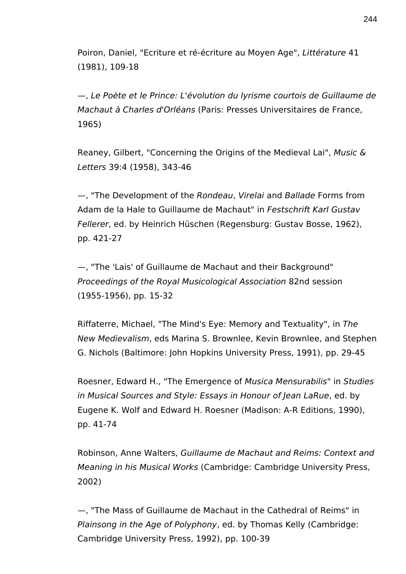Poiron, Daniel, "Ecriture et ré-écriture au Moyen Age", Littérature 41 (1981), 109-18

—, Le Poète et le Prince: L'évolution du lyrisme courtois de Guillaume de Machaut à Charles d'Orléans (Paris: Presses Universitaires de France, 1965)

Reaney, Gilbert, "Concerning the Origins of the Medieval Lai", Music & Letters 39:4 (1958), 343-46

—, "The Development of the Rondeau, Virelai and Ballade Forms from Adam de la Hale to Guillaume de Machaut" in Festschrift Karl Gustav Fellerer, ed. by Heinrich Hüschen (Regensburg: Gustav Bosse, 1962), pp. 421-27

—, "The 'Lais' of Guillaume de Machaut and their Background" Proceedings of the Royal Musicological Association 82nd session (1955-1956), pp. 15-32

Riffaterre, Michael, "The Mind's Eye: Memory and Textuality", in The New Medievalism, eds Marina S. Brownlee, Kevin Brownlee, and Stephen G. Nichols (Baltimore: John Hopkins University Press, 1991), pp. 29-45

Roesner, Edward H., "The Emergence of Musica Mensurabilis" in Studies in Musical Sources and Style: Essays in Honour of Jean LaRue, ed. by Eugene K. Wolf and Edward H. Roesner (Madison: A-R Editions, 1990), pp. 41-74

Robinson, Anne Walters, Guillaume de Machaut and Reims: Context and Meaning in his Musical Works (Cambridge: Cambridge University Press, 2002)

—, "The Mass of Guillaume de Machaut in the Cathedral of Reims" in Plainsong in the Age of Polyphony, ed. by Thomas Kelly (Cambridge: Cambridge University Press, 1992), pp. 100-39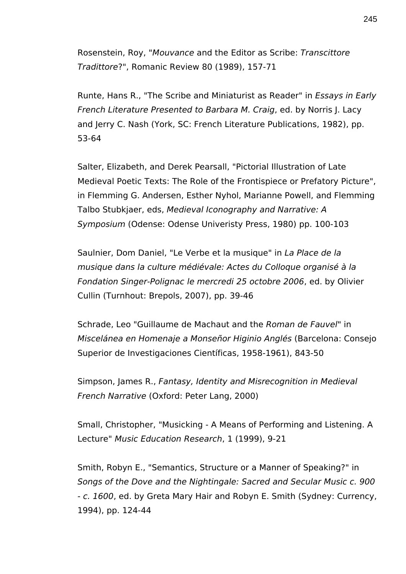Rosenstein, Roy, "Mouvance and the Editor as Scribe: Transcittore Tradittore?", Romanic Review 80 (1989), 157-71

Runte, Hans R., "The Scribe and Miniaturist as Reader" in Essays in Early French Literature Presented to Barbara M. Craig, ed. by Norris J. Lacy and Jerry C. Nash (York, SC: French Literature Publications, 1982), pp. 53-64

Salter, Elizabeth, and Derek Pearsall, "Pictorial Illustration of Late Medieval Poetic Texts: The Role of the Frontispiece or Prefatory Picture", in Flemming G. Andersen, Esther Nyhol, Marianne Powell, and Flemming Talbo Stubkjaer, eds, Medieval Iconography and Narrative: A Symposium (Odense: Odense Univeristy Press, 1980) pp. 100-103

Saulnier, Dom Daniel, "Le Verbe et la musique" in La Place de la musique dans la culture médiévale: Actes du Colloque organisé à la Fondation Singer-Polignac le mercredi 25 octobre 2006, ed. by Olivier Cullin (Turnhout: Brepols, 2007), pp. 39-46

Schrade, Leo "Guillaume de Machaut and the Roman de Fauvel" in Miscelánea en Homenaje a Monseñor Higinio Anglés (Barcelona: Consejo Superior de Investigaciones Científicas, 1958-1961), 843-50

Simpson, James R., Fantasy, Identity and Misrecognition in Medieval French Narrative (Oxford: Peter Lang, 2000)

Small, Christopher, "Musicking - A Means of Performing and Listening. A Lecture" Music Education Research, 1 (1999), 9-21

Smith, Robyn E., "Semantics, Structure or a Manner of Speaking?" in Songs of the Dove and the Nightingale: Sacred and Secular Music c. 900 - c. 1600, ed. by Greta Mary Hair and Robyn E. Smith (Sydney: Currency, 1994), pp. 124-44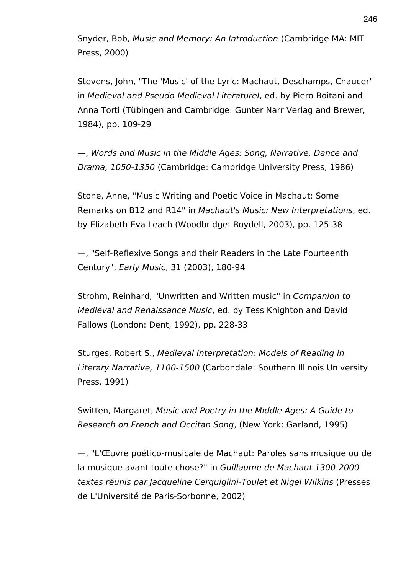Snyder, Bob, Music and Memory: An Introduction (Cambridge MA: MIT Press, 2000)

Stevens, John, "The 'Music' of the Lyric: Machaut, Deschamps, Chaucer" in Medieval and Pseudo-Medieval LiteratureI, ed. by Piero Boitani and Anna Torti (Tübingen and Cambridge: Gunter Narr Verlag and Brewer, 1984), pp. 109-29

—, Words and Music in the Middle Ages: Song, Narrative, Dance and Drama, 1050-1350 (Cambridge: Cambridge University Press, 1986)

Stone, Anne, "Music Writing and Poetic Voice in Machaut: Some Remarks on B12 and R14" in Machaut's Music: New Interpretations, ed. by Elizabeth Eva Leach (Woodbridge: Boydell, 2003), pp. 125-38

—, "Self-Reflexive Songs and their Readers in the Late Fourteenth Century", Early Music, 31 (2003), 180-94

Strohm, Reinhard, "Unwritten and Written music" in Companion to Medieval and Renaissance Music, ed. by Tess Knighton and David Fallows (London: Dent, 1992), pp. 228-33

Sturges, Robert S., Medieval Interpretation: Models of Reading in Literary Narrative, 1100-1500 (Carbondale: Southern Illinois University Press, 1991)

Switten, Margaret, Music and Poetry in the Middle Ages: A Guide to Research on French and Occitan Song, (New York: Garland, 1995)

—, "L'Œuvre poético-musicale de Machaut: Paroles sans musique ou de la musique avant toute chose?" in Guillaume de Machaut 1300-2000 textes réunis par Jacqueline Cerquiglini-Toulet et Nigel Wilkins (Presses de L'Université de Paris-Sorbonne, 2002)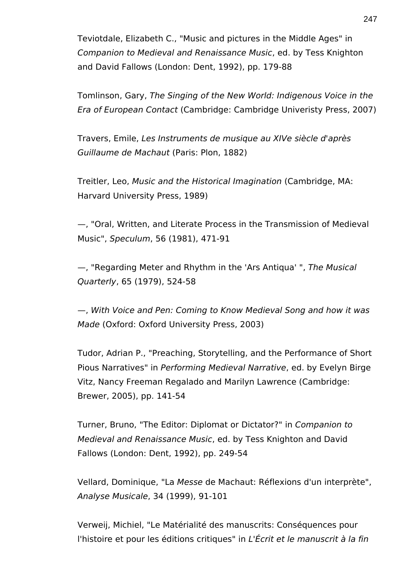Teviotdale, Elizabeth C., "Music and pictures in the Middle Ages" in Companion to Medieval and Renaissance Music, ed. by Tess Knighton and David Fallows (London: Dent, 1992), pp. 179-88

Tomlinson, Gary, The Singing of the New World: Indigenous Voice in the Era of European Contact (Cambridge: Cambridge Univeristy Press, 2007)

Travers, Emile, Les Instruments de musique au XIVe siècle d'après Guillaume de Machaut (Paris: Plon, 1882)

Treitler, Leo, Music and the Historical Imagination (Cambridge, MA: Harvard University Press, 1989)

—, "Oral, Written, and Literate Process in the Transmission of Medieval Music", Speculum, 56 (1981), 471-91

—, "Regarding Meter and Rhythm in the 'Ars Antiqua' ", The Musical Quarterly, 65 (1979), 524-58

—, With Voice and Pen: Coming to Know Medieval Song and how it was Made (Oxford: Oxford University Press, 2003)

Tudor, Adrian P., "Preaching, Storytelling, and the Performance of Short Pious Narratives" in Performing Medieval Narrative, ed. by Evelyn Birge Vitz, Nancy Freeman Regalado and Marilyn Lawrence (Cambridge: Brewer, 2005), pp. 141-54

Turner, Bruno, "The Editor: Diplomat or Dictator?" in Companion to Medieval and Renaissance Music, ed. by Tess Knighton and David Fallows (London: Dent, 1992), pp. 249-54

Vellard, Dominique, "La Messe de Machaut: Réflexions d'un interprète", Analyse Musicale, 34 (1999), 91-101

Verweij, Michiel, "Le Matérialité des manuscrits: Conséquences pour l'histoire et pour les éditions critiques" in L'Écrit et le manuscrit à la fin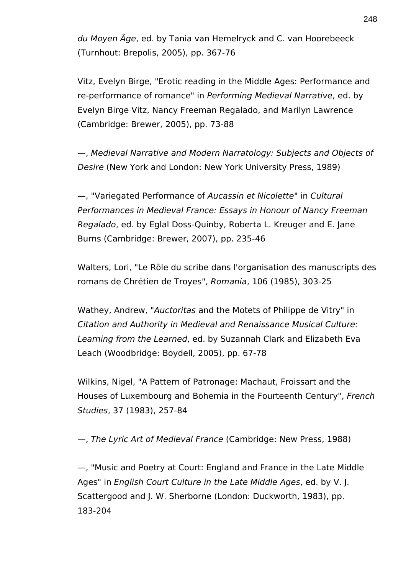du Moyen Âge, ed. by Tania van Hemelryck and C. van Hoorebeeck (Turnhout: Brepolis, 2005), pp. 367-76

Vitz, Evelyn Birge, "Erotic reading in the Middle Ages: Performance and re-performance of romance" in Performing Medieval Narrative, ed. by Evelyn Birge Vitz, Nancy Freeman Regalado, and Marilyn Lawrence (Cambridge: Brewer, 2005), pp. 73-88

—, Medieval Narrative and Modern Narratology: Subjects and Objects of Desire (New York and London: New York University Press, 1989)

—, "Variegated Performance of Aucassin et Nicolette" in Cultural Performances in Medieval France: Essays in Honour of Nancy Freeman Regalado, ed. by Eglal Doss-Quinby, Roberta L. Kreuger and E. Jane Burns (Cambridge: Brewer, 2007), pp. 235-46

Walters, Lori, "Le Rôle du scribe dans l'organisation des manuscripts des romans de Chrétien de Troyes", Romania, 106 (1985), 303-25

Wathey, Andrew, "Auctoritas and the Motets of Philippe de Vitry" in Citation and Authority in Medieval and Renaissance Musical Culture: Learning from the Learned, ed. by Suzannah Clark and Elizabeth Eva Leach (Woodbridge: Boydell, 2005), pp. 67-78

Wilkins, Nigel, "A Pattern of Patronage: Machaut, Froissart and the Houses of Luxembourg and Bohemia in the Fourteenth Century", French Studies, 37 (1983), 257-84

—, The Lyric Art of Medieval France (Cambridge: New Press, 1988)

—, "Music and Poetry at Court: England and France in the Late Middle Ages" in English Court Culture in the Late Middle Ages, ed. by V. J. Scattergood and J. W. Sherborne (London: Duckworth, 1983), pp. 183-204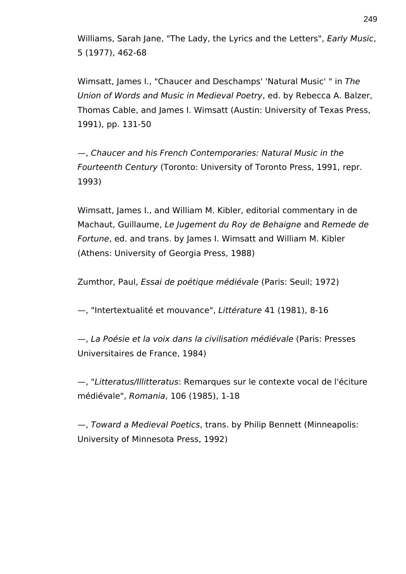Williams, Sarah Jane, "The Lady, the Lyrics and the Letters", Early Music, 5 (1977), 462-68

Wimsatt, James I., "Chaucer and Deschamps' 'Natural Music' " in The Union of Words and Music in Medieval Poetry, ed. by Rebecca A. Balzer, Thomas Cable, and James I. Wimsatt (Austin: University of Texas Press, 1991), pp. 131-50

—, Chaucer and his French Contemporaries: Natural Music in the Fourteenth Century (Toronto: University of Toronto Press, 1991, repr. 1993)

Wimsatt, James I., and William M. Kibler, editorial commentary in de Machaut, Guillaume, Le Jugement du Roy de Behaigne and Remede de Fortune, ed. and trans. by James I. Wimsatt and William M. Kibler (Athens: University of Georgia Press, 1988)

Zumthor, Paul, Essai de poétique médiévale (Paris: Seuil; 1972)

—, "Intertextualité et mouvance", Littérature 41 (1981), 8-16

—, La Poésie et la voix dans la civilisation médiévale (Paris: Presses Universitaires de France, 1984)

—, "Litteratus/Illitteratus: Remarques sur le contexte vocal de l'éciture médiévale", Romania, 106 (1985), 1-18

—, Toward a Medieval Poetics, trans. by Philip Bennett (Minneapolis: University of Minnesota Press, 1992)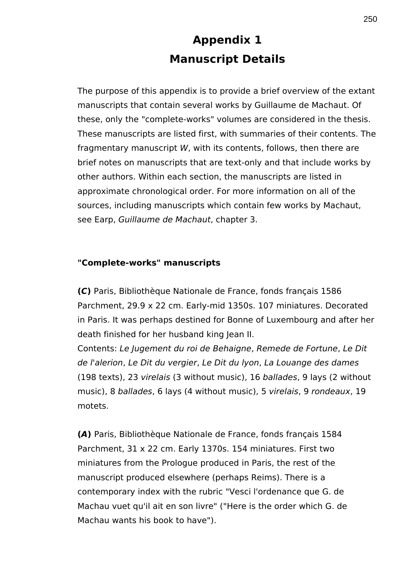## **Appendix 1 Manuscript Details**

The purpose of this appendix is to provide a brief overview of the extant manuscripts that contain several works by Guillaume de Machaut. Of these, only the "complete-works" volumes are considered in the thesis. These manuscripts are listed first, with summaries of their contents. The fragmentary manuscript W, with its contents, follows, then there are brief notes on manuscripts that are text-only and that include works by other authors. Within each section, the manuscripts are listed in approximate chronological order. For more information on all of the sources, including manuscripts which contain few works by Machaut, see Earp, Guillaume de Machaut, chapter 3.

#### **"Complete-works" manuscripts**

**(C)** Paris, Bibliothèque Nationale de France, fonds français 1586 Parchment, 29.9 x 22 cm. Early-mid 1350s. 107 miniatures. Decorated in Paris. It was perhaps destined for Bonne of Luxembourg and after her death finished for her husband king Jean II.

Contents: Le Jugement du roi de Behaigne, Remede de Fortune, Le Dit de l'alerion, Le Dit du vergier, Le Dit du lyon, La Louange des dames (198 texts), 23 virelais (3 without music), 16 ballades, 9 lays (2 without music), 8 ballades, 6 lays (4 without music), 5 virelais, 9 rondeaux, 19 motets.

**(A)** Paris, Bibliothèque Nationale de France, fonds français 1584 Parchment, 31 x 22 cm. Early 1370s. 154 miniatures. First two miniatures from the Prologue produced in Paris, the rest of the manuscript produced elsewhere (perhaps Reims). There is a contemporary index with the rubric "Vesci l'ordenance que G. de Machau vuet qu'il ait en son livre" ("Here is the order which G. de Machau wants his book to have").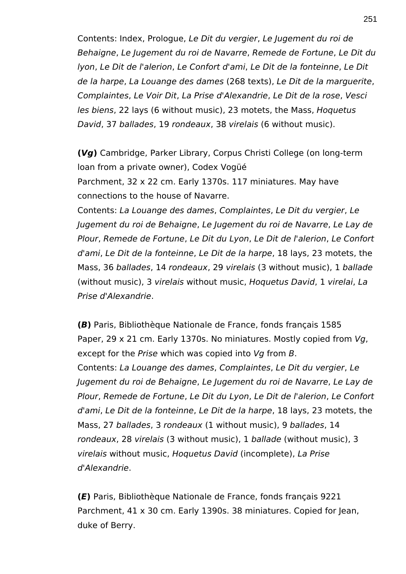Contents: Index, Prologue, Le Dit du vergier, Le Jugement du roi de Behaigne, Le Jugement du roi de Navarre, Remede de Fortune, Le Dit du lyon, Le Dit de l'alerion, Le Confort d'ami, Le Dit de la fonteinne, Le Dit de la harpe, La Louange des dames (268 texts), Le Dit de la marguerite, Complaintes, Le Voir Dit, La Prise d'Alexandrie, Le Dit de la rose, Vesci les biens, 22 lays (6 without music), 23 motets, the Mass, Hoquetus David, 37 ballades, 19 rondeaux, 38 virelais (6 without music).

**(Vg)** Cambridge, Parker Library, Corpus Christi College (on long-term loan from a private owner), Codex Vogüé Parchment, 32 x 22 cm. Early 1370s. 117 miniatures. May have connections to the house of Navarre.

Contents: La Louange des dames, Complaintes, Le Dit du vergier, Le Jugement du roi de Behaigne, Le Jugement du roi de Navarre, Le Lay de Plour, Remede de Fortune, Le Dit du Lyon, Le Dit de l'alerion, Le Confort d'ami, Le Dit de la fonteinne, Le Dit de la harpe, 18 lays, 23 motets, the Mass, 36 ballades, 14 rondeaux, 29 virelais (3 without music), 1 ballade (without music), 3 virelais without music, Hoquetus David, 1 virelai, La Prise d'Alexandrie.

**(B)** Paris, Bibliothèque Nationale de France, fonds français 1585 Paper, 29 x 21 cm. Early 1370s. No miniatures. Mostly copied from Vg, except for the Prise which was copied into Vg from B. Contents: La Louange des dames, Complaintes, Le Dit du vergier, Le Jugement du roi de Behaigne, Le Jugement du roi de Navarre, Le Lay de Plour, Remede de Fortune, Le Dit du Lyon, Le Dit de l'alerion, Le Confort d'ami, Le Dit de la fonteinne, Le Dit de la harpe, 18 lays, 23 motets, the Mass, 27 ballades, 3 rondeaux (1 without music), 9 ballades, 14 rondeaux, 28 virelais (3 without music), 1 ballade (without music), 3 virelais without music, Hoquetus David (incomplete), La Prise d'Alexandrie.

**(E)** Paris, Bibliothèque Nationale de France, fonds français 9221 Parchment, 41 x 30 cm. Early 1390s. 38 miniatures. Copied for Jean, duke of Berry.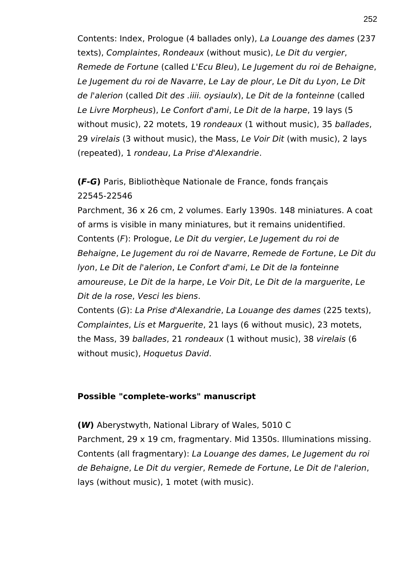Contents: Index, Prologue (4 ballades only), La Louange des dames (237 texts), Complaintes, Rondeaux (without music), Le Dit du vergier, Remede de Fortune (called L'Ecu Bleu), Le Jugement du roi de Behaigne, Le Jugement du roi de Navarre, Le Lay de plour, Le Dit du Lyon, Le Dit de l'alerion (called Dit des .iiii. oysiaulx), Le Dit de la fonteinne (called Le Livre Morpheus), Le Confort d'ami, Le Dit de la harpe, 19 lays (5 without music), 22 motets, 19 rondeaux (1 without music), 35 ballades, 29 virelais (3 without music), the Mass, Le Voir Dit (with music), 2 lays (repeated), 1 rondeau, La Prise d'Alexandrie.

### **(F-G)** Paris, Bibliothèque Nationale de France, fonds français 22545-22546

Parchment, 36 x 26 cm, 2 volumes. Early 1390s. 148 miniatures. A coat of arms is visible in many miniatures, but it remains unidentified. Contents (F): Prologue, Le Dit du vergier, Le Jugement du roi de Behaigne, Le Jugement du roi de Navarre, Remede de Fortune, Le Dit du lyon, Le Dit de l'alerion, Le Confort d'ami, Le Dit de la fonteinne amoureuse, Le Dit de la harpe, Le Voir Dit, Le Dit de la marguerite, Le Dit de la rose, Vesci les biens.

Contents (G): La Prise d'Alexandrie, La Louange des dames (225 texts), Complaintes, Lis et Marguerite, 21 lays (6 without music), 23 motets, the Mass, 39 ballades, 21 rondeaux (1 without music), 38 virelais (6 without music), Hoquetus David.

#### **Possible "complete-works" manuscript**

**(W)** Aberystwyth, National Library of Wales, 5010 C Parchment, 29 x 19 cm, fragmentary. Mid 1350s. Illuminations missing. Contents (all fragmentary): La Louange des dames, Le Jugement du roi de Behaigne, Le Dit du vergier, Remede de Fortune, Le Dit de l'alerion, lays (without music), 1 motet (with music).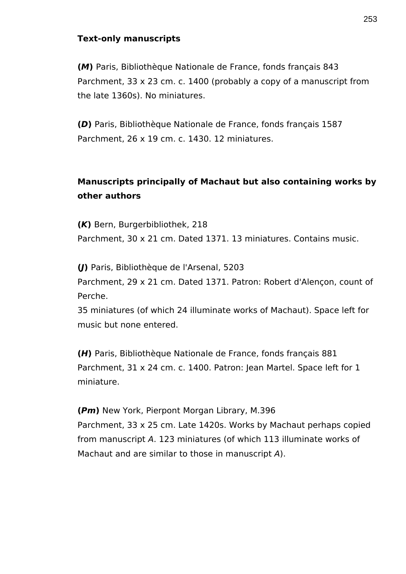#### **Text-only manuscripts**

**(M)** Paris, Bibliothèque Nationale de France, fonds français 843 Parchment, 33 x 23 cm. c. 1400 (probably a copy of a manuscript from the late 1360s). No miniatures.

**(D)** Paris, Bibliothèque Nationale de France, fonds français 1587 Parchment, 26 x 19 cm. c. 1430. 12 miniatures.

## **Manuscripts principally of Machaut but also containing works by other authors**

**(K)** Bern, Burgerbibliothek, 218 Parchment, 30 x 21 cm. Dated 1371. 13 miniatures. Contains music.

**(J)** Paris, Bibliothèque de l'Arsenal, 5203 Parchment, 29 x 21 cm. Dated 1371. Patron: Robert d'Alençon, count of Perche.

35 miniatures (of which 24 illuminate works of Machaut). Space left for music but none entered.

**(H)** Paris, Bibliothèque Nationale de France, fonds français 881 Parchment, 31 x 24 cm. c. 1400. Patron: Jean Martel. Space left for 1 miniature.

**(Pm)** New York, Pierpont Morgan Library, M.396 Parchment, 33 x 25 cm. Late 1420s. Works by Machaut perhaps copied from manuscript A. 123 miniatures (of which 113 illuminate works of Machaut and are similar to those in manuscript A).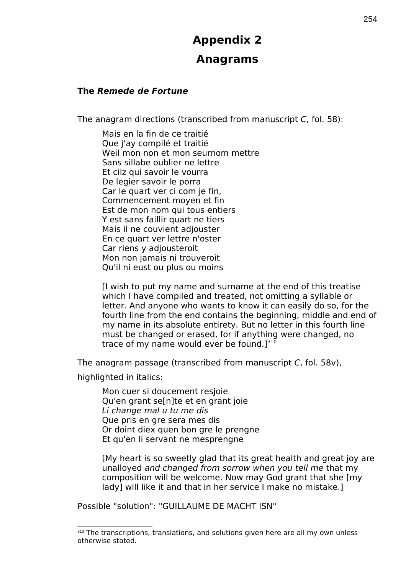# **Appendix 2**

## **Anagrams**

### **The Remede de Fortune**

The anagram directions (transcribed from manuscript C, fol. 58):

Mais en la fin de ce traitié Que j'ay compilé et traitié Weil mon non et mon seurnom mettre Sans sillabe oublier ne lettre Et cilz qui savoir le vourra De legier savoir le porra Car le quart ver ci com je fin, Commencement moyen et fin Est de mon nom qui tous entiers Y est sans faillir quart ne tiers Mais il ne couvient adjouster En ce quart ver lettre n'oster Car riens y adjousteroit Mon non jamais ni trouveroit Qu'il ni eust ou plus ou moins

[I wish to put my name and surname at the end of this treatise which I have compiled and treated, not omitting a syllable or letter. And anyone who wants to know it can easily do so, for the fourth line from the end contains the beginning, middle and end of my name in its absolute entirety. But no letter in this fourth line must be changed or erased, for if anything were changed, no trace of my name would ever be found.<sup>[[310](#page-253-0)]</sup>

The anagram passage (transcribed from manuscript C, fol. 58v),

highlighted in italics:

Mon cuer si doucement resjoie Qu'en grant se[n]te et en grant joie Li change mal u tu me dis Que pris en gre sera mes dis Or doint diex quen bon gre le prengne Et qu'en li servant ne mesprengne

[My heart is so sweetly glad that its great health and great joy are unalloyed and changed from sorrow when you tell me that my composition will be welcome. Now may God grant that she [my lady] will like it and that in her service I make no mistake.]

Possible "solution": "GUILLAUME DE MACHT ISN"

<span id="page-253-0"></span> $310$  The transcriptions, translations, and solutions given here are all my own unless otherwise stated.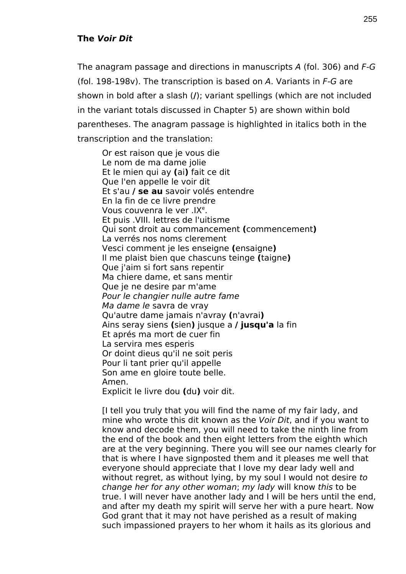#### **The Voir Dit**

The anagram passage and directions in manuscripts A (fol. 306) and F-G (fol. 198-198v). The transcription is based on A. Variants in F-G are shown in bold after a slash (**/**); variant spellings (which are not included in the variant totals discussed in Chapter 5) are shown within bold parentheses. The anagram passage is highlighted in italics both in the transcription and the translation:

Or est raison que je vous die Le nom de ma dame jolie Et le mien qui ay **(**ai**)** fait ce dit Que l'en appelle le voir dit Et s'au **/ se au** savoir volés entendre En la fin de ce livre prendre Vous couvenra le ver .IX<sup>e</sup>. Et puis .VIII. lettres de l'uitisme Qui sont droit au commancement **(**commencement**)** La verrés nos noms clerement Vesci comment je les enseigne **(**ensaigne**)** Il me plaist bien que chascuns teinge **(**taigne**)** Que j'aim si fort sans repentir Ma chiere dame, et sans mentir Que je ne desire par m'ame Pour le changier nulle autre fame Ma dame le savra de vray Qu'autre dame jamais n'avray **(**n'avrai**)** Ains seray siens **(**sien**)** jusque a **/ jusqu'a** la fin Et aprés ma mort de cuer fin La servira mes esperis Or doint dieus qu'il ne soit peris Pour li tant prier qu'il appelle Son ame en gloire toute belle. Amen. Explicit le livre dou **(**du**)** voir dit.

[I tell you truly that you will find the name of my fair lady, and mine who wrote this dit known as the Voir Dit, and if you want to know and decode them, you will need to take the ninth line from the end of the book and then eight letters from the eighth which are at the very beginning. There you will see our names clearly for that is where I have signposted them and it pleases me well that everyone should appreciate that I love my dear lady well and without regret, as without lying, by my soul I would not desire to change her for any other woman; my lady will know this to be true. I will never have another lady and I will be hers until the end, and after my death my spirit will serve her with a pure heart. Now God grant that it may not have perished as a result of making such impassioned prayers to her whom it hails as its glorious and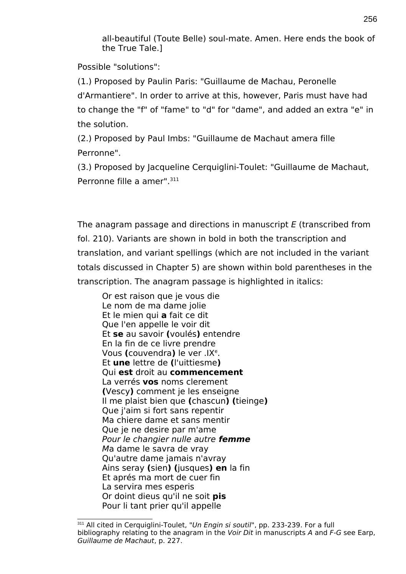all-beautiful (Toute Belle) soul-mate. Amen. Here ends the book of the True Tale.]

Possible "solutions":

(1.) Proposed by Paulin Paris: "Guillaume de Machau, Peronelle d'Armantiere". In order to arrive at this, however, Paris must have had to change the "f" of "fame" to "d" for "dame", and added an extra "e" in the solution.

(2.) Proposed by Paul Imbs: "Guillaume de Machaut amera fille Perronne".

(3.) Proposed by Jacqueline Cerquiglini-Toulet: "Guillaume de Machaut, Perronne fille a amer".<sup>[311](#page-255-0)</sup>

The anagram passage and directions in manuscript  $E$  (transcribed from fol. 210). Variants are shown in bold in both the transcription and translation, and variant spellings (which are not included in the variant totals discussed in Chapter 5) are shown within bold parentheses in the transcription. The anagram passage is highlighted in italics:

Or est raison que je vous die Le nom de ma dame jolie Et le mien qui **a** fait ce dit Que l'en appelle le voir dit Et **se** au savoir **(**voulés**)** entendre En la fin de ce livre prendre Vous (couvendra) le ver .IX<sup>e</sup>. Et **une** lettre de **(**l'uittiesme**)** Qui **est** droit au **commencement** La verrés **vos** noms clerement **(**Vescy**)** comment je les enseigne Il me plaist bien que **(**chascun**) (**tieinge**)** Que j'aim si fort sans repentir Ma chiere dame et sans mentir Que je ne desire par m'ame Pour le changier nulle autre **femme** Ma dame le savra de vray Qu'autre dame jamais n'avray Ains seray **(**sien**) (**jusques**) en** la fin Et aprés ma mort de cuer fin La servira mes esperis Or doint dieus qu'il ne soit **pis** Pour li tant prier qu'il appelle

<span id="page-255-0"></span><sup>311</sup> All cited in Cerquiglini-Toulet, "Un Engin si soutil", pp. 233-239. For a full bibliography relating to the anagram in the Voir Dit in manuscripts A and F-G see Earp, Guillaume de Machaut, p. 227.